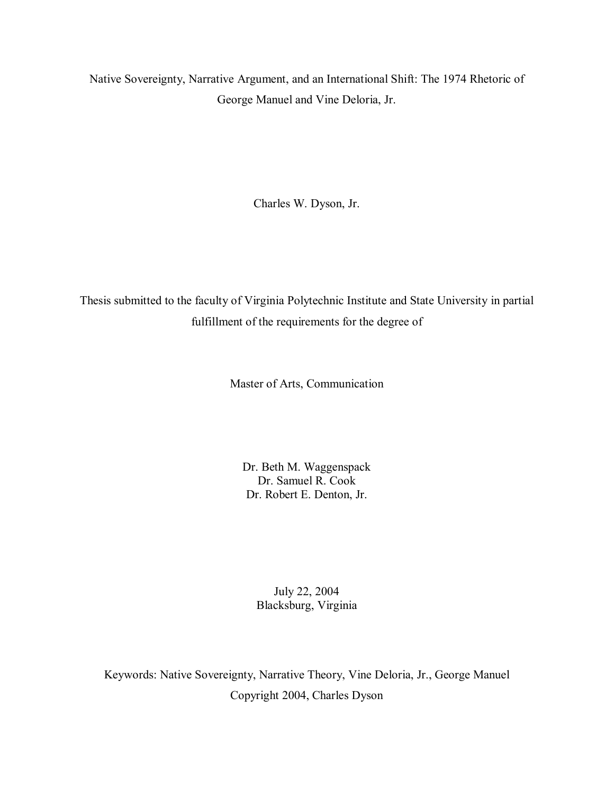Native Sovereignty, Narrative Argument, and an International Shift: The 1974 Rhetoric of George Manuel and Vine Deloria, Jr.

Charles W. Dyson, Jr.

Thesis submitted to the faculty of Virginia Polytechnic Institute and State University in partial fulfillment of the requirements for the degree of

Master of Arts, Communication

Dr. Beth M. Waggenspack Dr. Samuel R. Cook Dr. Robert E. Denton, Jr.

> July 22, 2004 Blacksburg, Virginia

Keywords: Native Sovereignty, Narrative Theory, Vine Deloria, Jr., George Manuel Copyright 2004, Charles Dyson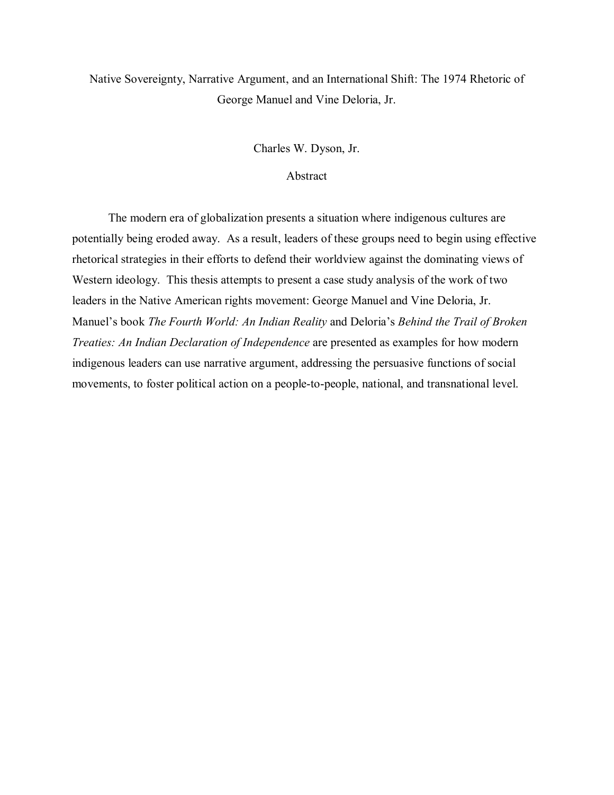Native Sovereignty, Narrative Argument, and an International Shift: The 1974 Rhetoric of George Manuel and Vine Deloria, Jr.

Charles W. Dyson, Jr.

Abstract

The modern era of globalization presents a situation where indigenous cultures are potentially being eroded away. As a result, leaders of these groups need to begin using effective rhetorical strategies in their efforts to defend their worldview against the dominating views of Western ideology. This thesis attempts to present a case study analysis of the work of two leaders in the Native American rights movement: George Manuel and Vine Deloria, Jr. Manuel's book *The Fourth World: An Indian Reality* and Deloria's *Behind the Trail of Broken Treaties: An Indian Declaration of Independence* are presented as examples for how modern indigenous leaders can use narrative argument, addressing the persuasive functions of social movements, to foster political action on a people-to-people, national, and transnational level.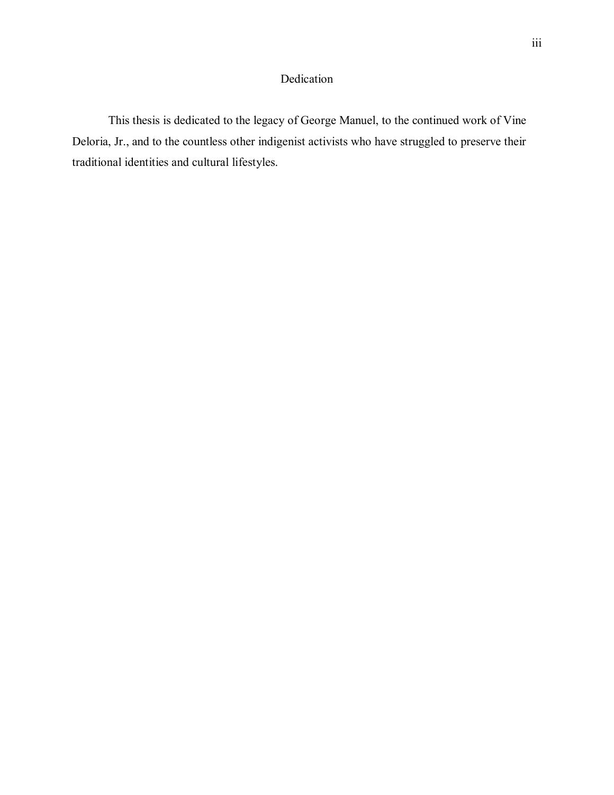This thesis is dedicated to the legacy of George Manuel, to the continued work of Vine Deloria, Jr., and to the countless other indigenist activists who have struggled to preserve their traditional identities and cultural lifestyles.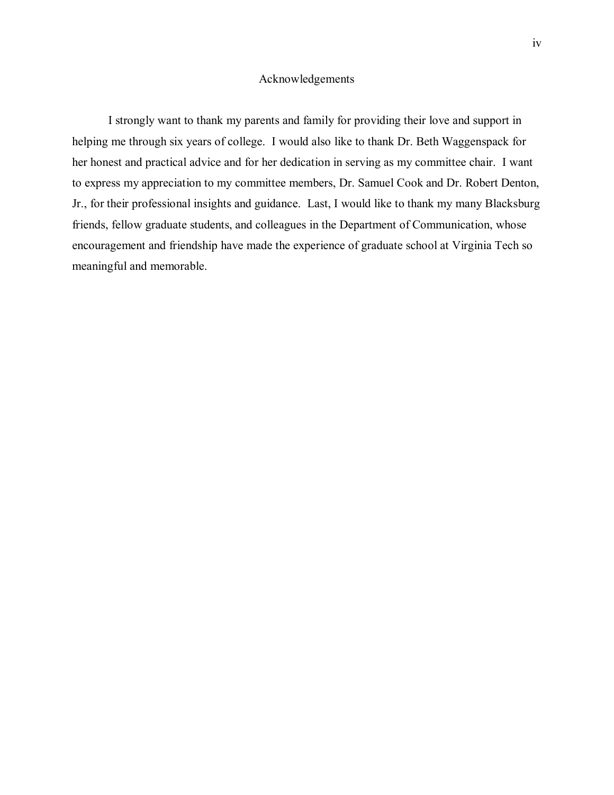### Acknowledgements

I strongly want to thank my parents and family for providing their love and support in helping me through six years of college. I would also like to thank Dr. Beth Waggenspack for her honest and practical advice and for her dedication in serving as my committee chair. I want to express my appreciation to my committee members, Dr. Samuel Cook and Dr. Robert Denton, Jr., for their professional insights and guidance. Last, I would like to thank my many Blacksburg friends, fellow graduate students, and colleagues in the Department of Communication, whose encouragement and friendship have made the experience of graduate school at Virginia Tech so meaningful and memorable.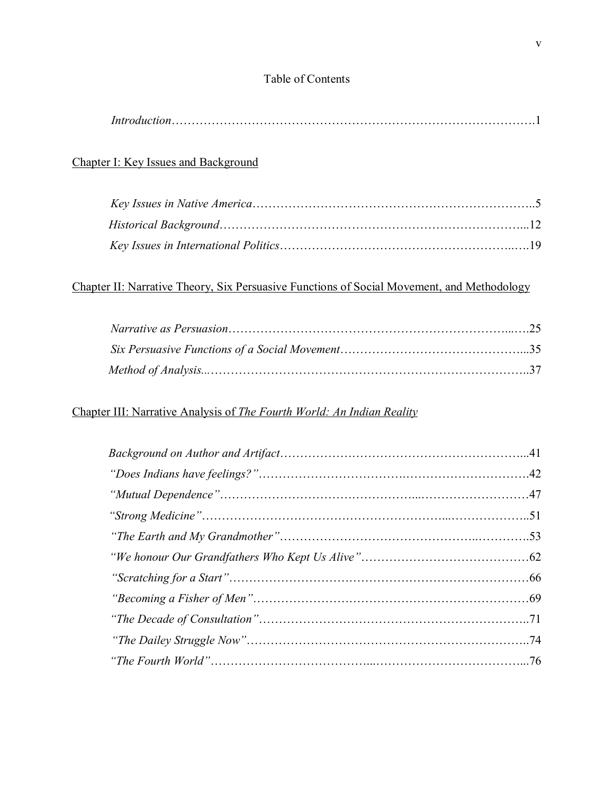### Table of Contents

# Chapter I: Key Issues and Background

### Chapter II: Narrative Theory, Six Persuasive Functions of Social Movement, and Methodology

# Chapter III: Narrative Analysis of *The Fourth World: An Indian Reality*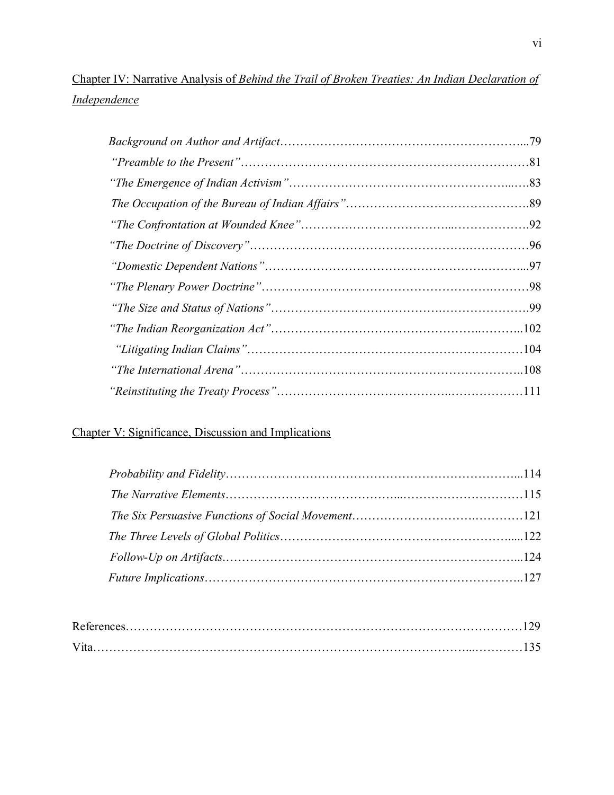Chapter IV: Narrative Analysis of *Behind the Trail of Broken Treaties: An Indian Declaration of Independence*

# Chapter V: Significance, Discussion and Implications

| Vita |  |
|------|--|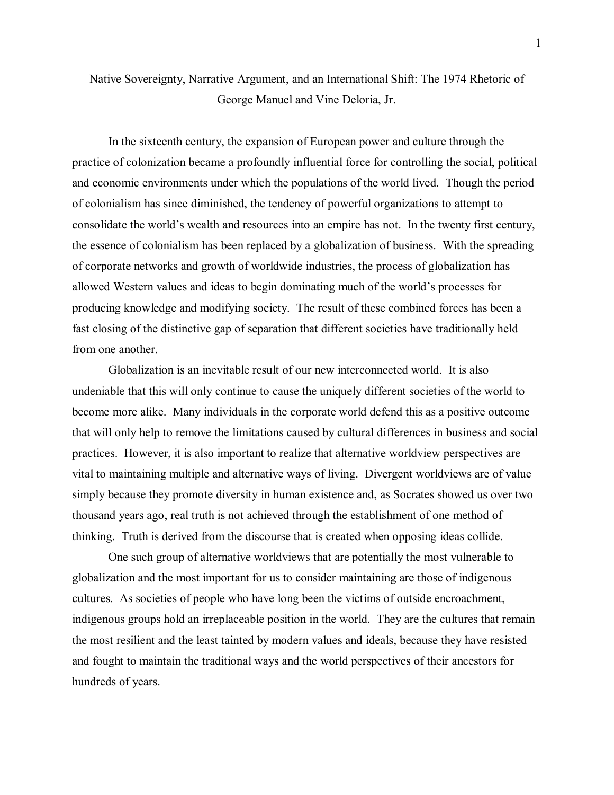## Native Sovereignty, Narrative Argument, and an International Shift: The 1974 Rhetoric of George Manuel and Vine Deloria, Jr.

In the sixteenth century, the expansion of European power and culture through the practice of colonization became a profoundly influential force for controlling the social, political and economic environments under which the populations of the world lived. Though the period of colonialism has since diminished, the tendency of powerful organizations to attempt to consolidate the world's wealth and resources into an empire has not. In the twenty first century, the essence of colonialism has been replaced by a globalization of business. With the spreading of corporate networks and growth of worldwide industries, the process of globalization has allowed Western values and ideas to begin dominating much of the world's processes for producing knowledge and modifying society. The result of these combined forces has been a fast closing of the distinctive gap of separation that different societies have traditionally held from one another.

Globalization is an inevitable result of our new interconnected world. It is also undeniable that this will only continue to cause the uniquely different societies of the world to become more alike. Many individuals in the corporate world defend this as a positive outcome that will only help to remove the limitations caused by cultural differences in business and social practices. However, it is also important to realize that alternative worldview perspectives are vital to maintaining multiple and alternative ways of living. Divergent worldviews are of value simply because they promote diversity in human existence and, as Socrates showed us over two thousand years ago, real truth is not achieved through the establishment of one method of thinking. Truth is derived from the discourse that is created when opposing ideas collide.

One such group of alternative worldviews that are potentially the most vulnerable to globalization and the most important for us to consider maintaining are those of indigenous cultures. As societies of people who have long been the victims of outside encroachment, indigenous groups hold an irreplaceable position in the world. They are the cultures that remain the most resilient and the least tainted by modern values and ideals, because they have resisted and fought to maintain the traditional ways and the world perspectives of their ancestors for hundreds of years.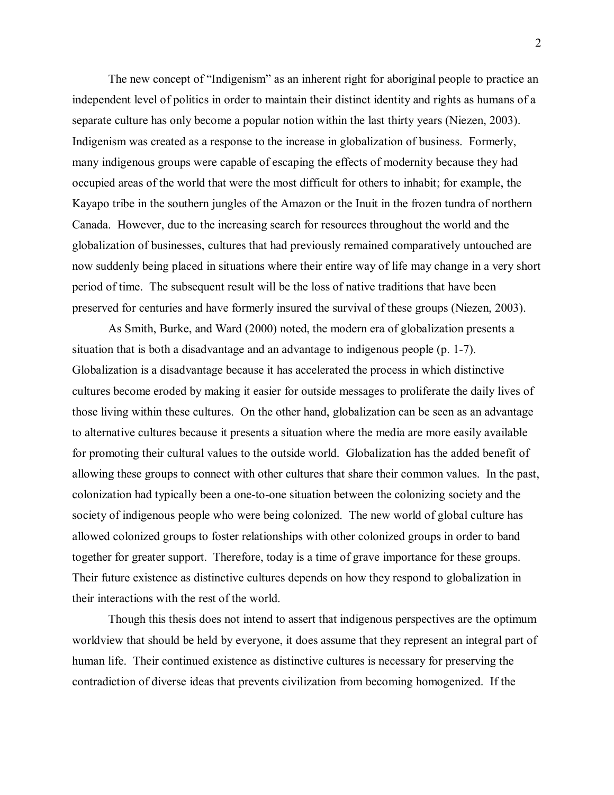The new concept of "Indigenism" as an inherent right for aboriginal people to practice an independent level of politics in order to maintain their distinct identity and rights as humans of a separate culture has only become a popular notion within the last thirty years (Niezen, 2003). Indigenism was created as a response to the increase in globalization of business. Formerly, many indigenous groups were capable of escaping the effects of modernity because they had occupied areas of the world that were the most difficult for others to inhabit; for example, the Kayapo tribe in the southern jungles of the Amazon or the Inuit in the frozen tundra of northern Canada. However, due to the increasing search for resources throughout the world and the globalization of businesses, cultures that had previously remained comparatively untouched are now suddenly being placed in situations where their entire way of life may change in a very short period of time. The subsequent result will be the loss of native traditions that have been preserved for centuries and have formerly insured the survival of these groups (Niezen, 2003).

As Smith, Burke, and Ward (2000) noted, the modern era of globalization presents a situation that is both a disadvantage and an advantage to indigenous people (p. 1-7). Globalization is a disadvantage because it has accelerated the process in which distinctive cultures become eroded by making it easier for outside messages to proliferate the daily lives of those living within these cultures. On the other hand, globalization can be seen as an advantage to alternative cultures because it presents a situation where the media are more easily available for promoting their cultural values to the outside world. Globalization has the added benefit of allowing these groups to connect with other cultures that share their common values. In the past, colonization had typically been a one-to-one situation between the colonizing society and the society of indigenous people who were being colonized. The new world of global culture has allowed colonized groups to foster relationships with other colonized groups in order to band together for greater support. Therefore, today is a time of grave importance for these groups. Their future existence as distinctive cultures depends on how they respond to globalization in their interactions with the rest of the world.

Though this thesis does not intend to assert that indigenous perspectives are the optimum worldview that should be held by everyone, it does assume that they represent an integral part of human life. Their continued existence as distinctive cultures is necessary for preserving the contradiction of diverse ideas that prevents civilization from becoming homogenized. If the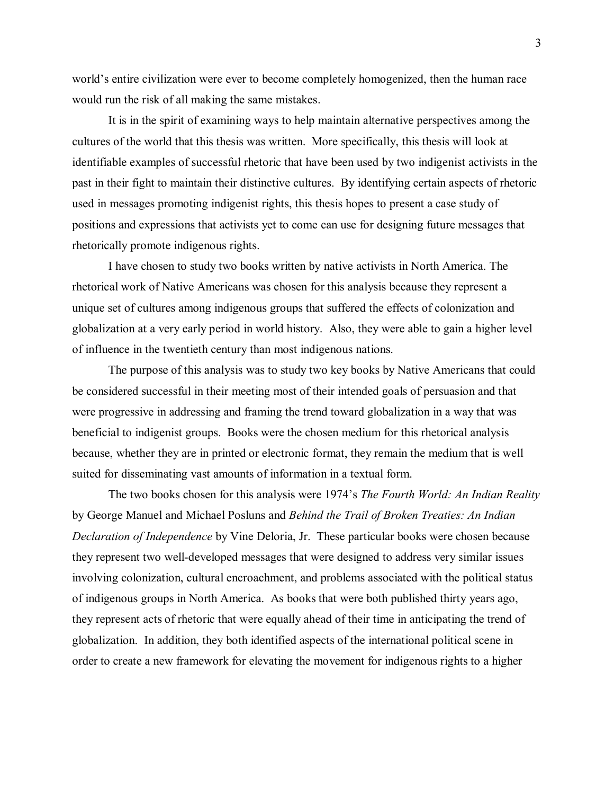world's entire civilization were ever to become completely homogenized, then the human race would run the risk of all making the same mistakes.

It is in the spirit of examining ways to help maintain alternative perspectives among the cultures of the world that this thesis was written. More specifically, this thesis will look at identifiable examples of successful rhetoric that have been used by two indigenist activists in the past in their fight to maintain their distinctive cultures. By identifying certain aspects of rhetoric used in messages promoting indigenist rights, this thesis hopes to present a case study of positions and expressions that activists yet to come can use for designing future messages that rhetorically promote indigenous rights.

I have chosen to study two books written by native activists in North America. The rhetorical work of Native Americans was chosen for this analysis because they represent a unique set of cultures among indigenous groups that suffered the effects of colonization and globalization at a very early period in world history. Also, they were able to gain a higher level of influence in the twentieth century than most indigenous nations.

 The purpose of this analysis was to study two key books by Native Americans that could be considered successful in their meeting most of their intended goals of persuasion and that were progressive in addressing and framing the trend toward globalization in a way that was beneficial to indigenist groups. Books were the chosen medium for this rhetorical analysis because, whether they are in printed or electronic format, they remain the medium that is well suited for disseminating vast amounts of information in a textual form.

The two books chosen for this analysis were 1974's *The Fourth World: An Indian Reality* by George Manuel and Michael Posluns and *Behind the Trail of Broken Treaties: An Indian Declaration of Independence* by Vine Deloria, Jr. These particular books were chosen because they represent two well-developed messages that were designed to address very similar issues involving colonization, cultural encroachment, and problems associated with the political status of indigenous groups in North America. As books that were both published thirty years ago, they represent acts of rhetoric that were equally ahead of their time in anticipating the trend of globalization. In addition, they both identified aspects of the international political scene in order to create a new framework for elevating the movement for indigenous rights to a higher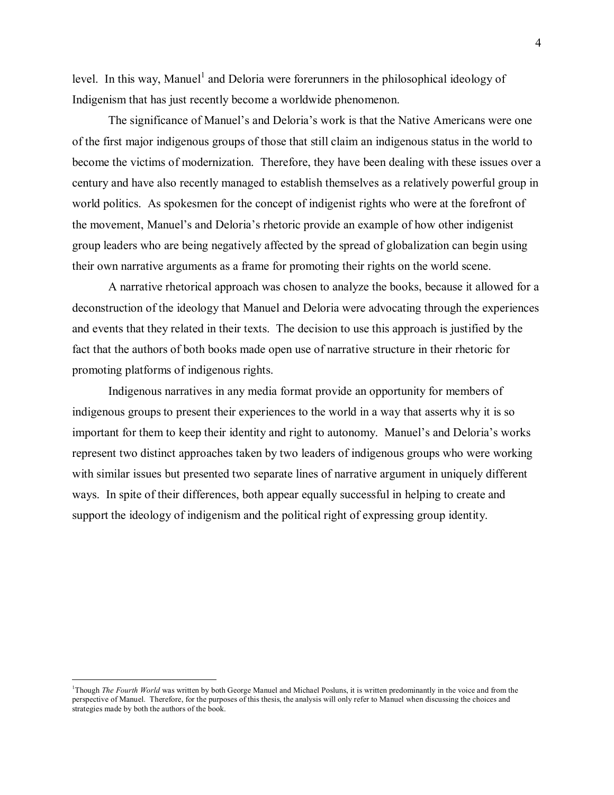level. In this way, Manuel<sup>1</sup> and Deloria were forerunners in the philosophical ideology of Indigenism that has just recently become a worldwide phenomenon.

The significance of Manuel's and Deloria's work is that the Native Americans were one of the first major indigenous groups of those that still claim an indigenous status in the world to become the victims of modernization. Therefore, they have been dealing with these issues over a century and have also recently managed to establish themselves as a relatively powerful group in world politics. As spokesmen for the concept of indigenist rights who were at the forefront of the movement, Manuel's and Deloria's rhetoric provide an example of how other indigenist group leaders who are being negatively affected by the spread of globalization can begin using their own narrative arguments as a frame for promoting their rights on the world scene.

A narrative rhetorical approach was chosen to analyze the books, because it allowed for a deconstruction of the ideology that Manuel and Deloria were advocating through the experiences and events that they related in their texts. The decision to use this approach is justified by the fact that the authors of both books made open use of narrative structure in their rhetoric for promoting platforms of indigenous rights.

Indigenous narratives in any media format provide an opportunity for members of indigenous groups to present their experiences to the world in a way that asserts why it is so important for them to keep their identity and right to autonomy. Manuel's and Deloria's works represent two distinct approaches taken by two leaders of indigenous groups who were working with similar issues but presented two separate lines of narrative argument in uniquely different ways. In spite of their differences, both appear equally successful in helping to create and support the ideology of indigenism and the political right of expressing group identity.

<sup>&</sup>lt;sup>1</sup>Though *The Fourth World* was written by both George Manuel and Michael Posluns, it is written predominantly in the voice and from the perspective of Manuel. Therefore, for the purposes of this thesis, the analysis will only refer to Manuel when discussing the choices and strategies made by both the authors of the book.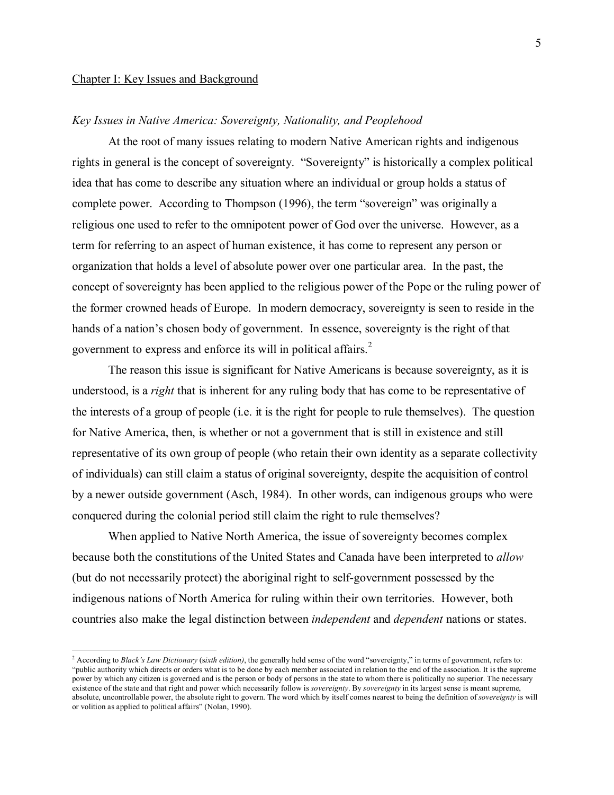$\overline{a}$ 

#### *Key Issues in Native America: Sovereignty, Nationality, and Peoplehood*

At the root of many issues relating to modern Native American rights and indigenous rights in general is the concept of sovereignty. "Sovereignty" is historically a complex political idea that has come to describe any situation where an individual or group holds a status of complete power. According to Thompson (1996), the term "sovereign" was originally a religious one used to refer to the omnipotent power of God over the universe. However, as a term for referring to an aspect of human existence, it has come to represent any person or organization that holds a level of absolute power over one particular area. In the past, the concept of sovereignty has been applied to the religious power of the Pope or the ruling power of the former crowned heads of Europe. In modern democracy, sovereignty is seen to reside in the hands of a nation's chosen body of government. In essence, sovereignty is the right of that government to express and enforce its will in political affairs.<sup>2</sup>

The reason this issue is significant for Native Americans is because sovereignty, as it is understood, is a *right* that is inherent for any ruling body that has come to be representative of the interests of a group of people (i.e. it is the right for people to rule themselves). The question for Native America, then, is whether or not a government that is still in existence and still representative of its own group of people (who retain their own identity as a separate collectivity of individuals) can still claim a status of original sovereignty, despite the acquisition of control by a newer outside government (Asch, 1984). In other words, can indigenous groups who were conquered during the colonial period still claim the right to rule themselves?

When applied to Native North America, the issue of sovereignty becomes complex because both the constitutions of the United States and Canada have been interpreted to *allow* (but do not necessarily protect) the aboriginal right to self-government possessed by the indigenous nations of North America for ruling within their own territories. However, both countries also make the legal distinction between *independent* and *dependent* nations or states.

<sup>&</sup>lt;sup>2</sup> According to *Black's Law Dictionary* (sixth edition), the generally held sense of the word "sovereignty," in terms of government, refers to: ìpublic authority which directs or orders what is to be done by each member associated in relation to the end of the association. It is the supreme power by which any citizen is governed and is the person or body of persons in the state to whom there is politically no superior. The necessary existence of the state and that right and power which necessarily follow is *sovereignty*. By *sovereignty* in its largest sense is meant supreme, absolute, uncontrollable power, the absolute right to govern. The word which by itself comes nearest to being the definition of *sovereignty* is will or volition as applied to political affairs" (Nolan, 1990).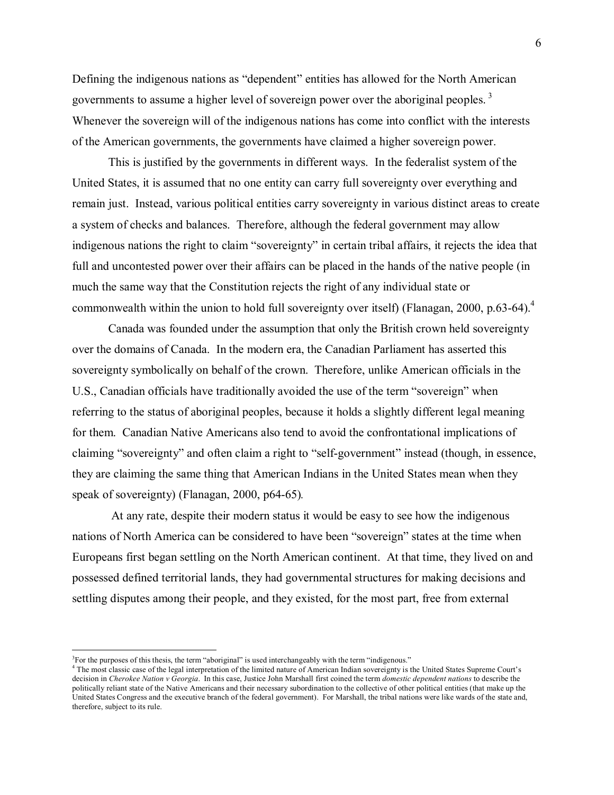Defining the indigenous nations as "dependent" entities has allowed for the North American governments to assume a higher level of sovereign power over the aboriginal peoples.<sup>3</sup> Whenever the sovereign will of the indigenous nations has come into conflict with the interests of the American governments, the governments have claimed a higher sovereign power.

This is justified by the governments in different ways. In the federalist system of the United States, it is assumed that no one entity can carry full sovereignty over everything and remain just. Instead, various political entities carry sovereignty in various distinct areas to create a system of checks and balances. Therefore, although the federal government may allow indigenous nations the right to claim "sovereignty" in certain tribal affairs, it rejects the idea that full and uncontested power over their affairs can be placed in the hands of the native people (in much the same way that the Constitution rejects the right of any individual state or commonwealth within the union to hold full sovereignty over itself) (Flanagan, 2000, p.63-64).<sup>4</sup>

Canada was founded under the assumption that only the British crown held sovereignty over the domains of Canada. In the modern era, the Canadian Parliament has asserted this sovereignty symbolically on behalf of the crown. Therefore, unlike American officials in the U.S., Canadian officials have traditionally avoided the use of the term "sovereign" when referring to the status of aboriginal peoples, because it holds a slightly different legal meaning for them. Canadian Native Americans also tend to avoid the confrontational implications of claiming "sovereignty" and often claim a right to "self-government" instead (though, in essence, they are claiming the same thing that American Indians in the United States mean when they speak of sovereignty) (Flanagan, 2000, p64-65)*.*

 At any rate, despite their modern status it would be easy to see how the indigenous nations of North America can be considered to have been "sovereign" states at the time when Europeans first began settling on the North American continent. At that time, they lived on and possessed defined territorial lands, they had governmental structures for making decisions and settling disputes among their people, and they existed, for the most part, free from external

<sup>&</sup>lt;sup>3</sup>For the purposes of this thesis, the term "aboriginal" is used interchangeably with the term "indigenous."

<sup>&</sup>lt;sup>4</sup> The most classic case of the legal interpretation of the limited nature of American Indian sovereignty is the United States Supreme Court's decision in *Cherokee Nation v Georgia*. In this case, Justice John Marshall first coined the term *domestic dependent nations* to describe the politically reliant state of the Native Americans and their necessary subordination to the collective of other political entities (that make up the United States Congress and the executive branch of the federal government). For Marshall, the tribal nations were like wards of the state and, therefore, subject to its rule.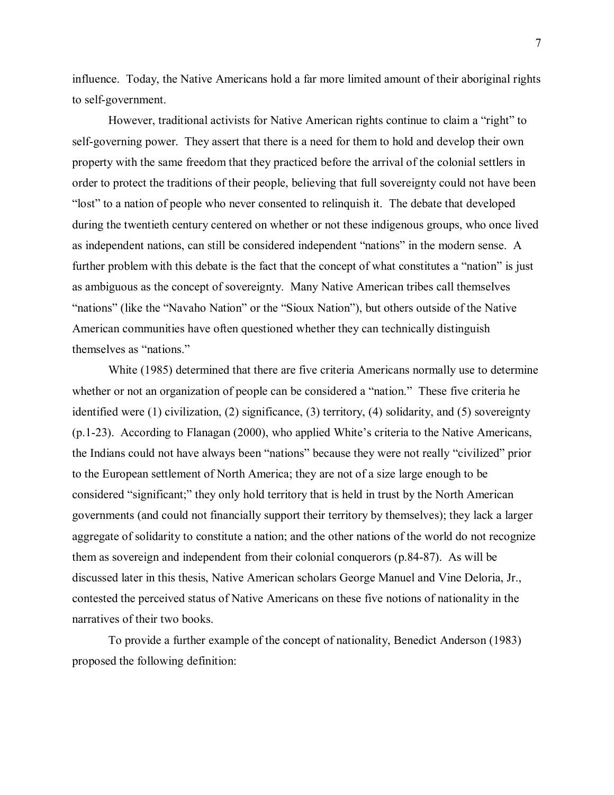influence. Today, the Native Americans hold a far more limited amount of their aboriginal rights to self-government.

However, traditional activists for Native American rights continue to claim a "right" to self-governing power. They assert that there is a need for them to hold and develop their own property with the same freedom that they practiced before the arrival of the colonial settlers in order to protect the traditions of their people, believing that full sovereignty could not have been ìlostî to a nation of people who never consented to relinquish it. The debate that developed during the twentieth century centered on whether or not these indigenous groups, who once lived as independent nations, can still be considered independent "nations" in the modern sense. A further problem with this debate is the fact that the concept of what constitutes a "nation" is just as ambiguous as the concept of sovereignty. Many Native American tribes call themselves "nations" (like the "Navaho Nation" or the "Sioux Nation"), but others outside of the Native American communities have often questioned whether they can technically distinguish themselves as "nations."

White (1985) determined that there are five criteria Americans normally use to determine whether or not an organization of people can be considered a "nation." These five criteria he identified were (1) civilization, (2) significance, (3) territory, (4) solidarity, and (5) sovereignty  $(p.1-23)$ . According to Flanagan (2000), who applied White's criteria to the Native Americans, the Indians could not have always been "nations" because they were not really "civilized" prior to the European settlement of North America; they are not of a size large enough to be considered "significant;" they only hold territory that is held in trust by the North American governments (and could not financially support their territory by themselves); they lack a larger aggregate of solidarity to constitute a nation; and the other nations of the world do not recognize them as sovereign and independent from their colonial conquerors (p.84-87). As will be discussed later in this thesis, Native American scholars George Manuel and Vine Deloria, Jr., contested the perceived status of Native Americans on these five notions of nationality in the narratives of their two books.

To provide a further example of the concept of nationality, Benedict Anderson (1983) proposed the following definition: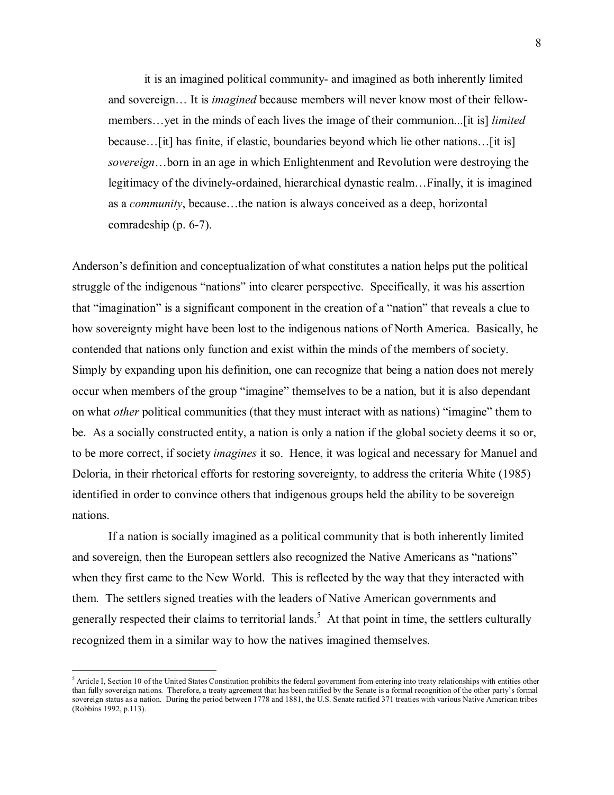it is an imagined political community- and imagined as both inherently limited and sovereign... It is *imagined* because members will never know most of their fellowmembers...yet in the minds of each lives the image of their communion...[it is] *limited* because... [it] has finite, if elastic, boundaries beyond which lie other nations... [it is] *sovereign*...born in an age in which Enlightenment and Revolution were destroying the legitimacy of the divinely-ordained, hierarchical dynastic realm... Finally, it is imagined as a *community*, because...the nation is always conceived as a deep, horizontal comradeship (p. 6-7).

Anderson's definition and conceptualization of what constitutes a nation helps put the political struggle of the indigenous "nations" into clearer perspective. Specifically, it was his assertion that "imagination" is a significant component in the creation of a "nation" that reveals a clue to how sovereignty might have been lost to the indigenous nations of North America. Basically, he contended that nations only function and exist within the minds of the members of society. Simply by expanding upon his definition, one can recognize that being a nation does not merely occur when members of the group "imagine" themselves to be a nation, but it is also dependant on what *other* political communities (that they must interact with as nations) "imagine" them to be. As a socially constructed entity, a nation is only a nation if the global society deems it so or, to be more correct, if society *imagines* it so. Hence, it was logical and necessary for Manuel and Deloria, in their rhetorical efforts for restoring sovereignty, to address the criteria White (1985) identified in order to convince others that indigenous groups held the ability to be sovereign nations.

If a nation is socially imagined as a political community that is both inherently limited and sovereign, then the European settlers also recognized the Native Americans as "nations" when they first came to the New World. This is reflected by the way that they interacted with them. The settlers signed treaties with the leaders of Native American governments and generally respected their claims to territorial lands.<sup>5</sup> At that point in time, the settlers culturally recognized them in a similar way to how the natives imagined themselves.

 $<sup>5</sup>$  Article I, Section 10 of the United States Constitution prohibits the federal government from entering into treaty relationships with entities other</sup> than fully sovereign nations. Therefore, a treaty agreement that has been ratified by the Senate is a formal recognition of the other partyís formal sovereign status as a nation. During the period between 1778 and 1881, the U.S. Senate ratified 371 treaties with various Native American tribes (Robbins 1992, p.113).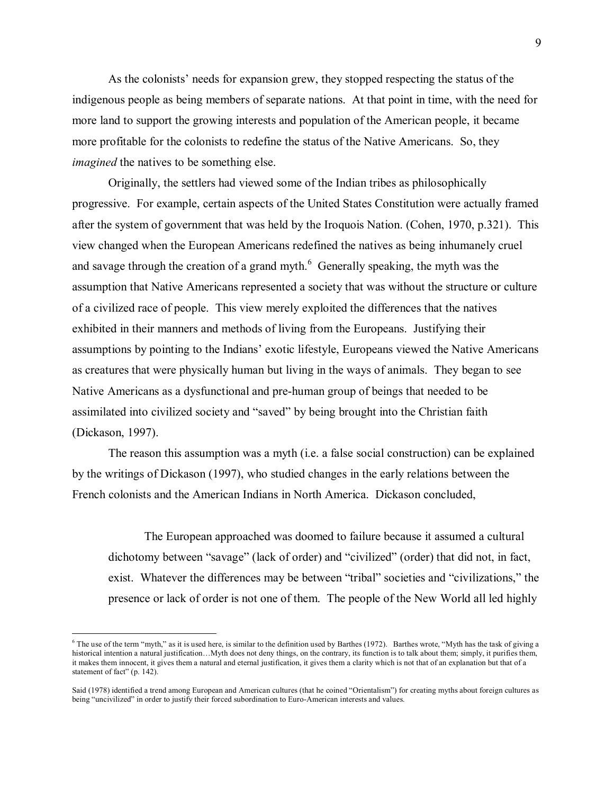As the colonists' needs for expansion grew, they stopped respecting the status of the indigenous people as being members of separate nations. At that point in time, with the need for more land to support the growing interests and population of the American people, it became more profitable for the colonists to redefine the status of the Native Americans. So, they *imagined* the natives to be something else.

Originally, the settlers had viewed some of the Indian tribes as philosophically progressive. For example, certain aspects of the United States Constitution were actually framed after the system of government that was held by the Iroquois Nation. (Cohen, 1970, p.321). This view changed when the European Americans redefined the natives as being inhumanely cruel and savage through the creation of a grand myth. $<sup>6</sup>$  Generally speaking, the myth was the</sup> assumption that Native Americans represented a society that was without the structure or culture of a civilized race of people. This view merely exploited the differences that the natives exhibited in their manners and methods of living from the Europeans. Justifying their assumptions by pointing to the Indians' exotic lifestyle, Europeans viewed the Native Americans as creatures that were physically human but living in the ways of animals. They began to see Native Americans as a dysfunctional and pre-human group of beings that needed to be assimilated into civilized society and "saved" by being brought into the Christian faith (Dickason, 1997).

The reason this assumption was a myth (i.e. a false social construction) can be explained by the writings of Dickason (1997), who studied changes in the early relations between the French colonists and the American Indians in North America. Dickason concluded,

The European approached was doomed to failure because it assumed a cultural dichotomy between "savage" (lack of order) and "civilized" (order) that did not, in fact, exist. Whatever the differences may be between "tribal" societies and "civilizations," the presence or lack of order is not one of them. The people of the New World all led highly

 $6$  The use of the term "myth," as it is used here, is similar to the definition used by Barthes (1972). Barthes wrote, "Myth has the task of giving a historical intention a natural justification. Myth does not deny things, on the contrary, its function is to talk about them; simply, it purifies them, it makes them innocent, it gives them a natural and eternal justification, it gives them a clarity which is not that of an explanation but that of a statement of fact" (p.  $142$ ).

Said (1978) identified a trend among European and American cultures (that he coined "Orientalism") for creating myths about foreign cultures as being "uncivilized" in order to justify their forced subordination to Euro-American interests and values.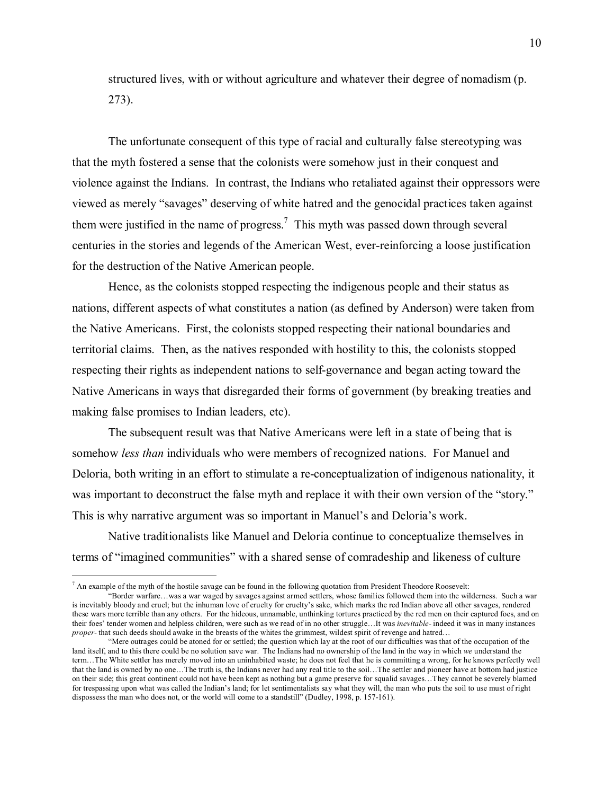structured lives, with or without agriculture and whatever their degree of nomadism (p. 273).

The unfortunate consequent of this type of racial and culturally false stereotyping was that the myth fostered a sense that the colonists were somehow just in their conquest and violence against the Indians. In contrast, the Indians who retaliated against their oppressors were viewed as merely "savages" deserving of white hatred and the genocidal practices taken against them were justified in the name of progress.<sup>7</sup> This myth was passed down through several centuries in the stories and legends of the American West, ever-reinforcing a loose justification for the destruction of the Native American people.

Hence, as the colonists stopped respecting the indigenous people and their status as nations, different aspects of what constitutes a nation (as defined by Anderson) were taken from the Native Americans. First, the colonists stopped respecting their national boundaries and territorial claims. Then, as the natives responded with hostility to this, the colonists stopped respecting their rights as independent nations to self-governance and began acting toward the Native Americans in ways that disregarded their forms of government (by breaking treaties and making false promises to Indian leaders, etc).

The subsequent result was that Native Americans were left in a state of being that is somehow *less than* individuals who were members of recognized nations. For Manuel and Deloria, both writing in an effort to stimulate a re-conceptualization of indigenous nationality, it was important to deconstruct the false myth and replace it with their own version of the "story." This is why narrative argument was so important in Manuel's and Deloria's work.

Native traditionalists like Manuel and Deloria continue to conceptualize themselves in terms of "imagined communities" with a shared sense of comradeship and likeness of culture

 $<sup>7</sup>$  An example of the myth of the hostile savage can be found in the following quotation from President Theodore Roosevelt:</sup>

<sup>&</sup>quot;Border warfare...was a war waged by savages against armed settlers, whose families followed them into the wilderness. Such a war is inevitably bloody and cruel; but the inhuman love of cruelty for cruelty's sake, which marks the red Indian above all other savages, rendered these wars more terrible than any others. For the hideous, unnamable, unthinking tortures practiced by the red men on their captured foes, and on their foes' tender women and helpless children, were such as we read of in no other struggle...It was *inevitable*- indeed it was in many instances *proper*- that such deeds should awake in the breasts of the whites the grimmest, wildest spirit of revenge and hatred...

ìMere outrages could be atoned for or settled; the question which lay at the root of our difficulties was that of the occupation of the land itself, and to this there could be no solution save war. The Indians had no ownership of the land in the way in which *we* understand the term...The White settler has merely moved into an uninhabited waste; he does not feel that he is committing a wrong, for he knows perfectly well that the land is owned by no one...The truth is, the Indians never had any real title to the soil...The settler and pioneer have at bottom had justice on their side; this great continent could not have been kept as nothing but a game preserve for squalid savages...They cannot be severely blamed for trespassing upon what was called the Indian's land; for let sentimentalists say what they will, the man who puts the soil to use must of right dispossess the man who does not, or the world will come to a standstill" (Dudley, 1998, p. 157-161).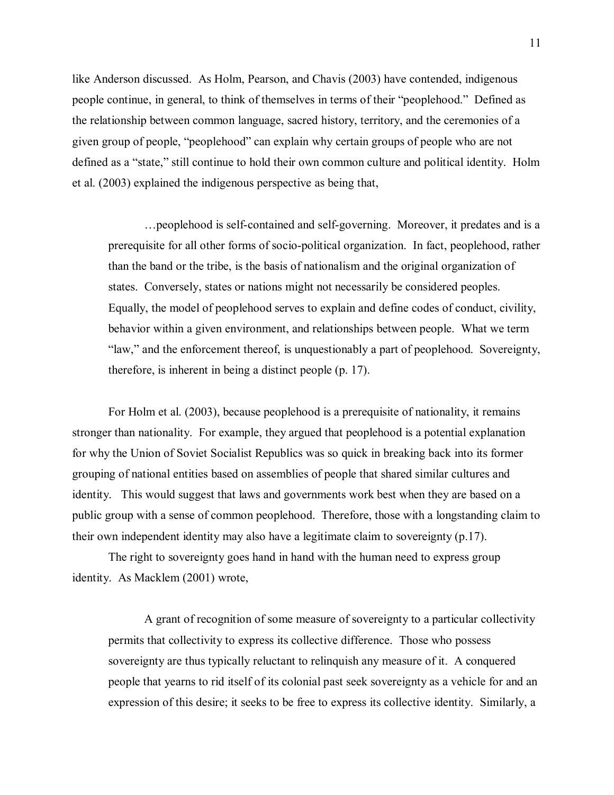like Anderson discussed. As Holm, Pearson, and Chavis (2003) have contended, indigenous people continue, in general, to think of themselves in terms of their "peoplehood." Defined as the relationship between common language, sacred history, territory, and the ceremonies of a given group of people, "peoplehood" can explain why certain groups of people who are not defined as a "state," still continue to hold their own common culture and political identity. Holm et al. (2003) explained the indigenous perspective as being that,

dependence is self-contained and self-governing. Moreover, it predates and is a prerequisite for all other forms of socio-political organization. In fact, peoplehood, rather than the band or the tribe, is the basis of nationalism and the original organization of states. Conversely, states or nations might not necessarily be considered peoples. Equally, the model of peoplehood serves to explain and define codes of conduct, civility, behavior within a given environment, and relationships between people. What we term "law," and the enforcement thereof, is unquestionably a part of peoplehood. Sovereignty, therefore, is inherent in being a distinct people (p. 17).

For Holm et al. (2003), because peoplehood is a prerequisite of nationality, it remains stronger than nationality. For example, they argued that peoplehood is a potential explanation for why the Union of Soviet Socialist Republics was so quick in breaking back into its former grouping of national entities based on assemblies of people that shared similar cultures and identity. This would suggest that laws and governments work best when they are based on a public group with a sense of common peoplehood. Therefore, those with a longstanding claim to their own independent identity may also have a legitimate claim to sovereignty (p.17).

The right to sovereignty goes hand in hand with the human need to express group identity. As Macklem (2001) wrote,

A grant of recognition of some measure of sovereignty to a particular collectivity permits that collectivity to express its collective difference. Those who possess sovereignty are thus typically reluctant to relinquish any measure of it. A conquered people that yearns to rid itself of its colonial past seek sovereignty as a vehicle for and an expression of this desire; it seeks to be free to express its collective identity. Similarly, a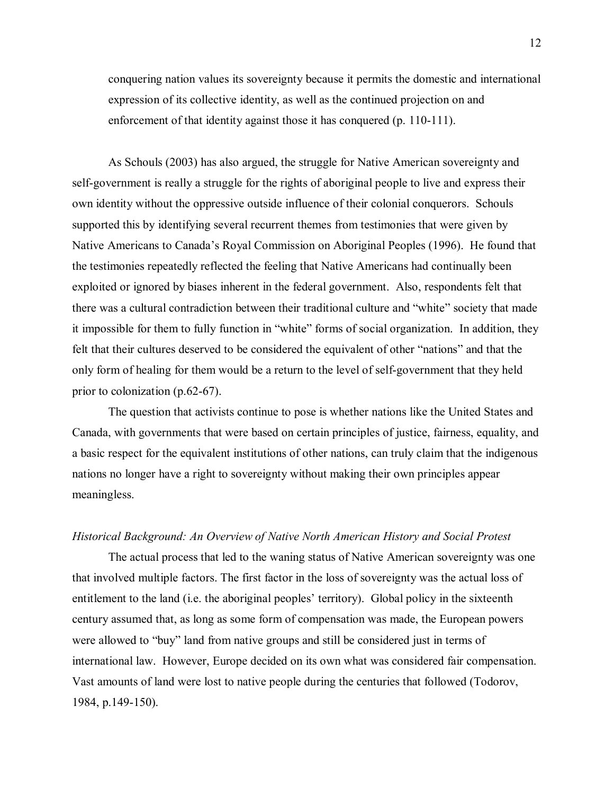conquering nation values its sovereignty because it permits the domestic and international expression of its collective identity, as well as the continued projection on and enforcement of that identity against those it has conquered (p. 110-111).

As Schouls (2003) has also argued, the struggle for Native American sovereignty and self-government is really a struggle for the rights of aboriginal people to live and express their own identity without the oppressive outside influence of their colonial conquerors. Schouls supported this by identifying several recurrent themes from testimonies that were given by Native Americans to Canada's Royal Commission on Aboriginal Peoples (1996). He found that the testimonies repeatedly reflected the feeling that Native Americans had continually been exploited or ignored by biases inherent in the federal government. Also, respondents felt that there was a cultural contradiction between their traditional culture and "white" society that made it impossible for them to fully function in "white" forms of social organization. In addition, they felt that their cultures deserved to be considered the equivalent of other "nations" and that the only form of healing for them would be a return to the level of self-government that they held prior to colonization (p.62-67).

The question that activists continue to pose is whether nations like the United States and Canada, with governments that were based on certain principles of justice, fairness, equality, and a basic respect for the equivalent institutions of other nations, can truly claim that the indigenous nations no longer have a right to sovereignty without making their own principles appear meaningless.

### *Historical Background: An Overview of Native North American History and Social Protest*

The actual process that led to the waning status of Native American sovereignty was one that involved multiple factors. The first factor in the loss of sovereignty was the actual loss of entitlement to the land (i.e. the aboriginal peoples' territory). Global policy in the sixteenth century assumed that, as long as some form of compensation was made, the European powers were allowed to "buy" land from native groups and still be considered just in terms of international law. However, Europe decided on its own what was considered fair compensation. Vast amounts of land were lost to native people during the centuries that followed (Todorov, 1984, p.149-150).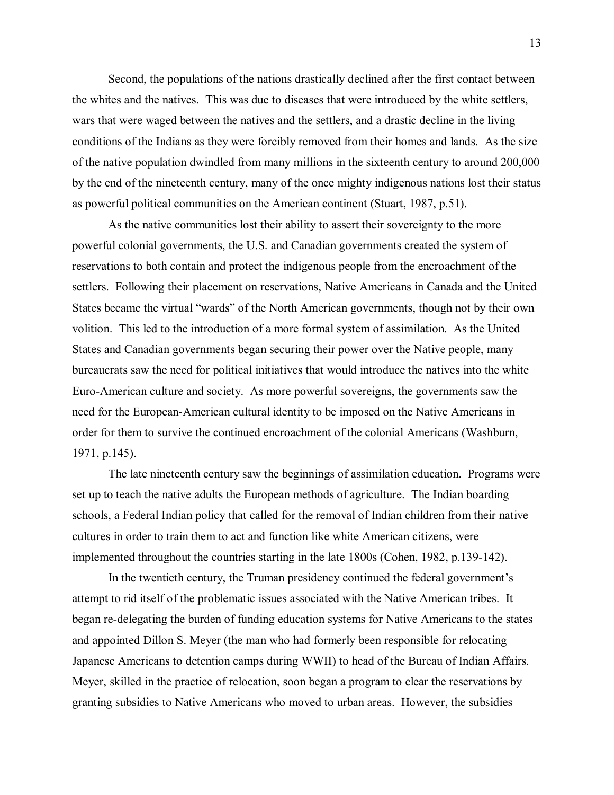Second, the populations of the nations drastically declined after the first contact between the whites and the natives. This was due to diseases that were introduced by the white settlers, wars that were waged between the natives and the settlers, and a drastic decline in the living conditions of the Indians as they were forcibly removed from their homes and lands. As the size of the native population dwindled from many millions in the sixteenth century to around 200,000 by the end of the nineteenth century, many of the once mighty indigenous nations lost their status as powerful political communities on the American continent (Stuart, 1987, p.51).

As the native communities lost their ability to assert their sovereignty to the more powerful colonial governments, the U.S. and Canadian governments created the system of reservations to both contain and protect the indigenous people from the encroachment of the settlers. Following their placement on reservations, Native Americans in Canada and the United States became the virtual "wards" of the North American governments, though not by their own volition. This led to the introduction of a more formal system of assimilation. As the United States and Canadian governments began securing their power over the Native people, many bureaucrats saw the need for political initiatives that would introduce the natives into the white Euro-American culture and society. As more powerful sovereigns, the governments saw the need for the European-American cultural identity to be imposed on the Native Americans in order for them to survive the continued encroachment of the colonial Americans (Washburn, 1971, p.145).

The late nineteenth century saw the beginnings of assimilation education. Programs were set up to teach the native adults the European methods of agriculture. The Indian boarding schools, a Federal Indian policy that called for the removal of Indian children from their native cultures in order to train them to act and function like white American citizens, were implemented throughout the countries starting in the late 1800s (Cohen, 1982, p.139-142).

In the twentieth century, the Truman presidency continued the federal government's attempt to rid itself of the problematic issues associated with the Native American tribes. It began re-delegating the burden of funding education systems for Native Americans to the states and appointed Dillon S. Meyer (the man who had formerly been responsible for relocating Japanese Americans to detention camps during WWII) to head of the Bureau of Indian Affairs. Meyer, skilled in the practice of relocation, soon began a program to clear the reservations by granting subsidies to Native Americans who moved to urban areas. However, the subsidies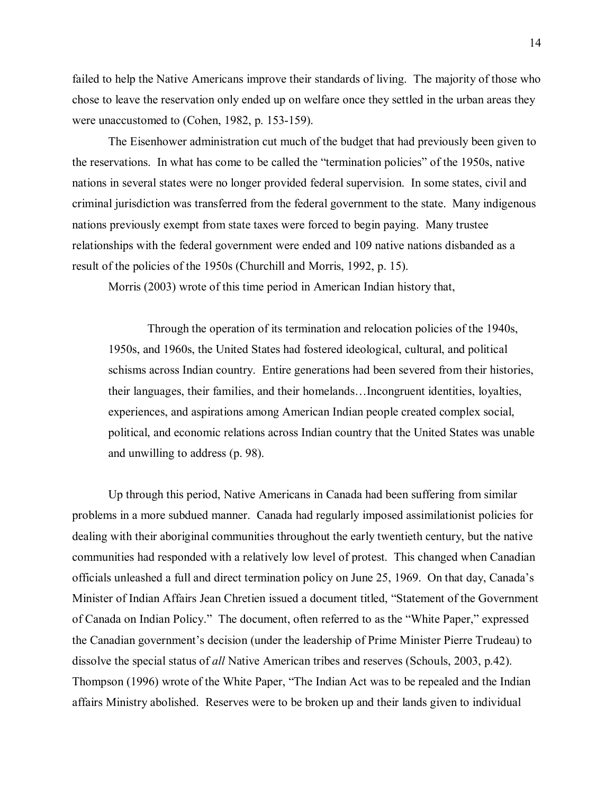failed to help the Native Americans improve their standards of living. The majority of those who chose to leave the reservation only ended up on welfare once they settled in the urban areas they were unaccustomed to (Cohen, 1982, p. 153-159).

The Eisenhower administration cut much of the budget that had previously been given to the reservations. In what has come to be called the "termination policies" of the 1950s, native nations in several states were no longer provided federal supervision. In some states, civil and criminal jurisdiction was transferred from the federal government to the state. Many indigenous nations previously exempt from state taxes were forced to begin paying. Many trustee relationships with the federal government were ended and 109 native nations disbanded as a result of the policies of the 1950s (Churchill and Morris, 1992, p. 15).

Morris (2003) wrote of this time period in American Indian history that,

 Through the operation of its termination and relocation policies of the 1940s, 1950s, and 1960s, the United States had fostered ideological, cultural, and political schisms across Indian country. Entire generations had been severed from their histories, their languages, their families, and their homelands...Incongruent identities, loyalties, experiences, and aspirations among American Indian people created complex social, political, and economic relations across Indian country that the United States was unable and unwilling to address (p. 98).

Up through this period, Native Americans in Canada had been suffering from similar problems in a more subdued manner. Canada had regularly imposed assimilationist policies for dealing with their aboriginal communities throughout the early twentieth century, but the native communities had responded with a relatively low level of protest. This changed when Canadian officials unleashed a full and direct termination policy on June 25, 1969. On that day, Canadaís Minister of Indian Affairs Jean Chretien issued a document titled, "Statement of the Government of Canada on Indian Policy." The document, often referred to as the "White Paper," expressed the Canadian government's decision (under the leadership of Prime Minister Pierre Trudeau) to dissolve the special status of *all* Native American tribes and reserves (Schouls, 2003, p.42). Thompson (1996) wrote of the White Paper, "The Indian Act was to be repealed and the Indian affairs Ministry abolished. Reserves were to be broken up and their lands given to individual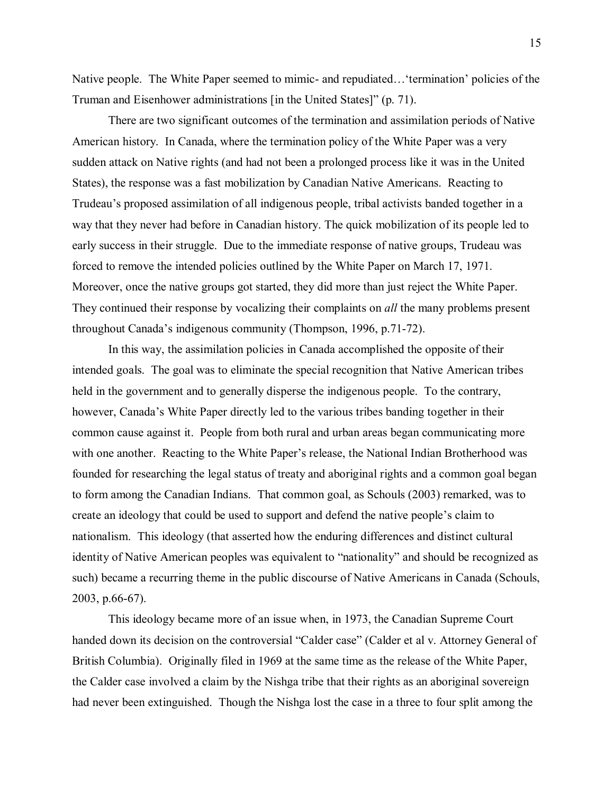Native people. The White Paper seemed to mimic- and repudiated... 'termination' policies of the Truman and Eisenhower administrations [in the United States]" (p. 71).

There are two significant outcomes of the termination and assimilation periods of Native American history. In Canada, where the termination policy of the White Paper was a very sudden attack on Native rights (and had not been a prolonged process like it was in the United States), the response was a fast mobilization by Canadian Native Americans. Reacting to Trudeau's proposed assimilation of all indigenous people, tribal activists banded together in a way that they never had before in Canadian history. The quick mobilization of its people led to early success in their struggle. Due to the immediate response of native groups, Trudeau was forced to remove the intended policies outlined by the White Paper on March 17, 1971. Moreover, once the native groups got started, they did more than just reject the White Paper. They continued their response by vocalizing their complaints on *all* the many problems present throughout Canada's indigenous community (Thompson, 1996, p.71-72).

In this way, the assimilation policies in Canada accomplished the opposite of their intended goals. The goal was to eliminate the special recognition that Native American tribes held in the government and to generally disperse the indigenous people. To the contrary, however, Canada's White Paper directly led to the various tribes banding together in their common cause against it. People from both rural and urban areas began communicating more with one another. Reacting to the White Paper's release, the National Indian Brotherhood was founded for researching the legal status of treaty and aboriginal rights and a common goal began to form among the Canadian Indians. That common goal, as Schouls (2003) remarked, was to create an ideology that could be used to support and defend the native people's claim to nationalism. This ideology (that asserted how the enduring differences and distinct cultural identity of Native American peoples was equivalent to "nationality" and should be recognized as such) became a recurring theme in the public discourse of Native Americans in Canada (Schouls, 2003, p.66-67).

This ideology became more of an issue when, in 1973, the Canadian Supreme Court handed down its decision on the controversial "Calder case" (Calder et al v. Attorney General of British Columbia). Originally filed in 1969 at the same time as the release of the White Paper, the Calder case involved a claim by the Nishga tribe that their rights as an aboriginal sovereign had never been extinguished. Though the Nishga lost the case in a three to four split among the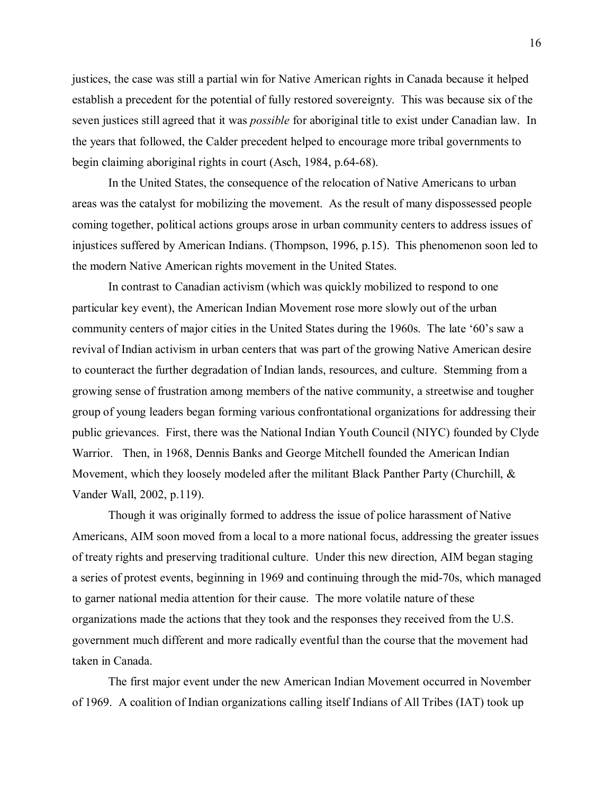justices, the case was still a partial win for Native American rights in Canada because it helped establish a precedent for the potential of fully restored sovereignty. This was because six of the seven justices still agreed that it was *possible* for aboriginal title to exist under Canadian law. In the years that followed, the Calder precedent helped to encourage more tribal governments to begin claiming aboriginal rights in court (Asch, 1984, p.64-68).

In the United States, the consequence of the relocation of Native Americans to urban areas was the catalyst for mobilizing the movement. As the result of many dispossessed people coming together, political actions groups arose in urban community centers to address issues of injustices suffered by American Indians. (Thompson, 1996, p.15). This phenomenon soon led to the modern Native American rights movement in the United States.

In contrast to Canadian activism (which was quickly mobilized to respond to one particular key event), the American Indian Movement rose more slowly out of the urban community centers of major cities in the United States during the 1960s. The late '60's saw a revival of Indian activism in urban centers that was part of the growing Native American desire to counteract the further degradation of Indian lands, resources, and culture. Stemming from a growing sense of frustration among members of the native community, a streetwise and tougher group of young leaders began forming various confrontational organizations for addressing their public grievances. First, there was the National Indian Youth Council (NIYC) founded by Clyde Warrior. Then, in 1968, Dennis Banks and George Mitchell founded the American Indian Movement, which they loosely modeled after the militant Black Panther Party (Churchill, & Vander Wall, 2002, p.119).

Though it was originally formed to address the issue of police harassment of Native Americans, AIM soon moved from a local to a more national focus, addressing the greater issues of treaty rights and preserving traditional culture. Under this new direction, AIM began staging a series of protest events, beginning in 1969 and continuing through the mid-70s, which managed to garner national media attention for their cause. The more volatile nature of these organizations made the actions that they took and the responses they received from the U.S. government much different and more radically eventful than the course that the movement had taken in Canada.

The first major event under the new American Indian Movement occurred in November of 1969. A coalition of Indian organizations calling itself Indians of All Tribes (IAT) took up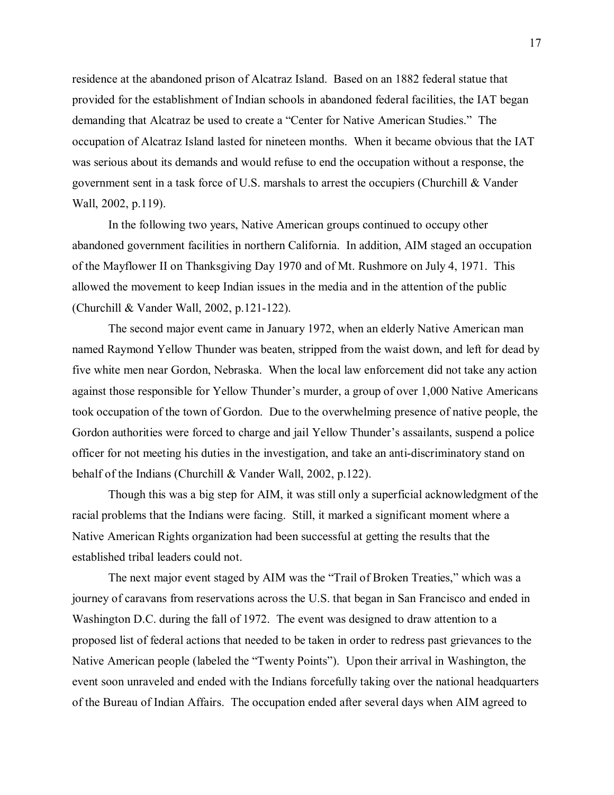residence at the abandoned prison of Alcatraz Island. Based on an 1882 federal statue that provided for the establishment of Indian schools in abandoned federal facilities, the IAT began demanding that Alcatraz be used to create a "Center for Native American Studies." The occupation of Alcatraz Island lasted for nineteen months. When it became obvious that the IAT was serious about its demands and would refuse to end the occupation without a response, the government sent in a task force of U.S. marshals to arrest the occupiers (Churchill & Vander Wall, 2002, p.119).

In the following two years, Native American groups continued to occupy other abandoned government facilities in northern California. In addition, AIM staged an occupation of the Mayflower II on Thanksgiving Day 1970 and of Mt. Rushmore on July 4, 1971. This allowed the movement to keep Indian issues in the media and in the attention of the public (Churchill & Vander Wall, 2002, p.121-122).

The second major event came in January 1972, when an elderly Native American man named Raymond Yellow Thunder was beaten, stripped from the waist down, and left for dead by five white men near Gordon, Nebraska. When the local law enforcement did not take any action against those responsible for Yellow Thunder's murder, a group of over 1,000 Native Americans took occupation of the town of Gordon. Due to the overwhelming presence of native people, the Gordon authorities were forced to charge and jail Yellow Thunder's assailants, suspend a police officer for not meeting his duties in the investigation, and take an anti-discriminatory stand on behalf of the Indians (Churchill & Vander Wall, 2002, p.122).

Though this was a big step for AIM, it was still only a superficial acknowledgment of the racial problems that the Indians were facing. Still, it marked a significant moment where a Native American Rights organization had been successful at getting the results that the established tribal leaders could not.

The next major event staged by AIM was the "Trail of Broken Treaties," which was a journey of caravans from reservations across the U.S. that began in San Francisco and ended in Washington D.C. during the fall of 1972. The event was designed to draw attention to a proposed list of federal actions that needed to be taken in order to redress past grievances to the Native American people (labeled the "Twenty Points"). Upon their arrival in Washington, the event soon unraveled and ended with the Indians forcefully taking over the national headquarters of the Bureau of Indian Affairs. The occupation ended after several days when AIM agreed to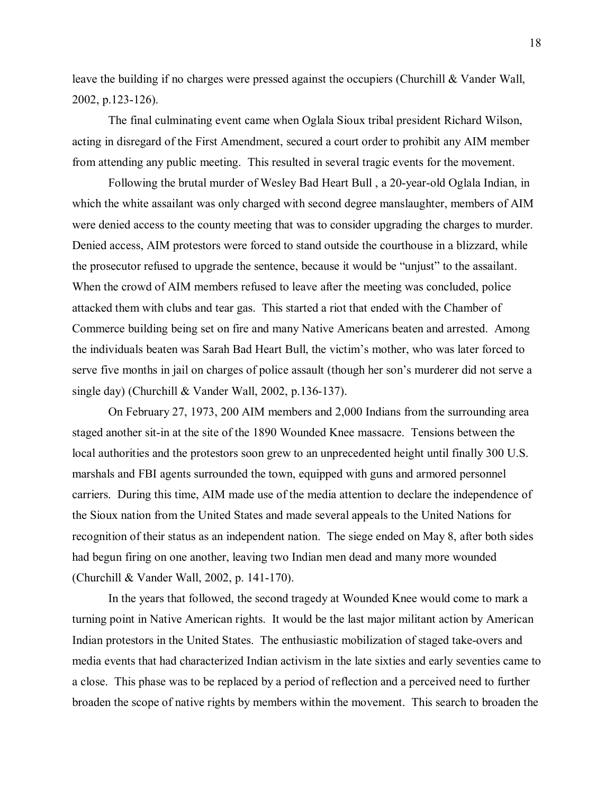leave the building if no charges were pressed against the occupiers (Churchill & Vander Wall, 2002, p.123-126).

The final culminating event came when Oglala Sioux tribal president Richard Wilson, acting in disregard of the First Amendment, secured a court order to prohibit any AIM member from attending any public meeting. This resulted in several tragic events for the movement.

Following the brutal murder of Wesley Bad Heart Bull , a 20-year-old Oglala Indian, in which the white assailant was only charged with second degree manslaughter, members of AIM were denied access to the county meeting that was to consider upgrading the charges to murder. Denied access, AIM protestors were forced to stand outside the courthouse in a blizzard, while the prosecutor refused to upgrade the sentence, because it would be "unjust" to the assailant. When the crowd of AIM members refused to leave after the meeting was concluded, police attacked them with clubs and tear gas. This started a riot that ended with the Chamber of Commerce building being set on fire and many Native Americans beaten and arrested. Among the individuals beaten was Sarah Bad Heart Bull, the victimís mother, who was later forced to serve five months in jail on charges of police assault (though her son's murderer did not serve a single day) (Churchill & Vander Wall, 2002, p.136-137).

On February 27, 1973, 200 AIM members and 2,000 Indians from the surrounding area staged another sit-in at the site of the 1890 Wounded Knee massacre. Tensions between the local authorities and the protestors soon grew to an unprecedented height until finally 300 U.S. marshals and FBI agents surrounded the town, equipped with guns and armored personnel carriers. During this time, AIM made use of the media attention to declare the independence of the Sioux nation from the United States and made several appeals to the United Nations for recognition of their status as an independent nation. The siege ended on May 8, after both sides had begun firing on one another, leaving two Indian men dead and many more wounded (Churchill & Vander Wall, 2002, p. 141-170).

In the years that followed, the second tragedy at Wounded Knee would come to mark a turning point in Native American rights. It would be the last major militant action by American Indian protestors in the United States. The enthusiastic mobilization of staged take-overs and media events that had characterized Indian activism in the late sixties and early seventies came to a close. This phase was to be replaced by a period of reflection and a perceived need to further broaden the scope of native rights by members within the movement. This search to broaden the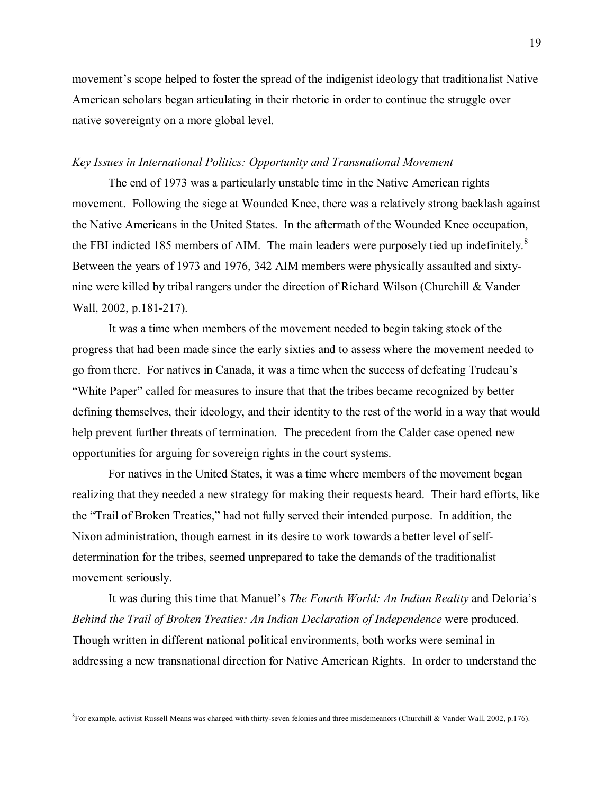movement's scope helped to foster the spread of the indigenist ideology that traditionalist Native American scholars began articulating in their rhetoric in order to continue the struggle over native sovereignty on a more global level.

#### *Key Issues in International Politics: Opportunity and Transnational Movement*

The end of 1973 was a particularly unstable time in the Native American rights movement. Following the siege at Wounded Knee, there was a relatively strong backlash against the Native Americans in the United States. In the aftermath of the Wounded Knee occupation, the FBI indicted 185 members of AIM. The main leaders were purposely tied up indefinitely. $8$ Between the years of 1973 and 1976, 342 AIM members were physically assaulted and sixtynine were killed by tribal rangers under the direction of Richard Wilson (Churchill & Vander Wall, 2002, p.181-217).

It was a time when members of the movement needed to begin taking stock of the progress that had been made since the early sixties and to assess where the movement needed to go from there. For natives in Canada, it was a time when the success of defeating Trudeauís ìWhite Paperî called for measures to insure that that the tribes became recognized by better defining themselves, their ideology, and their identity to the rest of the world in a way that would help prevent further threats of termination. The precedent from the Calder case opened new opportunities for arguing for sovereign rights in the court systems.

For natives in the United States, it was a time where members of the movement began realizing that they needed a new strategy for making their requests heard. Their hard efforts, like the "Trail of Broken Treaties," had not fully served their intended purpose. In addition, the Nixon administration, though earnest in its desire to work towards a better level of selfdetermination for the tribes, seemed unprepared to take the demands of the traditionalist movement seriously.

It was during this time that Manuel's *The Fourth World: An Indian Reality* and Deloria's *Behind the Trail of Broken Treaties: An Indian Declaration of Independence* were produced. Though written in different national political environments, both works were seminal in addressing a new transnational direction for Native American Rights. In order to understand the

1

<sup>8</sup> For example, activist Russell Means was charged with thirty-seven felonies and three misdemeanors (Churchill & Vander Wall, 2002, p.176).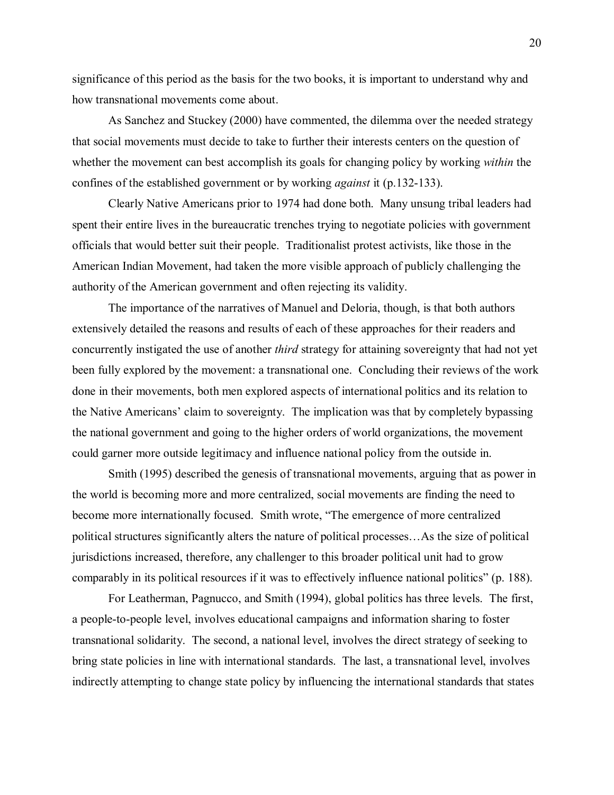significance of this period as the basis for the two books, it is important to understand why and how transnational movements come about.

As Sanchez and Stuckey (2000) have commented, the dilemma over the needed strategy that social movements must decide to take to further their interests centers on the question of whether the movement can best accomplish its goals for changing policy by working *within* the confines of the established government or by working *against* it (p.132-133).

Clearly Native Americans prior to 1974 had done both. Many unsung tribal leaders had spent their entire lives in the bureaucratic trenches trying to negotiate policies with government officials that would better suit their people. Traditionalist protest activists, like those in the American Indian Movement, had taken the more visible approach of publicly challenging the authority of the American government and often rejecting its validity.

The importance of the narratives of Manuel and Deloria, though, is that both authors extensively detailed the reasons and results of each of these approaches for their readers and concurrently instigated the use of another *third* strategy for attaining sovereignty that had not yet been fully explored by the movement: a transnational one. Concluding their reviews of the work done in their movements, both men explored aspects of international politics and its relation to the Native Americans' claim to sovereignty. The implication was that by completely bypassing the national government and going to the higher orders of world organizations, the movement could garner more outside legitimacy and influence national policy from the outside in.

Smith (1995) described the genesis of transnational movements, arguing that as power in the world is becoming more and more centralized, social movements are finding the need to become more internationally focused. Smith wrote, "The emergence of more centralized political structures significantly alters the nature of political processes...As the size of political jurisdictions increased, therefore, any challenger to this broader political unit had to grow comparably in its political resources if it was to effectively influence national politicsî (p. 188).

For Leatherman, Pagnucco, and Smith (1994), global politics has three levels. The first, a people-to-people level, involves educational campaigns and information sharing to foster transnational solidarity. The second, a national level, involves the direct strategy of seeking to bring state policies in line with international standards. The last, a transnational level, involves indirectly attempting to change state policy by influencing the international standards that states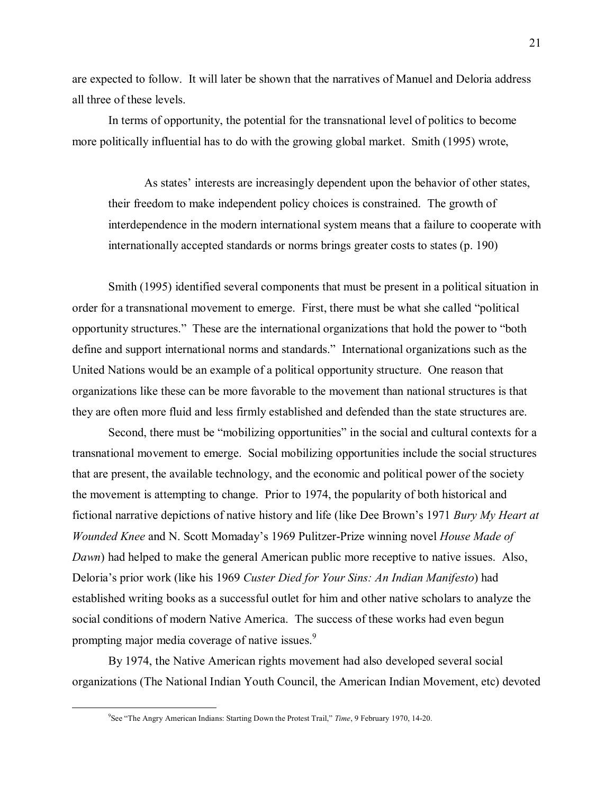are expected to follow. It will later be shown that the narratives of Manuel and Deloria address all three of these levels.

In terms of opportunity, the potential for the transnational level of politics to become more politically influential has to do with the growing global market. Smith (1995) wrote,

As states interests are increasingly dependent upon the behavior of other states, their freedom to make independent policy choices is constrained. The growth of interdependence in the modern international system means that a failure to cooperate with internationally accepted standards or norms brings greater costs to states (p. 190)

Smith (1995) identified several components that must be present in a political situation in order for a transnational movement to emerge. First, there must be what she called "political" opportunity structures." These are the international organizations that hold the power to "both" define and support international norms and standards." International organizations such as the United Nations would be an example of a political opportunity structure. One reason that organizations like these can be more favorable to the movement than national structures is that they are often more fluid and less firmly established and defended than the state structures are.

Second, there must be "mobilizing opportunities" in the social and cultural contexts for a transnational movement to emerge. Social mobilizing opportunities include the social structures that are present, the available technology, and the economic and political power of the society the movement is attempting to change. Prior to 1974, the popularity of both historical and fictional narrative depictions of native history and life (like Dee Brownís 1971 *Bury My Heart at Wounded Knee* and N. Scott Momaday's 1969 Pulitzer-Prize winning novel *House Made of Dawn*) had helped to make the general American public more receptive to native issues. Also, Deloriaís prior work (like his 1969 *Custer Died for Your Sins: An Indian Manifesto*) had established writing books as a successful outlet for him and other native scholars to analyze the social conditions of modern Native America. The success of these works had even begun prompting major media coverage of native issues.<sup>9</sup>

By 1974, the Native American rights movement had also developed several social organizations (The National Indian Youth Council, the American Indian Movement, etc) devoted

 <sup>9</sup> <sup>9</sup>See "The Angry American Indians: Starting Down the Protest Trail," *Time*, 9 February 1970, 14-20.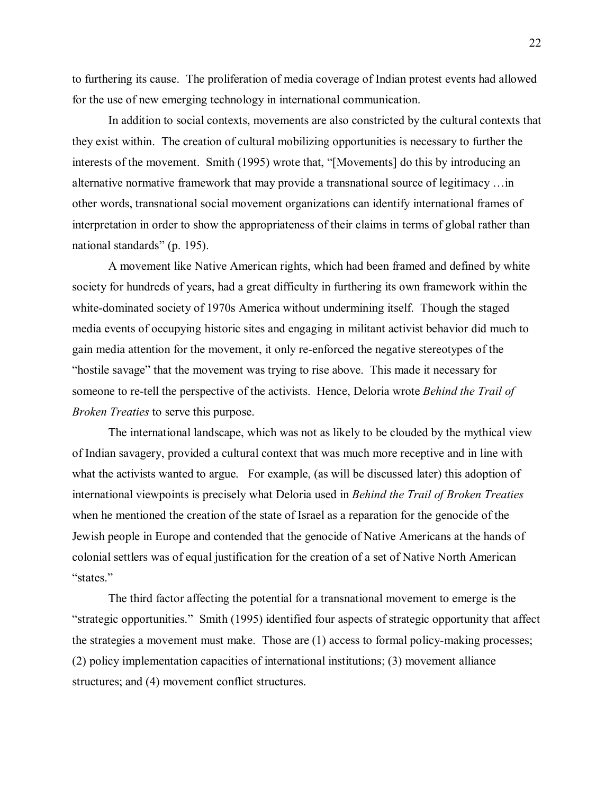to furthering its cause. The proliferation of media coverage of Indian protest events had allowed for the use of new emerging technology in international communication.

In addition to social contexts, movements are also constricted by the cultural contexts that they exist within. The creation of cultural mobilizing opportunities is necessary to further the interests of the movement. Smith (1995) wrote that, "[Movements] do this by introducing an alternative normative framework that may provide a transnational source of legitimacy  $\dots$  in other words, transnational social movement organizations can identify international frames of interpretation in order to show the appropriateness of their claims in terms of global rather than national standards" (p. 195).

A movement like Native American rights, which had been framed and defined by white society for hundreds of years, had a great difficulty in furthering its own framework within the white-dominated society of 1970s America without undermining itself. Though the staged media events of occupying historic sites and engaging in militant activist behavior did much to gain media attention for the movement, it only re-enforced the negative stereotypes of the "hostile savage" that the movement was trying to rise above. This made it necessary for someone to re-tell the perspective of the activists. Hence, Deloria wrote *Behind the Trail of Broken Treaties* to serve this purpose.

The international landscape, which was not as likely to be clouded by the mythical view of Indian savagery, provided a cultural context that was much more receptive and in line with what the activists wanted to argue. For example, (as will be discussed later) this adoption of international viewpoints is precisely what Deloria used in *Behind the Trail of Broken Treaties* when he mentioned the creation of the state of Israel as a reparation for the genocide of the Jewish people in Europe and contended that the genocide of Native Americans at the hands of colonial settlers was of equal justification for the creation of a set of Native North American "states"

The third factor affecting the potential for a transnational movement to emerge is the "strategic opportunities." Smith (1995) identified four aspects of strategic opportunity that affect the strategies a movement must make. Those are (1) access to formal policy-making processes; (2) policy implementation capacities of international institutions; (3) movement alliance structures; and (4) movement conflict structures.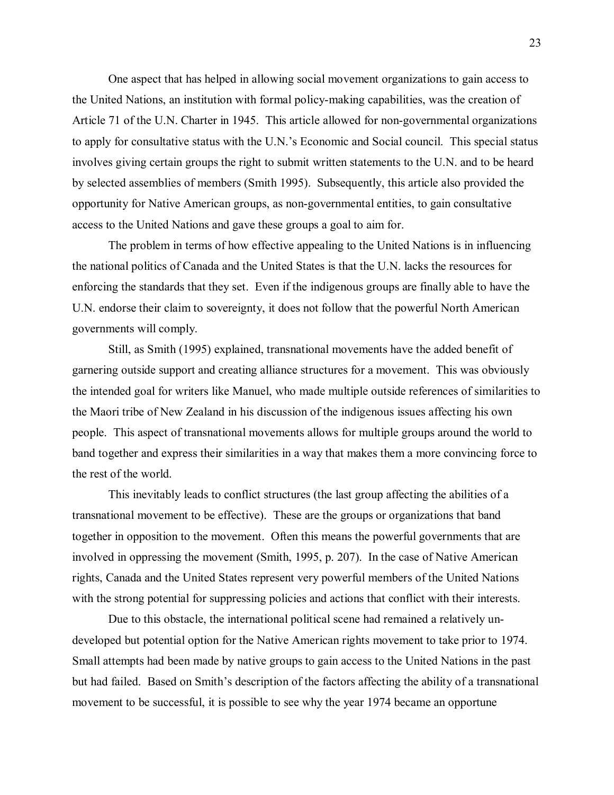One aspect that has helped in allowing social movement organizations to gain access to the United Nations, an institution with formal policy-making capabilities, was the creation of Article 71 of the U.N. Charter in 1945. This article allowed for non-governmental organizations to apply for consultative status with the U.N.'s Economic and Social council. This special status involves giving certain groups the right to submit written statements to the U.N. and to be heard by selected assemblies of members (Smith 1995). Subsequently, this article also provided the opportunity for Native American groups, as non-governmental entities, to gain consultative access to the United Nations and gave these groups a goal to aim for.

The problem in terms of how effective appealing to the United Nations is in influencing the national politics of Canada and the United States is that the U.N. lacks the resources for enforcing the standards that they set. Even if the indigenous groups are finally able to have the U.N. endorse their claim to sovereignty, it does not follow that the powerful North American governments will comply.

Still, as Smith (1995) explained, transnational movements have the added benefit of garnering outside support and creating alliance structures for a movement. This was obviously the intended goal for writers like Manuel, who made multiple outside references of similarities to the Maori tribe of New Zealand in his discussion of the indigenous issues affecting his own people. This aspect of transnational movements allows for multiple groups around the world to band together and express their similarities in a way that makes them a more convincing force to the rest of the world.

This inevitably leads to conflict structures (the last group affecting the abilities of a transnational movement to be effective). These are the groups or organizations that band together in opposition to the movement. Often this means the powerful governments that are involved in oppressing the movement (Smith, 1995, p. 207). In the case of Native American rights, Canada and the United States represent very powerful members of the United Nations with the strong potential for suppressing policies and actions that conflict with their interests.

Due to this obstacle, the international political scene had remained a relatively undeveloped but potential option for the Native American rights movement to take prior to 1974. Small attempts had been made by native groups to gain access to the United Nations in the past but had failed. Based on Smith's description of the factors affecting the ability of a transnational movement to be successful, it is possible to see why the year 1974 became an opportune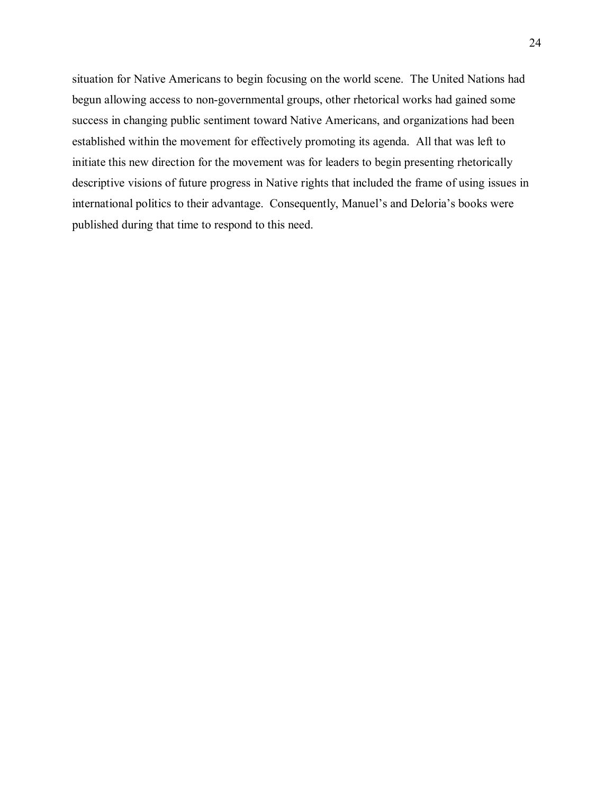situation for Native Americans to begin focusing on the world scene. The United Nations had begun allowing access to non-governmental groups, other rhetorical works had gained some success in changing public sentiment toward Native Americans, and organizations had been established within the movement for effectively promoting its agenda. All that was left to initiate this new direction for the movement was for leaders to begin presenting rhetorically descriptive visions of future progress in Native rights that included the frame of using issues in international politics to their advantage. Consequently, Manuel's and Deloria's books were published during that time to respond to this need.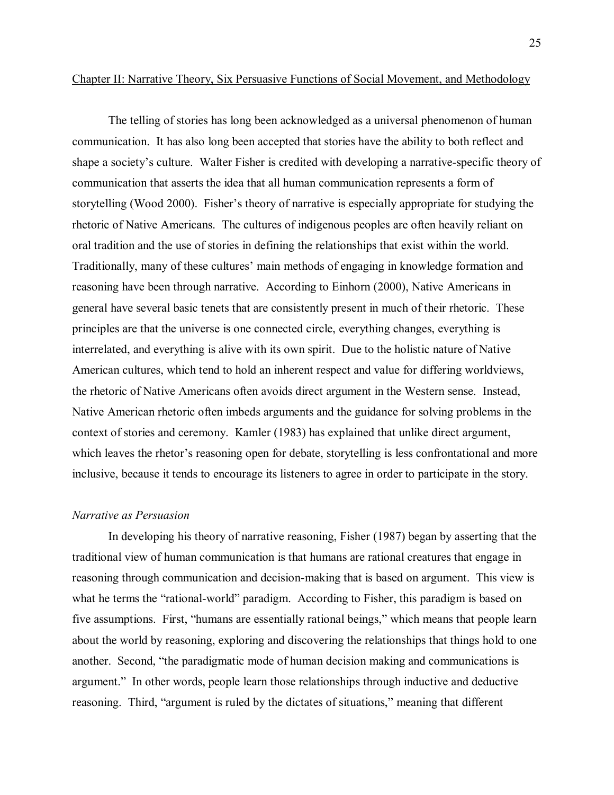### Chapter II: Narrative Theory, Six Persuasive Functions of Social Movement, and Methodology

The telling of stories has long been acknowledged as a universal phenomenon of human communication. It has also long been accepted that stories have the ability to both reflect and shape a society's culture. Walter Fisher is credited with developing a narrative-specific theory of communication that asserts the idea that all human communication represents a form of storytelling (Wood 2000). Fisher's theory of narrative is especially appropriate for studying the rhetoric of Native Americans. The cultures of indigenous peoples are often heavily reliant on oral tradition and the use of stories in defining the relationships that exist within the world. Traditionally, many of these cultures' main methods of engaging in knowledge formation and reasoning have been through narrative. According to Einhorn (2000), Native Americans in general have several basic tenets that are consistently present in much of their rhetoric. These principles are that the universe is one connected circle, everything changes, everything is interrelated, and everything is alive with its own spirit. Due to the holistic nature of Native American cultures, which tend to hold an inherent respect and value for differing worldviews, the rhetoric of Native Americans often avoids direct argument in the Western sense. Instead, Native American rhetoric often imbeds arguments and the guidance for solving problems in the context of stories and ceremony. Kamler (1983) has explained that unlike direct argument, which leaves the rhetor's reasoning open for debate, storytelling is less confrontational and more inclusive, because it tends to encourage its listeners to agree in order to participate in the story.

### *Narrative as Persuasion*

In developing his theory of narrative reasoning, Fisher (1987) began by asserting that the traditional view of human communication is that humans are rational creatures that engage in reasoning through communication and decision-making that is based on argument. This view is what he terms the "rational-world" paradigm. According to Fisher, this paradigm is based on five assumptions. First, "humans are essentially rational beings," which means that people learn about the world by reasoning, exploring and discovering the relationships that things hold to one another. Second, "the paradigmatic mode of human decision making and communications is argument." In other words, people learn those relationships through inductive and deductive reasoning. Third, "argument is ruled by the dictates of situations," meaning that different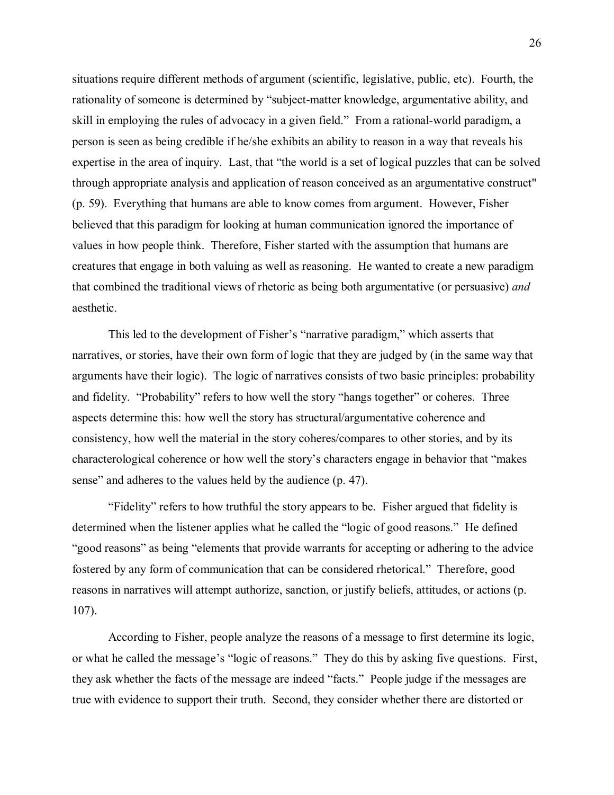situations require different methods of argument (scientific, legislative, public, etc). Fourth, the rationality of someone is determined by "subject-matter knowledge, argumentative ability, and skill in employing the rules of advocacy in a given field." From a rational-world paradigm, a person is seen as being credible if he/she exhibits an ability to reason in a way that reveals his expertise in the area of inquiry. Last, that "the world is a set of logical puzzles that can be solved through appropriate analysis and application of reason conceived as an argumentative construct" (p. 59). Everything that humans are able to know comes from argument. However, Fisher believed that this paradigm for looking at human communication ignored the importance of values in how people think. Therefore, Fisher started with the assumption that humans are creatures that engage in both valuing as well as reasoning. He wanted to create a new paradigm that combined the traditional views of rhetoric as being both argumentative (or persuasive) *and* aesthetic.

This led to the development of Fisher's "narrative paradigm," which asserts that narratives, or stories, have their own form of logic that they are judged by (in the same way that arguments have their logic). The logic of narratives consists of two basic principles: probability and fidelity. "Probability" refers to how well the story "hangs together" or coheres. Three aspects determine this: how well the story has structural/argumentative coherence and consistency, how well the material in the story coheres/compares to other stories, and by its characterological coherence or how well the story's characters engage in behavior that "makes" sense" and adheres to the values held by the audience (p. 47).

ìFidelityî refers to how truthful the story appears to be. Fisher argued that fidelity is determined when the listener applies what he called the "logic of good reasons." He defined "good reasons" as being "elements that provide warrants for accepting or adhering to the advice" fostered by any form of communication that can be considered rhetorical." Therefore, good reasons in narratives will attempt authorize, sanction, or justify beliefs, attitudes, or actions (p. 107).

According to Fisher, people analyze the reasons of a message to first determine its logic, or what he called the message's "logic of reasons." They do this by asking five questions. First, they ask whether the facts of the message are indeed "facts." People judge if the messages are true with evidence to support their truth. Second, they consider whether there are distorted or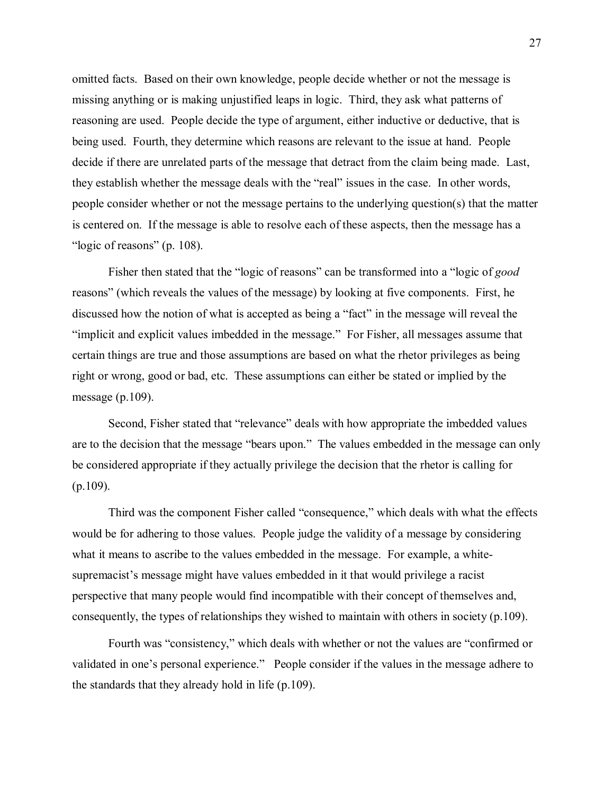omitted facts. Based on their own knowledge, people decide whether or not the message is missing anything or is making unjustified leaps in logic. Third, they ask what patterns of reasoning are used. People decide the type of argument, either inductive or deductive, that is being used. Fourth, they determine which reasons are relevant to the issue at hand. People decide if there are unrelated parts of the message that detract from the claim being made. Last, they establish whether the message deals with the "real" issues in the case. In other words, people consider whether or not the message pertains to the underlying question(s) that the matter is centered on. If the message is able to resolve each of these aspects, then the message has a " $logic$  of reasons" (p. 108).

Fisher then stated that the "logic of reasons" can be transformed into a "logic of *good*" reasons" (which reveals the values of the message) by looking at five components. First, he discussed how the notion of what is accepted as being a "fact" in the message will reveal the "implicit and explicit values imbedded in the message." For Fisher, all messages assume that certain things are true and those assumptions are based on what the rhetor privileges as being right or wrong, good or bad, etc. These assumptions can either be stated or implied by the message (p.109).

Second, Fisher stated that "relevance" deals with how appropriate the imbedded values are to the decision that the message "bears upon." The values embedded in the message can only be considered appropriate if they actually privilege the decision that the rhetor is calling for  $(p.109)$ .

Third was the component Fisher called "consequence," which deals with what the effects would be for adhering to those values. People judge the validity of a message by considering what it means to ascribe to the values embedded in the message. For example, a whitesupremacist's message might have values embedded in it that would privilege a racist perspective that many people would find incompatible with their concept of themselves and, consequently, the types of relationships they wished to maintain with others in society (p.109).

Fourth was "consistency," which deals with whether or not the values are "confirmed or validated in one's personal experience." People consider if the values in the message adhere to the standards that they already hold in life (p.109).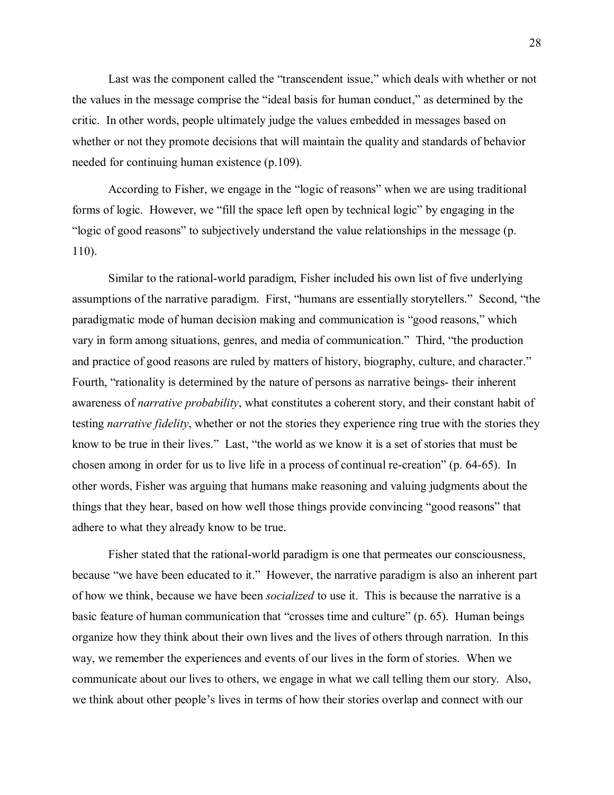Last was the component called the "transcendent issue," which deals with whether or not the values in the message comprise the "ideal basis for human conduct," as determined by the critic. In other words, people ultimately judge the values embedded in messages based on whether or not they promote decisions that will maintain the quality and standards of behavior needed for continuing human existence (p.109).

According to Fisher, we engage in the "logic of reasons" when we are using traditional forms of logic. However, we "fill the space left open by technical logic" by engaging in the ìlogic of good reasonsî to subjectively understand the value relationships in the message (p. 110).

Similar to the rational-world paradigm, Fisher included his own list of five underlying assumptions of the narrative paradigm. First, "humans are essentially storytellers." Second, "the paradigmatic mode of human decision making and communication is "good reasons," which vary in form among situations, genres, and media of communication." Third, "the production and practice of good reasons are ruled by matters of history, biography, culture, and character." Fourth, "rationality is determined by the nature of persons as narrative beings- their inherent awareness of *narrative probability*, what constitutes a coherent story, and their constant habit of testing *narrative fidelity*, whether or not the stories they experience ring true with the stories they know to be true in their lives." Last, "the world as we know it is a set of stories that must be chosen among in order for us to live life in a process of continual re-creation" (p. 64-65). In other words, Fisher was arguing that humans make reasoning and valuing judgments about the things that they hear, based on how well those things provide convincing "good reasons" that adhere to what they already know to be true.

Fisher stated that the rational-world paradigm is one that permeates our consciousness, because "we have been educated to it." However, the narrative paradigm is also an inherent part of how we think, because we have been *socialized* to use it.This is because the narrative is a basic feature of human communication that "crosses time and culture"  $(p. 65)$ . Human beings organize how they think about their own lives and the lives of others through narration. In this way, we remember the experiences and events of our lives in the form of stories. When we communicate about our lives to others, we engage in what we call telling them our story. Also, we think about other people's lives in terms of how their stories overlap and connect with our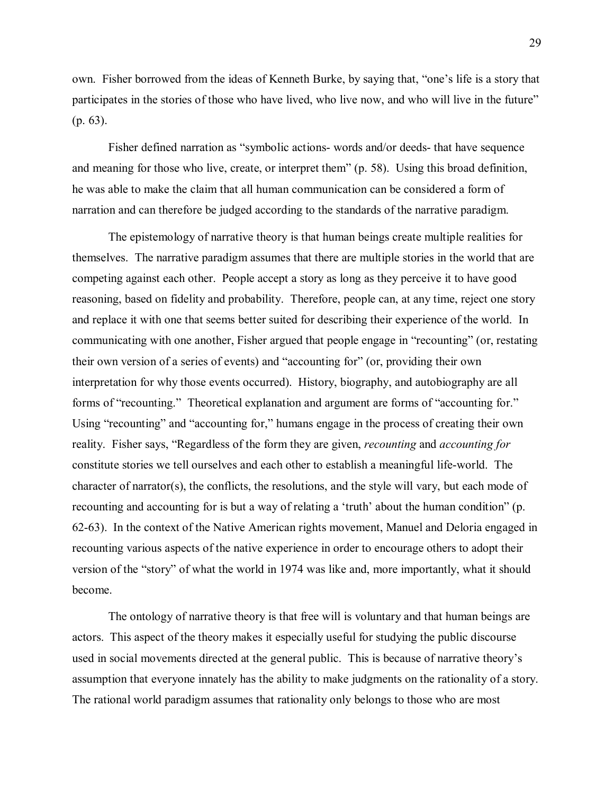own. Fisher borrowed from the ideas of Kenneth Burke, by saying that, "one's life is a story that participates in the stories of those who have lived, who live now, and who will live in the future" (p. 63).

Fisher defined narration as "symbolic actions- words and/or deeds- that have sequence and meaning for those who live, create, or interpret them<sup>?</sup> (p. 58). Using this broad definition, he was able to make the claim that all human communication can be considered a form of narration and can therefore be judged according to the standards of the narrative paradigm.

The epistemology of narrative theory is that human beings create multiple realities for themselves. The narrative paradigm assumes that there are multiple stories in the world that are competing against each other. People accept a story as long as they perceive it to have good reasoning, based on fidelity and probability. Therefore, people can, at any time, reject one story and replace it with one that seems better suited for describing their experience of the world. In communicating with one another, Fisher argued that people engage in "recounting" (or, restating their own version of a series of events) and "accounting for" (or, providing their own interpretation for why those events occurred). History, biography, and autobiography are all forms of "recounting." Theoretical explanation and argument are forms of "accounting for." Using "recounting" and "accounting for," humans engage in the process of creating their own reality. Fisher says, "Regardless of the form they are given, *recounting* and *accounting for* constitute stories we tell ourselves and each other to establish a meaningful life-world. The character of narrator(s), the conflicts, the resolutions, and the style will vary, but each mode of recounting and accounting for is but a way of relating a 'truth' about the human condition'' (p. 62-63). In the context of the Native American rights movement, Manuel and Deloria engaged in recounting various aspects of the native experience in order to encourage others to adopt their version of the "story" of what the world in 1974 was like and, more importantly, what it should become.

The ontology of narrative theory is that free will is voluntary and that human beings are actors. This aspect of the theory makes it especially useful for studying the public discourse used in social movements directed at the general public. This is because of narrative theory's assumption that everyone innately has the ability to make judgments on the rationality of a story. The rational world paradigm assumes that rationality only belongs to those who are most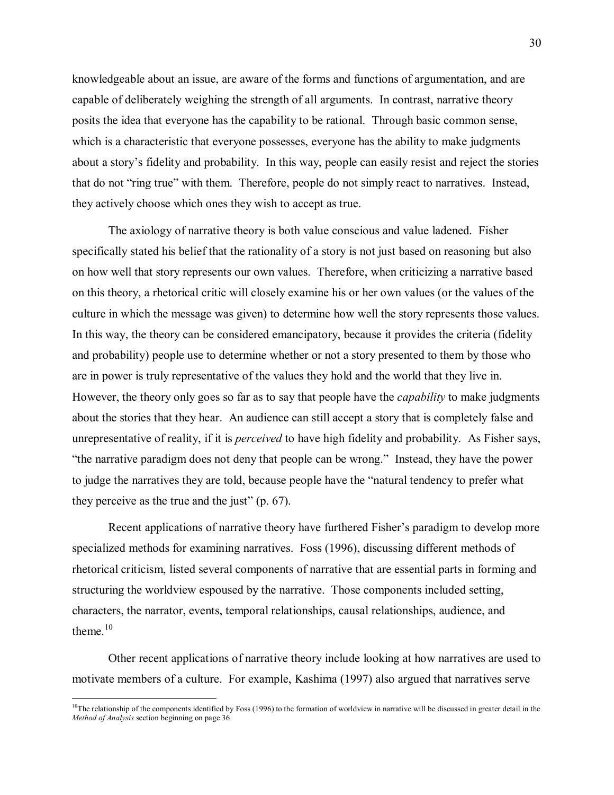knowledgeable about an issue, are aware of the forms and functions of argumentation, and are capable of deliberately weighing the strength of all arguments. In contrast, narrative theory posits the idea that everyone has the capability to be rational. Through basic common sense, which is a characteristic that everyone possesses, everyone has the ability to make judgments about a story's fidelity and probability. In this way, people can easily resist and reject the stories that do not "ring true" with them. Therefore, people do not simply react to narratives. Instead, they actively choose which ones they wish to accept as true.

The axiology of narrative theory is both value conscious and value ladened. Fisher specifically stated his belief that the rationality of a story is not just based on reasoning but also on how well that story represents our own values. Therefore, when criticizing a narrative based on this theory, a rhetorical critic will closely examine his or her own values (or the values of the culture in which the message was given) to determine how well the story represents those values. In this way, the theory can be considered emancipatory, because it provides the criteria (fidelity and probability) people use to determine whether or not a story presented to them by those who are in power is truly representative of the values they hold and the world that they live in. However, the theory only goes so far as to say that people have the *capability* to make judgments about the stories that they hear. An audience can still accept a story that is completely false and unrepresentative of reality, if it is *perceived* to have high fidelity and probability. As Fisher says, "the narrative paradigm does not deny that people can be wrong." Instead, they have the power to judge the narratives they are told, because people have the "natural tendency to prefer what they perceive as the true and the just"  $(p. 67)$ .

Recent applications of narrative theory have furthered Fisher's paradigm to develop more specialized methods for examining narratives. Foss (1996), discussing different methods of rhetorical criticism, listed several components of narrative that are essential parts in forming and structuring the worldview espoused by the narrative. Those components included setting, characters, the narrator, events, temporal relationships, causal relationships, audience, and theme $10$ 

Other recent applications of narrative theory include looking at how narratives are used to motivate members of a culture. For example, Kashima (1997) also argued that narratives serve

<sup>&</sup>lt;sup>10</sup>The relationship of the components identified by Foss (1996) to the formation of worldview in narrative will be discussed in greater detail in the *Method of Analysis* section beginning on page 36.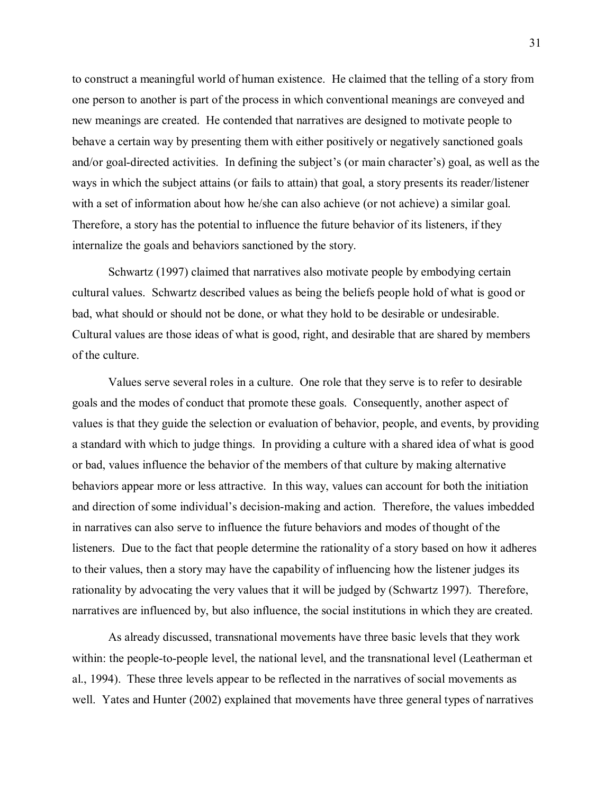to construct a meaningful world of human existence. He claimed that the telling of a story from one person to another is part of the process in which conventional meanings are conveyed and new meanings are created. He contended that narratives are designed to motivate people to behave a certain way by presenting them with either positively or negatively sanctioned goals and/or goal-directed activities. In defining the subject's (or main character's) goal, as well as the ways in which the subject attains (or fails to attain) that goal, a story presents its reader/listener with a set of information about how he/she can also achieve (or not achieve) a similar goal. Therefore, a story has the potential to influence the future behavior of its listeners, if they internalize the goals and behaviors sanctioned by the story.

Schwartz (1997) claimed that narratives also motivate people by embodying certain cultural values. Schwartz described values as being the beliefs people hold of what is good or bad, what should or should not be done, or what they hold to be desirable or undesirable. Cultural values are those ideas of what is good, right, and desirable that are shared by members of the culture.

Values serve several roles in a culture. One role that they serve is to refer to desirable goals and the modes of conduct that promote these goals. Consequently, another aspect of values is that they guide the selection or evaluation of behavior, people, and events, by providing a standard with which to judge things. In providing a culture with a shared idea of what is good or bad, values influence the behavior of the members of that culture by making alternative behaviors appear more or less attractive. In this way, values can account for both the initiation and direction of some individual's decision-making and action. Therefore, the values imbedded in narratives can also serve to influence the future behaviors and modes of thought of the listeners. Due to the fact that people determine the rationality of a story based on how it adheres to their values, then a story may have the capability of influencing how the listener judges its rationality by advocating the very values that it will be judged by (Schwartz 1997). Therefore, narratives are influenced by, but also influence, the social institutions in which they are created.

As already discussed, transnational movements have three basic levels that they work within: the people-to-people level, the national level, and the transnational level (Leatherman et al., 1994). These three levels appear to be reflected in the narratives of social movements as well. Yates and Hunter (2002) explained that movements have three general types of narratives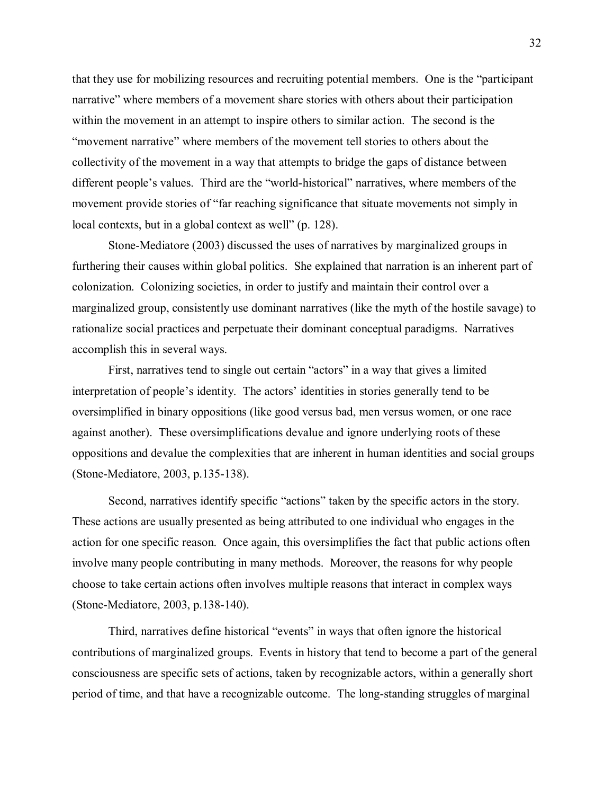that they use for mobilizing resources and recruiting potential members. One is the "participant" narrative" where members of a movement share stories with others about their participation within the movement in an attempt to inspire others to similar action. The second is the ìmovement narrativeî where members of the movement tell stories to others about the collectivity of the movement in a way that attempts to bridge the gaps of distance between different people's values. Third are the "world-historical" narratives, where members of the movement provide stories of "far reaching significance that situate movements not simply in local contexts, but in a global context as well" (p. 128).

Stone-Mediatore (2003) discussed the uses of narratives by marginalized groups in furthering their causes within global politics. She explained that narration is an inherent part of colonization. Colonizing societies, in order to justify and maintain their control over a marginalized group, consistently use dominant narratives (like the myth of the hostile savage) to rationalize social practices and perpetuate their dominant conceptual paradigms. Narratives accomplish this in several ways.

First, narratives tend to single out certain "actors" in a way that gives a limited interpretation of people's identity. The actors' identities in stories generally tend to be oversimplified in binary oppositions (like good versus bad, men versus women, or one race against another). These oversimplifications devalue and ignore underlying roots of these oppositions and devalue the complexities that are inherent in human identities and social groups (Stone-Mediatore, 2003, p.135-138).

Second, narratives identify specific "actions" taken by the specific actors in the story. These actions are usually presented as being attributed to one individual who engages in the action for one specific reason. Once again, this oversimplifies the fact that public actions often involve many people contributing in many methods. Moreover, the reasons for why people choose to take certain actions often involves multiple reasons that interact in complex ways (Stone-Mediatore, 2003, p.138-140).

Third, narratives define historical "events" in ways that often ignore the historical contributions of marginalized groups. Events in history that tend to become a part of the general consciousness are specific sets of actions, taken by recognizable actors, within a generally short period of time, and that have a recognizable outcome. The long-standing struggles of marginal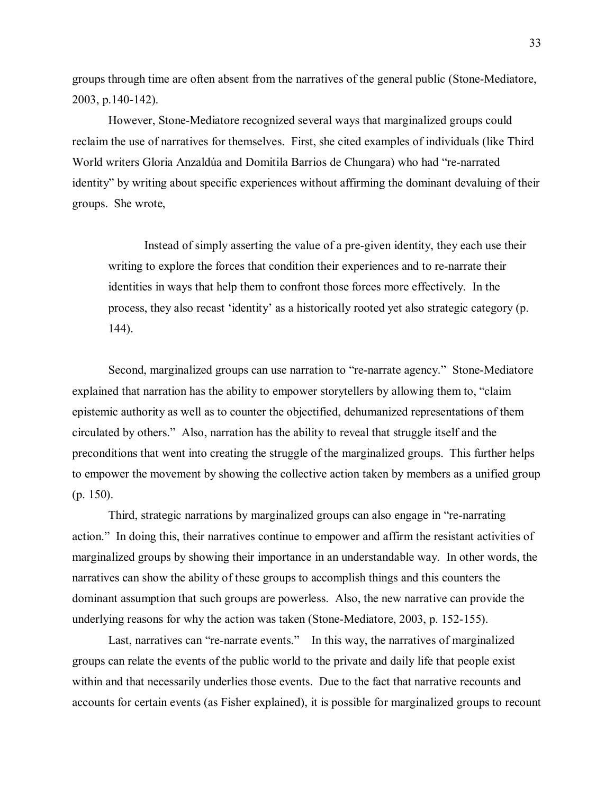groups through time are often absent from the narratives of the general public (Stone-Mediatore, 2003, p.140-142).

However, Stone-Mediatore recognized several ways that marginalized groups could reclaim the use of narratives for themselves. First, she cited examples of individuals (like Third World writers Gloria Anzaldúa and Domitila Barrios de Chungara) who had "re-narrated identityî by writing about specific experiences without affirming the dominant devaluing of their groups. She wrote,

Instead of simply asserting the value of a pre-given identity, they each use their writing to explore the forces that condition their experiences and to re-narrate their identities in ways that help them to confront those forces more effectively. In the process, they also recast 'identity' as a historically rooted yet also strategic category (p. 144).

Second, marginalized groups can use narration to "re-narrate agency." Stone-Mediatore explained that narration has the ability to empower storytellers by allowing them to, "claim" epistemic authority as well as to counter the objectified, dehumanized representations of them circulated by others." Also, narration has the ability to reveal that struggle itself and the preconditions that went into creating the struggle of the marginalized groups. This further helps to empower the movement by showing the collective action taken by members as a unified group (p. 150).

Third, strategic narrations by marginalized groups can also engage in "re-narrating" action." In doing this, their narratives continue to empower and affirm the resistant activities of marginalized groups by showing their importance in an understandable way. In other words, the narratives can show the ability of these groups to accomplish things and this counters the dominant assumption that such groups are powerless. Also, the new narrative can provide the underlying reasons for why the action was taken (Stone-Mediatore, 2003, p. 152-155).

Last, narratives can "re-narrate events." In this way, the narratives of marginalized groups can relate the events of the public world to the private and daily life that people exist within and that necessarily underlies those events. Due to the fact that narrative recounts and accounts for certain events (as Fisher explained), it is possible for marginalized groups to recount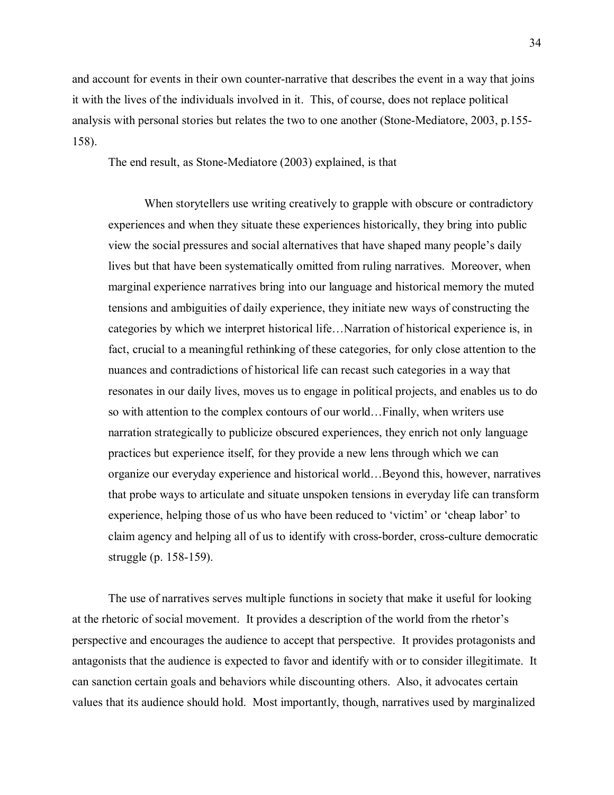and account for events in their own counter-narrative that describes the event in a way that joins it with the lives of the individuals involved in it. This, of course, does not replace political analysis with personal stories but relates the two to one another (Stone-Mediatore, 2003, p.155- 158).

The end result, as Stone-Mediatore (2003) explained, is that

When storytellers use writing creatively to grapple with obscure or contradictory experiences and when they situate these experiences historically, they bring into public view the social pressures and social alternatives that have shaped many people's daily lives but that have been systematically omitted from ruling narratives. Moreover, when marginal experience narratives bring into our language and historical memory the muted tensions and ambiguities of daily experience, they initiate new ways of constructing the categories by which we interpret historical life...Narration of historical experience is, in fact, crucial to a meaningful rethinking of these categories, for only close attention to the nuances and contradictions of historical life can recast such categories in a way that resonates in our daily lives, moves us to engage in political projects, and enables us to do so with attention to the complex contours of our world... Finally, when writers use narration strategically to publicize obscured experiences, they enrich not only language practices but experience itself, for they provide a new lens through which we can organize our everyday experience and historical world...Beyond this, however, narratives that probe ways to articulate and situate unspoken tensions in everyday life can transform experience, helping those of us who have been reduced to 'victim' or 'cheap labor' to claim agency and helping all of us to identify with cross-border, cross-culture democratic struggle (p. 158-159).

The use of narratives serves multiple functions in society that make it useful for looking at the rhetoric of social movement. It provides a description of the world from the rhetor's perspective and encourages the audience to accept that perspective. It provides protagonists and antagonists that the audience is expected to favor and identify with or to consider illegitimate. It can sanction certain goals and behaviors while discounting others. Also, it advocates certain values that its audience should hold. Most importantly, though, narratives used by marginalized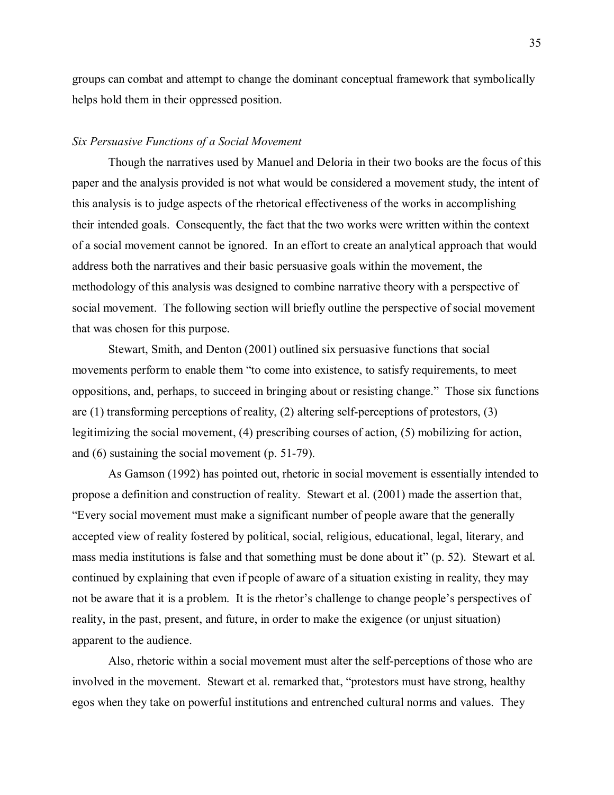groups can combat and attempt to change the dominant conceptual framework that symbolically helps hold them in their oppressed position.

#### *Six Persuasive Functions of a Social Movement*

Though the narratives used by Manuel and Deloria in their two books are the focus of this paper and the analysis provided is not what would be considered a movement study, the intent of this analysis is to judge aspects of the rhetorical effectiveness of the works in accomplishing their intended goals. Consequently, the fact that the two works were written within the context of a social movement cannot be ignored. In an effort to create an analytical approach that would address both the narratives and their basic persuasive goals within the movement, the methodology of this analysis was designed to combine narrative theory with a perspective of social movement. The following section will briefly outline the perspective of social movement that was chosen for this purpose.

Stewart, Smith, and Denton (2001) outlined six persuasive functions that social movements perform to enable them "to come into existence, to satisfy requirements, to meet oppositions, and, perhaps, to succeed in bringing about or resisting change." Those six functions are (1) transforming perceptions of reality, (2) altering self-perceptions of protestors, (3) legitimizing the social movement, (4) prescribing courses of action, (5) mobilizing for action, and (6) sustaining the social movement (p. 51-79).

As Gamson (1992) has pointed out, rhetoric in social movement is essentially intended to propose a definition and construction of reality. Stewart et al. (2001) made the assertion that, ìEvery social movement must make a significant number of people aware that the generally accepted view of reality fostered by political, social, religious, educational, legal, literary, and mass media institutions is false and that something must be done about it"  $(p. 52)$ . Stewart et al. continued by explaining that even if people of aware of a situation existing in reality, they may not be aware that it is a problem. It is the rhetor's challenge to change people's perspectives of reality, in the past, present, and future, in order to make the exigence (or unjust situation) apparent to the audience.

Also, rhetoric within a social movement must alter the self-perceptions of those who are involved in the movement. Stewart et al. remarked that, "protestors must have strong, healthy egos when they take on powerful institutions and entrenched cultural norms and values. They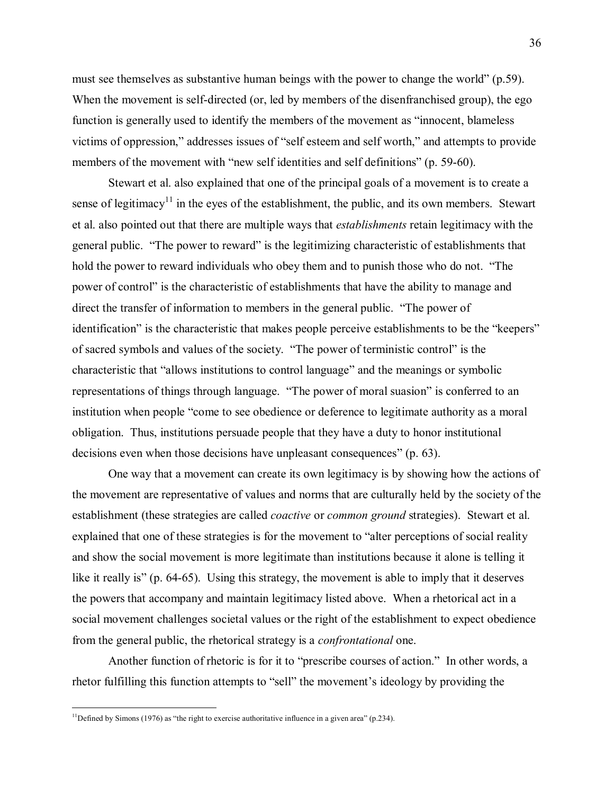must see themselves as substantive human beings with the power to change the world"  $(p.59)$ . When the movement is self-directed (or, led by members of the disenfranchised group), the ego function is generally used to identify the members of the movement as "innocent, blameless victims of oppression," addresses issues of "self esteem and self worth," and attempts to provide members of the movement with "new self identities and self definitions" (p. 59-60).

Stewart et al. also explained that one of the principal goals of a movement is to create a sense of legitimacy<sup>11</sup> in the eyes of the establishment, the public, and its own members. Stewart et al. also pointed out that there are multiple ways that *establishments* retain legitimacy with the general public. "The power to reward" is the legitimizing characteristic of establishments that hold the power to reward individuals who obey them and to punish those who do not. *The* power of control" is the characteristic of establishments that have the ability to manage and direct the transfer of information to members in the general public. "The power of identification" is the characteristic that makes people perceive establishments to be the "keepers" of sacred symbols and values of the society. "The power of terministic control" is the characteristic that "allows institutions to control language" and the meanings or symbolic representations of things through language. "The power of moral suasion" is conferred to an institution when people "come to see obedience or deference to legitimate authority as a moral obligation. Thus, institutions persuade people that they have a duty to honor institutional decisions even when those decisions have unpleasant consequences" (p. 63).

One way that a movement can create its own legitimacy is by showing how the actions of the movement are representative of values and norms that are culturally held by the society of the establishment (these strategies are called *coactive* or *common ground* strategies). Stewart et al. explained that one of these strategies is for the movement to "alter perceptions of social reality" and show the social movement is more legitimate than institutions because it alone is telling it like it really is" (p. 64-65). Using this strategy, the movement is able to imply that it deserves the powers that accompany and maintain legitimacy listed above. When a rhetorical act in a social movement challenges societal values or the right of the establishment to expect obedience from the general public, the rhetorical strategy is a *confrontational* one.

Another function of rhetoric is for it to "prescribe courses of action." In other words, a rhetor fulfilling this function attempts to "sell" the movement's ideology by providing the

 $\overline{a}$ 

<sup>&</sup>lt;sup>11</sup>Defined by Simons (1976) as "the right to exercise authoritative influence in a given area" (p.234).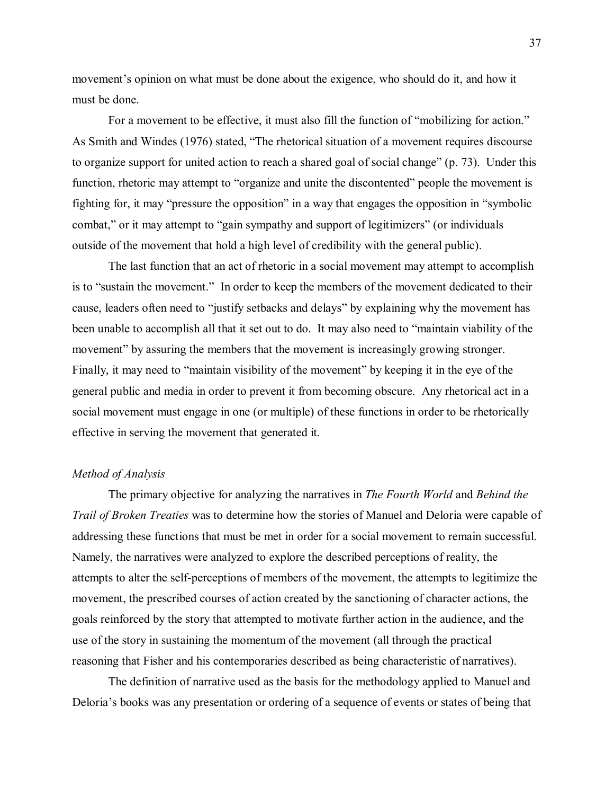movement's opinion on what must be done about the exigence, who should do it, and how it must be done.

For a movement to be effective, it must also fill the function of "mobilizing for action." As Smith and Windes (1976) stated, "The rhetorical situation of a movement requires discourse to organize support for united action to reach a shared goal of social change" (p. 73). Under this function, rhetoric may attempt to "organize and unite the discontented" people the movement is fighting for, it may "pressure the opposition" in a way that engages the opposition in "symbolic combat," or it may attempt to "gain sympathy and support of legitimizers" (or individuals outside of the movement that hold a high level of credibility with the general public).

The last function that an act of rhetoric in a social movement may attempt to accomplish is to "sustain the movement." In order to keep the members of the movement dedicated to their cause, leaders often need to "justify setbacks and delays" by explaining why the movement has been unable to accomplish all that it set out to do. It may also need to "maintain viability of the movement" by assuring the members that the movement is increasingly growing stronger. Finally, it may need to "maintain visibility of the movement" by keeping it in the eye of the general public and media in order to prevent it from becoming obscure. Any rhetorical act in a social movement must engage in one (or multiple) of these functions in order to be rhetorically effective in serving the movement that generated it.

#### *Method of Analysis*

The primary objective for analyzing the narratives in *The Fourth World* and *Behind the Trail of Broken Treaties* was to determine how the stories of Manuel and Deloria were capable of addressing these functions that must be met in order for a social movement to remain successful. Namely, the narratives were analyzed to explore the described perceptions of reality, the attempts to alter the self-perceptions of members of the movement, the attempts to legitimize the movement, the prescribed courses of action created by the sanctioning of character actions, the goals reinforced by the story that attempted to motivate further action in the audience, and the use of the story in sustaining the momentum of the movement (all through the practical reasoning that Fisher and his contemporaries described as being characteristic of narratives).

The definition of narrative used as the basis for the methodology applied to Manuel and Deloria's books was any presentation or ordering of a sequence of events or states of being that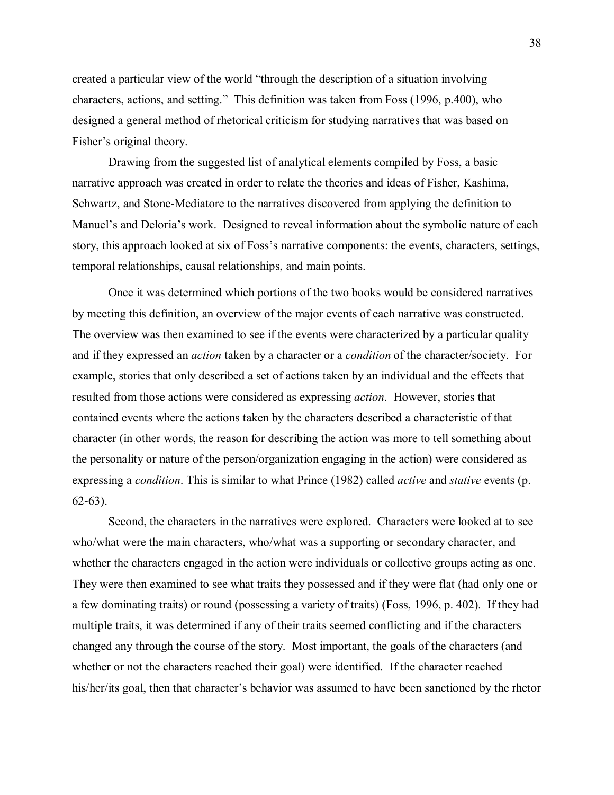created a particular view of the world "through the description of a situation involving characters, actions, and setting." This definition was taken from Foss (1996, p.400), who designed a general method of rhetorical criticism for studying narratives that was based on Fisher's original theory.

Drawing from the suggested list of analytical elements compiled by Foss, a basic narrative approach was created in order to relate the theories and ideas of Fisher, Kashima, Schwartz, and Stone-Mediatore to the narratives discovered from applying the definition to Manuel's and Deloria's work. Designed to reveal information about the symbolic nature of each story, this approach looked at six of Foss's narrative components: the events, characters, settings, temporal relationships, causal relationships, and main points.

Once it was determined which portions of the two books would be considered narratives by meeting this definition, an overview of the major events of each narrative was constructed. The overview was then examined to see if the events were characterized by a particular quality and if they expressed an *action* taken by a character or a *condition* of the character/society. For example, stories that only described a set of actions taken by an individual and the effects that resulted from those actions were considered as expressing *action*. However, stories that contained events where the actions taken by the characters described a characteristic of that character (in other words, the reason for describing the action was more to tell something about the personality or nature of the person/organization engaging in the action) were considered as expressing a *condition*. This is similar to what Prince (1982) called *active* and *stative* events (p. 62-63).

Second, the characters in the narratives were explored. Characters were looked at to see who/what were the main characters, who/what was a supporting or secondary character, and whether the characters engaged in the action were individuals or collective groups acting as one. They were then examined to see what traits they possessed and if they were flat (had only one or a few dominating traits) or round (possessing a variety of traits) (Foss, 1996, p. 402). If they had multiple traits, it was determined if any of their traits seemed conflicting and if the characters changed any through the course of the story. Most important, the goals of the characters (and whether or not the characters reached their goal) were identified. If the character reached his/her/its goal, then that character's behavior was assumed to have been sanctioned by the rhetor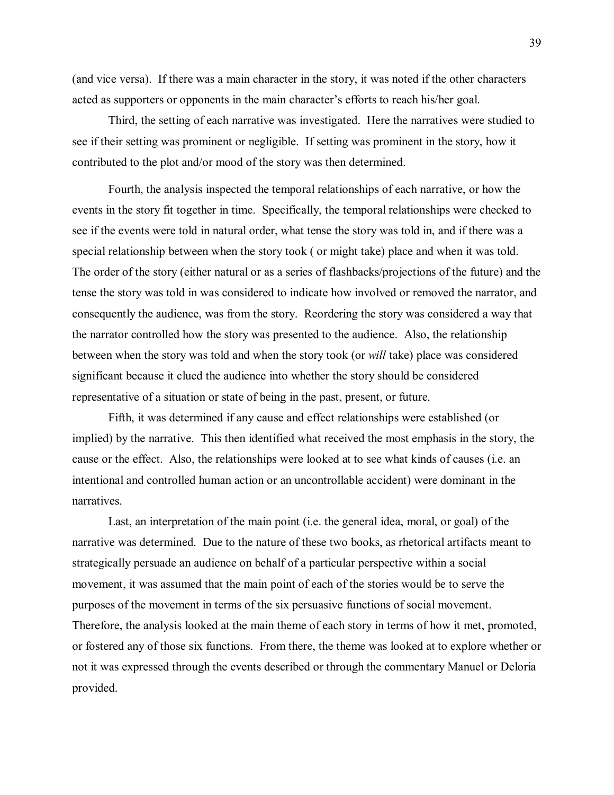(and vice versa). If there was a main character in the story, it was noted if the other characters acted as supporters or opponents in the main character's efforts to reach his/her goal.

Third, the setting of each narrative was investigated. Here the narratives were studied to see if their setting was prominent or negligible. If setting was prominent in the story, how it contributed to the plot and/or mood of the story was then determined.

Fourth, the analysis inspected the temporal relationships of each narrative, or how the events in the story fit together in time. Specifically, the temporal relationships were checked to see if the events were told in natural order, what tense the story was told in, and if there was a special relationship between when the story took ( or might take) place and when it was told. The order of the story (either natural or as a series of flashbacks/projections of the future) and the tense the story was told in was considered to indicate how involved or removed the narrator, and consequently the audience, was from the story. Reordering the story was considered a way that the narrator controlled how the story was presented to the audience. Also, the relationship between when the story was told and when the story took (or *will* take) place was considered significant because it clued the audience into whether the story should be considered representative of a situation or state of being in the past, present, or future.

Fifth, it was determined if any cause and effect relationships were established (or implied) by the narrative. This then identified what received the most emphasis in the story, the cause or the effect. Also, the relationships were looked at to see what kinds of causes (i.e. an intentional and controlled human action or an uncontrollable accident) were dominant in the narratives.

Last, an interpretation of the main point (i.e. the general idea, moral, or goal) of the narrative was determined. Due to the nature of these two books, as rhetorical artifacts meant to strategically persuade an audience on behalf of a particular perspective within a social movement, it was assumed that the main point of each of the stories would be to serve the purposes of the movement in terms of the six persuasive functions of social movement. Therefore, the analysis looked at the main theme of each story in terms of how it met, promoted, or fostered any of those six functions. From there, the theme was looked at to explore whether or not it was expressed through the events described or through the commentary Manuel or Deloria provided.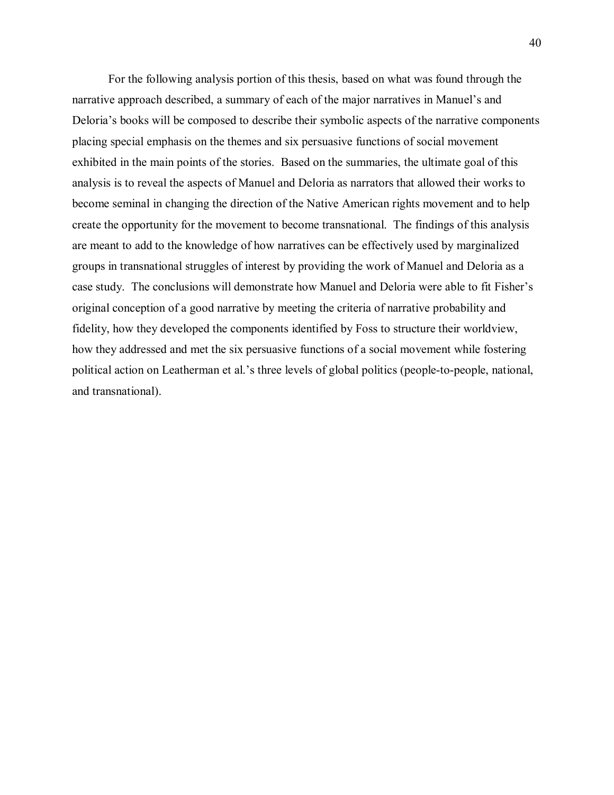For the following analysis portion of this thesis, based on what was found through the narrative approach described, a summary of each of the major narratives in Manuel's and Deloria's books will be composed to describe their symbolic aspects of the narrative components placing special emphasis on the themes and six persuasive functions of social movement exhibited in the main points of the stories. Based on the summaries, the ultimate goal of this analysis is to reveal the aspects of Manuel and Deloria as narrators that allowed their works to become seminal in changing the direction of the Native American rights movement and to help create the opportunity for the movement to become transnational. The findings of this analysis are meant to add to the knowledge of how narratives can be effectively used by marginalized groups in transnational struggles of interest by providing the work of Manuel and Deloria as a case study. The conclusions will demonstrate how Manuel and Deloria were able to fit Fisher's original conception of a good narrative by meeting the criteria of narrative probability and fidelity, how they developed the components identified by Foss to structure their worldview, how they addressed and met the six persuasive functions of a social movement while fostering political action on Leatherman et al.'s three levels of global politics (people-to-people, national, and transnational).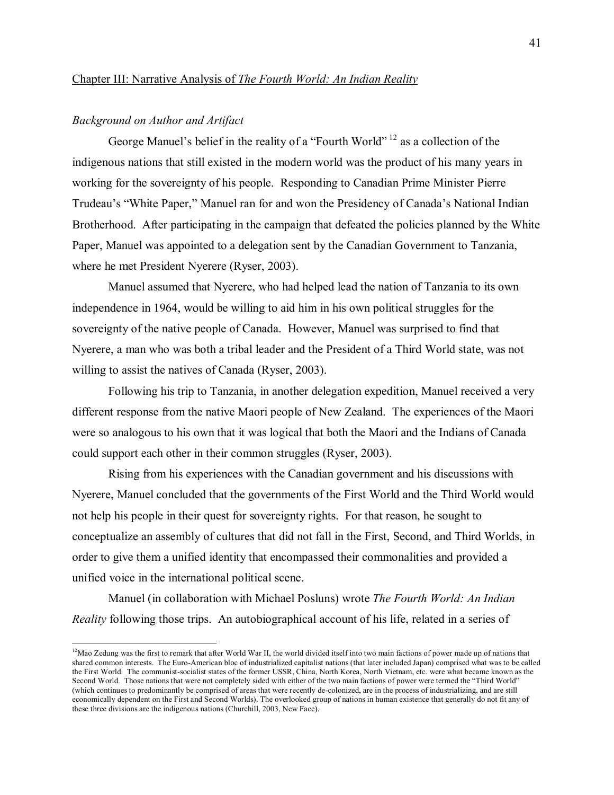# *Background on Author and Artifact*

 $\overline{a}$ 

George Manuel's belief in the reality of a "Fourth World"  $^{12}$  as a collection of the indigenous nations that still existed in the modern world was the product of his many years in working for the sovereignty of his people. Responding to Canadian Prime Minister Pierre Trudeau's "White Paper," Manuel ran for and won the Presidency of Canada's National Indian Brotherhood. After participating in the campaign that defeated the policies planned by the White Paper, Manuel was appointed to a delegation sent by the Canadian Government to Tanzania, where he met President Nyerere (Ryser, 2003).

Manuel assumed that Nyerere, who had helped lead the nation of Tanzania to its own independence in 1964, would be willing to aid him in his own political struggles for the sovereignty of the native people of Canada. However, Manuel was surprised to find that Nyerere, a man who was both a tribal leader and the President of a Third World state, was not willing to assist the natives of Canada (Ryser, 2003).

Following his trip to Tanzania, in another delegation expedition, Manuel received a very different response from the native Maori people of New Zealand. The experiences of the Maori were so analogous to his own that it was logical that both the Maori and the Indians of Canada could support each other in their common struggles (Ryser, 2003).

Rising from his experiences with the Canadian government and his discussions with Nyerere, Manuel concluded that the governments of the First World and the Third World would not help his people in their quest for sovereignty rights. For that reason, he sought to conceptualize an assembly of cultures that did not fall in the First, Second, and Third Worlds, in order to give them a unified identity that encompassed their commonalities and provided a unified voice in the international political scene.

Manuel (in collaboration with Michael Posluns) wrote *The Fourth World: An Indian Reality* following those trips. An autobiographical account of his life, related in a series of

 $12$ Mao Zedung was the first to remark that after World War II, the world divided itself into two main factions of power made up of nations that shared common interests. The Euro-American bloc of industrialized capitalist nations (that later included Japan) comprised what was to be called the First World. The communist-socialist states of the former USSR, China, North Korea, North Vietnam, etc. were what became known as the Second World. Those nations that were not completely sided with either of the two main factions of power were termed the "Third World" (which continues to predominantly be comprised of areas that were recently de-colonized, are in the process of industrializing, and are still economically dependent on the First and Second Worlds). The overlooked group of nations in human existence that generally do not fit any of these three divisions are the indigenous nations (Churchill, 2003, New Face).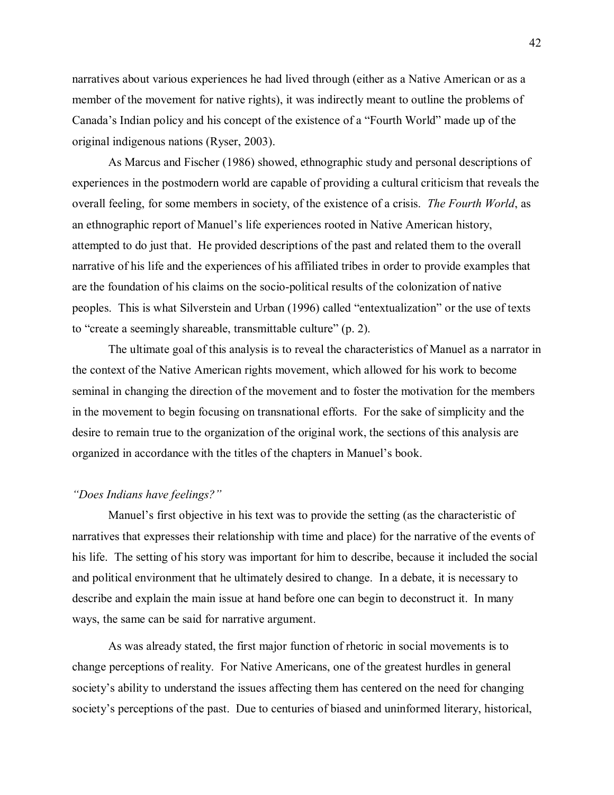narratives about various experiences he had lived through (either as a Native American or as a member of the movement for native rights), it was indirectly meant to outline the problems of Canada's Indian policy and his concept of the existence of a "Fourth World" made up of the original indigenous nations (Ryser, 2003).

As Marcus and Fischer (1986) showed, ethnographic study and personal descriptions of experiences in the postmodern world are capable of providing a cultural criticism that reveals the overall feeling, for some members in society, of the existence of a crisis. *The Fourth World*, as an ethnographic report of Manuel's life experiences rooted in Native American history, attempted to do just that. He provided descriptions of the past and related them to the overall narrative of his life and the experiences of his affiliated tribes in order to provide examples that are the foundation of his claims on the socio-political results of the colonization of native peoples. This is what Silverstein and Urban (1996) called "entextualization" or the use of texts to "create a seemingly shareable, transmittable culture"  $(p, 2)$ .

The ultimate goal of this analysis is to reveal the characteristics of Manuel as a narrator in the context of the Native American rights movement, which allowed for his work to become seminal in changing the direction of the movement and to foster the motivation for the members in the movement to begin focusing on transnational efforts. For the sake of simplicity and the desire to remain true to the organization of the original work, the sections of this analysis are organized in accordance with the titles of the chapters in Manuel's book.

### *<sup><i>i*</sup>Does Indians have feelings?*<sup><i>'*</sup></sup>

Manuel's first objective in his text was to provide the setting (as the characteristic of narratives that expresses their relationship with time and place) for the narrative of the events of his life. The setting of his story was important for him to describe, because it included the social and political environment that he ultimately desired to change. In a debate, it is necessary to describe and explain the main issue at hand before one can begin to deconstruct it. In many ways, the same can be said for narrative argument.

As was already stated, the first major function of rhetoric in social movements is to change perceptions of reality. For Native Americans, one of the greatest hurdles in general society's ability to understand the issues affecting them has centered on the need for changing society's perceptions of the past. Due to centuries of biased and uninformed literary, historical,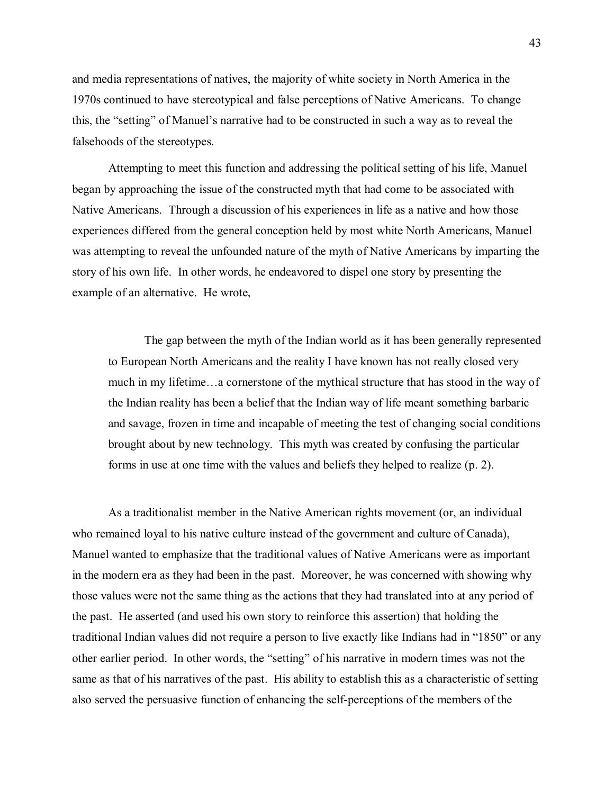and media representations of natives, the majority of white society in North America in the 1970s continued to have stereotypical and false perceptions of Native Americans. To change this, the "setting" of Manuel's narrative had to be constructed in such a way as to reveal the falsehoods of the stereotypes.

Attempting to meet this function and addressing the political setting of his life, Manuel began by approaching the issue of the constructed myth that had come to be associated with Native Americans. Through a discussion of his experiences in life as a native and how those experiences differed from the general conception held by most white North Americans, Manuel was attempting to reveal the unfounded nature of the myth of Native Americans by imparting the story of his own life. In other words, he endeavored to dispel one story by presenting the example of an alternative. He wrote,

The gap between the myth of the Indian world as it has been generally represented to European North Americans and the reality I have known has not really closed very much in my lifetime...a cornerstone of the mythical structure that has stood in the way of the Indian reality has been a belief that the Indian way of life meant something barbaric and savage, frozen in time and incapable of meeting the test of changing social conditions brought about by new technology. This myth was created by confusing the particular forms in use at one time with the values and beliefs they helped to realize (p. 2).

As a traditionalist member in the Native American rights movement (or, an individual who remained loyal to his native culture instead of the government and culture of Canada), Manuel wanted to emphasize that the traditional values of Native Americans were as important in the modern era as they had been in the past. Moreover, he was concerned with showing why those values were not the same thing as the actions that they had translated into at any period of the past. He asserted (and used his own story to reinforce this assertion) that holding the traditional Indian values did not require a person to live exactly like Indians had in "1850" or any other earlier period. In other words, the "setting" of his narrative in modern times was not the same as that of his narratives of the past. His ability to establish this as a characteristic of setting also served the persuasive function of enhancing the self-perceptions of the members of the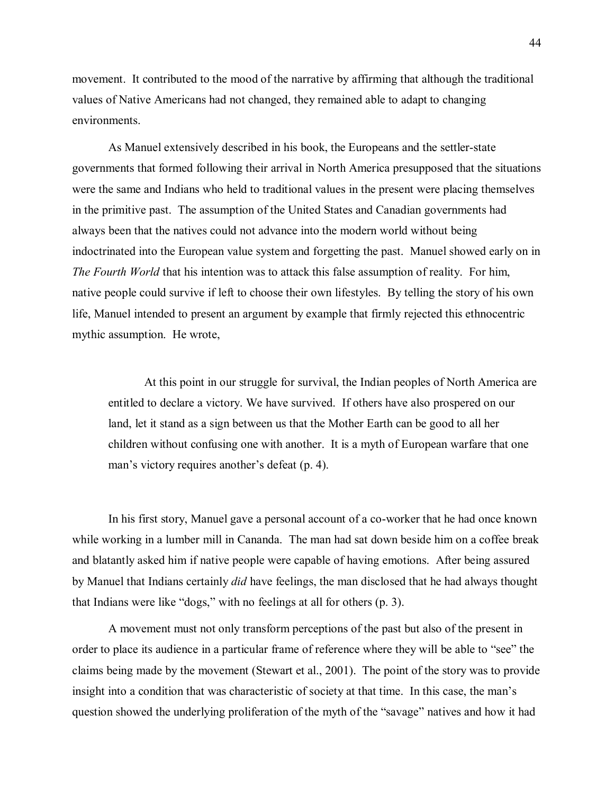movement. It contributed to the mood of the narrative by affirming that although the traditional values of Native Americans had not changed, they remained able to adapt to changing environments.

As Manuel extensively described in his book, the Europeans and the settler-state governments that formed following their arrival in North America presupposed that the situations were the same and Indians who held to traditional values in the present were placing themselves in the primitive past. The assumption of the United States and Canadian governments had always been that the natives could not advance into the modern world without being indoctrinated into the European value system and forgetting the past. Manuel showed early on in *The Fourth World* that his intention was to attack this false assumption of reality. For him, native people could survive if left to choose their own lifestyles. By telling the story of his own life, Manuel intended to present an argument by example that firmly rejected this ethnocentric mythic assumption. He wrote,

At this point in our struggle for survival, the Indian peoples of North America are entitled to declare a victory. We have survived. If others have also prospered on our land, let it stand as a sign between us that the Mother Earth can be good to all her children without confusing one with another. It is a myth of European warfare that one man's victory requires another's defeat (p. 4).

In his first story, Manuel gave a personal account of a co-worker that he had once known while working in a lumber mill in Cananda. The man had sat down beside him on a coffee break and blatantly asked him if native people were capable of having emotions. After being assured by Manuel that Indians certainly *did* have feelings, the man disclosed that he had always thought that Indians were like "dogs," with no feelings at all for others  $(p, 3)$ .

A movement must not only transform perceptions of the past but also of the present in order to place its audience in a particular frame of reference where they will be able to "see" the claims being made by the movement (Stewart et al., 2001). The point of the story was to provide insight into a condition that was characteristic of society at that time. In this case, the man's question showed the underlying proliferation of the myth of the "savage" natives and how it had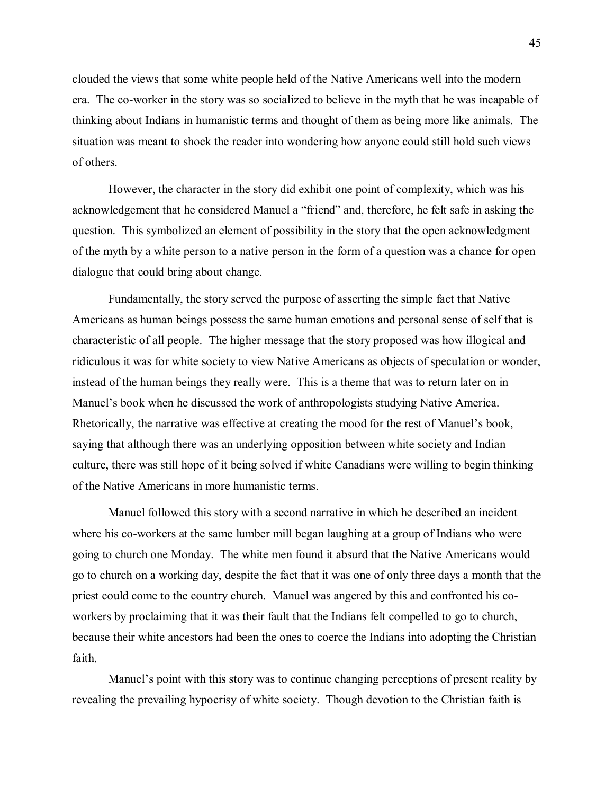clouded the views that some white people held of the Native Americans well into the modern era. The co-worker in the story was so socialized to believe in the myth that he was incapable of thinking about Indians in humanistic terms and thought of them as being more like animals. The situation was meant to shock the reader into wondering how anyone could still hold such views of others.

However, the character in the story did exhibit one point of complexity, which was his acknowledgement that he considered Manuel a "friend" and, therefore, he felt safe in asking the question. This symbolized an element of possibility in the story that the open acknowledgment of the myth by a white person to a native person in the form of a question was a chance for open dialogue that could bring about change.

Fundamentally, the story served the purpose of asserting the simple fact that Native Americans as human beings possess the same human emotions and personal sense of self that is characteristic of all people. The higher message that the story proposed was how illogical and ridiculous it was for white society to view Native Americans as objects of speculation or wonder, instead of the human beings they really were. This is a theme that was to return later on in Manuel's book when he discussed the work of anthropologists studying Native America. Rhetorically, the narrative was effective at creating the mood for the rest of Manuel's book, saying that although there was an underlying opposition between white society and Indian culture, there was still hope of it being solved if white Canadians were willing to begin thinking of the Native Americans in more humanistic terms.

Manuel followed this story with a second narrative in which he described an incident where his co-workers at the same lumber mill began laughing at a group of Indians who were going to church one Monday. The white men found it absurd that the Native Americans would go to church on a working day, despite the fact that it was one of only three days a month that the priest could come to the country church. Manuel was angered by this and confronted his coworkers by proclaiming that it was their fault that the Indians felt compelled to go to church, because their white ancestors had been the ones to coerce the Indians into adopting the Christian faith.

Manuel's point with this story was to continue changing perceptions of present reality by revealing the prevailing hypocrisy of white society. Though devotion to the Christian faith is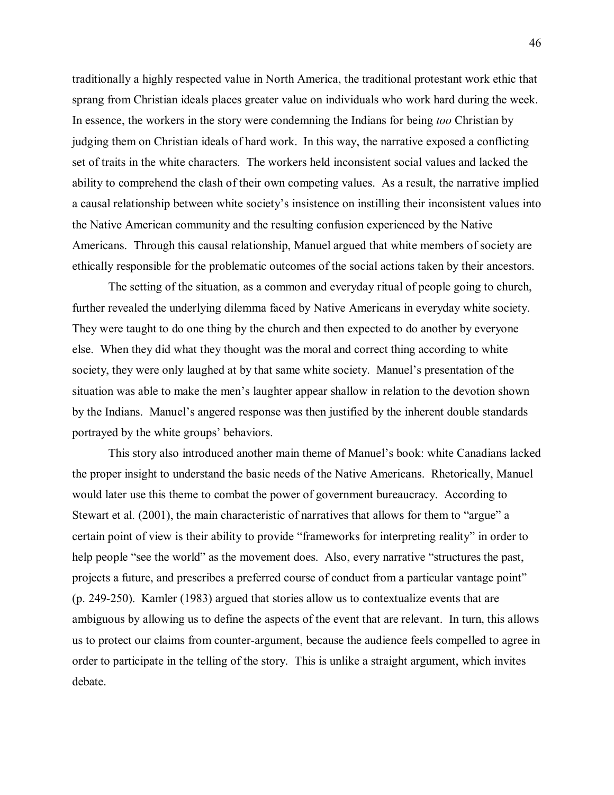traditionally a highly respected value in North America, the traditional protestant work ethic that sprang from Christian ideals places greater value on individuals who work hard during the week. In essence, the workers in the story were condemning the Indians for being *too* Christian by judging them on Christian ideals of hard work. In this way, the narrative exposed a conflicting set of traits in the white characters. The workers held inconsistent social values and lacked the ability to comprehend the clash of their own competing values. As a result, the narrative implied a causal relationship between white society's insistence on instilling their inconsistent values into the Native American community and the resulting confusion experienced by the Native Americans. Through this causal relationship, Manuel argued that white members of society are ethically responsible for the problematic outcomes of the social actions taken by their ancestors.

The setting of the situation, as a common and everyday ritual of people going to church, further revealed the underlying dilemma faced by Native Americans in everyday white society. They were taught to do one thing by the church and then expected to do another by everyone else. When they did what they thought was the moral and correct thing according to white society, they were only laughed at by that same white society. Manuel's presentation of the situation was able to make the men's laughter appear shallow in relation to the devotion shown by the Indians. Manuel's angered response was then justified by the inherent double standards portrayed by the white groups' behaviors.

This story also introduced another main theme of Manuel's book: white Canadians lacked the proper insight to understand the basic needs of the Native Americans. Rhetorically, Manuel would later use this theme to combat the power of government bureaucracy. According to Stewart et al.  $(2001)$ , the main characteristic of narratives that allows for them to "argue" a certain point of view is their ability to provide "frameworks for interpreting reality" in order to help people "see the world" as the movement does. Also, every narrative "structures the past, projects a future, and prescribes a preferred course of conduct from a particular vantage point" (p. 249-250). Kamler (1983) argued that stories allow us to contextualize events that are ambiguous by allowing us to define the aspects of the event that are relevant. In turn, this allows us to protect our claims from counter-argument, because the audience feels compelled to agree in order to participate in the telling of the story. This is unlike a straight argument, which invites debate.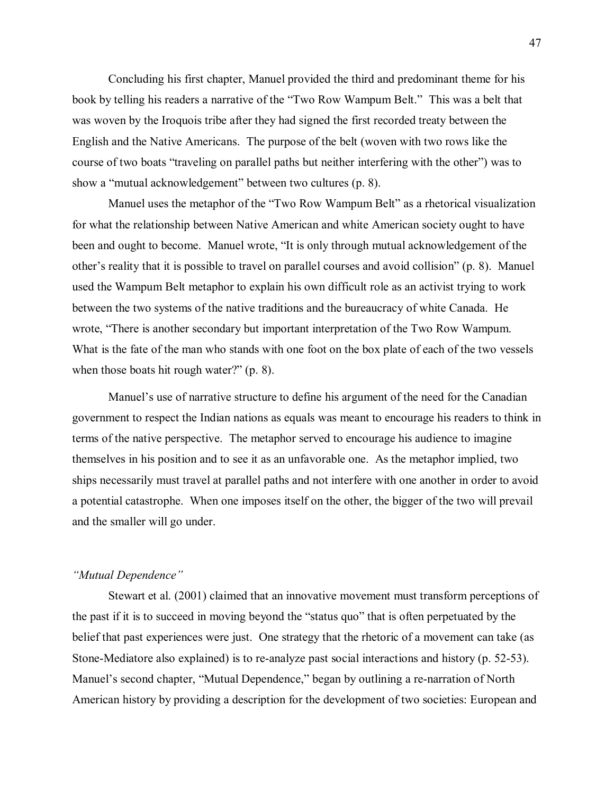Concluding his first chapter, Manuel provided the third and predominant theme for his book by telling his readers a narrative of the "Two Row Wampum Belt." This was a belt that was woven by the Iroquois tribe after they had signed the first recorded treaty between the English and the Native Americans. The purpose of the belt (woven with two rows like the course of two boats "traveling on parallel paths but neither interfering with the other") was to show a "mutual acknowledgement" between two cultures  $(p, 8)$ .

Manuel uses the metaphor of the "Two Row Wampum Belt" as a rhetorical visualization for what the relationship between Native American and white American society ought to have been and ought to become. Manuel wrote, "It is only through mutual acknowledgement of the other's reality that it is possible to travel on parallel courses and avoid collision" (p. 8). Manuel used the Wampum Belt metaphor to explain his own difficult role as an activist trying to work between the two systems of the native traditions and the bureaucracy of white Canada. He wrote, "There is another secondary but important interpretation of the Two Row Wampum. What is the fate of the man who stands with one foot on the box plate of each of the two vessels when those boats hit rough water?"  $(p, 8)$ .

Manuel's use of narrative structure to define his argument of the need for the Canadian government to respect the Indian nations as equals was meant to encourage his readers to think in terms of the native perspective. The metaphor served to encourage his audience to imagine themselves in his position and to see it as an unfavorable one. As the metaphor implied, two ships necessarily must travel at parallel paths and not interfere with one another in order to avoid a potential catastrophe. When one imposes itself on the other, the bigger of the two will prevail and the smaller will go under.

#### *<sup><i>'*</sup>Mutual Dependence</sub>''

Stewart et al. (2001) claimed that an innovative movement must transform perceptions of the past if it is to succeed in moving beyond the "status quo" that is often perpetuated by the belief that past experiences were just. One strategy that the rhetoric of a movement can take (as Stone-Mediatore also explained) is to re-analyze past social interactions and history (p. 52-53). Manuel's second chapter, "Mutual Dependence," began by outlining a re-narration of North American history by providing a description for the development of two societies: European and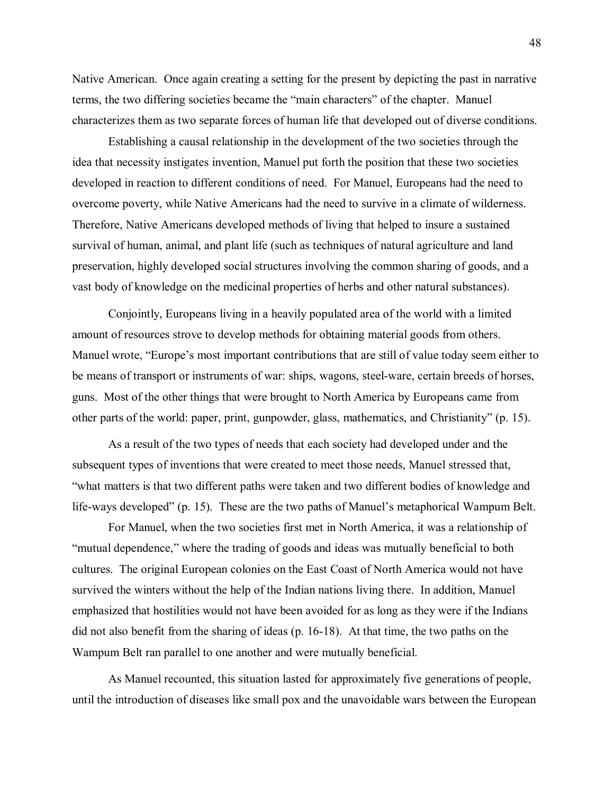Native American. Once again creating a setting for the present by depicting the past in narrative terms, the two differing societies became the "main characters" of the chapter. Manuel characterizes them as two separate forces of human life that developed out of diverse conditions.

Establishing a causal relationship in the development of the two societies through the idea that necessity instigates invention, Manuel put forth the position that these two societies developed in reaction to different conditions of need. For Manuel, Europeans had the need to overcome poverty, while Native Americans had the need to survive in a climate of wilderness. Therefore, Native Americans developed methods of living that helped to insure a sustained survival of human, animal, and plant life (such as techniques of natural agriculture and land preservation, highly developed social structures involving the common sharing of goods, and a vast body of knowledge on the medicinal properties of herbs and other natural substances).

Conjointly, Europeans living in a heavily populated area of the world with a limited amount of resources strove to develop methods for obtaining material goods from others. Manuel wrote, "Europe's most important contributions that are still of value today seem either to be means of transport or instruments of war: ships, wagons, steel-ware, certain breeds of horses, guns. Most of the other things that were brought to North America by Europeans came from other parts of the world: paper, print, gunpowder, glass, mathematics, and Christianity" (p. 15).

As a result of the two types of needs that each society had developed under and the subsequent types of inventions that were created to meet those needs, Manuel stressed that, ìwhat matters is that two different paths were taken and two different bodies of knowledge and life-ways developed" (p. 15). These are the two paths of Manuel's metaphorical Wampum Belt.

For Manuel, when the two societies first met in North America, it was a relationship of "mutual dependence," where the trading of goods and ideas was mutually beneficial to both cultures. The original European colonies on the East Coast of North America would not have survived the winters without the help of the Indian nations living there. In addition, Manuel emphasized that hostilities would not have been avoided for as long as they were if the Indians did not also benefit from the sharing of ideas (p. 16-18). At that time, the two paths on the Wampum Belt ran parallel to one another and were mutually beneficial.

As Manuel recounted, this situation lasted for approximately five generations of people, until the introduction of diseases like small pox and the unavoidable wars between the European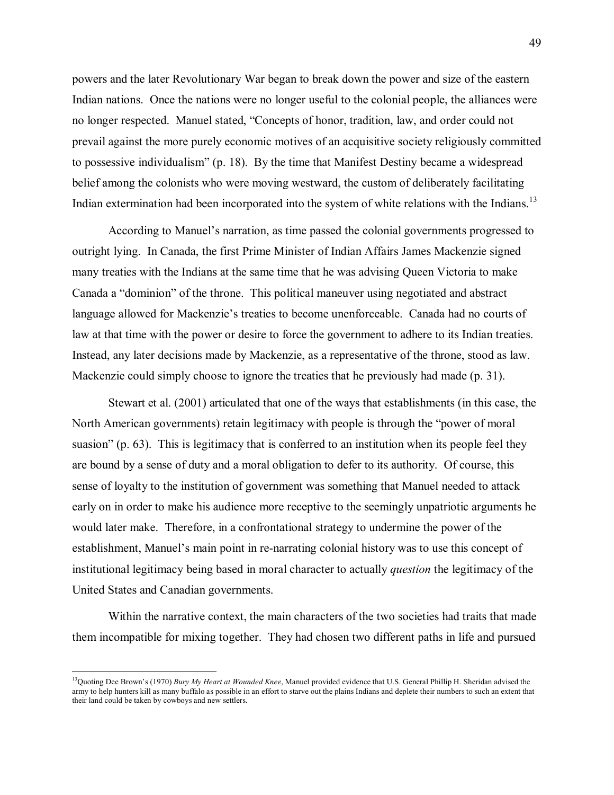powers and the later Revolutionary War began to break down the power and size of the eastern Indian nations. Once the nations were no longer useful to the colonial people, the alliances were no longer respected. Manuel stated, "Concepts of honor, tradition, law, and order could not prevail against the more purely economic motives of an acquisitive society religiously committed to possessive individualismî (p. 18). By the time that Manifest Destiny became a widespread belief among the colonists who were moving westward, the custom of deliberately facilitating Indian extermination had been incorporated into the system of white relations with the Indians.<sup>13</sup>

According to Manuel's narration, as time passed the colonial governments progressed to outright lying. In Canada, the first Prime Minister of Indian Affairs James Mackenzie signed many treaties with the Indians at the same time that he was advising Queen Victoria to make Canada a "dominion" of the throne. This political maneuver using negotiated and abstract language allowed for Mackenzie's treaties to become unenforceable. Canada had no courts of law at that time with the power or desire to force the government to adhere to its Indian treaties. Instead, any later decisions made by Mackenzie, as a representative of the throne, stood as law. Mackenzie could simply choose to ignore the treaties that he previously had made (p. 31).

Stewart et al. (2001) articulated that one of the ways that establishments (in this case, the North American governments) retain legitimacy with people is through the "power of moral suasion" (p.  $63$ ). This is legitimacy that is conferred to an institution when its people feel they are bound by a sense of duty and a moral obligation to defer to its authority. Of course, this sense of loyalty to the institution of government was something that Manuel needed to attack early on in order to make his audience more receptive to the seemingly unpatriotic arguments he would later make. Therefore, in a confrontational strategy to undermine the power of the establishment, Manuel's main point in re-narrating colonial history was to use this concept of institutional legitimacy being based in moral character to actually *question* the legitimacy of the United States and Canadian governments.

Within the narrative context, the main characters of the two societies had traits that made them incompatible for mixing together. They had chosen two different paths in life and pursued

<u>.</u>

<sup>13</sup>Quoting Dee Brownís (1970) *Bury My Heart at Wounded Knee*, Manuel provided evidence that U.S. General Phillip H. Sheridan advised the army to help hunters kill as many buffalo as possible in an effort to starve out the plains Indians and deplete their numbers to such an extent that their land could be taken by cowboys and new settlers.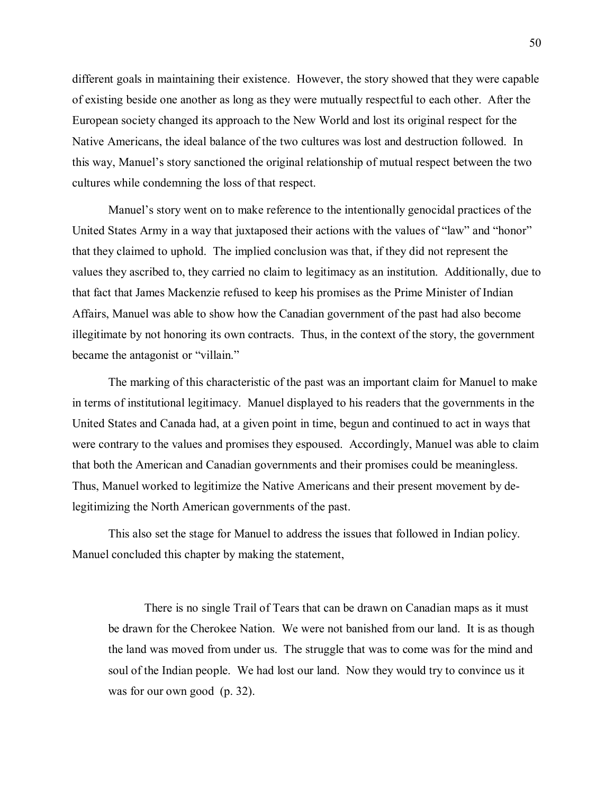different goals in maintaining their existence. However, the story showed that they were capable of existing beside one another as long as they were mutually respectful to each other. After the European society changed its approach to the New World and lost its original respect for the Native Americans, the ideal balance of the two cultures was lost and destruction followed. In this way, Manuel's story sanctioned the original relationship of mutual respect between the two cultures while condemning the loss of that respect.

Manuel's story went on to make reference to the intentionally genocidal practices of the United States Army in a way that juxtaposed their actions with the values of "law" and "honor" that they claimed to uphold. The implied conclusion was that, if they did not represent the values they ascribed to, they carried no claim to legitimacy as an institution. Additionally, due to that fact that James Mackenzie refused to keep his promises as the Prime Minister of Indian Affairs, Manuel was able to show how the Canadian government of the past had also become illegitimate by not honoring its own contracts. Thus, in the context of the story, the government became the antagonist or "villain."

The marking of this characteristic of the past was an important claim for Manuel to make in terms of institutional legitimacy. Manuel displayed to his readers that the governments in the United States and Canada had, at a given point in time, begun and continued to act in ways that were contrary to the values and promises they espoused. Accordingly, Manuel was able to claim that both the American and Canadian governments and their promises could be meaningless. Thus, Manuel worked to legitimize the Native Americans and their present movement by delegitimizing the North American governments of the past.

This also set the stage for Manuel to address the issues that followed in Indian policy. Manuel concluded this chapter by making the statement,

There is no single Trail of Tears that can be drawn on Canadian maps as it must be drawn for the Cherokee Nation. We were not banished from our land. It is as though the land was moved from under us. The struggle that was to come was for the mind and soul of the Indian people. We had lost our land. Now they would try to convince us it was for our own good (p. 32).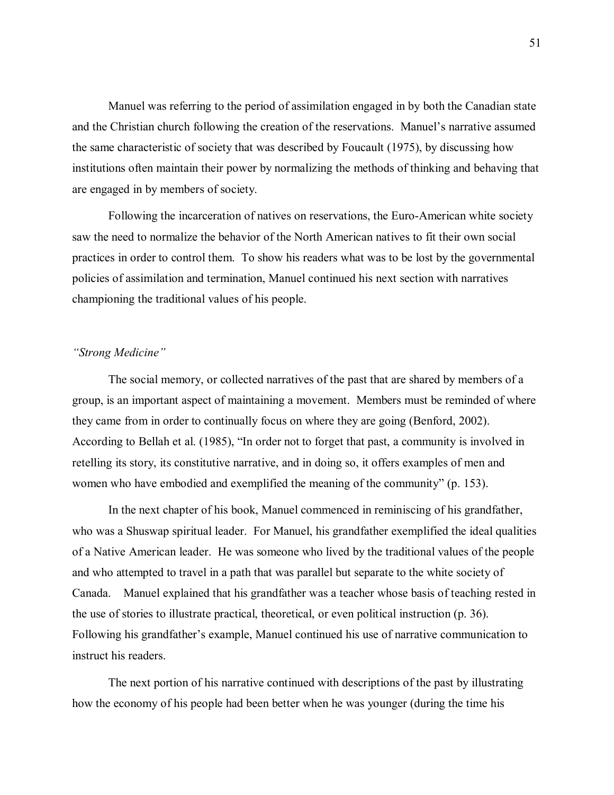Manuel was referring to the period of assimilation engaged in by both the Canadian state and the Christian church following the creation of the reservations. Manuel's narrative assumed the same characteristic of society that was described by Foucault (1975), by discussing how institutions often maintain their power by normalizing the methods of thinking and behaving that are engaged in by members of society.

Following the incarceration of natives on reservations, the Euro-American white society saw the need to normalize the behavior of the North American natives to fit their own social practices in order to control them. To show his readers what was to be lost by the governmental policies of assimilation and termination, Manuel continued his next section with narratives championing the traditional values of his people.

#### *<sup><i><u>Strong Medicine*</u><sup>*</sup>*</sup></sup>

The social memory, or collected narratives of the past that are shared by members of a group, is an important aspect of maintaining a movement. Members must be reminded of where they came from in order to continually focus on where they are going (Benford, 2002). According to Bellah et al. (1985), "In order not to forget that past, a community is involved in retelling its story, its constitutive narrative, and in doing so, it offers examples of men and women who have embodied and exemplified the meaning of the community" (p. 153).

In the next chapter of his book, Manuel commenced in reminiscing of his grandfather, who was a Shuswap spiritual leader. For Manuel, his grandfather exemplified the ideal qualities of a Native American leader. He was someone who lived by the traditional values of the people and who attempted to travel in a path that was parallel but separate to the white society of Canada. Manuel explained that his grandfather was a teacher whose basis of teaching rested in the use of stories to illustrate practical, theoretical, or even political instruction (p. 36). Following his grandfather's example, Manuel continued his use of narrative communication to instruct his readers.

The next portion of his narrative continued with descriptions of the past by illustrating how the economy of his people had been better when he was younger (during the time his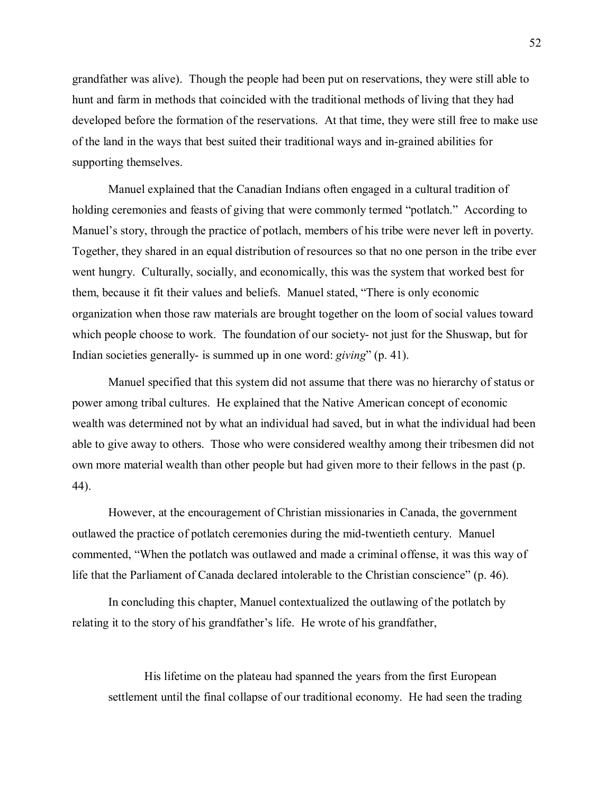grandfather was alive). Though the people had been put on reservations, they were still able to hunt and farm in methods that coincided with the traditional methods of living that they had developed before the formation of the reservations. At that time, they were still free to make use of the land in the ways that best suited their traditional ways and in-grained abilities for supporting themselves.

Manuel explained that the Canadian Indians often engaged in a cultural tradition of holding ceremonies and feasts of giving that were commonly termed "potlatch." According to Manuel's story, through the practice of potlach, members of his tribe were never left in poverty. Together, they shared in an equal distribution of resources so that no one person in the tribe ever went hungry. Culturally, socially, and economically, this was the system that worked best for them, because it fit their values and beliefs. Manuel stated, "There is only economic organization when those raw materials are brought together on the loom of social values toward which people choose to work. The foundation of our society- not just for the Shuswap, but for Indian societies generally- is summed up in one word: *giving*î (p. 41).

Manuel specified that this system did not assume that there was no hierarchy of status or power among tribal cultures. He explained that the Native American concept of economic wealth was determined not by what an individual had saved, but in what the individual had been able to give away to others. Those who were considered wealthy among their tribesmen did not own more material wealth than other people but had given more to their fellows in the past (p. 44).

However, at the encouragement of Christian missionaries in Canada, the government outlawed the practice of potlatch ceremonies during the mid-twentieth century. Manuel commented, "When the potlatch was outlawed and made a criminal offense, it was this way of life that the Parliament of Canada declared intolerable to the Christian conscience"  $(p. 46)$ .

In concluding this chapter, Manuel contextualized the outlawing of the potlatch by relating it to the story of his grandfather's life. He wrote of his grandfather,

His lifetime on the plateau had spanned the years from the first European settlement until the final collapse of our traditional economy. He had seen the trading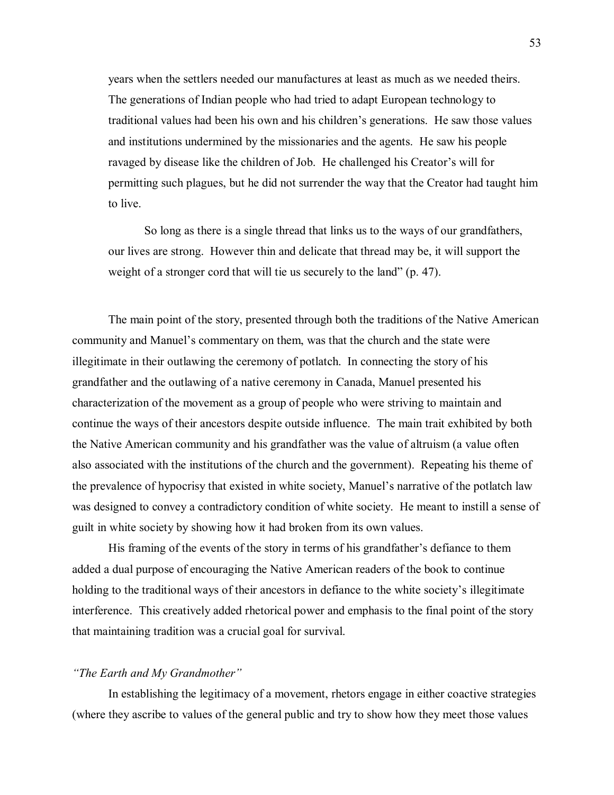years when the settlers needed our manufactures at least as much as we needed theirs. The generations of Indian people who had tried to adapt European technology to traditional values had been his own and his children's generations. He saw those values and institutions undermined by the missionaries and the agents. He saw his people ravaged by disease like the children of Job. He challenged his Creator's will for permitting such plagues, but he did not surrender the way that the Creator had taught him to live.

So long as there is a single thread that links us to the ways of our grandfathers, our lives are strong. However thin and delicate that thread may be, it will support the weight of a stronger cord that will tie us securely to the land"  $(p. 47)$ .

The main point of the story, presented through both the traditions of the Native American community and Manuel's commentary on them, was that the church and the state were illegitimate in their outlawing the ceremony of potlatch. In connecting the story of his grandfather and the outlawing of a native ceremony in Canada, Manuel presented his characterization of the movement as a group of people who were striving to maintain and continue the ways of their ancestors despite outside influence. The main trait exhibited by both the Native American community and his grandfather was the value of altruism (a value often also associated with the institutions of the church and the government). Repeating his theme of the prevalence of hypocrisy that existed in white society, Manuel's narrative of the potlatch law was designed to convey a contradictory condition of white society. He meant to instill a sense of guilt in white society by showing how it had broken from its own values.

His framing of the events of the story in terms of his grandfather's defiance to them added a dual purpose of encouraging the Native American readers of the book to continue holding to the traditional ways of their ancestors in defiance to the white society's illegitimate interference. This creatively added rhetorical power and emphasis to the final point of the story that maintaining tradition was a crucial goal for survival.

#### *<sup><i>ªThe Earth and My Grandmother*  $\overline{a}$ </sup>

In establishing the legitimacy of a movement, rhetors engage in either coactive strategies (where they ascribe to values of the general public and try to show how they meet those values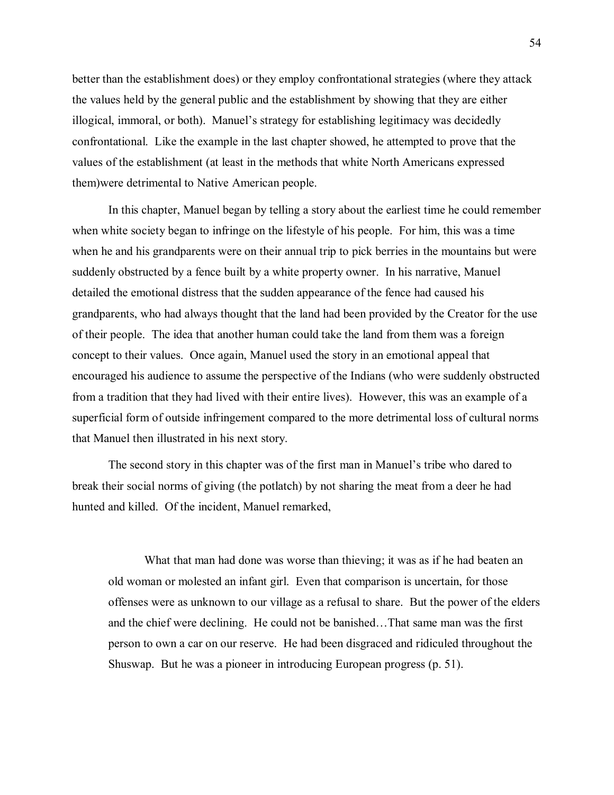better than the establishment does) or they employ confrontational strategies (where they attack the values held by the general public and the establishment by showing that they are either illogical, immoral, or both). Manuel's strategy for establishing legitimacy was decidedly confrontational. Like the example in the last chapter showed, he attempted to prove that the values of the establishment (at least in the methods that white North Americans expressed them)were detrimental to Native American people.

In this chapter, Manuel began by telling a story about the earliest time he could remember when white society began to infringe on the lifestyle of his people. For him, this was a time when he and his grandparents were on their annual trip to pick berries in the mountains but were suddenly obstructed by a fence built by a white property owner. In his narrative, Manuel detailed the emotional distress that the sudden appearance of the fence had caused his grandparents, who had always thought that the land had been provided by the Creator for the use of their people. The idea that another human could take the land from them was a foreign concept to their values. Once again, Manuel used the story in an emotional appeal that encouraged his audience to assume the perspective of the Indians (who were suddenly obstructed from a tradition that they had lived with their entire lives). However, this was an example of a superficial form of outside infringement compared to the more detrimental loss of cultural norms that Manuel then illustrated in his next story.

The second story in this chapter was of the first man in Manuel's tribe who dared to break their social norms of giving (the potlatch) by not sharing the meat from a deer he had hunted and killed. Of the incident, Manuel remarked,

What that man had done was worse than thieving; it was as if he had beaten an old woman or molested an infant girl. Even that comparison is uncertain, for those offenses were as unknown to our village as a refusal to share. But the power of the elders and the chief were declining. He could not be banished...That same man was the first person to own a car on our reserve. He had been disgraced and ridiculed throughout the Shuswap. But he was a pioneer in introducing European progress (p. 51).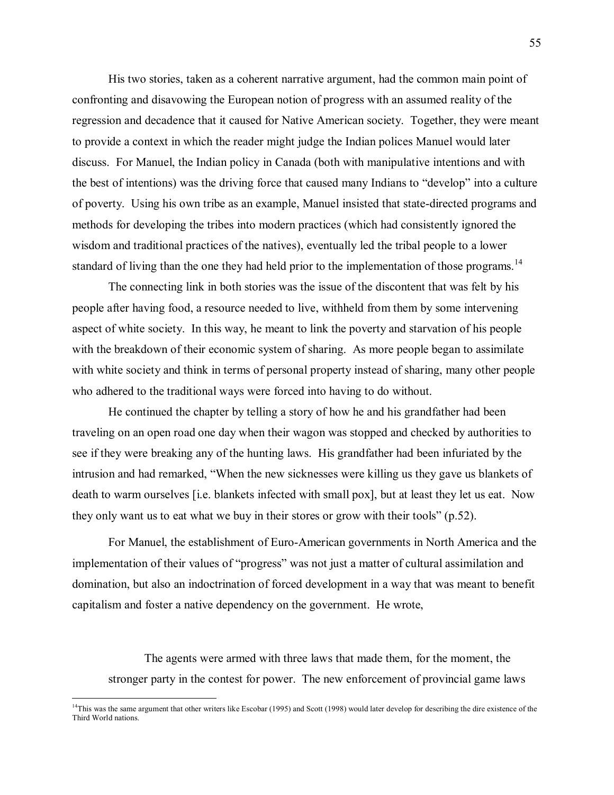His two stories, taken as a coherent narrative argument, had the common main point of confronting and disavowing the European notion of progress with an assumed reality of the regression and decadence that it caused for Native American society. Together, they were meant to provide a context in which the reader might judge the Indian polices Manuel would later discuss. For Manuel, the Indian policy in Canada (both with manipulative intentions and with the best of intentions) was the driving force that caused many Indians to "develop" into a culture of poverty. Using his own tribe as an example, Manuel insisted that state-directed programs and methods for developing the tribes into modern practices (which had consistently ignored the wisdom and traditional practices of the natives), eventually led the tribal people to a lower standard of living than the one they had held prior to the implementation of those programs.<sup>14</sup>

The connecting link in both stories was the issue of the discontent that was felt by his people after having food, a resource needed to live, withheld from them by some intervening aspect of white society. In this way, he meant to link the poverty and starvation of his people with the breakdown of their economic system of sharing. As more people began to assimilate with white society and think in terms of personal property instead of sharing, many other people who adhered to the traditional ways were forced into having to do without.

He continued the chapter by telling a story of how he and his grandfather had been traveling on an open road one day when their wagon was stopped and checked by authorities to see if they were breaking any of the hunting laws. His grandfather had been infuriated by the intrusion and had remarked, "When the new sicknesses were killing us they gave us blankets of death to warm ourselves [i.e. blankets infected with small pox], but at least they let us eat. Now they only want us to eat what we buy in their stores or grow with their tools"  $(p.52)$ .

For Manuel, the establishment of Euro-American governments in North America and the implementation of their values of "progress" was not just a matter of cultural assimilation and domination, but also an indoctrination of forced development in a way that was meant to benefit capitalism and foster a native dependency on the government. He wrote,

The agents were armed with three laws that made them, for the moment, the stronger party in the contest for power. The new enforcement of provincial game laws

 $\overline{a}$ 

 $14$ This was the same argument that other writers like Escobar (1995) and Scott (1998) would later develop for describing the dire existence of the Third World nations.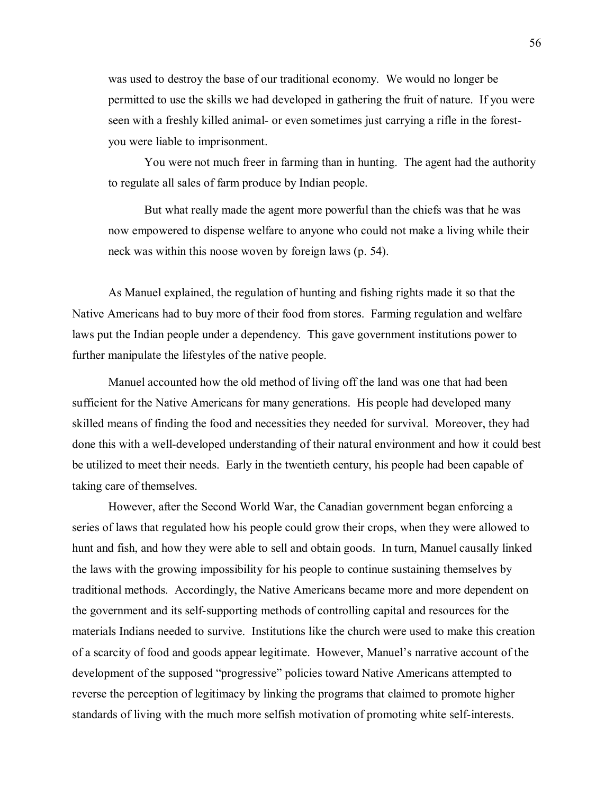was used to destroy the base of our traditional economy. We would no longer be permitted to use the skills we had developed in gathering the fruit of nature. If you were seen with a freshly killed animal- or even sometimes just carrying a rifle in the forestyou were liable to imprisonment.

You were not much freer in farming than in hunting. The agent had the authority to regulate all sales of farm produce by Indian people.

But what really made the agent more powerful than the chiefs was that he was now empowered to dispense welfare to anyone who could not make a living while their neck was within this noose woven by foreign laws (p. 54).

As Manuel explained, the regulation of hunting and fishing rights made it so that the Native Americans had to buy more of their food from stores. Farming regulation and welfare laws put the Indian people under a dependency. This gave government institutions power to further manipulate the lifestyles of the native people.

Manuel accounted how the old method of living off the land was one that had been sufficient for the Native Americans for many generations. His people had developed many skilled means of finding the food and necessities they needed for survival. Moreover, they had done this with a well-developed understanding of their natural environment and how it could best be utilized to meet their needs. Early in the twentieth century, his people had been capable of taking care of themselves.

However, after the Second World War, the Canadian government began enforcing a series of laws that regulated how his people could grow their crops, when they were allowed to hunt and fish, and how they were able to sell and obtain goods. In turn, Manuel causally linked the laws with the growing impossibility for his people to continue sustaining themselves by traditional methods. Accordingly, the Native Americans became more and more dependent on the government and its self-supporting methods of controlling capital and resources for the materials Indians needed to survive. Institutions like the church were used to make this creation of a scarcity of food and goods appear legitimate. However, Manuelís narrative account of the development of the supposed "progressive" policies toward Native Americans attempted to reverse the perception of legitimacy by linking the programs that claimed to promote higher standards of living with the much more selfish motivation of promoting white self-interests.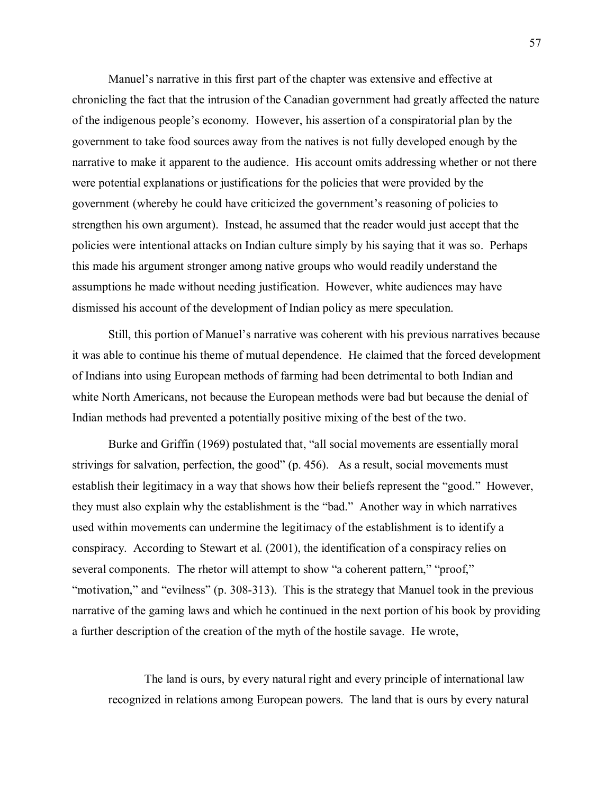Manuel's narrative in this first part of the chapter was extensive and effective at chronicling the fact that the intrusion of the Canadian government had greatly affected the nature of the indigenous people's economy. However, his assertion of a conspiratorial plan by the government to take food sources away from the natives is not fully developed enough by the narrative to make it apparent to the audience. His account omits addressing whether or not there were potential explanations or justifications for the policies that were provided by the government (whereby he could have criticized the government's reasoning of policies to strengthen his own argument). Instead, he assumed that the reader would just accept that the policies were intentional attacks on Indian culture simply by his saying that it was so. Perhaps this made his argument stronger among native groups who would readily understand the assumptions he made without needing justification. However, white audiences may have dismissed his account of the development of Indian policy as mere speculation.

Still, this portion of Manuel's narrative was coherent with his previous narratives because it was able to continue his theme of mutual dependence. He claimed that the forced development of Indians into using European methods of farming had been detrimental to both Indian and white North Americans, not because the European methods were bad but because the denial of Indian methods had prevented a potentially positive mixing of the best of the two.

Burke and Griffin (1969) postulated that, "all social movements are essentially moral strivings for salvation, perfection, the good"  $(p. 456)$ . As a result, social movements must establish their legitimacy in a way that shows how their beliefs represent the "good." However, they must also explain why the establishment is the "bad." Another way in which narratives used within movements can undermine the legitimacy of the establishment is to identify a conspiracy. According to Stewart et al. (2001), the identification of a conspiracy relies on several components. The rhetor will attempt to show "a coherent pattern," "proof," "motivation," and "evilness" (p. 308-313). This is the strategy that Manuel took in the previous narrative of the gaming laws and which he continued in the next portion of his book by providing a further description of the creation of the myth of the hostile savage. He wrote,

The land is ours, by every natural right and every principle of international law recognized in relations among European powers. The land that is ours by every natural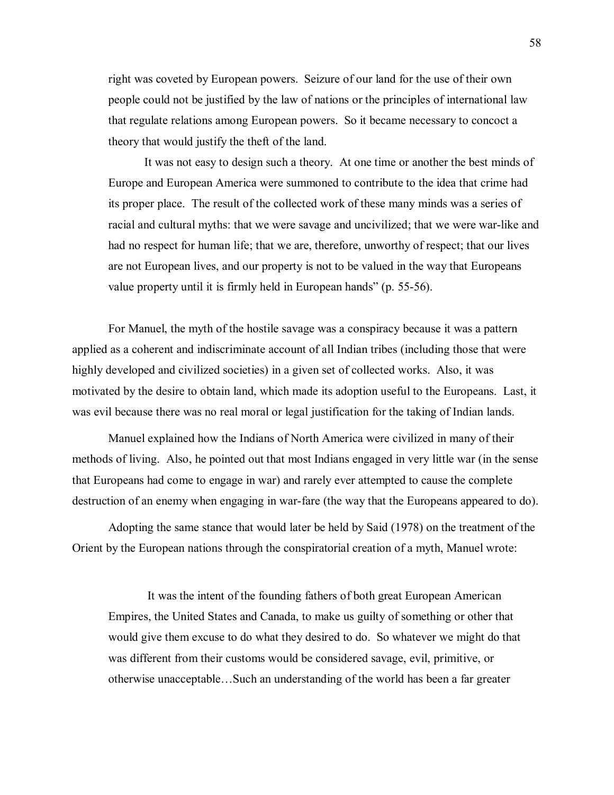right was coveted by European powers. Seizure of our land for the use of their own people could not be justified by the law of nations or the principles of international law that regulate relations among European powers. So it became necessary to concoct a theory that would justify the theft of the land.

It was not easy to design such a theory. At one time or another the best minds of Europe and European America were summoned to contribute to the idea that crime had its proper place. The result of the collected work of these many minds was a series of racial and cultural myths: that we were savage and uncivilized; that we were war-like and had no respect for human life; that we are, therefore, unworthy of respect; that our lives are not European lives, and our property is not to be valued in the way that Europeans value property until it is firmly held in European hands" (p. 55-56).

For Manuel, the myth of the hostile savage was a conspiracy because it was a pattern applied as a coherent and indiscriminate account of all Indian tribes (including those that were highly developed and civilized societies) in a given set of collected works. Also, it was motivated by the desire to obtain land, which made its adoption useful to the Europeans. Last, it was evil because there was no real moral or legal justification for the taking of Indian lands.

Manuel explained how the Indians of North America were civilized in many of their methods of living. Also, he pointed out that most Indians engaged in very little war (in the sense that Europeans had come to engage in war) and rarely ever attempted to cause the complete destruction of an enemy when engaging in war-fare (the way that the Europeans appeared to do).

Adopting the same stance that would later be held by Said (1978) on the treatment of the Orient by the European nations through the conspiratorial creation of a myth, Manuel wrote:

 It was the intent of the founding fathers of both great European American Empires, the United States and Canada, to make us guilty of something or other that would give them excuse to do what they desired to do. So whatever we might do that was different from their customs would be considered savage, evil, primitive, or otherwise unacceptable...Such an understanding of the world has been a far greater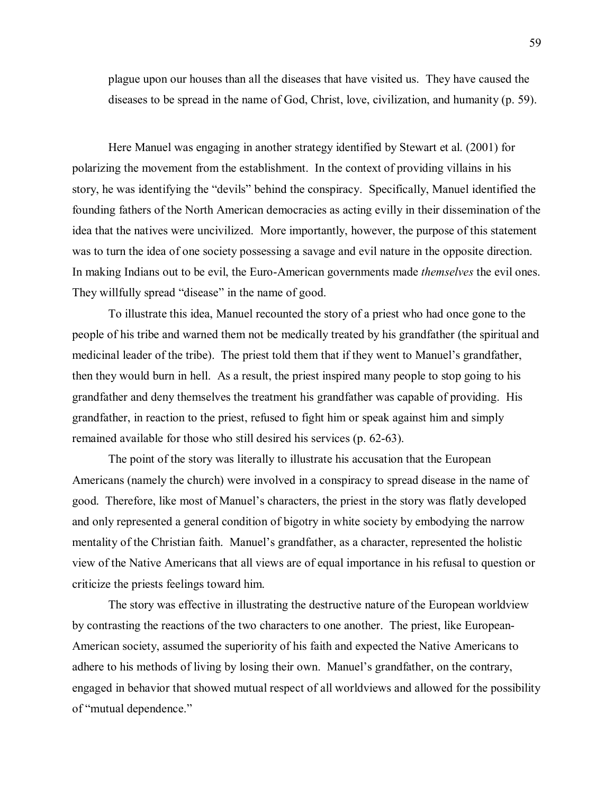plague upon our houses than all the diseases that have visited us. They have caused the diseases to be spread in the name of God, Christ, love, civilization, and humanity (p. 59).

Here Manuel was engaging in another strategy identified by Stewart et al. (2001) for polarizing the movement from the establishment. In the context of providing villains in his story, he was identifying the "devils" behind the conspiracy. Specifically, Manuel identified the founding fathers of the North American democracies as acting evilly in their dissemination of the idea that the natives were uncivilized. More importantly, however, the purpose of this statement was to turn the idea of one society possessing a savage and evil nature in the opposite direction. In making Indians out to be evil, the Euro-American governments made *themselves* the evil ones. They willfully spread "disease" in the name of good.

To illustrate this idea, Manuel recounted the story of a priest who had once gone to the people of his tribe and warned them not be medically treated by his grandfather (the spiritual and medicinal leader of the tribe). The priest told them that if they went to Manuel's grandfather, then they would burn in hell. As a result, the priest inspired many people to stop going to his grandfather and deny themselves the treatment his grandfather was capable of providing. His grandfather, in reaction to the priest, refused to fight him or speak against him and simply remained available for those who still desired his services (p. 62-63).

The point of the story was literally to illustrate his accusation that the European Americans (namely the church) were involved in a conspiracy to spread disease in the name of good. Therefore, like most of Manuel's characters, the priest in the story was flatly developed and only represented a general condition of bigotry in white society by embodying the narrow mentality of the Christian faith. Manuel's grandfather, as a character, represented the holistic view of the Native Americans that all views are of equal importance in his refusal to question or criticize the priests feelings toward him.

The story was effective in illustrating the destructive nature of the European worldview by contrasting the reactions of the two characters to one another. The priest, like European-American society, assumed the superiority of his faith and expected the Native Americans to adhere to his methods of living by losing their own. Manuel's grandfather, on the contrary, engaged in behavior that showed mutual respect of all worldviews and allowed for the possibility of "mutual dependence."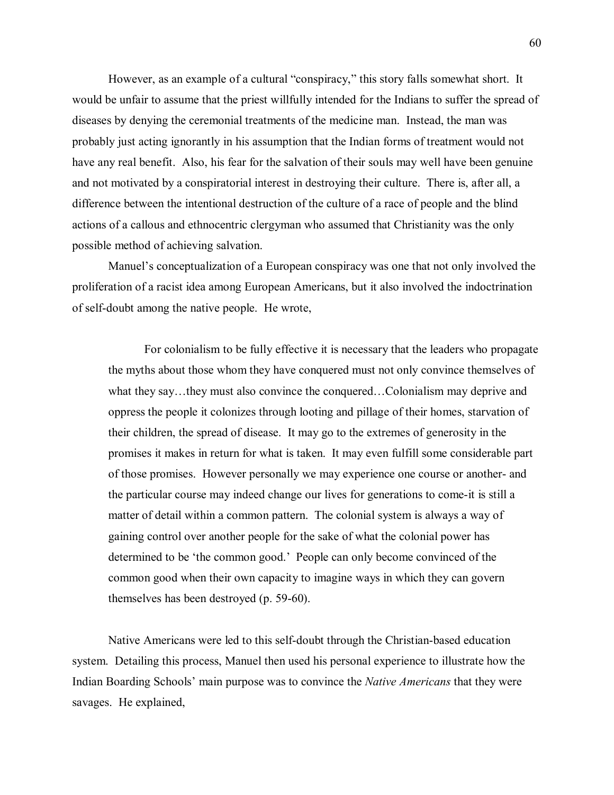However, as an example of a cultural "conspiracy," this story falls somewhat short. It would be unfair to assume that the priest willfully intended for the Indians to suffer the spread of diseases by denying the ceremonial treatments of the medicine man. Instead, the man was probably just acting ignorantly in his assumption that the Indian forms of treatment would not have any real benefit. Also, his fear for the salvation of their souls may well have been genuine and not motivated by a conspiratorial interest in destroying their culture. There is, after all, a difference between the intentional destruction of the culture of a race of people and the blind actions of a callous and ethnocentric clergyman who assumed that Christianity was the only possible method of achieving salvation.

Manuel's conceptualization of a European conspiracy was one that not only involved the proliferation of a racist idea among European Americans, but it also involved the indoctrination of self-doubt among the native people. He wrote,

For colonialism to be fully effective it is necessary that the leaders who propagate the myths about those whom they have conquered must not only convince themselves of what they say...they must also convince the conquered...Colonialism may deprive and oppress the people it colonizes through looting and pillage of their homes, starvation of their children, the spread of disease. It may go to the extremes of generosity in the promises it makes in return for what is taken. It may even fulfill some considerable part of those promises. However personally we may experience one course or another- and the particular course may indeed change our lives for generations to come-it is still a matter of detail within a common pattern. The colonial system is always a way of gaining control over another people for the sake of what the colonial power has determined to be 'the common good.' People can only become convinced of the common good when their own capacity to imagine ways in which they can govern themselves has been destroyed (p. 59-60).

Native Americans were led to this self-doubt through the Christian-based education system. Detailing this process, Manuel then used his personal experience to illustrate how the Indian Boarding Schools' main purpose was to convince the *Native Americans* that they were savages. He explained,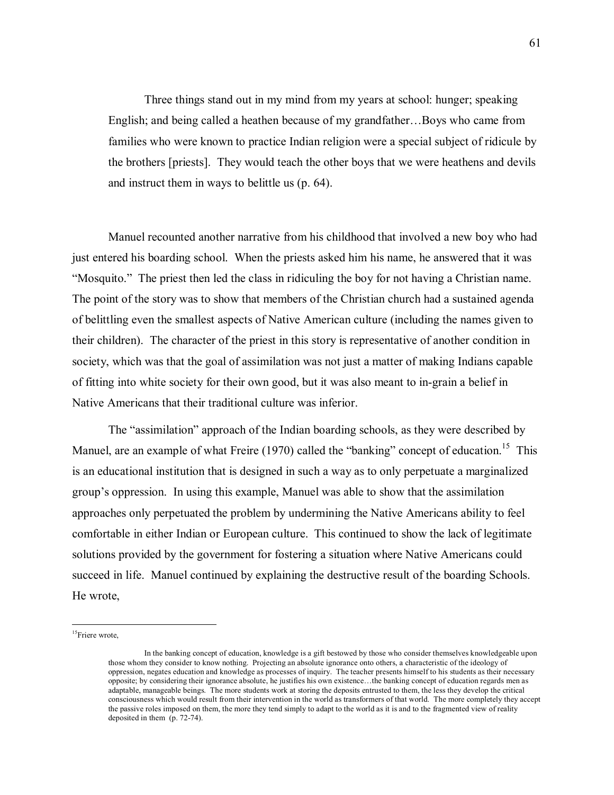Three things stand out in my mind from my years at school: hunger; speaking English; and being called a heathen because of my grandfather...Boys who came from families who were known to practice Indian religion were a special subject of ridicule by the brothers [priests]. They would teach the other boys that we were heathens and devils and instruct them in ways to belittle us (p. 64).

Manuel recounted another narrative from his childhood that involved a new boy who had just entered his boarding school. When the priests asked him his name, he answered that it was ìMosquito.î The priest then led the class in ridiculing the boy for not having a Christian name. The point of the story was to show that members of the Christian church had a sustained agenda of belittling even the smallest aspects of Native American culture (including the names given to their children). The character of the priest in this story is representative of another condition in society, which was that the goal of assimilation was not just a matter of making Indians capable of fitting into white society for their own good, but it was also meant to in-grain a belief in Native Americans that their traditional culture was inferior.

The "assimilation" approach of the Indian boarding schools, as they were described by Manuel, are an example of what Freire (1970) called the "banking" concept of education.<sup>15</sup> This is an educational institution that is designed in such a way as to only perpetuate a marginalized group's oppression. In using this example, Manuel was able to show that the assimilation approaches only perpetuated the problem by undermining the Native Americans ability to feel comfortable in either Indian or European culture. This continued to show the lack of legitimate solutions provided by the government for fostering a situation where Native Americans could succeed in life. Manuel continued by explaining the destructive result of the boarding Schools. He wrote,

<sup>15</sup>Friere wrote,

1

In the banking concept of education, knowledge is a gift bestowed by those who consider themselves knowledgeable upon those whom they consider to know nothing. Projecting an absolute ignorance onto others, a characteristic of the ideology of oppression, negates education and knowledge as processes of inquiry. The teacher presents himself to his students as their necessary opposite; by considering their ignorance absolute, he justifies his own existence...the banking concept of education regards men as adaptable, manageable beings. The more students work at storing the deposits entrusted to them, the less they develop the critical consciousness which would result from their intervention in the world as transformers of that world. The more completely they accept the passive roles imposed on them, the more they tend simply to adapt to the world as it is and to the fragmented view of reality deposited in them (p. 72-74).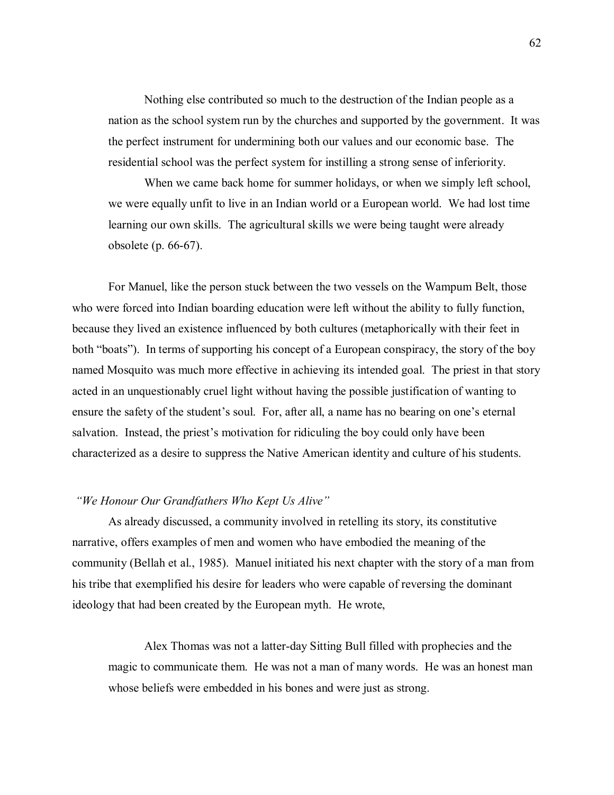Nothing else contributed so much to the destruction of the Indian people as a nation as the school system run by the churches and supported by the government. It was the perfect instrument for undermining both our values and our economic base. The residential school was the perfect system for instilling a strong sense of inferiority.

When we came back home for summer holidays, or when we simply left school, we were equally unfit to live in an Indian world or a European world. We had lost time learning our own skills. The agricultural skills we were being taught were already obsolete (p. 66-67).

For Manuel, like the person stuck between the two vessels on the Wampum Belt, those who were forced into Indian boarding education were left without the ability to fully function, because they lived an existence influenced by both cultures (metaphorically with their feet in both "boats"). In terms of supporting his concept of a European conspiracy, the story of the boy named Mosquito was much more effective in achieving its intended goal. The priest in that story acted in an unquestionably cruel light without having the possible justification of wanting to ensure the safety of the student's soul. For, after all, a name has no bearing on one's eternal salvation. Instead, the priest's motivation for ridiculing the boy could only have been characterized as a desire to suppress the Native American identity and culture of his students.

#### *"We Honour Our Grandfathers Who Kept Us Alive"*

As already discussed, a community involved in retelling its story, its constitutive narrative, offers examples of men and women who have embodied the meaning of the community (Bellah et al., 1985). Manuel initiated his next chapter with the story of a man from his tribe that exemplified his desire for leaders who were capable of reversing the dominant ideology that had been created by the European myth. He wrote,

Alex Thomas was not a latter-day Sitting Bull filled with prophecies and the magic to communicate them. He was not a man of many words. He was an honest man whose beliefs were embedded in his bones and were just as strong.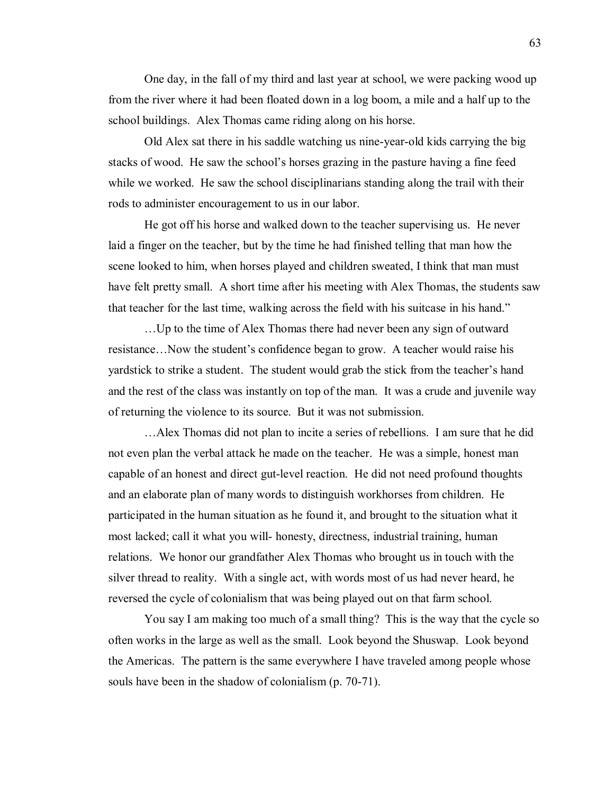One day, in the fall of my third and last year at school, we were packing wood up from the river where it had been floated down in a log boom, a mile and a half up to the school buildings. Alex Thomas came riding along on his horse.

Old Alex sat there in his saddle watching us nine-year-old kids carrying the big stacks of wood. He saw the school's horses grazing in the pasture having a fine feed while we worked. He saw the school disciplinarians standing along the trail with their rods to administer encouragement to us in our labor.

He got off his horse and walked down to the teacher supervising us. He never laid a finger on the teacher, but by the time he had finished telling that man how the scene looked to him, when horses played and children sweated, I think that man must have felt pretty small. A short time after his meeting with Alex Thomas, the students saw that teacher for the last time, walking across the field with his suitcase in his hand."

 $\ldots$  Up to the time of Alex Thomas there had never been any sign of outward resistance...Now the student's confidence began to grow. A teacher would raise his yardstick to strike a student. The student would grab the stick from the teacher's hand and the rest of the class was instantly on top of the man. It was a crude and juvenile way of returning the violence to its source. But it was not submission.

 $\ldots$  Alex Thomas did not plan to incite a series of rebellions. I am sure that he did not even plan the verbal attack he made on the teacher. He was a simple, honest man capable of an honest and direct gut-level reaction. He did not need profound thoughts and an elaborate plan of many words to distinguish workhorses from children. He participated in the human situation as he found it, and brought to the situation what it most lacked; call it what you will- honesty, directness, industrial training, human relations. We honor our grandfather Alex Thomas who brought us in touch with the silver thread to reality. With a single act, with words most of us had never heard, he reversed the cycle of colonialism that was being played out on that farm school.

You say I am making too much of a small thing? This is the way that the cycle so often works in the large as well as the small. Look beyond the Shuswap. Look beyond the Americas. The pattern is the same everywhere I have traveled among people whose souls have been in the shadow of colonialism (p. 70-71).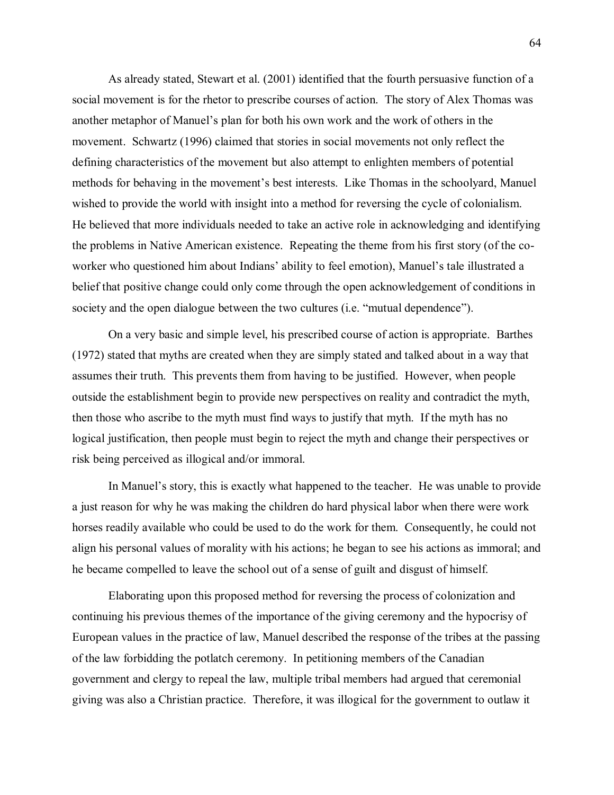As already stated, Stewart et al. (2001) identified that the fourth persuasive function of a social movement is for the rhetor to prescribe courses of action. The story of Alex Thomas was another metaphor of Manuel's plan for both his own work and the work of others in the movement. Schwartz (1996) claimed that stories in social movements not only reflect the defining characteristics of the movement but also attempt to enlighten members of potential methods for behaving in the movement's best interests. Like Thomas in the schoolyard, Manuel wished to provide the world with insight into a method for reversing the cycle of colonialism. He believed that more individuals needed to take an active role in acknowledging and identifying the problems in Native American existence. Repeating the theme from his first story (of the coworker who questioned him about Indians' ability to feel emotion), Manuel's tale illustrated a belief that positive change could only come through the open acknowledgement of conditions in society and the open dialogue between the two cultures (i.e. "mutual dependence").

On a very basic and simple level, his prescribed course of action is appropriate. Barthes (1972) stated that myths are created when they are simply stated and talked about in a way that assumes their truth. This prevents them from having to be justified. However, when people outside the establishment begin to provide new perspectives on reality and contradict the myth, then those who ascribe to the myth must find ways to justify that myth. If the myth has no logical justification, then people must begin to reject the myth and change their perspectives or risk being perceived as illogical and/or immoral.

In Manuel's story, this is exactly what happened to the teacher. He was unable to provide a just reason for why he was making the children do hard physical labor when there were work horses readily available who could be used to do the work for them. Consequently, he could not align his personal values of morality with his actions; he began to see his actions as immoral; and he became compelled to leave the school out of a sense of guilt and disgust of himself.

Elaborating upon this proposed method for reversing the process of colonization and continuing his previous themes of the importance of the giving ceremony and the hypocrisy of European values in the practice of law, Manuel described the response of the tribes at the passing of the law forbidding the potlatch ceremony. In petitioning members of the Canadian government and clergy to repeal the law, multiple tribal members had argued that ceremonial giving was also a Christian practice. Therefore, it was illogical for the government to outlaw it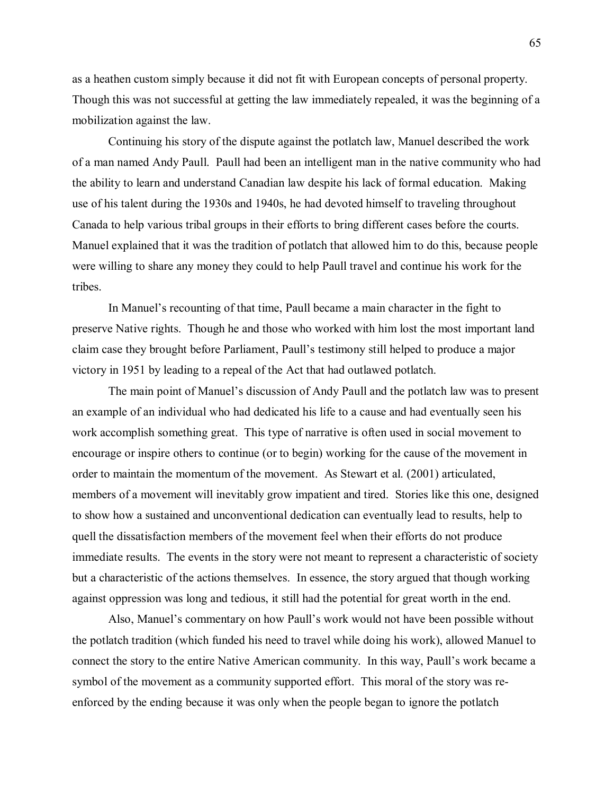as a heathen custom simply because it did not fit with European concepts of personal property. Though this was not successful at getting the law immediately repealed, it was the beginning of a mobilization against the law.

Continuing his story of the dispute against the potlatch law, Manuel described the work of a man named Andy Paull. Paull had been an intelligent man in the native community who had the ability to learn and understand Canadian law despite his lack of formal education. Making use of his talent during the 1930s and 1940s, he had devoted himself to traveling throughout Canada to help various tribal groups in their efforts to bring different cases before the courts. Manuel explained that it was the tradition of potlatch that allowed him to do this, because people were willing to share any money they could to help Paull travel and continue his work for the tribes.

In Manuel's recounting of that time, Paull became a main character in the fight to preserve Native rights. Though he and those who worked with him lost the most important land claim case they brought before Parliament, Paull's testimony still helped to produce a major victory in 1951 by leading to a repeal of the Act that had outlawed potlatch.

The main point of Manuel's discussion of Andy Paull and the potlatch law was to present an example of an individual who had dedicated his life to a cause and had eventually seen his work accomplish something great. This type of narrative is often used in social movement to encourage or inspire others to continue (or to begin) working for the cause of the movement in order to maintain the momentum of the movement. As Stewart et al. (2001) articulated, members of a movement will inevitably grow impatient and tired. Stories like this one, designed to show how a sustained and unconventional dedication can eventually lead to results, help to quell the dissatisfaction members of the movement feel when their efforts do not produce immediate results. The events in the story were not meant to represent a characteristic of society but a characteristic of the actions themselves. In essence, the story argued that though working against oppression was long and tedious, it still had the potential for great worth in the end.

Also, Manuel's commentary on how Paull's work would not have been possible without the potlatch tradition (which funded his need to travel while doing his work), allowed Manuel to connect the story to the entire Native American community. In this way, Paull's work became a symbol of the movement as a community supported effort. This moral of the story was reenforced by the ending because it was only when the people began to ignore the potlatch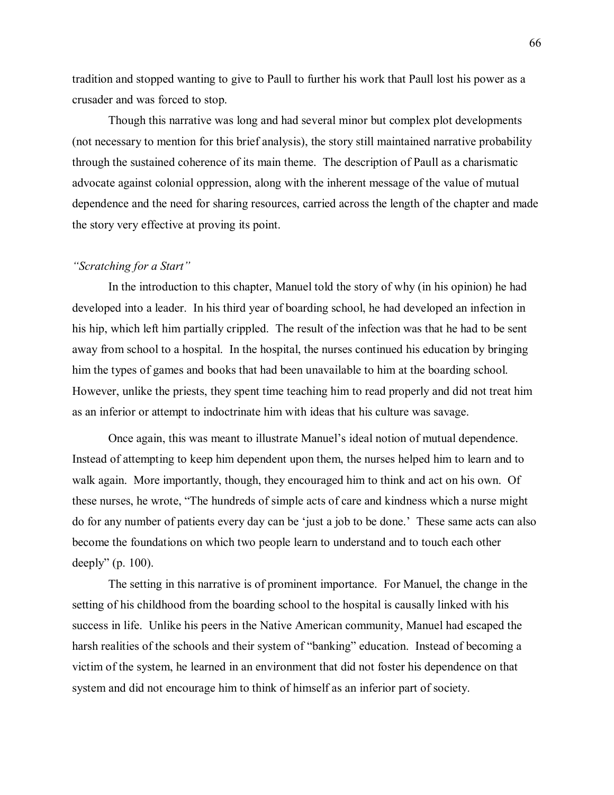tradition and stopped wanting to give to Paull to further his work that Paull lost his power as a crusader and was forced to stop.

Though this narrative was long and had several minor but complex plot developments (not necessary to mention for this brief analysis), the story still maintained narrative probability through the sustained coherence of its main theme. The description of Paull as a charismatic advocate against colonial oppression, along with the inherent message of the value of mutual dependence and the need for sharing resources, carried across the length of the chapter and made the story very effective at proving its point.

# *<sup><i>ªScratching for a Start <sup><i>***</sup>**</sup>

In the introduction to this chapter, Manuel told the story of why (in his opinion) he had developed into a leader. In his third year of boarding school, he had developed an infection in his hip, which left him partially crippled. The result of the infection was that he had to be sent away from school to a hospital. In the hospital, the nurses continued his education by bringing him the types of games and books that had been unavailable to him at the boarding school. However, unlike the priests, they spent time teaching him to read properly and did not treat him as an inferior or attempt to indoctrinate him with ideas that his culture was savage.

Once again, this was meant to illustrate Manuel's ideal notion of mutual dependence. Instead of attempting to keep him dependent upon them, the nurses helped him to learn and to walk again. More importantly, though, they encouraged him to think and act on his own. Of these nurses, he wrote, "The hundreds of simple acts of care and kindness which a nurse might do for any number of patients every day can be 'just a job to be done.' These same acts can also become the foundations on which two people learn to understand and to touch each other deeply" (p.  $100$ ).

The setting in this narrative is of prominent importance. For Manuel, the change in the setting of his childhood from the boarding school to the hospital is causally linked with his success in life. Unlike his peers in the Native American community, Manuel had escaped the harsh realities of the schools and their system of "banking" education. Instead of becoming a victim of the system, he learned in an environment that did not foster his dependence on that system and did not encourage him to think of himself as an inferior part of society.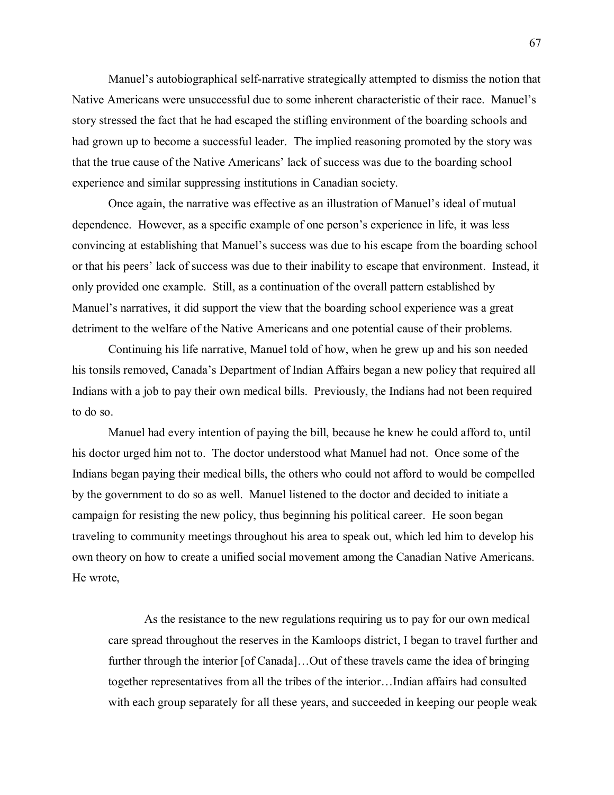Manuel's autobiographical self-narrative strategically attempted to dismiss the notion that Native Americans were unsuccessful due to some inherent characteristic of their race. Manuel's story stressed the fact that he had escaped the stifling environment of the boarding schools and had grown up to become a successful leader. The implied reasoning promoted by the story was that the true cause of the Native Americans' lack of success was due to the boarding school experience and similar suppressing institutions in Canadian society.

Once again, the narrative was effective as an illustration of Manuel's ideal of mutual dependence. However, as a specific example of one person's experience in life, it was less convincing at establishing that Manuel's success was due to his escape from the boarding school or that his peers' lack of success was due to their inability to escape that environment. Instead, it only provided one example. Still, as a continuation of the overall pattern established by Manuel's narratives, it did support the view that the boarding school experience was a great detriment to the welfare of the Native Americans and one potential cause of their problems.

Continuing his life narrative, Manuel told of how, when he grew up and his son needed his tonsils removed, Canada's Department of Indian Affairs began a new policy that required all Indians with a job to pay their own medical bills. Previously, the Indians had not been required to do so.

Manuel had every intention of paying the bill, because he knew he could afford to, until his doctor urged him not to. The doctor understood what Manuel had not. Once some of the Indians began paying their medical bills, the others who could not afford to would be compelled by the government to do so as well. Manuel listened to the doctor and decided to initiate a campaign for resisting the new policy, thus beginning his political career. He soon began traveling to community meetings throughout his area to speak out, which led him to develop his own theory on how to create a unified social movement among the Canadian Native Americans. He wrote,

As the resistance to the new regulations requiring us to pay for our own medical care spread throughout the reserves in the Kamloops district, I began to travel further and further through the interior  $\lceil$  of Canada $\rceil$ ... Out of these travels came the idea of bringing together representatives from all the tribes of the interior...Indian affairs had consulted with each group separately for all these years, and succeeded in keeping our people weak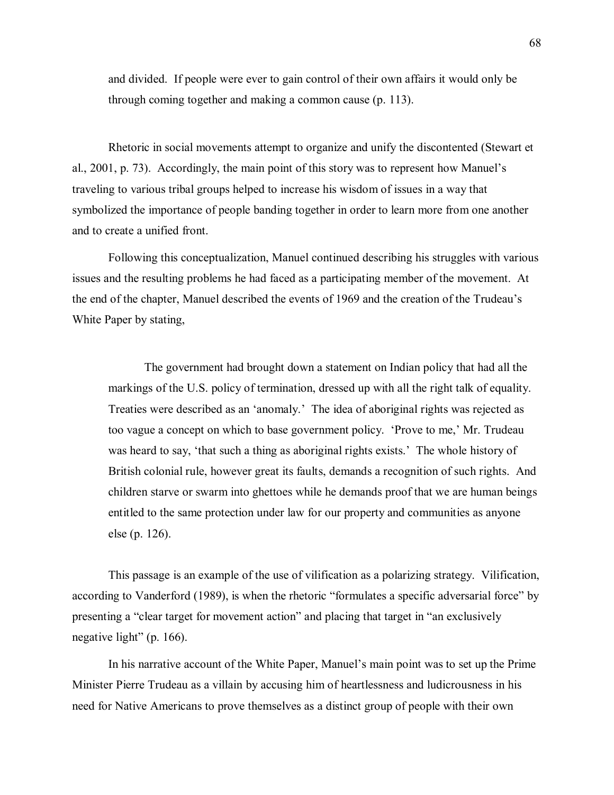and divided. If people were ever to gain control of their own affairs it would only be through coming together and making a common cause (p. 113).

Rhetoric in social movements attempt to organize and unify the discontented (Stewart et al., 2001, p. 73). Accordingly, the main point of this story was to represent how Manuelís traveling to various tribal groups helped to increase his wisdom of issues in a way that symbolized the importance of people banding together in order to learn more from one another and to create a unified front.

Following this conceptualization, Manuel continued describing his struggles with various issues and the resulting problems he had faced as a participating member of the movement. At the end of the chapter, Manuel described the events of 1969 and the creation of the Trudeauís White Paper by stating,

The government had brought down a statement on Indian policy that had all the markings of the U.S. policy of termination, dressed up with all the right talk of equality. Treaties were described as an 'anomaly.' The idea of aboriginal rights was rejected as too vague a concept on which to base government policy. 'Prove to me,' Mr. Trudeau was heard to say, 'that such a thing as aboriginal rights exists.' The whole history of British colonial rule, however great its faults, demands a recognition of such rights. And children starve or swarm into ghettoes while he demands proof that we are human beings entitled to the same protection under law for our property and communities as anyone else (p. 126).

This passage is an example of the use of vilification as a polarizing strategy. Vilification, according to Vanderford (1989), is when the rhetoric "formulates a specific adversarial force" by presenting a "clear target for movement action" and placing that target in "an exclusively negative light" (p. 166).

In his narrative account of the White Paper, Manuel's main point was to set up the Prime Minister Pierre Trudeau as a villain by accusing him of heartlessness and ludicrousness in his need for Native Americans to prove themselves as a distinct group of people with their own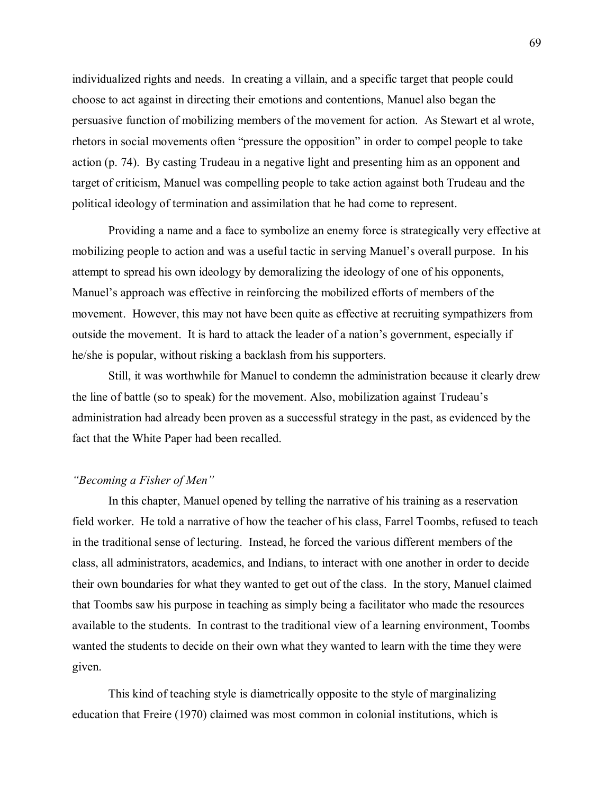individualized rights and needs. In creating a villain, and a specific target that people could choose to act against in directing their emotions and contentions, Manuel also began the persuasive function of mobilizing members of the movement for action. As Stewart et al wrote, rhetors in social movements often "pressure the opposition" in order to compel people to take action (p. 74). By casting Trudeau in a negative light and presenting him as an opponent and target of criticism, Manuel was compelling people to take action against both Trudeau and the political ideology of termination and assimilation that he had come to represent.

Providing a name and a face to symbolize an enemy force is strategically very effective at mobilizing people to action and was a useful tactic in serving Manuel's overall purpose. In his attempt to spread his own ideology by demoralizing the ideology of one of his opponents, Manuel's approach was effective in reinforcing the mobilized efforts of members of the movement. However, this may not have been quite as effective at recruiting sympathizers from outside the movement. It is hard to attack the leader of a nation's government, especially if he/she is popular, without risking a backlash from his supporters.

Still, it was worthwhile for Manuel to condemn the administration because it clearly drew the line of battle (so to speak) for the movement. Also, mobilization against Trudeau's administration had already been proven as a successful strategy in the past, as evidenced by the fact that the White Paper had been recalled.

# *ìBecoming a Fisher of Menî*

In this chapter, Manuel opened by telling the narrative of his training as a reservation field worker. He told a narrative of how the teacher of his class, Farrel Toombs, refused to teach in the traditional sense of lecturing. Instead, he forced the various different members of the class, all administrators, academics, and Indians, to interact with one another in order to decide their own boundaries for what they wanted to get out of the class. In the story, Manuel claimed that Toombs saw his purpose in teaching as simply being a facilitator who made the resources available to the students. In contrast to the traditional view of a learning environment, Toombs wanted the students to decide on their own what they wanted to learn with the time they were given.

This kind of teaching style is diametrically opposite to the style of marginalizing education that Freire (1970) claimed was most common in colonial institutions, which is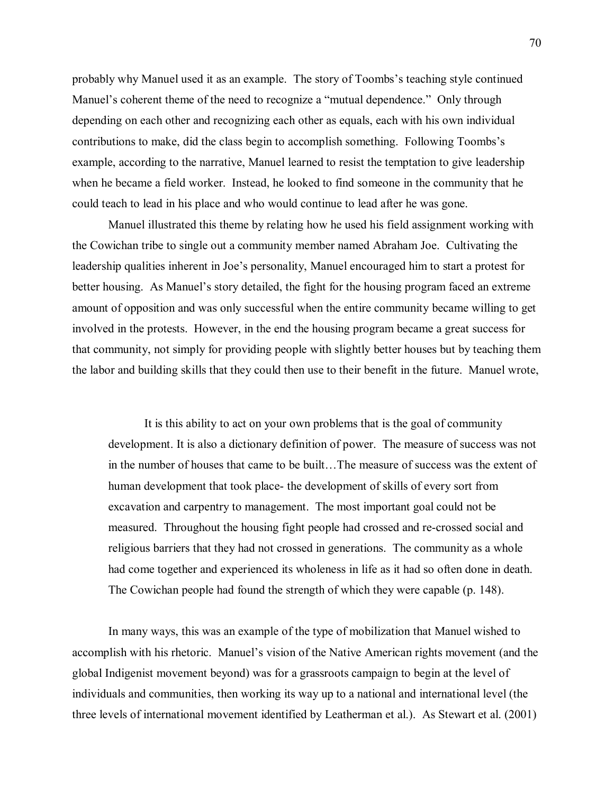probably why Manuel used it as an example. The story of Toombs's teaching style continued Manuel's coherent theme of the need to recognize a "mutual dependence." Only through depending on each other and recognizing each other as equals, each with his own individual contributions to make, did the class begin to accomplish something. Following Toombs's example, according to the narrative, Manuel learned to resist the temptation to give leadership when he became a field worker. Instead, he looked to find someone in the community that he could teach to lead in his place and who would continue to lead after he was gone.

Manuel illustrated this theme by relating how he used his field assignment working with the Cowichan tribe to single out a community member named Abraham Joe. Cultivating the leadership qualities inherent in Joe's personality, Manuel encouraged him to start a protest for better housing. As Manuel's story detailed, the fight for the housing program faced an extreme amount of opposition and was only successful when the entire community became willing to get involved in the protests. However, in the end the housing program became a great success for that community, not simply for providing people with slightly better houses but by teaching them the labor and building skills that they could then use to their benefit in the future. Manuel wrote,

It is this ability to act on your own problems that is the goal of community development. It is also a dictionary definition of power. The measure of success was not in the number of houses that came to be built...The measure of success was the extent of human development that took place- the development of skills of every sort from excavation and carpentry to management. The most important goal could not be measured. Throughout the housing fight people had crossed and re-crossed social and religious barriers that they had not crossed in generations. The community as a whole had come together and experienced its wholeness in life as it had so often done in death. The Cowichan people had found the strength of which they were capable (p. 148).

In many ways, this was an example of the type of mobilization that Manuel wished to accomplish with his rhetoric. Manuel's vision of the Native American rights movement (and the global Indigenist movement beyond) was for a grassroots campaign to begin at the level of individuals and communities, then working its way up to a national and international level (the three levels of international movement identified by Leatherman et al.). As Stewart et al. (2001)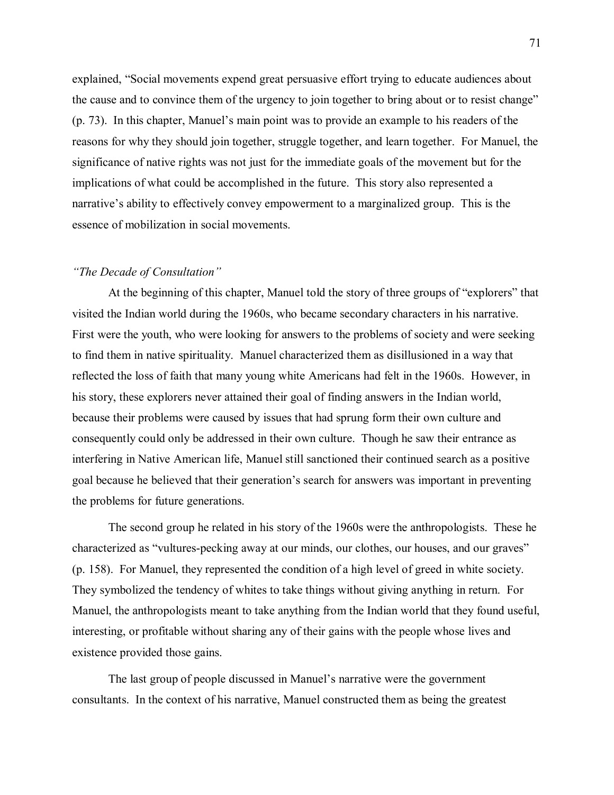explained, "Social movements expend great persuasive effort trying to educate audiences about the cause and to convince them of the urgency to join together to bring about or to resist change"  $(p. 73)$ . In this chapter, Manuel's main point was to provide an example to his readers of the reasons for why they should join together, struggle together, and learn together. For Manuel, the significance of native rights was not just for the immediate goals of the movement but for the implications of what could be accomplished in the future. This story also represented a narrative's ability to effectively convey empowerment to a marginalized group. This is the essence of mobilization in social movements.

## *<sup><i>ªThe Decade of Consultation*</sup>

At the beginning of this chapter, Manuel told the story of three groups of "explorers" that visited the Indian world during the 1960s, who became secondary characters in his narrative. First were the youth, who were looking for answers to the problems of society and were seeking to find them in native spirituality. Manuel characterized them as disillusioned in a way that reflected the loss of faith that many young white Americans had felt in the 1960s. However, in his story, these explorers never attained their goal of finding answers in the Indian world, because their problems were caused by issues that had sprung form their own culture and consequently could only be addressed in their own culture. Though he saw their entrance as interfering in Native American life, Manuel still sanctioned their continued search as a positive goal because he believed that their generation's search for answers was important in preventing the problems for future generations.

The second group he related in his story of the 1960s were the anthropologists. These he characterized as "vultures-pecking away at our minds, our clothes, our houses, and our graves" (p. 158). For Manuel, they represented the condition of a high level of greed in white society. They symbolized the tendency of whites to take things without giving anything in return. For Manuel, the anthropologists meant to take anything from the Indian world that they found useful, interesting, or profitable without sharing any of their gains with the people whose lives and existence provided those gains.

The last group of people discussed in Manuel's narrative were the government consultants. In the context of his narrative, Manuel constructed them as being the greatest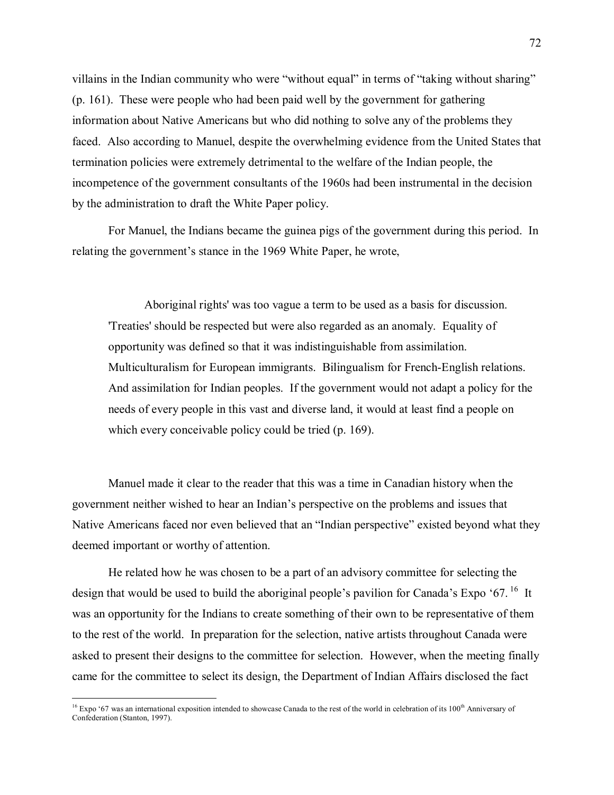villains in the Indian community who were "without equal" in terms of "taking without sharing" (p. 161). These were people who had been paid well by the government for gathering information about Native Americans but who did nothing to solve any of the problems they faced. Also according to Manuel, despite the overwhelming evidence from the United States that termination policies were extremely detrimental to the welfare of the Indian people, the incompetence of the government consultants of the 1960s had been instrumental in the decision by the administration to draft the White Paper policy.

For Manuel, the Indians became the guinea pigs of the government during this period. In relating the government's stance in the 1969 White Paper, he wrote,

Aboriginal rights' was too vague a term to be used as a basis for discussion. 'Treaties' should be respected but were also regarded as an anomaly. Equality of opportunity was defined so that it was indistinguishable from assimilation. Multiculturalism for European immigrants. Bilingualism for French-English relations. And assimilation for Indian peoples. If the government would not adapt a policy for the needs of every people in this vast and diverse land, it would at least find a people on which every conceivable policy could be tried (p. 169).

Manuel made it clear to the reader that this was a time in Canadian history when the government neither wished to hear an Indianís perspective on the problems and issues that Native Americans faced nor even believed that an "Indian perspective" existed beyond what they deemed important or worthy of attention.

He related how he was chosen to be a part of an advisory committee for selecting the design that would be used to build the aboriginal people's pavilion for Canada's Expo '67.<sup>16</sup> It was an opportunity for the Indians to create something of their own to be representative of them to the rest of the world. In preparation for the selection, native artists throughout Canada were asked to present their designs to the committee for selection. However, when the meeting finally came for the committee to select its design, the Department of Indian Affairs disclosed the fact

 $\overline{a}$ 

<sup>&</sup>lt;sup>16</sup> Expo '67 was an international exposition intended to showcase Canada to the rest of the world in celebration of its  $100<sup>th</sup>$  Anniversary of Confederation (Stanton, 1997).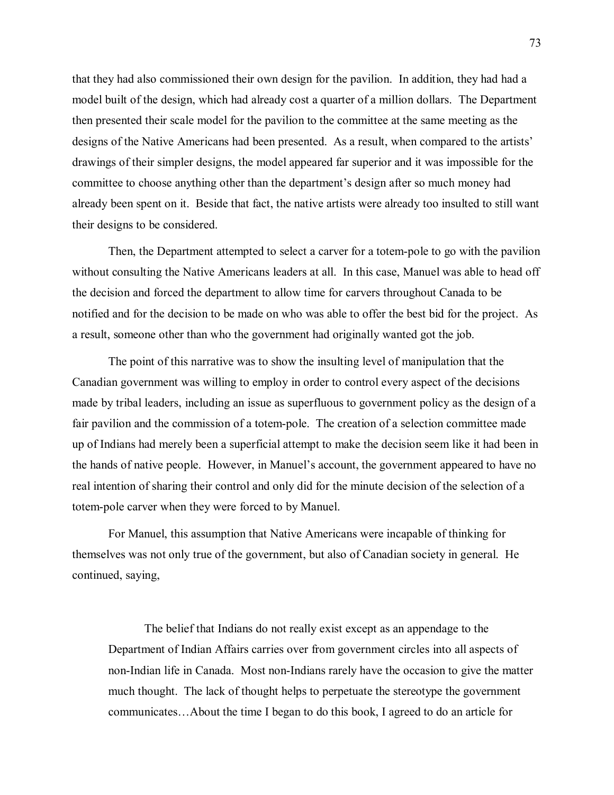that they had also commissioned their own design for the pavilion. In addition, they had had a model built of the design, which had already cost a quarter of a million dollars. The Department then presented their scale model for the pavilion to the committee at the same meeting as the designs of the Native Americans had been presented. As a result, when compared to the artists' drawings of their simpler designs, the model appeared far superior and it was impossible for the committee to choose anything other than the department's design after so much money had already been spent on it. Beside that fact, the native artists were already too insulted to still want their designs to be considered.

Then, the Department attempted to select a carver for a totem-pole to go with the pavilion without consulting the Native Americans leaders at all. In this case, Manuel was able to head off the decision and forced the department to allow time for carvers throughout Canada to be notified and for the decision to be made on who was able to offer the best bid for the project. As a result, someone other than who the government had originally wanted got the job.

The point of this narrative was to show the insulting level of manipulation that the Canadian government was willing to employ in order to control every aspect of the decisions made by tribal leaders, including an issue as superfluous to government policy as the design of a fair pavilion and the commission of a totem-pole. The creation of a selection committee made up of Indians had merely been a superficial attempt to make the decision seem like it had been in the hands of native people. However, in Manuel's account, the government appeared to have no real intention of sharing their control and only did for the minute decision of the selection of a totem-pole carver when they were forced to by Manuel.

For Manuel, this assumption that Native Americans were incapable of thinking for themselves was not only true of the government, but also of Canadian society in general. He continued, saying,

The belief that Indians do not really exist except as an appendage to the Department of Indian Affairs carries over from government circles into all aspects of non-Indian life in Canada. Most non-Indians rarely have the occasion to give the matter much thought. The lack of thought helps to perpetuate the stereotype the government communicates...About the time I began to do this book, I agreed to do an article for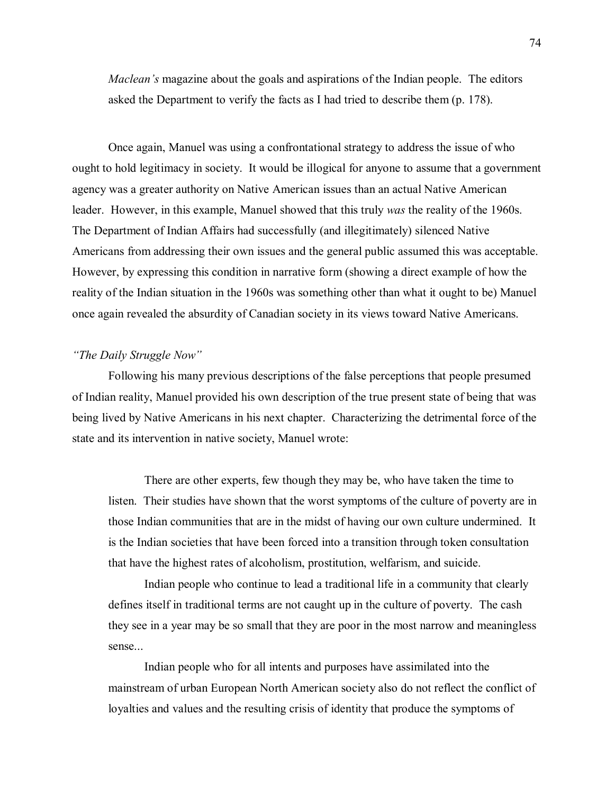*Maclean's* magazine about the goals and aspirations of the Indian people. The editors asked the Department to verify the facts as I had tried to describe them (p. 178).

Once again, Manuel was using a confrontational strategy to address the issue of who ought to hold legitimacy in society. It would be illogical for anyone to assume that a government agency was a greater authority on Native American issues than an actual Native American leader. However, in this example, Manuel showed that this truly *was* the reality of the 1960s. The Department of Indian Affairs had successfully (and illegitimately) silenced Native Americans from addressing their own issues and the general public assumed this was acceptable. However, by expressing this condition in narrative form (showing a direct example of how the reality of the Indian situation in the 1960s was something other than what it ought to be) Manuel once again revealed the absurdity of Canadian society in its views toward Native Americans.

#### *<sup><i>ªThe Daily Struggle Now*</sup>

Following his many previous descriptions of the false perceptions that people presumed of Indian reality, Manuel provided his own description of the true present state of being that was being lived by Native Americans in his next chapter. Characterizing the detrimental force of the state and its intervention in native society, Manuel wrote:

There are other experts, few though they may be, who have taken the time to listen. Their studies have shown that the worst symptoms of the culture of poverty are in those Indian communities that are in the midst of having our own culture undermined. It is the Indian societies that have been forced into a transition through token consultation that have the highest rates of alcoholism, prostitution, welfarism, and suicide.

Indian people who continue to lead a traditional life in a community that clearly defines itself in traditional terms are not caught up in the culture of poverty. The cash they see in a year may be so small that they are poor in the most narrow and meaningless sense...

Indian people who for all intents and purposes have assimilated into the mainstream of urban European North American society also do not reflect the conflict of loyalties and values and the resulting crisis of identity that produce the symptoms of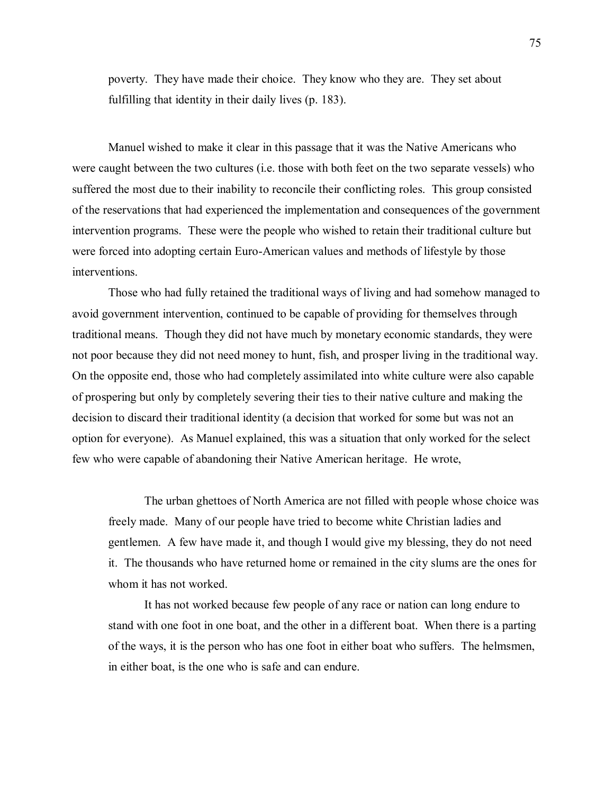poverty. They have made their choice. They know who they are. They set about fulfilling that identity in their daily lives (p. 183).

Manuel wished to make it clear in this passage that it was the Native Americans who were caught between the two cultures (i.e. those with both feet on the two separate vessels) who suffered the most due to their inability to reconcile their conflicting roles. This group consisted of the reservations that had experienced the implementation and consequences of the government intervention programs. These were the people who wished to retain their traditional culture but were forced into adopting certain Euro-American values and methods of lifestyle by those interventions.

Those who had fully retained the traditional ways of living and had somehow managed to avoid government intervention, continued to be capable of providing for themselves through traditional means. Though they did not have much by monetary economic standards, they were not poor because they did not need money to hunt, fish, and prosper living in the traditional way. On the opposite end, those who had completely assimilated into white culture were also capable of prospering but only by completely severing their ties to their native culture and making the decision to discard their traditional identity (a decision that worked for some but was not an option for everyone). As Manuel explained, this was a situation that only worked for the select few who were capable of abandoning their Native American heritage. He wrote,

The urban ghettoes of North America are not filled with people whose choice was freely made. Many of our people have tried to become white Christian ladies and gentlemen. A few have made it, and though I would give my blessing, they do not need it. The thousands who have returned home or remained in the city slums are the ones for whom it has not worked.

It has not worked because few people of any race or nation can long endure to stand with one foot in one boat, and the other in a different boat. When there is a parting of the ways, it is the person who has one foot in either boat who suffers. The helmsmen, in either boat, is the one who is safe and can endure.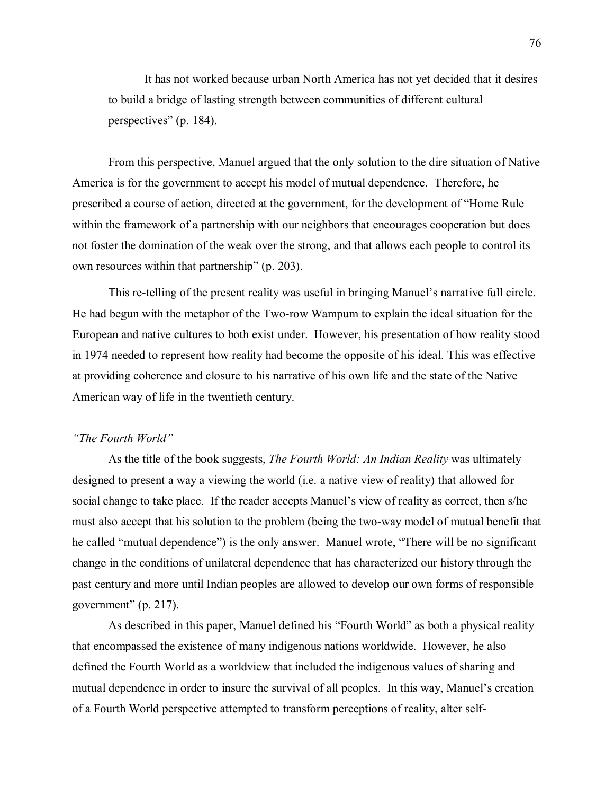It has not worked because urban North America has not yet decided that it desires to build a bridge of lasting strength between communities of different cultural perspectives" (p. 184).

From this perspective, Manuel argued that the only solution to the dire situation of Native America is for the government to accept his model of mutual dependence. Therefore, he prescribed a course of action, directed at the government, for the development of "Home Rule" within the framework of a partnership with our neighbors that encourages cooperation but does not foster the domination of the weak over the strong, and that allows each people to control its own resources within that partnership"  $(p. 203)$ .

This re-telling of the present reality was useful in bringing Manuel's narrative full circle. He had begun with the metaphor of the Two-row Wampum to explain the ideal situation for the European and native cultures to both exist under. However, his presentation of how reality stood in 1974 needed to represent how reality had become the opposite of his ideal. This was effective at providing coherence and closure to his narrative of his own life and the state of the Native American way of life in the twentieth century.

## *<sup>"The Fourth World"*</sup>

As the title of the book suggests, *The Fourth World: An Indian Reality* was ultimately designed to present a way a viewing the world (i.e. a native view of reality) that allowed for social change to take place. If the reader accepts Manuel's view of reality as correct, then s/he must also accept that his solution to the problem (being the two-way model of mutual benefit that he called "mutual dependence") is the only answer. Manuel wrote, "There will be no significant change in the conditions of unilateral dependence that has characterized our history through the past century and more until Indian peoples are allowed to develop our own forms of responsible government" (p. 217).

As described in this paper, Manuel defined his "Fourth World" as both a physical reality that encompassed the existence of many indigenous nations worldwide. However, he also defined the Fourth World as a worldview that included the indigenous values of sharing and mutual dependence in order to insure the survival of all peoples. In this way, Manuel's creation of a Fourth World perspective attempted to transform perceptions of reality, alter self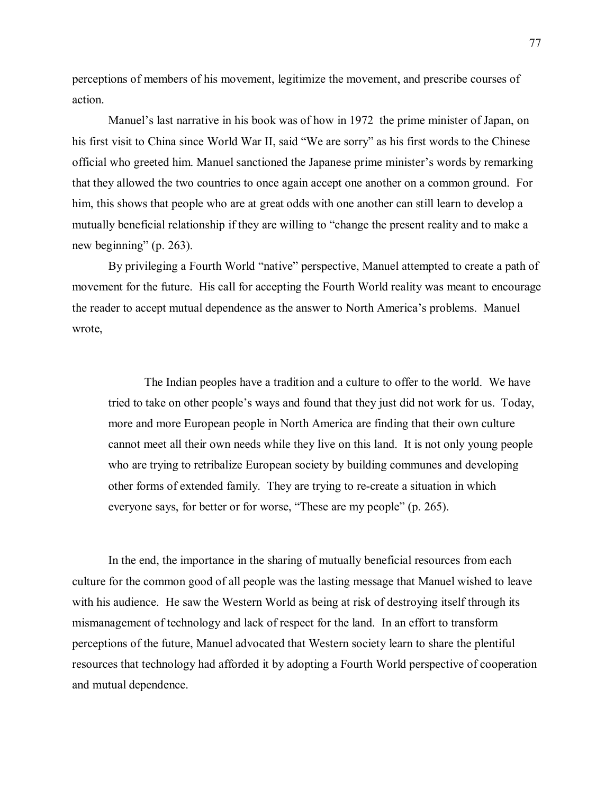perceptions of members of his movement, legitimize the movement, and prescribe courses of action.

Manuel's last narrative in his book was of how in 1972 the prime minister of Japan, on his first visit to China since World War II, said "We are sorry" as his first words to the Chinese official who greeted him. Manuel sanctioned the Japanese prime minister's words by remarking that they allowed the two countries to once again accept one another on a common ground. For him, this shows that people who are at great odds with one another can still learn to develop a mutually beneficial relationship if they are willing to "change the present reality and to make a new beginning" (p. 263).

By privileging a Fourth World "native" perspective, Manuel attempted to create a path of movement for the future. His call for accepting the Fourth World reality was meant to encourage the reader to accept mutual dependence as the answer to North America's problems. Manuel wrote,

The Indian peoples have a tradition and a culture to offer to the world. We have tried to take on other people's ways and found that they just did not work for us. Today, more and more European people in North America are finding that their own culture cannot meet all their own needs while they live on this land. It is not only young people who are trying to retribalize European society by building communes and developing other forms of extended family. They are trying to re-create a situation in which everyone says, for better or for worse, "These are my people" (p. 265).

In the end, the importance in the sharing of mutually beneficial resources from each culture for the common good of all people was the lasting message that Manuel wished to leave with his audience. He saw the Western World as being at risk of destroying itself through its mismanagement of technology and lack of respect for the land. In an effort to transform perceptions of the future, Manuel advocated that Western society learn to share the plentiful resources that technology had afforded it by adopting a Fourth World perspective of cooperation and mutual dependence.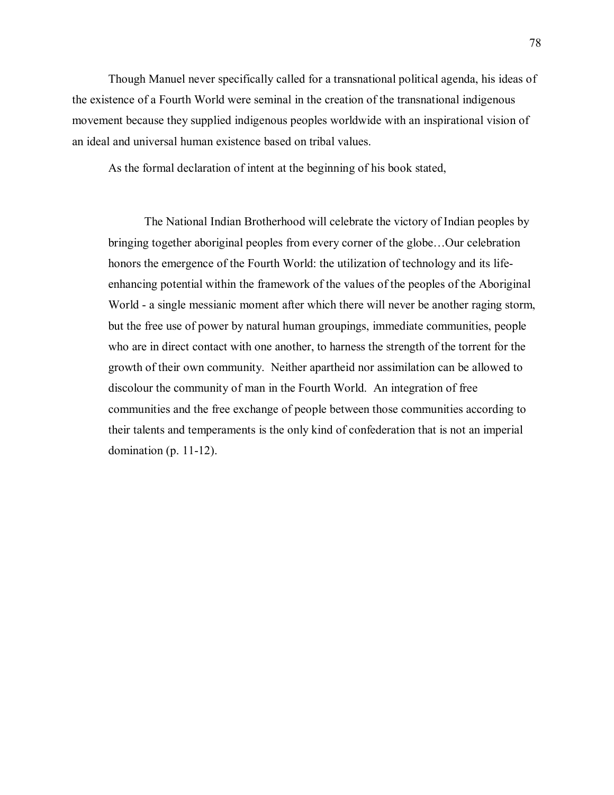Though Manuel never specifically called for a transnational political agenda, his ideas of the existence of a Fourth World were seminal in the creation of the transnational indigenous movement because they supplied indigenous peoples worldwide with an inspirational vision of an ideal and universal human existence based on tribal values.

As the formal declaration of intent at the beginning of his book stated,

The National Indian Brotherhood will celebrate the victory of Indian peoples by bringing together aboriginal peoples from every corner of the globe...Our celebration honors the emergence of the Fourth World: the utilization of technology and its lifeenhancing potential within the framework of the values of the peoples of the Aboriginal World - a single messianic moment after which there will never be another raging storm, but the free use of power by natural human groupings, immediate communities, people who are in direct contact with one another, to harness the strength of the torrent for the growth of their own community. Neither apartheid nor assimilation can be allowed to discolour the community of man in the Fourth World. An integration of free communities and the free exchange of people between those communities according to their talents and temperaments is the only kind of confederation that is not an imperial domination (p. 11-12).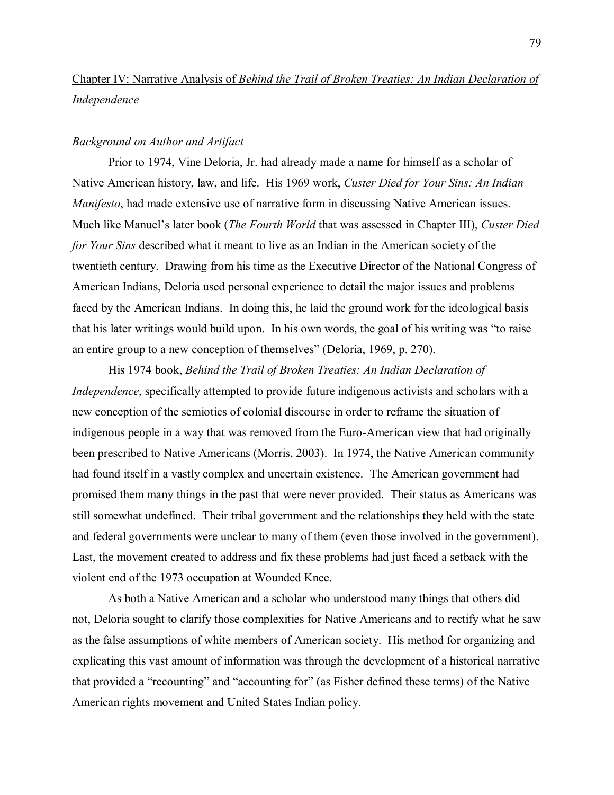# Chapter IV: Narrative Analysis of *Behind the Trail of Broken Treaties: An Indian Declaration of Independence*

## *Background on Author and Artifact*

Prior to 1974, Vine Deloria, Jr. had already made a name for himself as a scholar of Native American history, law, and life. His 1969 work, *Custer Died for Your Sins: An Indian Manifesto*, had made extensive use of narrative form in discussing Native American issues. Much like Manuel's later book (*The Fourth World* that was assessed in Chapter III), *Custer Died for Your Sins* described what it meant to live as an Indian in the American society of the twentieth century. Drawing from his time as the Executive Director of the National Congress of American Indians, Deloria used personal experience to detail the major issues and problems faced by the American Indians. In doing this, he laid the ground work for the ideological basis that his later writings would build upon. In his own words, the goal of his writing was "to raise" an entire group to a new conception of themselves" (Deloria, 1969, p. 270).

His 1974 book, *Behind the Trail of Broken Treaties: An Indian Declaration of Independence*, specifically attempted to provide future indigenous activists and scholars with a new conception of the semiotics of colonial discourse in order to reframe the situation of indigenous people in a way that was removed from the Euro-American view that had originally been prescribed to Native Americans (Morris, 2003). In 1974, the Native American community had found itself in a vastly complex and uncertain existence. The American government had promised them many things in the past that were never provided. Their status as Americans was still somewhat undefined. Their tribal government and the relationships they held with the state and federal governments were unclear to many of them (even those involved in the government). Last, the movement created to address and fix these problems had just faced a setback with the violent end of the 1973 occupation at Wounded Knee.

As both a Native American and a scholar who understood many things that others did not, Deloria sought to clarify those complexities for Native Americans and to rectify what he saw as the false assumptions of white members of American society. His method for organizing and explicating this vast amount of information was through the development of a historical narrative that provided a "recounting" and "accounting for" (as Fisher defined these terms) of the Native American rights movement and United States Indian policy.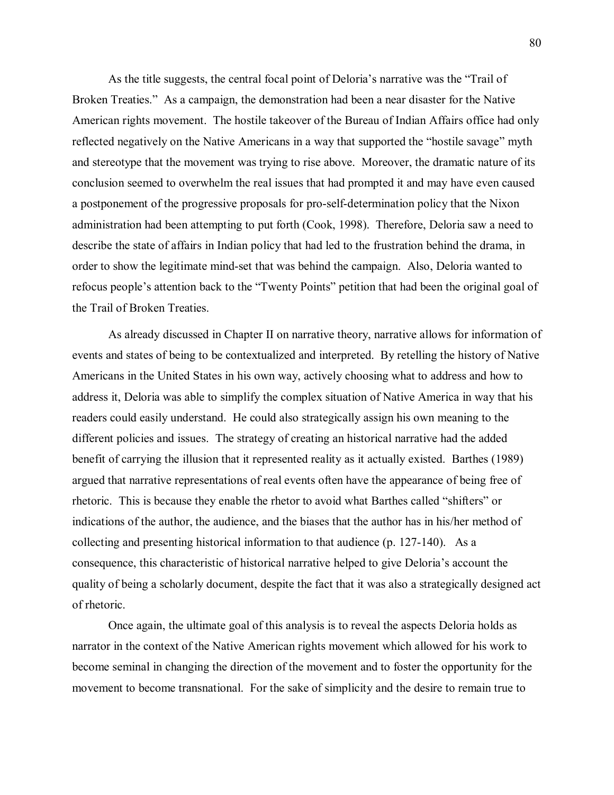As the title suggests, the central focal point of Deloria's narrative was the "Trail of Broken Treaties." As a campaign, the demonstration had been a near disaster for the Native American rights movement. The hostile takeover of the Bureau of Indian Affairs office had only reflected negatively on the Native Americans in a way that supported the "hostile savage" myth and stereotype that the movement was trying to rise above. Moreover, the dramatic nature of its conclusion seemed to overwhelm the real issues that had prompted it and may have even caused a postponement of the progressive proposals for pro-self-determination policy that the Nixon administration had been attempting to put forth (Cook, 1998). Therefore, Deloria saw a need to describe the state of affairs in Indian policy that had led to the frustration behind the drama, in order to show the legitimate mind-set that was behind the campaign. Also, Deloria wanted to refocus people's attention back to the "Twenty Points" petition that had been the original goal of the Trail of Broken Treaties.

As already discussed in Chapter II on narrative theory, narrative allows for information of events and states of being to be contextualized and interpreted. By retelling the history of Native Americans in the United States in his own way, actively choosing what to address and how to address it, Deloria was able to simplify the complex situation of Native America in way that his readers could easily understand. He could also strategically assign his own meaning to the different policies and issues. The strategy of creating an historical narrative had the added benefit of carrying the illusion that it represented reality as it actually existed. Barthes (1989) argued that narrative representations of real events often have the appearance of being free of rhetoric. This is because they enable the rhetor to avoid what Barthes called "shifters" or indications of the author, the audience, and the biases that the author has in his/her method of collecting and presenting historical information to that audience (p. 127-140). As a consequence, this characteristic of historical narrative helped to give Deloria's account the quality of being a scholarly document, despite the fact that it was also a strategically designed act of rhetoric.

Once again, the ultimate goal of this analysis is to reveal the aspects Deloria holds as narrator in the context of the Native American rights movement which allowed for his work to become seminal in changing the direction of the movement and to foster the opportunity for the movement to become transnational. For the sake of simplicity and the desire to remain true to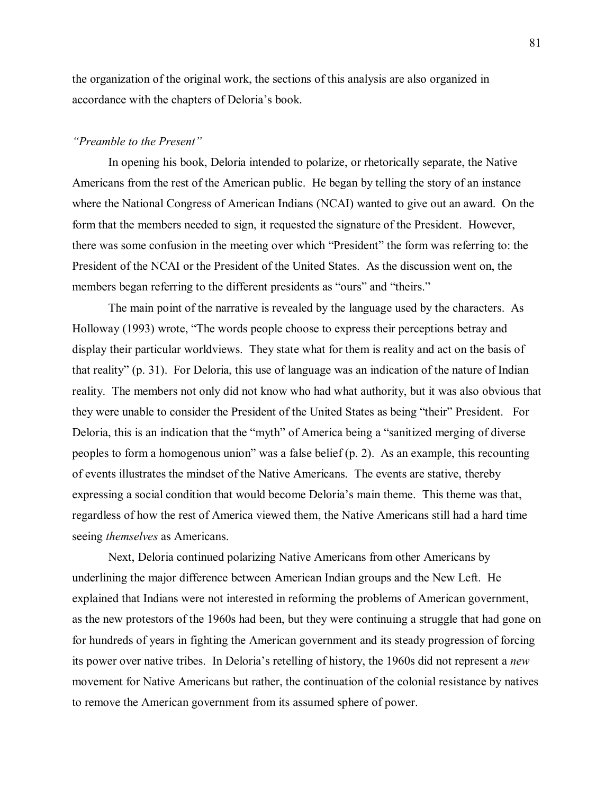the organization of the original work, the sections of this analysis are also organized in accordance with the chapters of Deloria's book.

#### *<sup><i>'*</sup>Preamble to the Present''

In opening his book, Deloria intended to polarize, or rhetorically separate, the Native Americans from the rest of the American public. He began by telling the story of an instance where the National Congress of American Indians (NCAI) wanted to give out an award. On the form that the members needed to sign, it requested the signature of the President. However, there was some confusion in the meeting over which "President" the form was referring to: the President of the NCAI or the President of the United States. As the discussion went on, the members began referring to the different presidents as "ours" and "theirs."

The main point of the narrative is revealed by the language used by the characters. As Holloway (1993) wrote, "The words people choose to express their perceptions betray and display their particular worldviews. They state what for them is reality and act on the basis of that reality" (p. 31). For Deloria, this use of language was an indication of the nature of Indian reality. The members not only did not know who had what authority, but it was also obvious that they were unable to consider the President of the United States as being "their" President. For Deloria, this is an indication that the "myth" of America being a "sanitized merging of diverse peoples to form a homogenous union" was a false belief  $(p, 2)$ . As an example, this recounting of events illustrates the mindset of the Native Americans. The events are stative, thereby expressing a social condition that would become Deloria's main theme. This theme was that, regardless of how the rest of America viewed them, the Native Americans still had a hard time seeing *themselves* as Americans.

Next, Deloria continued polarizing Native Americans from other Americans by underlining the major difference between American Indian groups and the New Left. He explained that Indians were not interested in reforming the problems of American government, as the new protestors of the 1960s had been, but they were continuing a struggle that had gone on for hundreds of years in fighting the American government and its steady progression of forcing its power over native tribes. In Deloria's retelling of history, the 1960s did not represent a *new* movement for Native Americans but rather, the continuation of the colonial resistance by natives to remove the American government from its assumed sphere of power.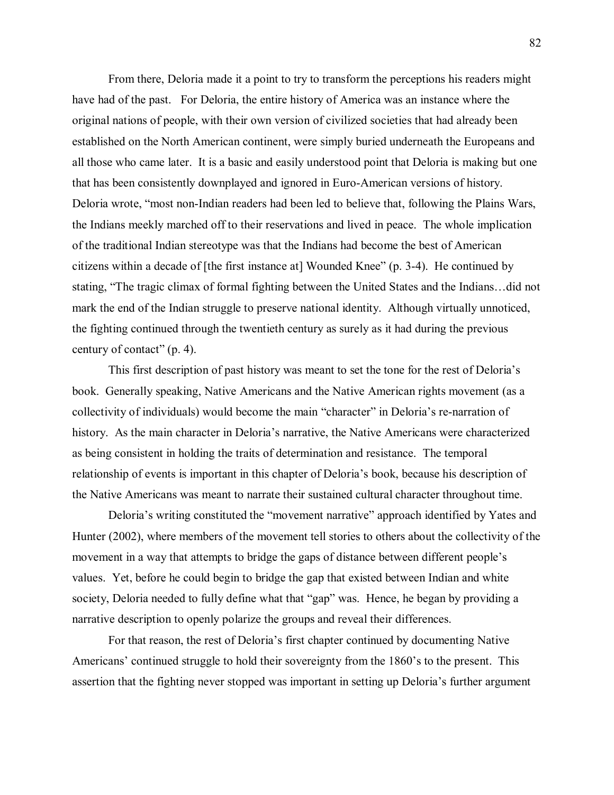From there, Deloria made it a point to try to transform the perceptions his readers might have had of the past. For Deloria, the entire history of America was an instance where the original nations of people, with their own version of civilized societies that had already been established on the North American continent, were simply buried underneath the Europeans and all those who came later. It is a basic and easily understood point that Deloria is making but one that has been consistently downplayed and ignored in Euro-American versions of history. Deloria wrote, "most non-Indian readers had been led to believe that, following the Plains Wars, the Indians meekly marched off to their reservations and lived in peace. The whole implication of the traditional Indian stereotype was that the Indians had become the best of American citizens within a decade of  $[$ the first instance at $]$  Wounded Knee<sup> $\degree$ </sup> (p. 3-4). He continued by stating, "The tragic climax of formal fighting between the United States and the Indians...did not mark the end of the Indian struggle to preserve national identity. Although virtually unnoticed, the fighting continued through the twentieth century as surely as it had during the previous century of contact"  $(p, 4)$ .

This first description of past history was meant to set the tone for the rest of Deloria's book. Generally speaking, Native Americans and the Native American rights movement (as a collectivity of individuals) would become the main "character" in Deloria's re-narration of history. As the main character in Deloria's narrative, the Native Americans were characterized as being consistent in holding the traits of determination and resistance. The temporal relationship of events is important in this chapter of Deloria's book, because his description of the Native Americans was meant to narrate their sustained cultural character throughout time.

Deloria's writing constituted the "movement narrative" approach identified by Yates and Hunter (2002), where members of the movement tell stories to others about the collectivity of the movement in a way that attempts to bridge the gaps of distance between different people's values. Yet, before he could begin to bridge the gap that existed between Indian and white society, Deloria needed to fully define what that "gap" was. Hence, he began by providing a narrative description to openly polarize the groups and reveal their differences.

For that reason, the rest of Deloria's first chapter continued by documenting Native Americans' continued struggle to hold their sovereignty from the 1860's to the present. This assertion that the fighting never stopped was important in setting up Deloria's further argument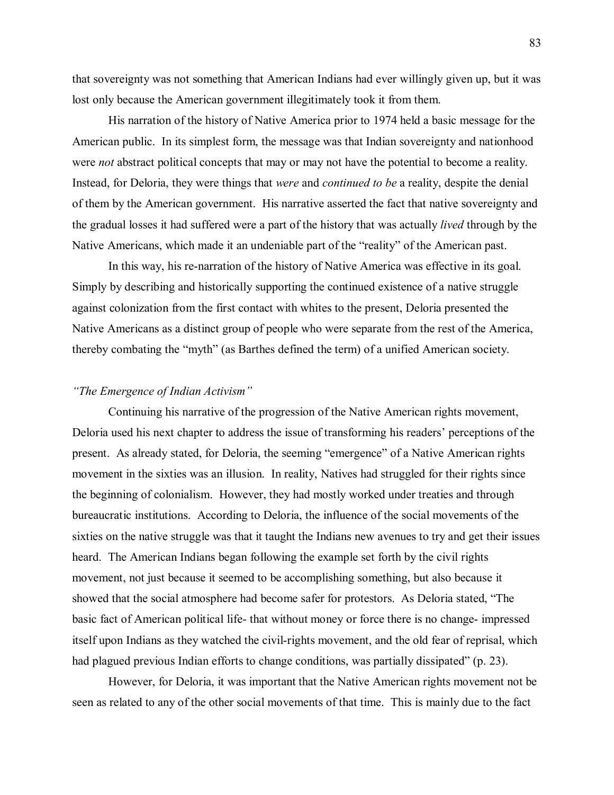that sovereignty was not something that American Indians had ever willingly given up, but it was lost only because the American government illegitimately took it from them.

His narration of the history of Native America prior to 1974 held a basic message for the American public. In its simplest form, the message was that Indian sovereignty and nationhood were *not* abstract political concepts that may or may not have the potential to become a reality. Instead, for Deloria, they were things that *were* and *continued to be* a reality, despite the denial of them by the American government. His narrative asserted the fact that native sovereignty and the gradual losses it had suffered were a part of the history that was actually *lived* through by the Native Americans, which made it an undeniable part of the "reality" of the American past.

In this way, his re-narration of the history of Native America was effective in its goal. Simply by describing and historically supporting the continued existence of a native struggle against colonization from the first contact with whites to the present, Deloria presented the Native Americans as a distinct group of people who were separate from the rest of the America, thereby combating the "myth" (as Barthes defined the term) of a unified American society.

## *ìThe Emergence of Indian Activismî*

Continuing his narrative of the progression of the Native American rights movement, Deloria used his next chapter to address the issue of transforming his readers' perceptions of the present. As already stated, for Deloria, the seeming "emergence" of a Native American rights movement in the sixties was an illusion. In reality, Natives had struggled for their rights since the beginning of colonialism. However, they had mostly worked under treaties and through bureaucratic institutions. According to Deloria, the influence of the social movements of the sixties on the native struggle was that it taught the Indians new avenues to try and get their issues heard. The American Indians began following the example set forth by the civil rights movement, not just because it seemed to be accomplishing something, but also because it showed that the social atmosphere had become safer for protestors. As Deloria stated, "The basic fact of American political life- that without money or force there is no change- impressed itself upon Indians as they watched the civil-rights movement, and the old fear of reprisal, which had plagued previous Indian efforts to change conditions, was partially dissipated" (p. 23).

However, for Deloria, it was important that the Native American rights movement not be seen as related to any of the other social movements of that time. This is mainly due to the fact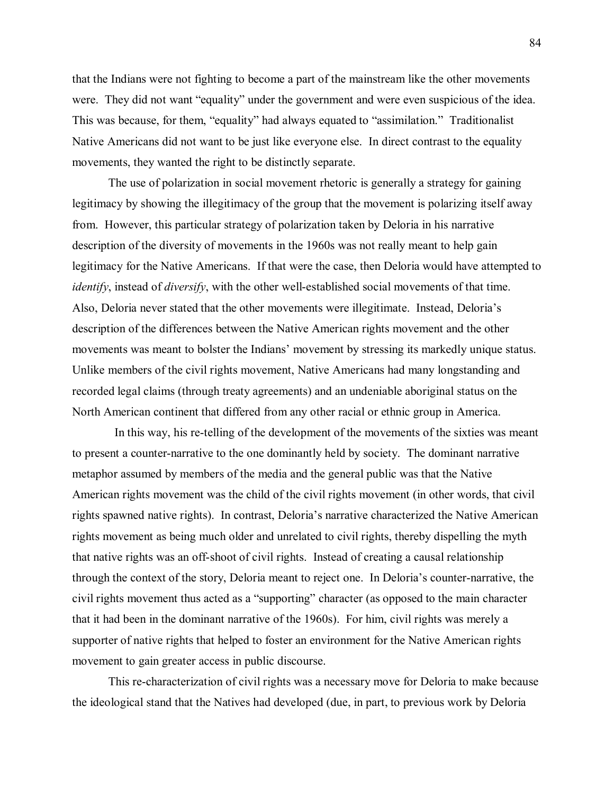that the Indians were not fighting to become a part of the mainstream like the other movements were. They did not want "equality" under the government and were even suspicious of the idea. This was because, for them, "equality" had always equated to "assimilation." Traditionalist Native Americans did not want to be just like everyone else. In direct contrast to the equality movements, they wanted the right to be distinctly separate.

The use of polarization in social movement rhetoric is generally a strategy for gaining legitimacy by showing the illegitimacy of the group that the movement is polarizing itself away from. However, this particular strategy of polarization taken by Deloria in his narrative description of the diversity of movements in the 1960s was not really meant to help gain legitimacy for the Native Americans. If that were the case, then Deloria would have attempted to *identify*, instead of *diversify*, with the other well-established social movements of that time. Also, Deloria never stated that the other movements were illegitimate. Instead, Deloria's description of the differences between the Native American rights movement and the other movements was meant to bolster the Indians' movement by stressing its markedly unique status. Unlike members of the civil rights movement, Native Americans had many longstanding and recorded legal claims (through treaty agreements) and an undeniable aboriginal status on the North American continent that differed from any other racial or ethnic group in America.

 In this way, his re-telling of the development of the movements of the sixties was meant to present a counter-narrative to the one dominantly held by society. The dominant narrative metaphor assumed by members of the media and the general public was that the Native American rights movement was the child of the civil rights movement (in other words, that civil rights spawned native rights). In contrast, Deloria's narrative characterized the Native American rights movement as being much older and unrelated to civil rights, thereby dispelling the myth that native rights was an off-shoot of civil rights. Instead of creating a causal relationship through the context of the story, Deloria meant to reject one. In Deloriaís counter-narrative, the civil rights movement thus acted as a "supporting" character (as opposed to the main character that it had been in the dominant narrative of the 1960s). For him, civil rights was merely a supporter of native rights that helped to foster an environment for the Native American rights movement to gain greater access in public discourse.

This re-characterization of civil rights was a necessary move for Deloria to make because the ideological stand that the Natives had developed (due, in part, to previous work by Deloria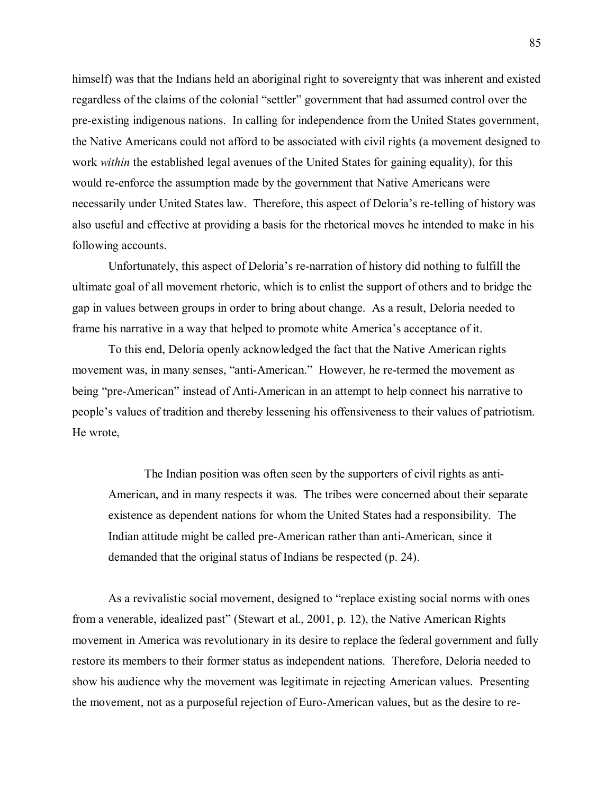himself) was that the Indians held an aboriginal right to sovereignty that was inherent and existed regardless of the claims of the colonial "settler" government that had assumed control over the pre-existing indigenous nations. In calling for independence from the United States government, the Native Americans could not afford to be associated with civil rights (a movement designed to work *within* the established legal avenues of the United States for gaining equality), for this would re-enforce the assumption made by the government that Native Americans were necessarily under United States law. Therefore, this aspect of Deloria's re-telling of history was also useful and effective at providing a basis for the rhetorical moves he intended to make in his following accounts.

Unfortunately, this aspect of Deloria's re-narration of history did nothing to fulfill the ultimate goal of all movement rhetoric, which is to enlist the support of others and to bridge the gap in values between groups in order to bring about change. As a result, Deloria needed to frame his narrative in a way that helped to promote white Americaís acceptance of it.

To this end, Deloria openly acknowledged the fact that the Native American rights movement was, in many senses, "anti-American." However, he re-termed the movement as being "pre-American" instead of Anti-American in an attempt to help connect his narrative to people's values of tradition and thereby lessening his offensiveness to their values of patriotism. He wrote,

The Indian position was often seen by the supporters of civil rights as anti-American, and in many respects it was. The tribes were concerned about their separate existence as dependent nations for whom the United States had a responsibility. The Indian attitude might be called pre-American rather than anti-American, since it demanded that the original status of Indians be respected (p. 24).

As a revivalistic social movement, designed to "replace existing social norms with ones from a venerable, idealized past" (Stewart et al., 2001, p. 12), the Native American Rights movement in America was revolutionary in its desire to replace the federal government and fully restore its members to their former status as independent nations. Therefore, Deloria needed to show his audience why the movement was legitimate in rejecting American values. Presenting the movement, not as a purposeful rejection of Euro-American values, but as the desire to re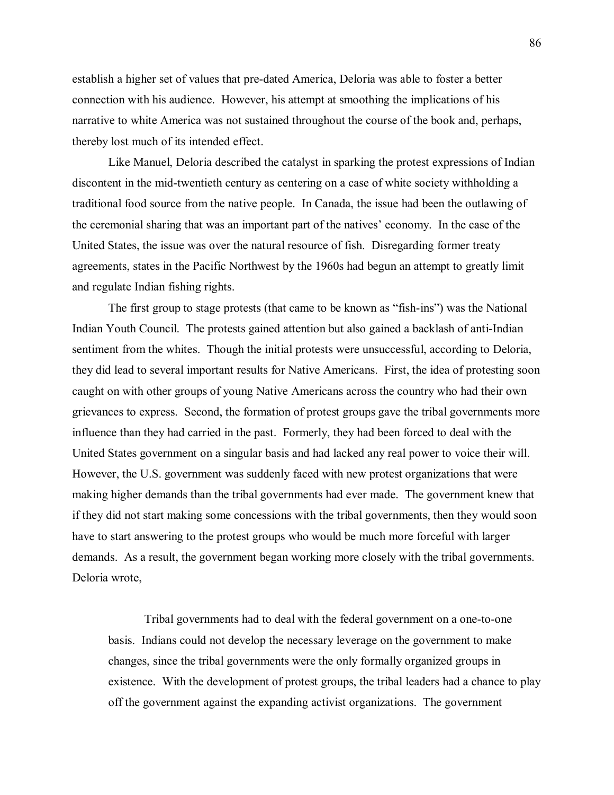establish a higher set of values that pre-dated America, Deloria was able to foster a better connection with his audience. However, his attempt at smoothing the implications of his narrative to white America was not sustained throughout the course of the book and, perhaps, thereby lost much of its intended effect.

Like Manuel, Deloria described the catalyst in sparking the protest expressions of Indian discontent in the mid-twentieth century as centering on a case of white society withholding a traditional food source from the native people. In Canada, the issue had been the outlawing of the ceremonial sharing that was an important part of the natives' economy. In the case of the United States, the issue was over the natural resource of fish. Disregarding former treaty agreements, states in the Pacific Northwest by the 1960s had begun an attempt to greatly limit and regulate Indian fishing rights.

The first group to stage protests (that came to be known as "fish-ins") was the National Indian Youth Council. The protests gained attention but also gained a backlash of anti-Indian sentiment from the whites. Though the initial protests were unsuccessful, according to Deloria, they did lead to several important results for Native Americans. First, the idea of protesting soon caught on with other groups of young Native Americans across the country who had their own grievances to express. Second, the formation of protest groups gave the tribal governments more influence than they had carried in the past. Formerly, they had been forced to deal with the United States government on a singular basis and had lacked any real power to voice their will. However, the U.S. government was suddenly faced with new protest organizations that were making higher demands than the tribal governments had ever made. The government knew that if they did not start making some concessions with the tribal governments, then they would soon have to start answering to the protest groups who would be much more forceful with larger demands. As a result, the government began working more closely with the tribal governments. Deloria wrote,

Tribal governments had to deal with the federal government on a one-to-one basis. Indians could not develop the necessary leverage on the government to make changes, since the tribal governments were the only formally organized groups in existence. With the development of protest groups, the tribal leaders had a chance to play off the government against the expanding activist organizations. The government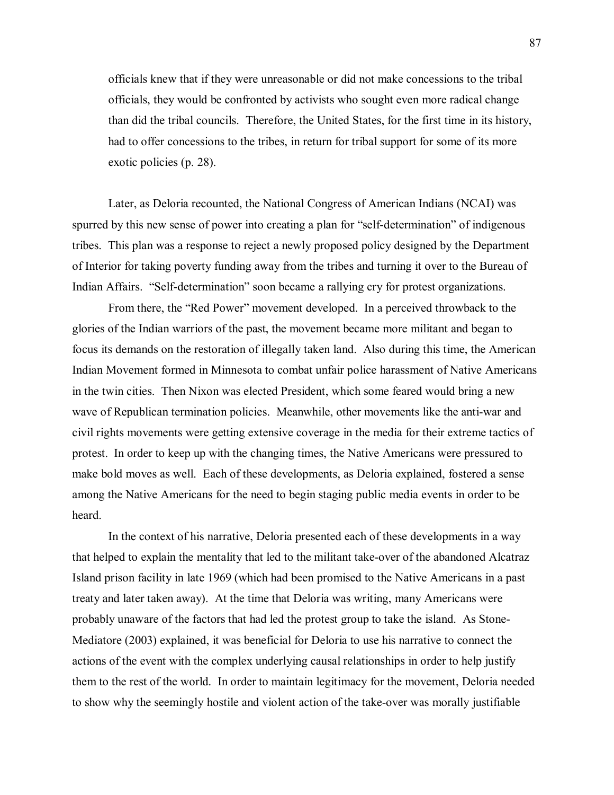officials knew that if they were unreasonable or did not make concessions to the tribal officials, they would be confronted by activists who sought even more radical change than did the tribal councils. Therefore, the United States, for the first time in its history, had to offer concessions to the tribes, in return for tribal support for some of its more exotic policies (p. 28).

Later, as Deloria recounted, the National Congress of American Indians (NCAI) was spurred by this new sense of power into creating a plan for "self-determination" of indigenous tribes. This plan was a response to reject a newly proposed policy designed by the Department of Interior for taking poverty funding away from the tribes and turning it over to the Bureau of Indian Affairs. "Self-determination" soon became a rallying cry for protest organizations.

From there, the "Red Power" movement developed. In a perceived throwback to the glories of the Indian warriors of the past, the movement became more militant and began to focus its demands on the restoration of illegally taken land. Also during this time, the American Indian Movement formed in Minnesota to combat unfair police harassment of Native Americans in the twin cities. Then Nixon was elected President, which some feared would bring a new wave of Republican termination policies. Meanwhile, other movements like the anti-war and civil rights movements were getting extensive coverage in the media for their extreme tactics of protest. In order to keep up with the changing times, the Native Americans were pressured to make bold moves as well. Each of these developments, as Deloria explained, fostered a sense among the Native Americans for the need to begin staging public media events in order to be heard.

In the context of his narrative, Deloria presented each of these developments in a way that helped to explain the mentality that led to the militant take-over of the abandoned Alcatraz Island prison facility in late 1969 (which had been promised to the Native Americans in a past treaty and later taken away). At the time that Deloria was writing, many Americans were probably unaware of the factors that had led the protest group to take the island. As Stone-Mediatore (2003) explained, it was beneficial for Deloria to use his narrative to connect the actions of the event with the complex underlying causal relationships in order to help justify them to the rest of the world. In order to maintain legitimacy for the movement, Deloria needed to show why the seemingly hostile and violent action of the take-over was morally justifiable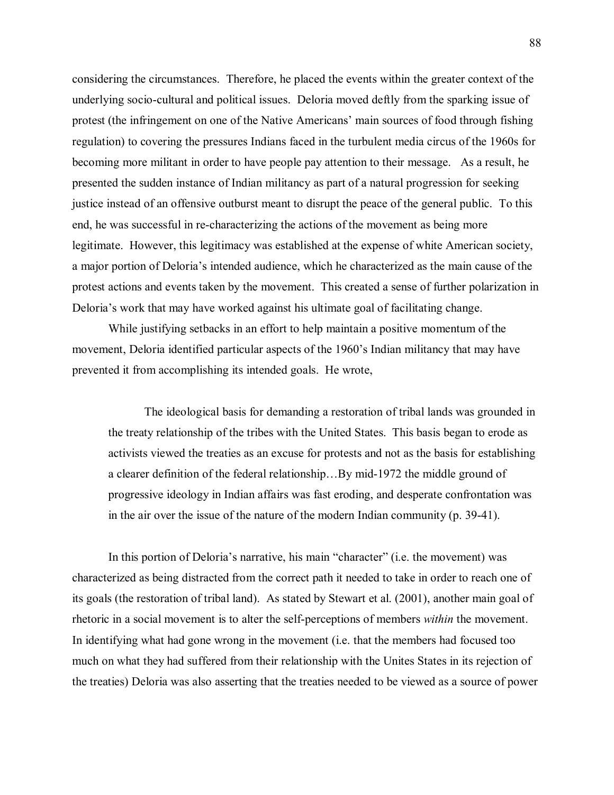considering the circumstances. Therefore, he placed the events within the greater context of the underlying socio-cultural and political issues. Deloria moved deftly from the sparking issue of protest (the infringement on one of the Native Americans' main sources of food through fishing regulation) to covering the pressures Indians faced in the turbulent media circus of the 1960s for becoming more militant in order to have people pay attention to their message. As a result, he presented the sudden instance of Indian militancy as part of a natural progression for seeking justice instead of an offensive outburst meant to disrupt the peace of the general public. To this end, he was successful in re-characterizing the actions of the movement as being more legitimate. However, this legitimacy was established at the expense of white American society, a major portion of Deloria's intended audience, which he characterized as the main cause of the protest actions and events taken by the movement. This created a sense of further polarization in Deloria's work that may have worked against his ultimate goal of facilitating change.

While justifying setbacks in an effort to help maintain a positive momentum of the movement, Deloria identified particular aspects of the 1960's Indian militancy that may have prevented it from accomplishing its intended goals. He wrote,

The ideological basis for demanding a restoration of tribal lands was grounded in the treaty relationship of the tribes with the United States. This basis began to erode as activists viewed the treaties as an excuse for protests and not as the basis for establishing a clearer definition of the federal relationship...By mid-1972 the middle ground of progressive ideology in Indian affairs was fast eroding, and desperate confrontation was in the air over the issue of the nature of the modern Indian community (p. 39-41).

In this portion of Deloria's narrative, his main "character" (i.e. the movement) was characterized as being distracted from the correct path it needed to take in order to reach one of its goals (the restoration of tribal land). As stated by Stewart et al. (2001), another main goal of rhetoric in a social movement is to alter the self-perceptions of members *within* the movement. In identifying what had gone wrong in the movement (i.e. that the members had focused too much on what they had suffered from their relationship with the Unites States in its rejection of the treaties) Deloria was also asserting that the treaties needed to be viewed as a source of power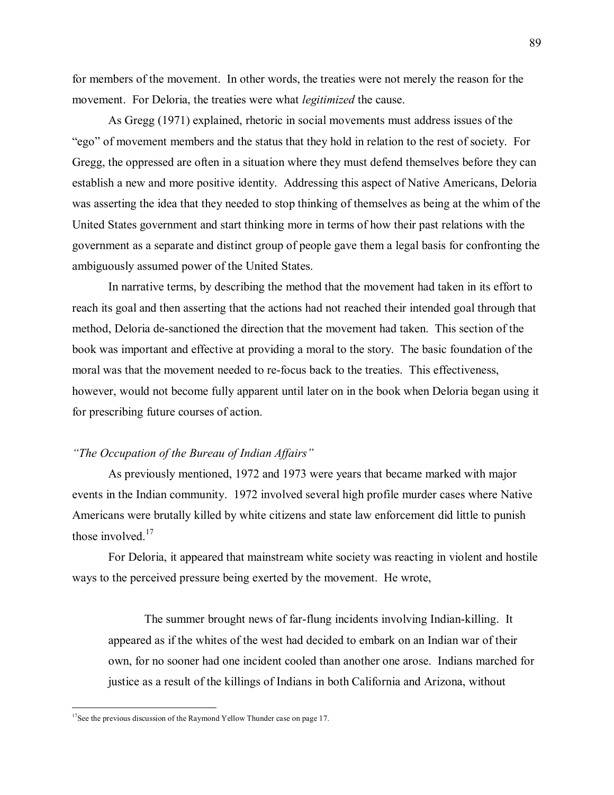for members of the movement. In other words, the treaties were not merely the reason for the movement. For Deloria, the treaties were what *legitimized* the cause.

As Gregg (1971) explained, rhetoric in social movements must address issues of the "ego" of movement members and the status that they hold in relation to the rest of society. For Gregg, the oppressed are often in a situation where they must defend themselves before they can establish a new and more positive identity. Addressing this aspect of Native Americans, Deloria was asserting the idea that they needed to stop thinking of themselves as being at the whim of the United States government and start thinking more in terms of how their past relations with the government as a separate and distinct group of people gave them a legal basis for confronting the ambiguously assumed power of the United States.

In narrative terms, by describing the method that the movement had taken in its effort to reach its goal and then asserting that the actions had not reached their intended goal through that method, Deloria de-sanctioned the direction that the movement had taken. This section of the book was important and effective at providing a moral to the story. The basic foundation of the moral was that the movement needed to re-focus back to the treaties. This effectiveness, however, would not become fully apparent until later on in the book when Deloria began using it for prescribing future courses of action.

# <sup>*<i>î***The Occupation of the Bureau of Indian Affairs<sup>***"***</sup></sup>**

As previously mentioned, 1972 and 1973 were years that became marked with major events in the Indian community. 1972 involved several high profile murder cases where Native Americans were brutally killed by white citizens and state law enforcement did little to punish those involved. $17$ 

For Deloria, it appeared that mainstream white society was reacting in violent and hostile ways to the perceived pressure being exerted by the movement. He wrote,

The summer brought news of far-flung incidents involving Indian-killing. It appeared as if the whites of the west had decided to embark on an Indian war of their own, for no sooner had one incident cooled than another one arose. Indians marched for justice as a result of the killings of Indians in both California and Arizona, without

 $\overline{a}$ 

 $17$ See the previous discussion of the Raymond Yellow Thunder case on page 17.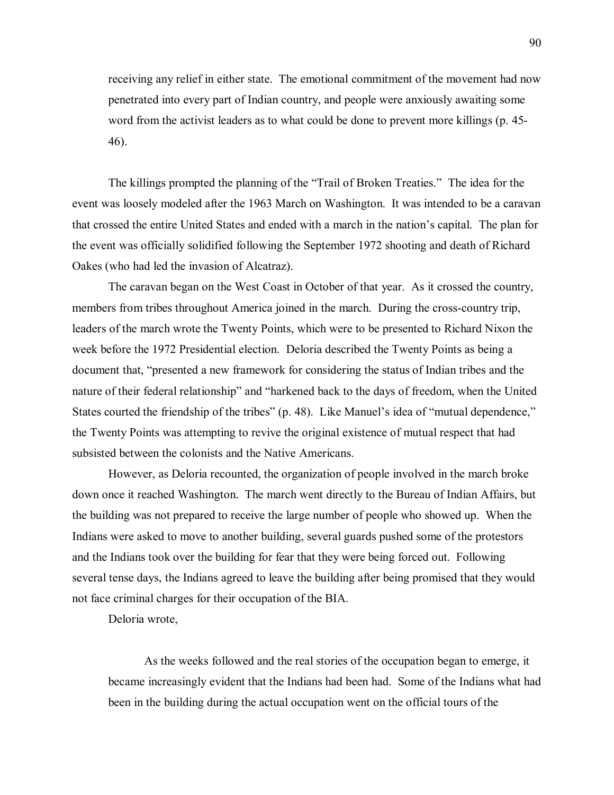receiving any relief in either state. The emotional commitment of the movement had now penetrated into every part of Indian country, and people were anxiously awaiting some word from the activist leaders as to what could be done to prevent more killings (p. 45- 46).

The killings prompted the planning of the "Trail of Broken Treaties." The idea for the event was loosely modeled after the 1963 March on Washington. It was intended to be a caravan that crossed the entire United States and ended with a march in the nation's capital. The plan for the event was officially solidified following the September 1972 shooting and death of Richard Oakes (who had led the invasion of Alcatraz).

The caravan began on the West Coast in October of that year. As it crossed the country, members from tribes throughout America joined in the march. During the cross-country trip, leaders of the march wrote the Twenty Points, which were to be presented to Richard Nixon the week before the 1972 Presidential election. Deloria described the Twenty Points as being a document that, "presented a new framework for considering the status of Indian tribes and the nature of their federal relationship" and "harkened back to the days of freedom, when the United States courted the friendship of the tribes" (p. 48). Like Manuel's idea of "mutual dependence," the Twenty Points was attempting to revive the original existence of mutual respect that had subsisted between the colonists and the Native Americans.

However, as Deloria recounted, the organization of people involved in the march broke down once it reached Washington. The march went directly to the Bureau of Indian Affairs, but the building was not prepared to receive the large number of people who showed up. When the Indians were asked to move to another building, several guards pushed some of the protestors and the Indians took over the building for fear that they were being forced out. Following several tense days, the Indians agreed to leave the building after being promised that they would not face criminal charges for their occupation of the BIA.

Deloria wrote,

As the weeks followed and the real stories of the occupation began to emerge, it became increasingly evident that the Indians had been had. Some of the Indians what had been in the building during the actual occupation went on the official tours of the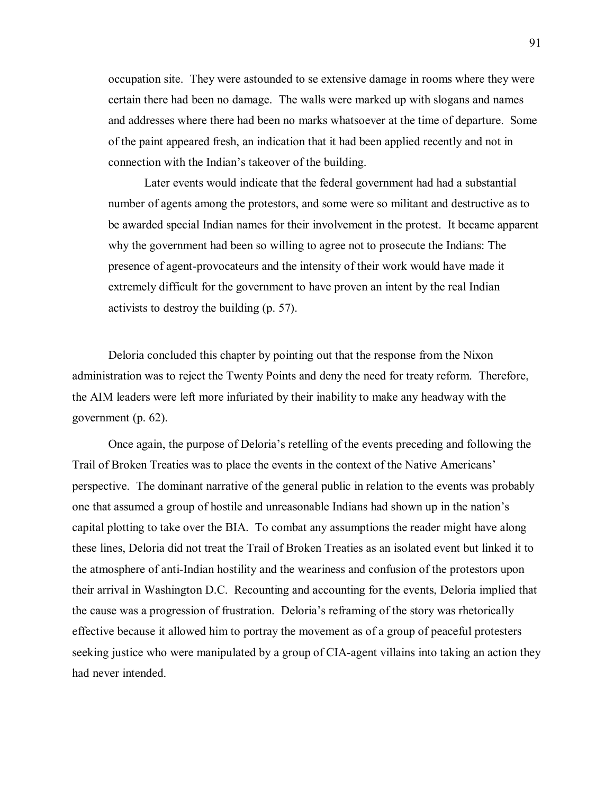occupation site. They were astounded to se extensive damage in rooms where they were certain there had been no damage. The walls were marked up with slogans and names and addresses where there had been no marks whatsoever at the time of departure. Some of the paint appeared fresh, an indication that it had been applied recently and not in connection with the Indian's takeover of the building.

Later events would indicate that the federal government had had a substantial number of agents among the protestors, and some were so militant and destructive as to be awarded special Indian names for their involvement in the protest. It became apparent why the government had been so willing to agree not to prosecute the Indians: The presence of agent-provocateurs and the intensity of their work would have made it extremely difficult for the government to have proven an intent by the real Indian activists to destroy the building (p. 57).

Deloria concluded this chapter by pointing out that the response from the Nixon administration was to reject the Twenty Points and deny the need for treaty reform. Therefore, the AIM leaders were left more infuriated by their inability to make any headway with the government (p. 62).

Once again, the purpose of Deloriaís retelling of the events preceding and following the Trail of Broken Treaties was to place the events in the context of the Native Americans' perspective. The dominant narrative of the general public in relation to the events was probably one that assumed a group of hostile and unreasonable Indians had shown up in the nation's capital plotting to take over the BIA. To combat any assumptions the reader might have along these lines, Deloria did not treat the Trail of Broken Treaties as an isolated event but linked it to the atmosphere of anti-Indian hostility and the weariness and confusion of the protestors upon their arrival in Washington D.C. Recounting and accounting for the events, Deloria implied that the cause was a progression of frustration. Deloria's reframing of the story was rhetorically effective because it allowed him to portray the movement as of a group of peaceful protesters seeking justice who were manipulated by a group of CIA-agent villains into taking an action they had never intended.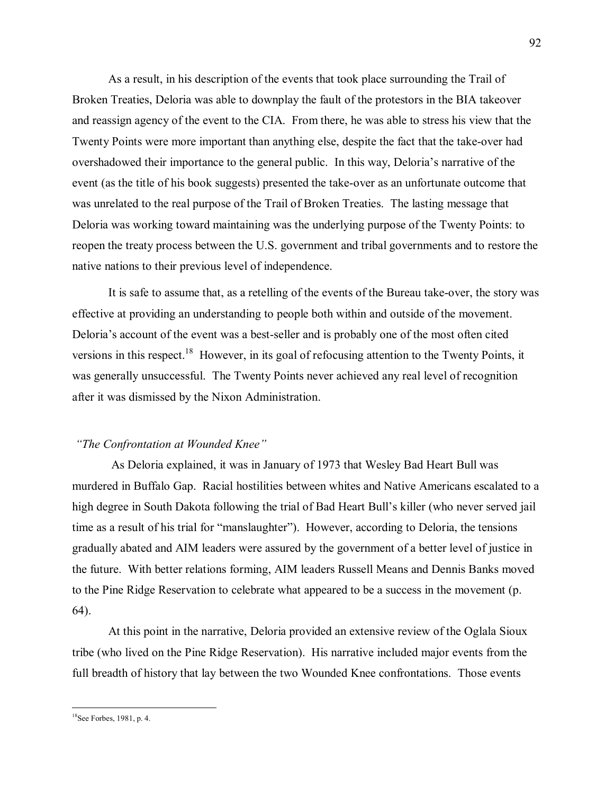As a result, in his description of the events that took place surrounding the Trail of Broken Treaties, Deloria was able to downplay the fault of the protestors in the BIA takeover and reassign agency of the event to the CIA. From there, he was able to stress his view that the Twenty Points were more important than anything else, despite the fact that the take-over had overshadowed their importance to the general public. In this way, Deloriaís narrative of the event (as the title of his book suggests) presented the take-over as an unfortunate outcome that was unrelated to the real purpose of the Trail of Broken Treaties. The lasting message that Deloria was working toward maintaining was the underlying purpose of the Twenty Points: to reopen the treaty process between the U.S. government and tribal governments and to restore the native nations to their previous level of independence.

It is safe to assume that, as a retelling of the events of the Bureau take-over, the story was effective at providing an understanding to people both within and outside of the movement. Deloria's account of the event was a best-seller and is probably one of the most often cited versions in this respect.<sup>18</sup> However, in its goal of refocusing attention to the Twenty Points, it was generally unsuccessful. The Twenty Points never achieved any real level of recognition after it was dismissed by the Nixon Administration.

# *"The Confrontation at Wounded Knee"*

 As Deloria explained, it was in January of 1973 that Wesley Bad Heart Bull was murdered in Buffalo Gap. Racial hostilities between whites and Native Americans escalated to a high degree in South Dakota following the trial of Bad Heart Bull's killer (who never served jail time as a result of his trial for "manslaughter"). However, according to Deloria, the tensions gradually abated and AIM leaders were assured by the government of a better level of justice in the future. With better relations forming, AIM leaders Russell Means and Dennis Banks moved to the Pine Ridge Reservation to celebrate what appeared to be a success in the movement (p. 64).

At this point in the narrative, Deloria provided an extensive review of the Oglala Sioux tribe (who lived on the Pine Ridge Reservation). His narrative included major events from the full breadth of history that lay between the two Wounded Knee confrontations. Those events

 $\overline{a}$ 

<sup>92</sup>

<sup>&</sup>lt;sup>18</sup>See Forbes, 1981, p. 4.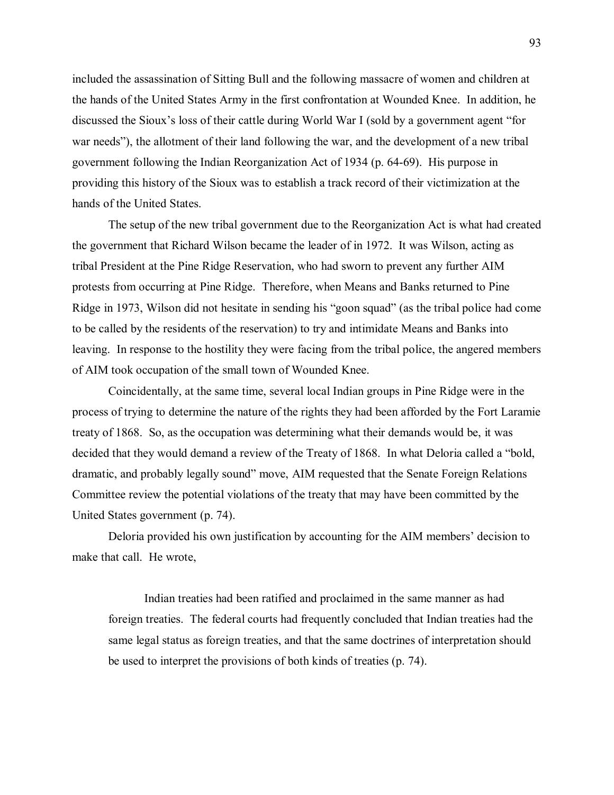included the assassination of Sitting Bull and the following massacre of women and children at the hands of the United States Army in the first confrontation at Wounded Knee. In addition, he discussed the Sioux's loss of their cattle during World War I (sold by a government agent "for war needs"), the allotment of their land following the war, and the development of a new tribal government following the Indian Reorganization Act of 1934 (p. 64-69). His purpose in providing this history of the Sioux was to establish a track record of their victimization at the hands of the United States.

The setup of the new tribal government due to the Reorganization Act is what had created the government that Richard Wilson became the leader of in 1972. It was Wilson, acting as tribal President at the Pine Ridge Reservation, who had sworn to prevent any further AIM protests from occurring at Pine Ridge. Therefore, when Means and Banks returned to Pine Ridge in 1973, Wilson did not hesitate in sending his "goon squad" (as the tribal police had come to be called by the residents of the reservation) to try and intimidate Means and Banks into leaving. In response to the hostility they were facing from the tribal police, the angered members of AIM took occupation of the small town of Wounded Knee.

Coincidentally, at the same time, several local Indian groups in Pine Ridge were in the process of trying to determine the nature of the rights they had been afforded by the Fort Laramie treaty of 1868. So, as the occupation was determining what their demands would be, it was decided that they would demand a review of the Treaty of 1868. In what Deloria called a "bold, dramatic, and probably legally sound" move, AIM requested that the Senate Foreign Relations Committee review the potential violations of the treaty that may have been committed by the United States government (p. 74).

Deloria provided his own justification by accounting for the AIM members' decision to make that call. He wrote,

Indian treaties had been ratified and proclaimed in the same manner as had foreign treaties. The federal courts had frequently concluded that Indian treaties had the same legal status as foreign treaties, and that the same doctrines of interpretation should be used to interpret the provisions of both kinds of treaties (p. 74).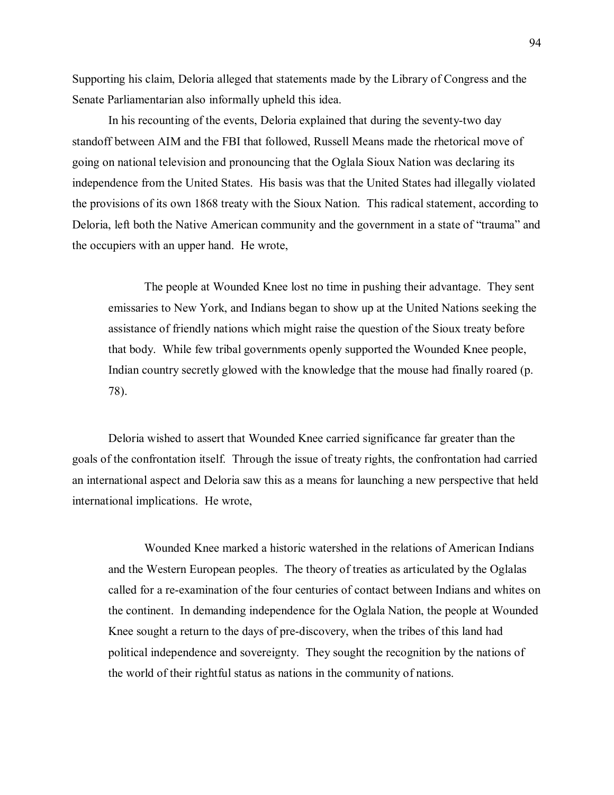Supporting his claim, Deloria alleged that statements made by the Library of Congress and the Senate Parliamentarian also informally upheld this idea.

In his recounting of the events, Deloria explained that during the seventy-two day standoff between AIM and the FBI that followed, Russell Means made the rhetorical move of going on national television and pronouncing that the Oglala Sioux Nation was declaring its independence from the United States. His basis was that the United States had illegally violated the provisions of its own 1868 treaty with the Sioux Nation. This radical statement, according to Deloria, left both the Native American community and the government in a state of "trauma" and the occupiers with an upper hand. He wrote,

The people at Wounded Knee lost no time in pushing their advantage. They sent emissaries to New York, and Indians began to show up at the United Nations seeking the assistance of friendly nations which might raise the question of the Sioux treaty before that body. While few tribal governments openly supported the Wounded Knee people, Indian country secretly glowed with the knowledge that the mouse had finally roared (p. 78).

Deloria wished to assert that Wounded Knee carried significance far greater than the goals of the confrontation itself. Through the issue of treaty rights, the confrontation had carried an international aspect and Deloria saw this as a means for launching a new perspective that held international implications. He wrote,

Wounded Knee marked a historic watershed in the relations of American Indians and the Western European peoples. The theory of treaties as articulated by the Oglalas called for a re-examination of the four centuries of contact between Indians and whites on the continent. In demanding independence for the Oglala Nation, the people at Wounded Knee sought a return to the days of pre-discovery, when the tribes of this land had political independence and sovereignty. They sought the recognition by the nations of the world of their rightful status as nations in the community of nations.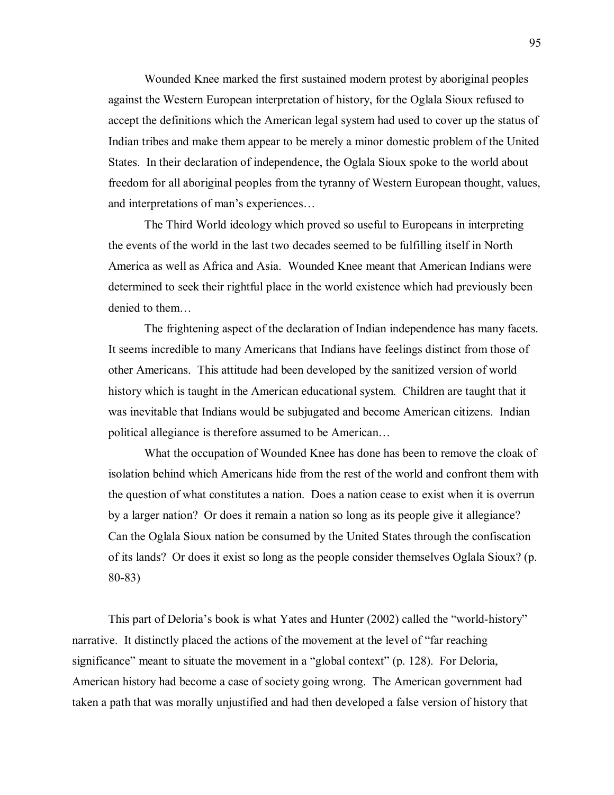Wounded Knee marked the first sustained modern protest by aboriginal peoples against the Western European interpretation of history, for the Oglala Sioux refused to accept the definitions which the American legal system had used to cover up the status of Indian tribes and make them appear to be merely a minor domestic problem of the United States. In their declaration of independence, the Oglala Sioux spoke to the world about freedom for all aboriginal peoples from the tyranny of Western European thought, values, and interpretations of man's experiences...

The Third World ideology which proved so useful to Europeans in interpreting the events of the world in the last two decades seemed to be fulfilling itself in North America as well as Africa and Asia. Wounded Knee meant that American Indians were determined to seek their rightful place in the world existence which had previously been denied to them...

The frightening aspect of the declaration of Indian independence has many facets. It seems incredible to many Americans that Indians have feelings distinct from those of other Americans. This attitude had been developed by the sanitized version of world history which is taught in the American educational system. Children are taught that it was inevitable that Indians would be subjugated and become American citizens. Indian political allegiance is therefore assumed to be American...

What the occupation of Wounded Knee has done has been to remove the cloak of isolation behind which Americans hide from the rest of the world and confront them with the question of what constitutes a nation. Does a nation cease to exist when it is overrun by a larger nation? Or does it remain a nation so long as its people give it allegiance? Can the Oglala Sioux nation be consumed by the United States through the confiscation of its lands? Or does it exist so long as the people consider themselves Oglala Sioux? (p. 80-83)

This part of Deloria's book is what Yates and Hunter (2002) called the "world-history" narrative. It distinctly placed the actions of the movement at the level of "far reaching" significance" meant to situate the movement in a "global context" (p. 128). For Deloria, American history had become a case of society going wrong. The American government had taken a path that was morally unjustified and had then developed a false version of history that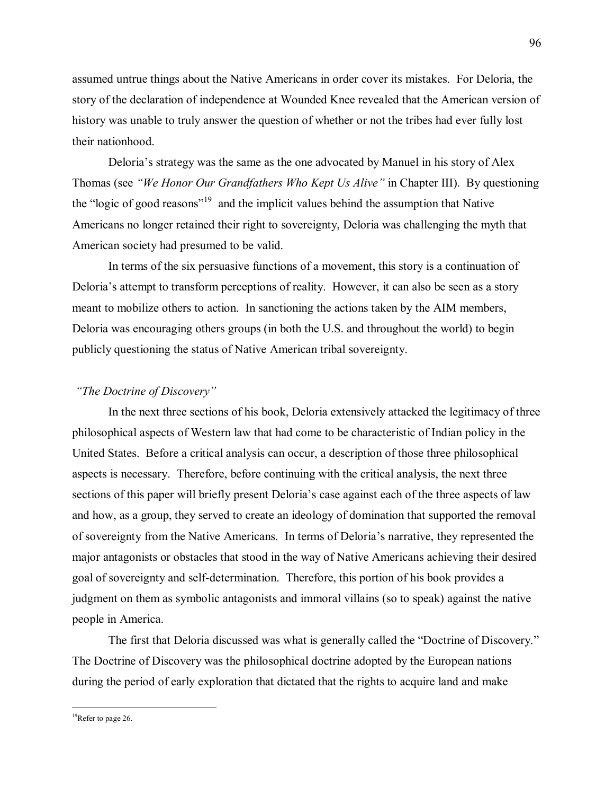assumed untrue things about the Native Americans in order cover its mistakes. For Deloria, the story of the declaration of independence at Wounded Knee revealed that the American version of history was unable to truly answer the question of whether or not the tribes had ever fully lost their nationhood.

Deloria's strategy was the same as the one advocated by Manuel in his story of Alex Thomas (see *"We Honor Our Grandfathers Who Kept Us Alive*" in Chapter III). By questioning the "logic of good reasons"<sup>19</sup> and the implicit values behind the assumption that Native Americans no longer retained their right to sovereignty, Deloria was challenging the myth that American society had presumed to be valid.

In terms of the six persuasive functions of a movement, this story is a continuation of Deloria's attempt to transform perceptions of reality. However, it can also be seen as a story meant to mobilize others to action. In sanctioning the actions taken by the AIM members, Deloria was encouraging others groups (in both the U.S. and throughout the world) to begin publicly questioning the status of Native American tribal sovereignty.

#### *"The Doctrine of Discovery"*

In the next three sections of his book, Deloria extensively attacked the legitimacy of three philosophical aspects of Western law that had come to be characteristic of Indian policy in the United States. Before a critical analysis can occur, a description of those three philosophical aspects is necessary. Therefore, before continuing with the critical analysis, the next three sections of this paper will briefly present Deloria's case against each of the three aspects of law and how, as a group, they served to create an ideology of domination that supported the removal of sovereignty from the Native Americans. In terms of Deloria's narrative, they represented the major antagonists or obstacles that stood in the way of Native Americans achieving their desired goal of sovereignty and self-determination. Therefore, this portion of his book provides a judgment on them as symbolic antagonists and immoral villains (so to speak) against the native people in America.

The first that Deloria discussed was what is generally called the "Doctrine of Discovery." The Doctrine of Discovery was the philosophical doctrine adopted by the European nations during the period of early exploration that dictated that the rights to acquire land and make

<sup>19</sup>Refer to page 26.

1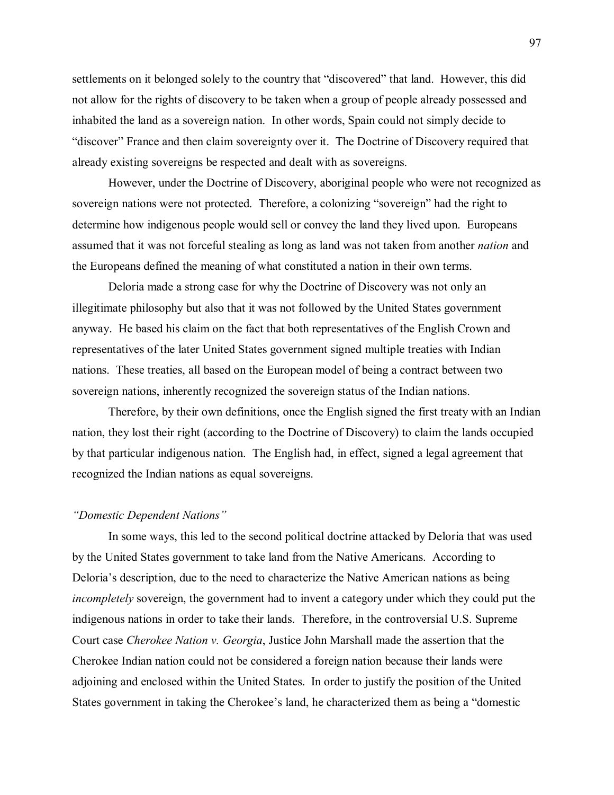settlements on it belonged solely to the country that "discovered" that land. However, this did not allow for the rights of discovery to be taken when a group of people already possessed and inhabited the land as a sovereign nation. In other words, Spain could not simply decide to "discover" France and then claim sovereignty over it. The Doctrine of Discovery required that already existing sovereigns be respected and dealt with as sovereigns.

However, under the Doctrine of Discovery, aboriginal people who were not recognized as sovereign nations were not protected. Therefore, a colonizing "sovereign" had the right to determine how indigenous people would sell or convey the land they lived upon. Europeans assumed that it was not forceful stealing as long as land was not taken from another *nation* and the Europeans defined the meaning of what constituted a nation in their own terms.

Deloria made a strong case for why the Doctrine of Discovery was not only an illegitimate philosophy but also that it was not followed by the United States government anyway. He based his claim on the fact that both representatives of the English Crown and representatives of the later United States government signed multiple treaties with Indian nations. These treaties, all based on the European model of being a contract between two sovereign nations, inherently recognized the sovereign status of the Indian nations.

Therefore, by their own definitions, once the English signed the first treaty with an Indian nation, they lost their right (according to the Doctrine of Discovery) to claim the lands occupied by that particular indigenous nation. The English had, in effect, signed a legal agreement that recognized the Indian nations as equal sovereigns.

# *<sup><sup><i>i***Domestic Dependent Nations**<sup>*<i><i>***</sup></sup>**</sup></sup>

In some ways, this led to the second political doctrine attacked by Deloria that was used by the United States government to take land from the Native Americans. According to Deloria's description, due to the need to characterize the Native American nations as being *incompletely* sovereign, the government had to invent a category under which they could put the indigenous nations in order to take their lands. Therefore, in the controversial U.S. Supreme Court case *Cherokee Nation v. Georgia*, Justice John Marshall made the assertion that the Cherokee Indian nation could not be considered a foreign nation because their lands were adjoining and enclosed within the United States. In order to justify the position of the United States government in taking the Cherokee's land, he characterized them as being a "domestic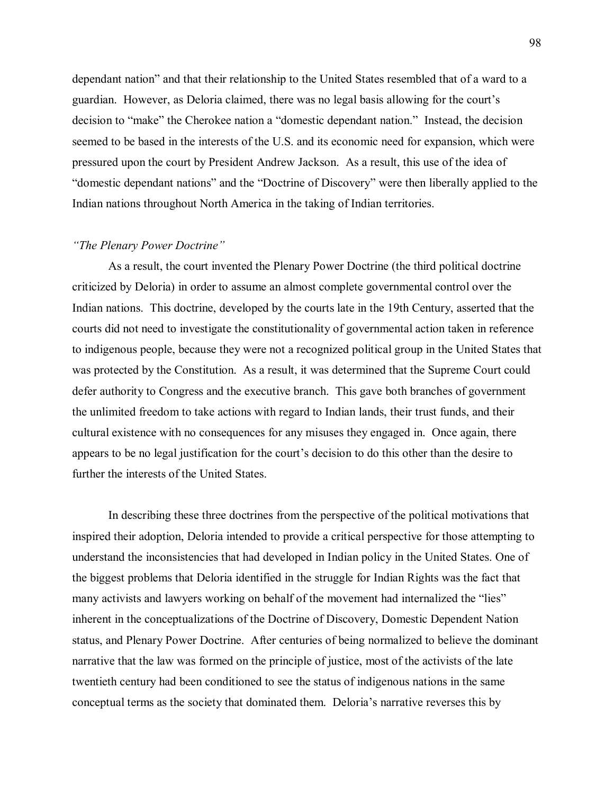dependant nationî and that their relationship to the United States resembled that of a ward to a guardian. However, as Deloria claimed, there was no legal basis allowing for the court's decision to "make" the Cherokee nation a "domestic dependant nation." Instead, the decision seemed to be based in the interests of the U.S. and its economic need for expansion, which were pressured upon the court by President Andrew Jackson. As a result, this use of the idea of "domestic dependant nations" and the "Doctrine of Discovery" were then liberally applied to the Indian nations throughout North America in the taking of Indian territories.

# *<sup><i>ªThe Plenary Power Doctrine*</sup>

As a result, the court invented the Plenary Power Doctrine (the third political doctrine criticized by Deloria) in order to assume an almost complete governmental control over the Indian nations. This doctrine, developed by the courts late in the 19th Century, asserted that the courts did not need to investigate the constitutionality of governmental action taken in reference to indigenous people, because they were not a recognized political group in the United States that was protected by the Constitution. As a result, it was determined that the Supreme Court could defer authority to Congress and the executive branch. This gave both branches of government the unlimited freedom to take actions with regard to Indian lands, their trust funds, and their cultural existence with no consequences for any misuses they engaged in. Once again, there appears to be no legal justification for the court's decision to do this other than the desire to further the interests of the United States.

In describing these three doctrines from the perspective of the political motivations that inspired their adoption, Deloria intended to provide a critical perspective for those attempting to understand the inconsistencies that had developed in Indian policy in the United States. One of the biggest problems that Deloria identified in the struggle for Indian Rights was the fact that many activists and lawyers working on behalf of the movement had internalized the "lies" inherent in the conceptualizations of the Doctrine of Discovery, Domestic Dependent Nation status, and Plenary Power Doctrine. After centuries of being normalized to believe the dominant narrative that the law was formed on the principle of justice, most of the activists of the late twentieth century had been conditioned to see the status of indigenous nations in the same conceptual terms as the society that dominated them. Deloriaís narrative reverses this by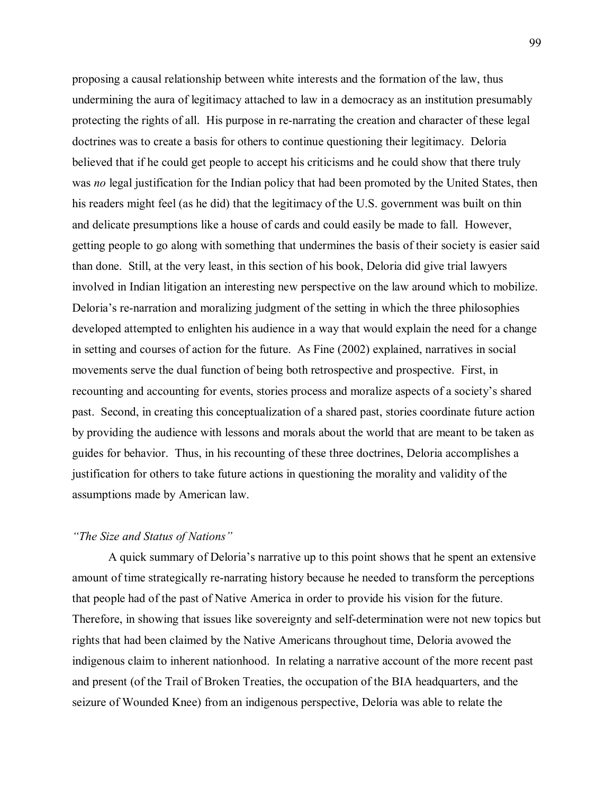proposing a causal relationship between white interests and the formation of the law, thus undermining the aura of legitimacy attached to law in a democracy as an institution presumably protecting the rights of all. His purpose in re-narrating the creation and character of these legal doctrines was to create a basis for others to continue questioning their legitimacy. Deloria believed that if he could get people to accept his criticisms and he could show that there truly was *no* legal justification for the Indian policy that had been promoted by the United States, then his readers might feel (as he did) that the legitimacy of the U.S. government was built on thin and delicate presumptions like a house of cards and could easily be made to fall. However, getting people to go along with something that undermines the basis of their society is easier said than done. Still, at the very least, in this section of his book, Deloria did give trial lawyers involved in Indian litigation an interesting new perspective on the law around which to mobilize. Deloria's re-narration and moralizing judgment of the setting in which the three philosophies developed attempted to enlighten his audience in a way that would explain the need for a change in setting and courses of action for the future. As Fine (2002) explained, narratives in social movements serve the dual function of being both retrospective and prospective. First, in recounting and accounting for events, stories process and moralize aspects of a society's shared past. Second, in creating this conceptualization of a shared past, stories coordinate future action by providing the audience with lessons and morals about the world that are meant to be taken as guides for behavior. Thus, in his recounting of these three doctrines, Deloria accomplishes a justification for others to take future actions in questioning the morality and validity of the assumptions made by American law.

# *<sup><i>ªThe Size and Status of Nations*<sup>*?*</sup></sup>

A quick summary of Deloria's narrative up to this point shows that he spent an extensive amount of time strategically re-narrating history because he needed to transform the perceptions that people had of the past of Native America in order to provide his vision for the future. Therefore, in showing that issues like sovereignty and self-determination were not new topics but rights that had been claimed by the Native Americans throughout time, Deloria avowed the indigenous claim to inherent nationhood. In relating a narrative account of the more recent past and present (of the Trail of Broken Treaties, the occupation of the BIA headquarters, and the seizure of Wounded Knee) from an indigenous perspective, Deloria was able to relate the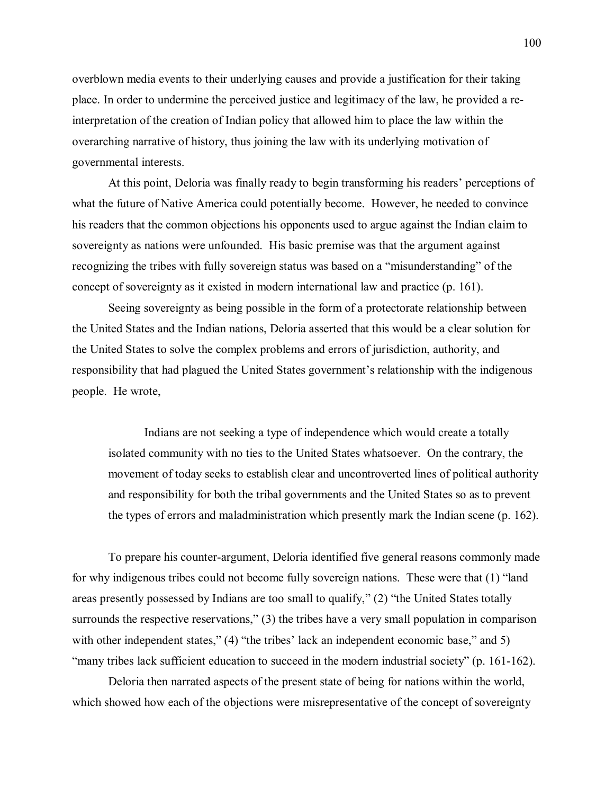overblown media events to their underlying causes and provide a justification for their taking place. In order to undermine the perceived justice and legitimacy of the law, he provided a reinterpretation of the creation of Indian policy that allowed him to place the law within the overarching narrative of history, thus joining the law with its underlying motivation of governmental interests.

At this point, Deloria was finally ready to begin transforming his readers' perceptions of what the future of Native America could potentially become. However, he needed to convince his readers that the common objections his opponents used to argue against the Indian claim to sovereignty as nations were unfounded. His basic premise was that the argument against recognizing the tribes with fully sovereign status was based on a "misunderstanding" of the concept of sovereignty as it existed in modern international law and practice (p. 161).

Seeing sovereignty as being possible in the form of a protectorate relationship between the United States and the Indian nations, Deloria asserted that this would be a clear solution for the United States to solve the complex problems and errors of jurisdiction, authority, and responsibility that had plagued the United States government's relationship with the indigenous people. He wrote,

Indians are not seeking a type of independence which would create a totally isolated community with no ties to the United States whatsoever. On the contrary, the movement of today seeks to establish clear and uncontroverted lines of political authority and responsibility for both the tribal governments and the United States so as to prevent the types of errors and maladministration which presently mark the Indian scene (p. 162).

To prepare his counter-argument, Deloria identified five general reasons commonly made for why indigenous tribes could not become fully sovereign nations. These were that  $(1)$  "land" areas presently possessed by Indians are too small to qualify," (2) "the United States totally surrounds the respective reservations,"  $(3)$  the tribes have a very small population in comparison with other independent states,"  $(4)$  "the tribes' lack an independent economic base," and 5) ìmany tribes lack sufficient education to succeed in the modern industrial societyî (p. 161-162).

Deloria then narrated aspects of the present state of being for nations within the world, which showed how each of the objections were misrepresentative of the concept of sovereignty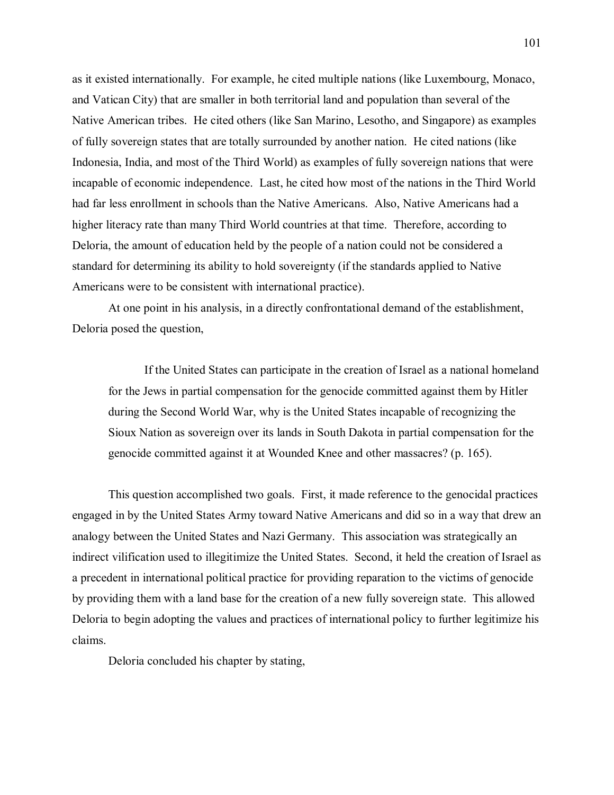as it existed internationally. For example, he cited multiple nations (like Luxembourg, Monaco, and Vatican City) that are smaller in both territorial land and population than several of the Native American tribes. He cited others (like San Marino, Lesotho, and Singapore) as examples of fully sovereign states that are totally surrounded by another nation. He cited nations (like Indonesia, India, and most of the Third World) as examples of fully sovereign nations that were incapable of economic independence. Last, he cited how most of the nations in the Third World had far less enrollment in schools than the Native Americans. Also, Native Americans had a higher literacy rate than many Third World countries at that time. Therefore, according to Deloria, the amount of education held by the people of a nation could not be considered a standard for determining its ability to hold sovereignty (if the standards applied to Native Americans were to be consistent with international practice).

At one point in his analysis, in a directly confrontational demand of the establishment, Deloria posed the question,

If the United States can participate in the creation of Israel as a national homeland for the Jews in partial compensation for the genocide committed against them by Hitler during the Second World War, why is the United States incapable of recognizing the Sioux Nation as sovereign over its lands in South Dakota in partial compensation for the genocide committed against it at Wounded Knee and other massacres? (p. 165).

This question accomplished two goals. First, it made reference to the genocidal practices engaged in by the United States Army toward Native Americans and did so in a way that drew an analogy between the United States and Nazi Germany. This association was strategically an indirect vilification used to illegitimize the United States. Second, it held the creation of Israel as a precedent in international political practice for providing reparation to the victims of genocide by providing them with a land base for the creation of a new fully sovereign state. This allowed Deloria to begin adopting the values and practices of international policy to further legitimize his claims.

Deloria concluded his chapter by stating,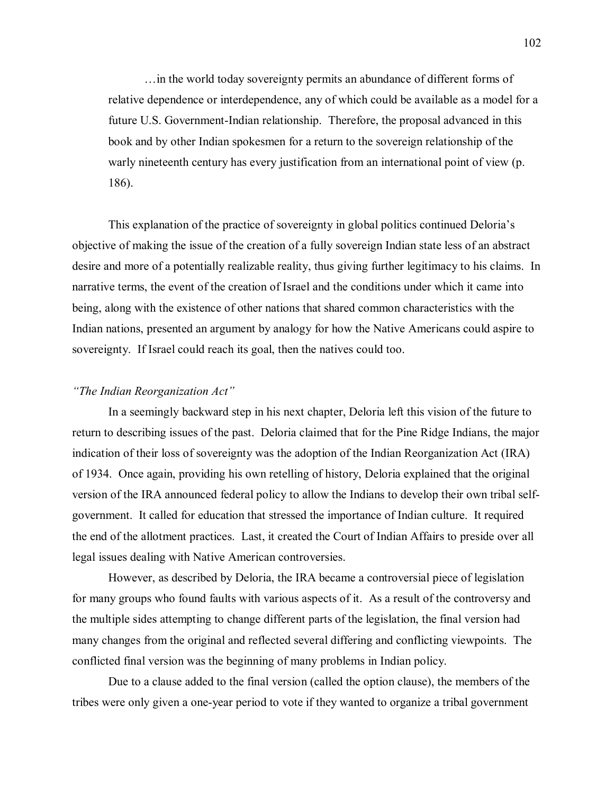$\ldots$  in the world today sovereignty permits an abundance of different forms of relative dependence or interdependence, any of which could be available as a model for a future U.S. Government-Indian relationship. Therefore, the proposal advanced in this book and by other Indian spokesmen for a return to the sovereign relationship of the warly nineteenth century has every justification from an international point of view (p. 186).

This explanation of the practice of sovereignty in global politics continued Deloria's objective of making the issue of the creation of a fully sovereign Indian state less of an abstract desire and more of a potentially realizable reality, thus giving further legitimacy to his claims. In narrative terms, the event of the creation of Israel and the conditions under which it came into being, along with the existence of other nations that shared common characteristics with the Indian nations, presented an argument by analogy for how the Native Americans could aspire to sovereignty. If Israel could reach its goal, then the natives could too.

#### *<sup>8</sup>The Indian Reorganization Act*<sup>"</sup>

In a seemingly backward step in his next chapter, Deloria left this vision of the future to return to describing issues of the past. Deloria claimed that for the Pine Ridge Indians, the major indication of their loss of sovereignty was the adoption of the Indian Reorganization Act (IRA) of 1934. Once again, providing his own retelling of history, Deloria explained that the original version of the IRA announced federal policy to allow the Indians to develop their own tribal selfgovernment. It called for education that stressed the importance of Indian culture. It required the end of the allotment practices. Last, it created the Court of Indian Affairs to preside over all legal issues dealing with Native American controversies.

However, as described by Deloria, the IRA became a controversial piece of legislation for many groups who found faults with various aspects of it. As a result of the controversy and the multiple sides attempting to change different parts of the legislation, the final version had many changes from the original and reflected several differing and conflicting viewpoints. The conflicted final version was the beginning of many problems in Indian policy.

Due to a clause added to the final version (called the option clause), the members of the tribes were only given a one-year period to vote if they wanted to organize a tribal government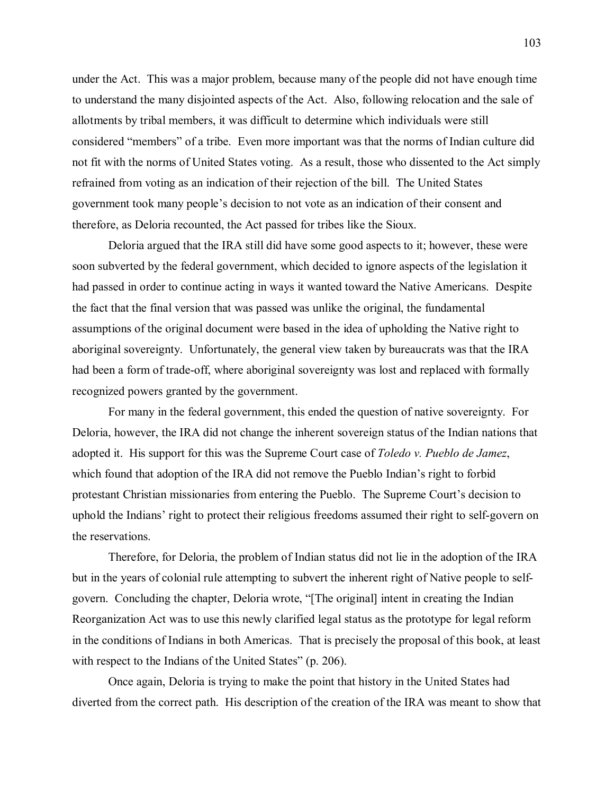under the Act. This was a major problem, because many of the people did not have enough time to understand the many disjointed aspects of the Act. Also, following relocation and the sale of allotments by tribal members, it was difficult to determine which individuals were still considered "members" of a tribe. Even more important was that the norms of Indian culture did not fit with the norms of United States voting. As a result, those who dissented to the Act simply refrained from voting as an indication of their rejection of the bill. The United States government took many people's decision to not vote as an indication of their consent and therefore, as Deloria recounted, the Act passed for tribes like the Sioux.

Deloria argued that the IRA still did have some good aspects to it; however, these were soon subverted by the federal government, which decided to ignore aspects of the legislation it had passed in order to continue acting in ways it wanted toward the Native Americans. Despite the fact that the final version that was passed was unlike the original, the fundamental assumptions of the original document were based in the idea of upholding the Native right to aboriginal sovereignty. Unfortunately, the general view taken by bureaucrats was that the IRA had been a form of trade-off, where aboriginal sovereignty was lost and replaced with formally recognized powers granted by the government.

For many in the federal government, this ended the question of native sovereignty. For Deloria, however, the IRA did not change the inherent sovereign status of the Indian nations that adopted it. His support for this was the Supreme Court case of *Toledo v. Pueblo de Jamez*, which found that adoption of the IRA did not remove the Pueblo Indian's right to forbid protestant Christian missionaries from entering the Pueblo. The Supreme Court's decision to uphold the Indians' right to protect their religious freedoms assumed their right to self-govern on the reservations.

Therefore, for Deloria, the problem of Indian status did not lie in the adoption of the IRA but in the years of colonial rule attempting to subvert the inherent right of Native people to selfgovern. Concluding the chapter, Deloria wrote, "[The original] intent in creating the Indian Reorganization Act was to use this newly clarified legal status as the prototype for legal reform in the conditions of Indians in both Americas. That is precisely the proposal of this book, at least with respect to the Indians of the United States" (p. 206).

Once again, Deloria is trying to make the point that history in the United States had diverted from the correct path. His description of the creation of the IRA was meant to show that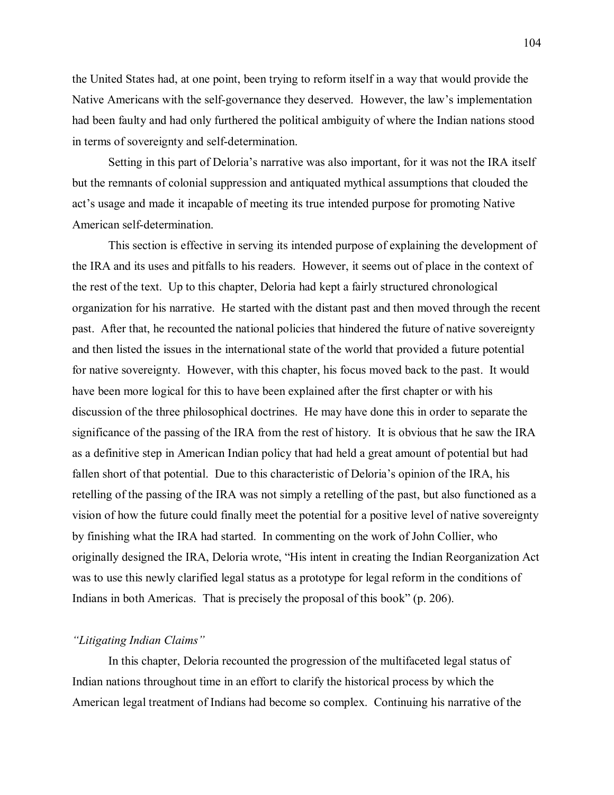the United States had, at one point, been trying to reform itself in a way that would provide the Native Americans with the self-governance they deserved. However, the law's implementation had been faulty and had only furthered the political ambiguity of where the Indian nations stood in terms of sovereignty and self-determination.

Setting in this part of Deloria's narrative was also important, for it was not the IRA itself but the remnants of colonial suppression and antiquated mythical assumptions that clouded the act's usage and made it incapable of meeting its true intended purpose for promoting Native American self-determination.

This section is effective in serving its intended purpose of explaining the development of the IRA and its uses and pitfalls to his readers. However, it seems out of place in the context of the rest of the text. Up to this chapter, Deloria had kept a fairly structured chronological organization for his narrative. He started with the distant past and then moved through the recent past. After that, he recounted the national policies that hindered the future of native sovereignty and then listed the issues in the international state of the world that provided a future potential for native sovereignty. However, with this chapter, his focus moved back to the past. It would have been more logical for this to have been explained after the first chapter or with his discussion of the three philosophical doctrines. He may have done this in order to separate the significance of the passing of the IRA from the rest of history. It is obvious that he saw the IRA as a definitive step in American Indian policy that had held a great amount of potential but had fallen short of that potential. Due to this characteristic of Deloria's opinion of the IRA, his retelling of the passing of the IRA was not simply a retelling of the past, but also functioned as a vision of how the future could finally meet the potential for a positive level of native sovereignty by finishing what the IRA had started. In commenting on the work of John Collier, who originally designed the IRA, Deloria wrote, "His intent in creating the Indian Reorganization Act was to use this newly clarified legal status as a prototype for legal reform in the conditions of Indians in both Americas. That is precisely the proposal of this book"  $(p. 206)$ .

# *<sup>"</sup>Litigating Indian Claims*"

In this chapter, Deloria recounted the progression of the multifaceted legal status of Indian nations throughout time in an effort to clarify the historical process by which the American legal treatment of Indians had become so complex. Continuing his narrative of the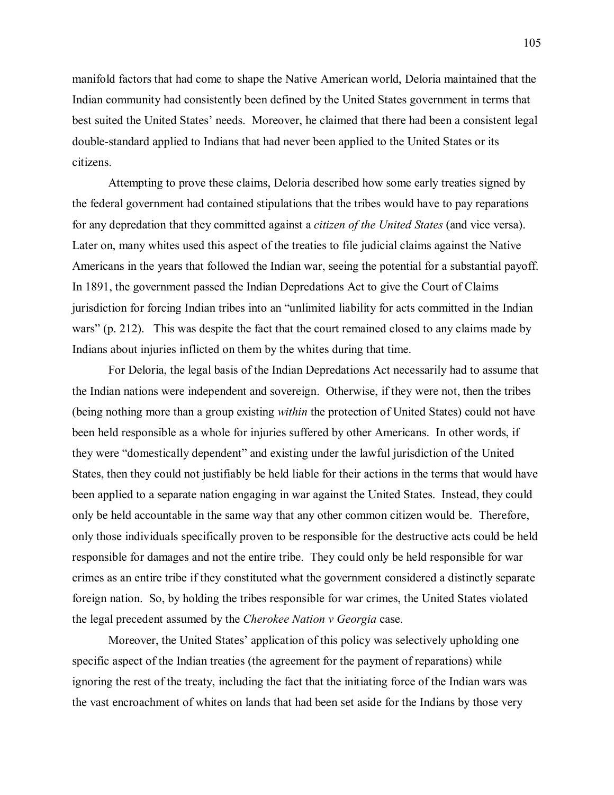manifold factors that had come to shape the Native American world, Deloria maintained that the Indian community had consistently been defined by the United States government in terms that best suited the United States' needs. Moreover, he claimed that there had been a consistent legal double-standard applied to Indians that had never been applied to the United States or its citizens.

Attempting to prove these claims, Deloria described how some early treaties signed by the federal government had contained stipulations that the tribes would have to pay reparations for any depredation that they committed against a *citizen of the United States* (and vice versa). Later on, many whites used this aspect of the treaties to file judicial claims against the Native Americans in the years that followed the Indian war, seeing the potential for a substantial payoff. In 1891, the government passed the Indian Depredations Act to give the Court of Claims jurisdiction for forcing Indian tribes into an "unlimited liability for acts committed in the Indian wars" (p. 212). This was despite the fact that the court remained closed to any claims made by Indians about injuries inflicted on them by the whites during that time.

For Deloria, the legal basis of the Indian Depredations Act necessarily had to assume that the Indian nations were independent and sovereign. Otherwise, if they were not, then the tribes (being nothing more than a group existing *within* the protection of United States) could not have been held responsible as a whole for injuries suffered by other Americans. In other words, if they were "domestically dependent" and existing under the lawful jurisdiction of the United States, then they could not justifiably be held liable for their actions in the terms that would have been applied to a separate nation engaging in war against the United States. Instead, they could only be held accountable in the same way that any other common citizen would be. Therefore, only those individuals specifically proven to be responsible for the destructive acts could be held responsible for damages and not the entire tribe. They could only be held responsible for war crimes as an entire tribe if they constituted what the government considered a distinctly separate foreign nation. So, by holding the tribes responsible for war crimes, the United States violated the legal precedent assumed by the *Cherokee Nation v Georgia* case.

Moreover, the United States' application of this policy was selectively upholding one specific aspect of the Indian treaties (the agreement for the payment of reparations) while ignoring the rest of the treaty, including the fact that the initiating force of the Indian wars was the vast encroachment of whites on lands that had been set aside for the Indians by those very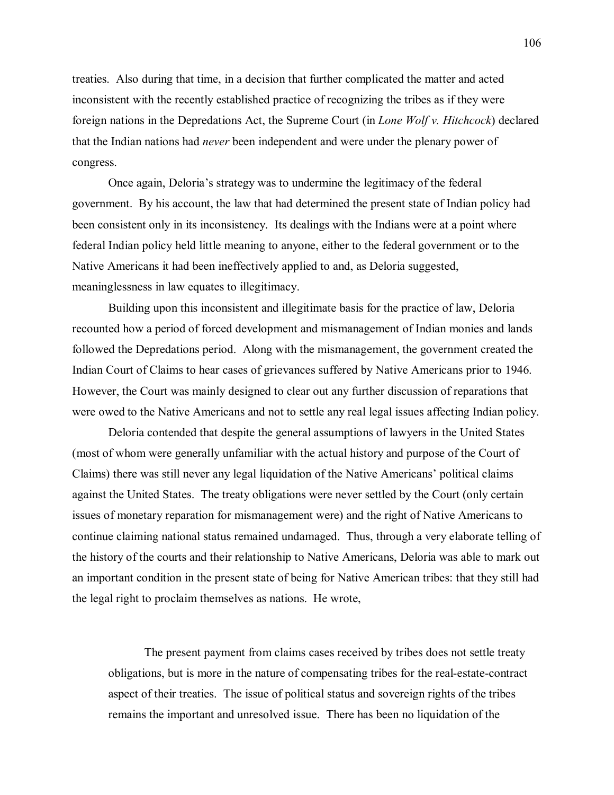treaties. Also during that time, in a decision that further complicated the matter and acted inconsistent with the recently established practice of recognizing the tribes as if they were foreign nations in the Depredations Act, the Supreme Court (in *Lone Wolf v. Hitchcock*) declared that the Indian nations had *never* been independent and were under the plenary power of congress.

Once again, Deloria's strategy was to undermine the legitimacy of the federal government. By his account, the law that had determined the present state of Indian policy had been consistent only in its inconsistency. Its dealings with the Indians were at a point where federal Indian policy held little meaning to anyone, either to the federal government or to the Native Americans it had been ineffectively applied to and, as Deloria suggested, meaninglessness in law equates to illegitimacy.

Building upon this inconsistent and illegitimate basis for the practice of law, Deloria recounted how a period of forced development and mismanagement of Indian monies and lands followed the Depredations period. Along with the mismanagement, the government created the Indian Court of Claims to hear cases of grievances suffered by Native Americans prior to 1946. However, the Court was mainly designed to clear out any further discussion of reparations that were owed to the Native Americans and not to settle any real legal issues affecting Indian policy.

Deloria contended that despite the general assumptions of lawyers in the United States (most of whom were generally unfamiliar with the actual history and purpose of the Court of Claims) there was still never any legal liquidation of the Native Americans' political claims against the United States. The treaty obligations were never settled by the Court (only certain issues of monetary reparation for mismanagement were) and the right of Native Americans to continue claiming national status remained undamaged. Thus, through a very elaborate telling of the history of the courts and their relationship to Native Americans, Deloria was able to mark out an important condition in the present state of being for Native American tribes: that they still had the legal right to proclaim themselves as nations. He wrote,

The present payment from claims cases received by tribes does not settle treaty obligations, but is more in the nature of compensating tribes for the real-estate-contract aspect of their treaties. The issue of political status and sovereign rights of the tribes remains the important and unresolved issue. There has been no liquidation of the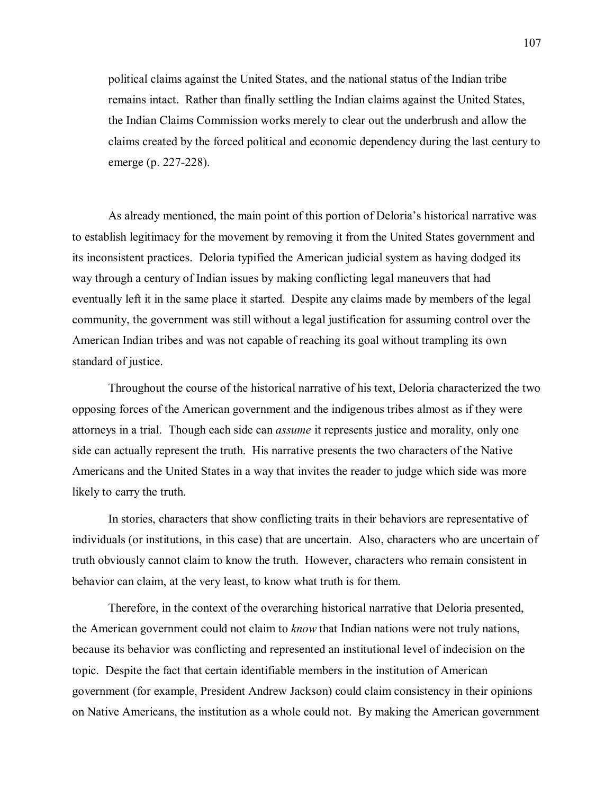political claims against the United States, and the national status of the Indian tribe remains intact. Rather than finally settling the Indian claims against the United States, the Indian Claims Commission works merely to clear out the underbrush and allow the claims created by the forced political and economic dependency during the last century to emerge (p. 227-228).

As already mentioned, the main point of this portion of Deloria's historical narrative was to establish legitimacy for the movement by removing it from the United States government and its inconsistent practices. Deloria typified the American judicial system as having dodged its way through a century of Indian issues by making conflicting legal maneuvers that had eventually left it in the same place it started. Despite any claims made by members of the legal community, the government was still without a legal justification for assuming control over the American Indian tribes and was not capable of reaching its goal without trampling its own standard of justice.

Throughout the course of the historical narrative of his text, Deloria characterized the two opposing forces of the American government and the indigenous tribes almost as if they were attorneys in a trial. Though each side can *assume* it represents justice and morality, only one side can actually represent the truth. His narrative presents the two characters of the Native Americans and the United States in a way that invites the reader to judge which side was more likely to carry the truth.

In stories, characters that show conflicting traits in their behaviors are representative of individuals (or institutions, in this case) that are uncertain. Also, characters who are uncertain of truth obviously cannot claim to know the truth. However, characters who remain consistent in behavior can claim, at the very least, to know what truth is for them.

Therefore, in the context of the overarching historical narrative that Deloria presented, the American government could not claim to *know* that Indian nations were not truly nations, because its behavior was conflicting and represented an institutional level of indecision on the topic. Despite the fact that certain identifiable members in the institution of American government (for example, President Andrew Jackson) could claim consistency in their opinions on Native Americans, the institution as a whole could not. By making the American government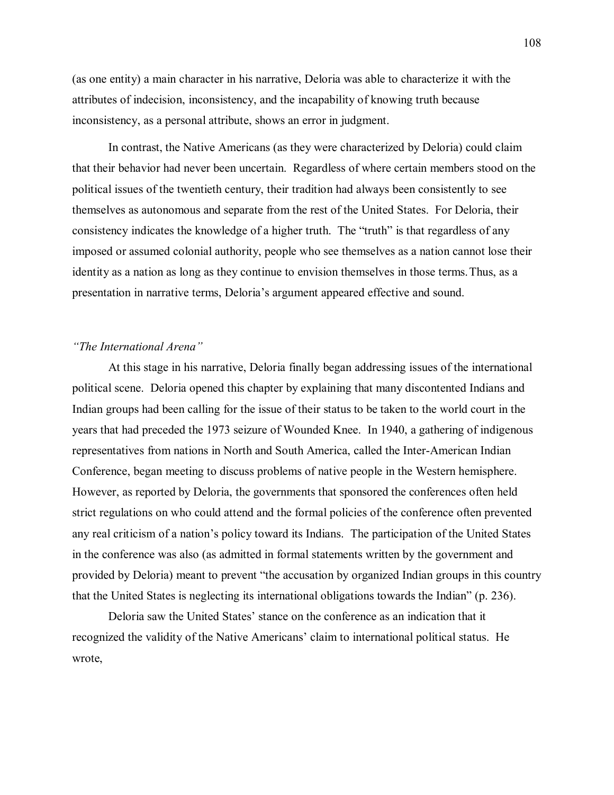(as one entity) a main character in his narrative, Deloria was able to characterize it with the attributes of indecision, inconsistency, and the incapability of knowing truth because inconsistency, as a personal attribute, shows an error in judgment.

In contrast, the Native Americans (as they were characterized by Deloria) could claim that their behavior had never been uncertain. Regardless of where certain members stood on the political issues of the twentieth century, their tradition had always been consistently to see themselves as autonomous and separate from the rest of the United States. For Deloria, their consistency indicates the knowledge of a higher truth. The "truth" is that regardless of any imposed or assumed colonial authority, people who see themselves as a nation cannot lose their identity as a nation as long as they continue to envision themselves in those terms. Thus, as a presentation in narrative terms, Deloria's argument appeared effective and sound.

### *ìThe International Arenaî*

At this stage in his narrative, Deloria finally began addressing issues of the international political scene. Deloria opened this chapter by explaining that many discontented Indians and Indian groups had been calling for the issue of their status to be taken to the world court in the years that had preceded the 1973 seizure of Wounded Knee. In 1940, a gathering of indigenous representatives from nations in North and South America, called the Inter-American Indian Conference, began meeting to discuss problems of native people in the Western hemisphere. However, as reported by Deloria, the governments that sponsored the conferences often held strict regulations on who could attend and the formal policies of the conference often prevented any real criticism of a nation's policy toward its Indians. The participation of the United States in the conference was also (as admitted in formal statements written by the government and provided by Deloria) meant to prevent "the accusation by organized Indian groups in this country that the United States is neglecting its international obligations towards the Indian" (p. 236).

Deloria saw the United States' stance on the conference as an indication that it recognized the validity of the Native Americans' claim to international political status. He wrote,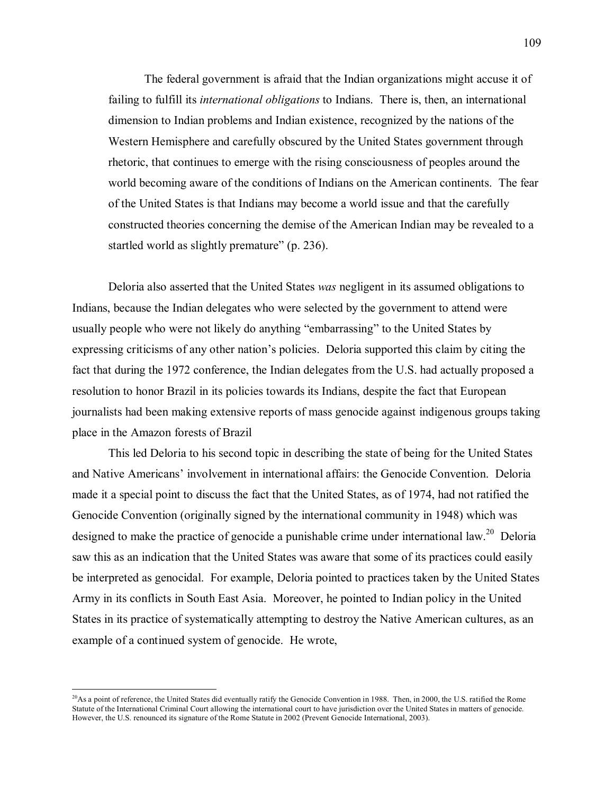The federal government is afraid that the Indian organizations might accuse it of failing to fulfill its *international obligations* to Indians. There is, then, an international dimension to Indian problems and Indian existence, recognized by the nations of the Western Hemisphere and carefully obscured by the United States government through rhetoric, that continues to emerge with the rising consciousness of peoples around the world becoming aware of the conditions of Indians on the American continents. The fear of the United States is that Indians may become a world issue and that the carefully constructed theories concerning the demise of the American Indian may be revealed to a startled world as slightly premature"  $(p. 236)$ .

Deloria also asserted that the United States *was* negligent in its assumed obligations to Indians, because the Indian delegates who were selected by the government to attend were usually people who were not likely do anything "embarrassing" to the United States by expressing criticisms of any other nation's policies. Deloria supported this claim by citing the fact that during the 1972 conference, the Indian delegates from the U.S. had actually proposed a resolution to honor Brazil in its policies towards its Indians, despite the fact that European journalists had been making extensive reports of mass genocide against indigenous groups taking place in the Amazon forests of Brazil

This led Deloria to his second topic in describing the state of being for the United States and Native Americans' involvement in international affairs: the Genocide Convention. Deloria made it a special point to discuss the fact that the United States, as of 1974, had not ratified the Genocide Convention (originally signed by the international community in 1948) which was designed to make the practice of genocide a punishable crime under international law.<sup>20</sup> Deloria saw this as an indication that the United States was aware that some of its practices could easily be interpreted as genocidal. For example, Deloria pointed to practices taken by the United States Army in its conflicts in South East Asia. Moreover, he pointed to Indian policy in the United States in its practice of systematically attempting to destroy the Native American cultures, as an example of a continued system of genocide. He wrote,

1

 $^{20}$ As a point of reference, the United States did eventually ratify the Genocide Convention in 1988. Then, in 2000, the U.S. ratified the Rome Statute of the International Criminal Court allowing the international court to have jurisdiction over the United States in matters of genocide. However, the U.S. renounced its signature of the Rome Statute in 2002 (Prevent Genocide International, 2003).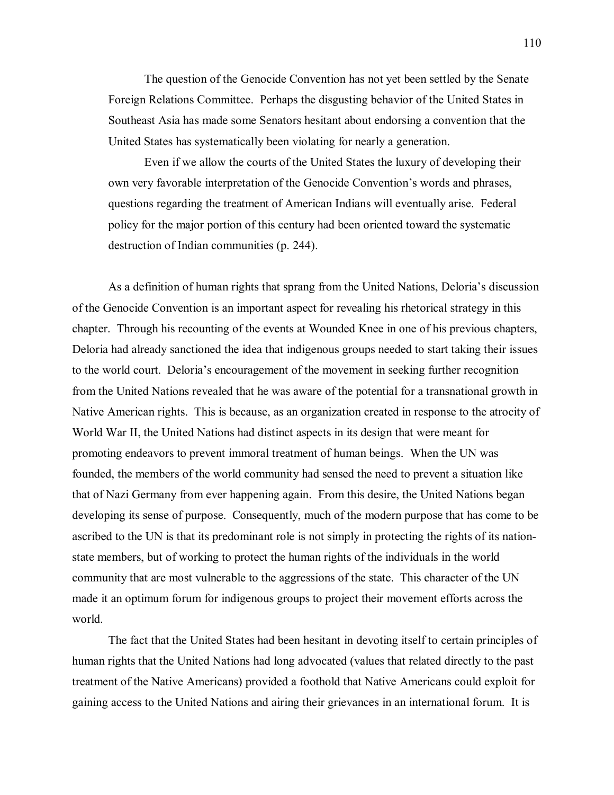The question of the Genocide Convention has not yet been settled by the Senate Foreign Relations Committee. Perhaps the disgusting behavior of the United States in Southeast Asia has made some Senators hesitant about endorsing a convention that the United States has systematically been violating for nearly a generation.

Even if we allow the courts of the United States the luxury of developing their own very favorable interpretation of the Genocide Conventionís words and phrases, questions regarding the treatment of American Indians will eventually arise. Federal policy for the major portion of this century had been oriented toward the systematic destruction of Indian communities (p. 244).

As a definition of human rights that sprang from the United Nations, Deloria's discussion of the Genocide Convention is an important aspect for revealing his rhetorical strategy in this chapter. Through his recounting of the events at Wounded Knee in one of his previous chapters, Deloria had already sanctioned the idea that indigenous groups needed to start taking their issues to the world court. Deloria's encouragement of the movement in seeking further recognition from the United Nations revealed that he was aware of the potential for a transnational growth in Native American rights. This is because, as an organization created in response to the atrocity of World War II, the United Nations had distinct aspects in its design that were meant for promoting endeavors to prevent immoral treatment of human beings. When the UN was founded, the members of the world community had sensed the need to prevent a situation like that of Nazi Germany from ever happening again. From this desire, the United Nations began developing its sense of purpose. Consequently, much of the modern purpose that has come to be ascribed to the UN is that its predominant role is not simply in protecting the rights of its nationstate members, but of working to protect the human rights of the individuals in the world community that are most vulnerable to the aggressions of the state. This character of the UN made it an optimum forum for indigenous groups to project their movement efforts across the world.

The fact that the United States had been hesitant in devoting itself to certain principles of human rights that the United Nations had long advocated (values that related directly to the past treatment of the Native Americans) provided a foothold that Native Americans could exploit for gaining access to the United Nations and airing their grievances in an international forum. It is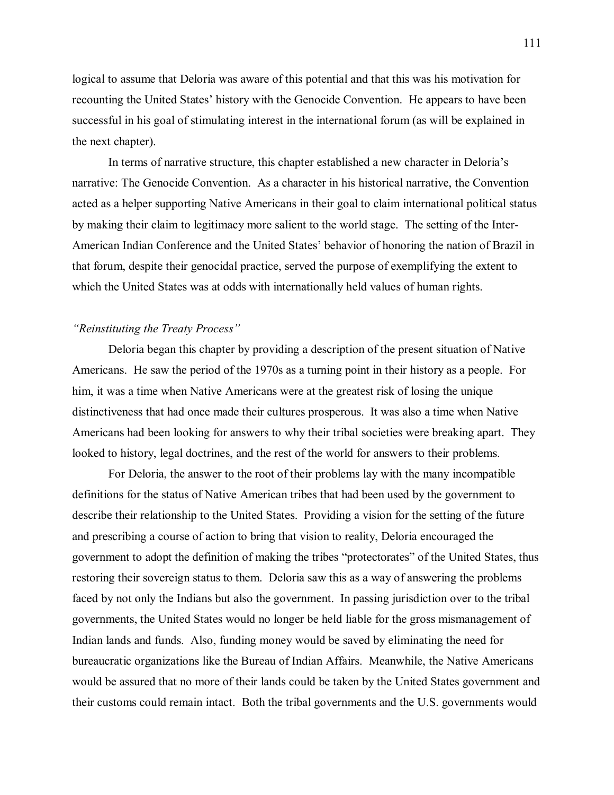logical to assume that Deloria was aware of this potential and that this was his motivation for recounting the United States' history with the Genocide Convention. He appears to have been successful in his goal of stimulating interest in the international forum (as will be explained in the next chapter).

In terms of narrative structure, this chapter established a new character in Deloria's narrative: The Genocide Convention. As a character in his historical narrative, the Convention acted as a helper supporting Native Americans in their goal to claim international political status by making their claim to legitimacy more salient to the world stage. The setting of the Inter-American Indian Conference and the United States' behavior of honoring the nation of Brazil in that forum, despite their genocidal practice, served the purpose of exemplifying the extent to which the United States was at odds with internationally held values of human rights.

## *<sup><i>'*</sup>Reinstituting the Treaty Process''

Deloria began this chapter by providing a description of the present situation of Native Americans. He saw the period of the 1970s as a turning point in their history as a people. For him, it was a time when Native Americans were at the greatest risk of losing the unique distinctiveness that had once made their cultures prosperous. It was also a time when Native Americans had been looking for answers to why their tribal societies were breaking apart. They looked to history, legal doctrines, and the rest of the world for answers to their problems.

For Deloria, the answer to the root of their problems lay with the many incompatible definitions for the status of Native American tribes that had been used by the government to describe their relationship to the United States. Providing a vision for the setting of the future and prescribing a course of action to bring that vision to reality, Deloria encouraged the government to adopt the definition of making the tribes "protectorates" of the United States, thus restoring their sovereign status to them. Deloria saw this as a way of answering the problems faced by not only the Indians but also the government. In passing jurisdiction over to the tribal governments, the United States would no longer be held liable for the gross mismanagement of Indian lands and funds. Also, funding money would be saved by eliminating the need for bureaucratic organizations like the Bureau of Indian Affairs. Meanwhile, the Native Americans would be assured that no more of their lands could be taken by the United States government and their customs could remain intact. Both the tribal governments and the U.S. governments would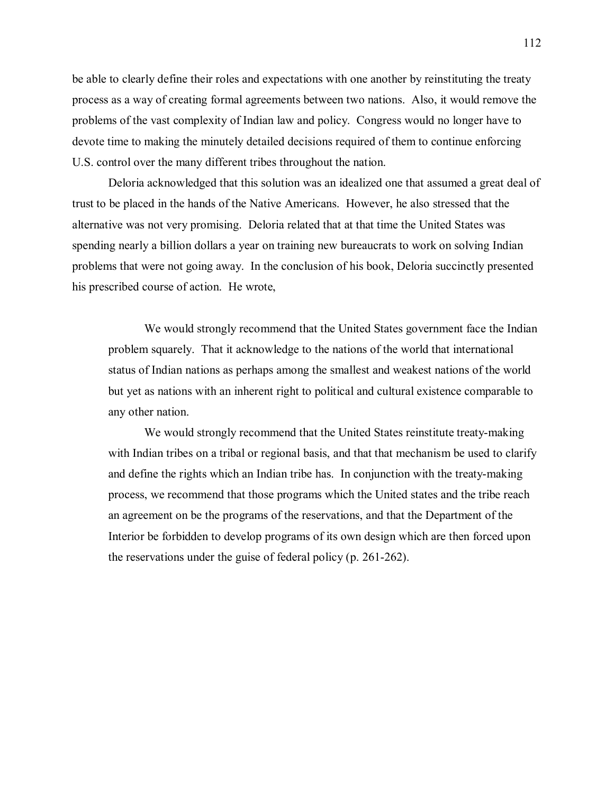be able to clearly define their roles and expectations with one another by reinstituting the treaty process as a way of creating formal agreements between two nations. Also, it would remove the problems of the vast complexity of Indian law and policy. Congress would no longer have to devote time to making the minutely detailed decisions required of them to continue enforcing U.S. control over the many different tribes throughout the nation.

Deloria acknowledged that this solution was an idealized one that assumed a great deal of trust to be placed in the hands of the Native Americans. However, he also stressed that the alternative was not very promising. Deloria related that at that time the United States was spending nearly a billion dollars a year on training new bureaucrats to work on solving Indian problems that were not going away. In the conclusion of his book, Deloria succinctly presented his prescribed course of action. He wrote,

We would strongly recommend that the United States government face the Indian problem squarely. That it acknowledge to the nations of the world that international status of Indian nations as perhaps among the smallest and weakest nations of the world but yet as nations with an inherent right to political and cultural existence comparable to any other nation.

We would strongly recommend that the United States reinstitute treaty-making with Indian tribes on a tribal or regional basis, and that that mechanism be used to clarify and define the rights which an Indian tribe has. In conjunction with the treaty-making process, we recommend that those programs which the United states and the tribe reach an agreement on be the programs of the reservations, and that the Department of the Interior be forbidden to develop programs of its own design which are then forced upon the reservations under the guise of federal policy (p. 261-262).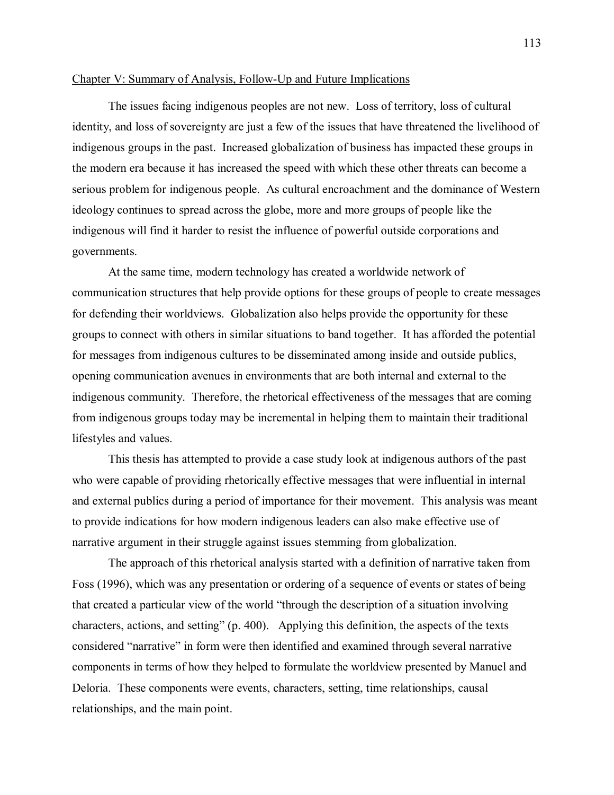#### Chapter V: Summary of Analysis, Follow-Up and Future Implications

The issues facing indigenous peoples are not new. Loss of territory, loss of cultural identity, and loss of sovereignty are just a few of the issues that have threatened the livelihood of indigenous groups in the past. Increased globalization of business has impacted these groups in the modern era because it has increased the speed with which these other threats can become a serious problem for indigenous people. As cultural encroachment and the dominance of Western ideology continues to spread across the globe, more and more groups of people like the indigenous will find it harder to resist the influence of powerful outside corporations and governments.

At the same time, modern technology has created a worldwide network of communication structures that help provide options for these groups of people to create messages for defending their worldviews. Globalization also helps provide the opportunity for these groups to connect with others in similar situations to band together. It has afforded the potential for messages from indigenous cultures to be disseminated among inside and outside publics, opening communication avenues in environments that are both internal and external to the indigenous community. Therefore, the rhetorical effectiveness of the messages that are coming from indigenous groups today may be incremental in helping them to maintain their traditional lifestyles and values.

This thesis has attempted to provide a case study look at indigenous authors of the past who were capable of providing rhetorically effective messages that were influential in internal and external publics during a period of importance for their movement. This analysis was meant to provide indications for how modern indigenous leaders can also make effective use of narrative argument in their struggle against issues stemming from globalization.

The approach of this rhetorical analysis started with a definition of narrative taken from Foss (1996), which was any presentation or ordering of a sequence of events or states of being that created a particular view of the world "through the description of a situation involving characters, actions, and setting" (p. 400). Applying this definition, the aspects of the texts considered "narrative" in form were then identified and examined through several narrative components in terms of how they helped to formulate the worldview presented by Manuel and Deloria. These components were events, characters, setting, time relationships, causal relationships, and the main point.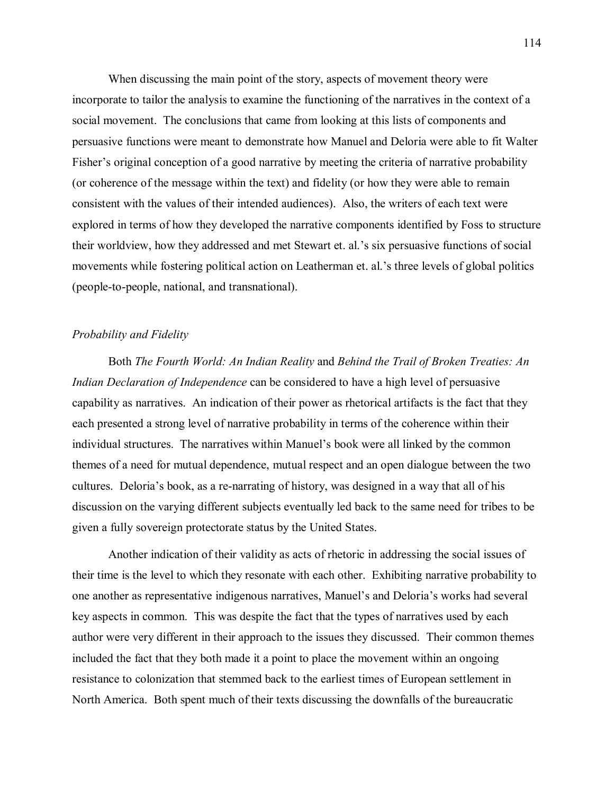When discussing the main point of the story, aspects of movement theory were incorporate to tailor the analysis to examine the functioning of the narratives in the context of a social movement. The conclusions that came from looking at this lists of components and persuasive functions were meant to demonstrate how Manuel and Deloria were able to fit Walter Fisher's original conception of a good narrative by meeting the criteria of narrative probability (or coherence of the message within the text) and fidelity (or how they were able to remain consistent with the values of their intended audiences). Also, the writers of each text were explored in terms of how they developed the narrative components identified by Foss to structure their worldview, how they addressed and met Stewart et. al.'s six persuasive functions of social movements while fostering political action on Leatherman et. al.'s three levels of global politics (people-to-people, national, and transnational).

#### *Probability and Fidelity*

Both *The Fourth World: An Indian Reality* and *Behind the Trail of Broken Treaties: An Indian Declaration of Independence* can be considered to have a high level of persuasive capability as narratives. An indication of their power as rhetorical artifacts is the fact that they each presented a strong level of narrative probability in terms of the coherence within their individual structures. The narratives within Manuel's book were all linked by the common themes of a need for mutual dependence, mutual respect and an open dialogue between the two cultures. Deloria's book, as a re-narrating of history, was designed in a way that all of his discussion on the varying different subjects eventually led back to the same need for tribes to be given a fully sovereign protectorate status by the United States.

Another indication of their validity as acts of rhetoric in addressing the social issues of their time is the level to which they resonate with each other. Exhibiting narrative probability to one another as representative indigenous narratives, Manuel's and Deloria's works had several key aspects in common. This was despite the fact that the types of narratives used by each author were very different in their approach to the issues they discussed. Their common themes included the fact that they both made it a point to place the movement within an ongoing resistance to colonization that stemmed back to the earliest times of European settlement in North America. Both spent much of their texts discussing the downfalls of the bureaucratic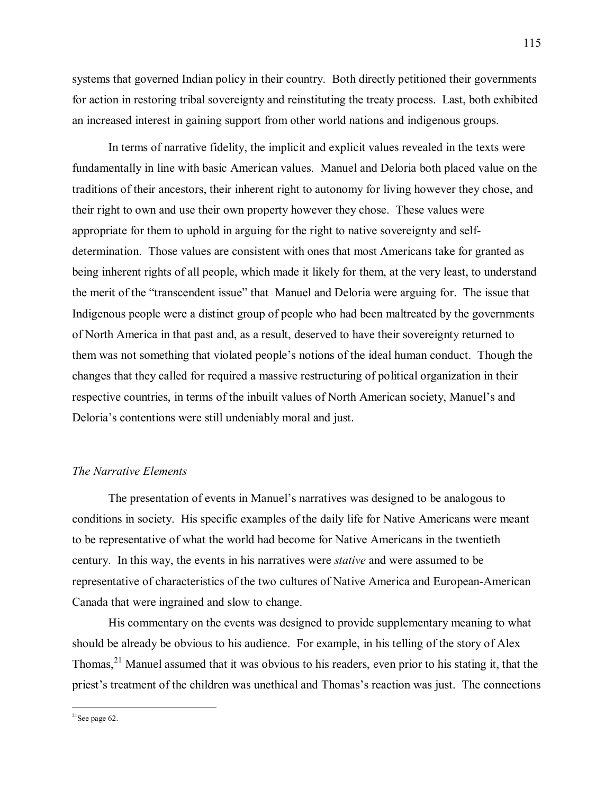systems that governed Indian policy in their country. Both directly petitioned their governments for action in restoring tribal sovereignty and reinstituting the treaty process. Last, both exhibited an increased interest in gaining support from other world nations and indigenous groups.

 In terms of narrative fidelity, the implicit and explicit values revealed in the texts were fundamentally in line with basic American values. Manuel and Deloria both placed value on the traditions of their ancestors, their inherent right to autonomy for living however they chose, and their right to own and use their own property however they chose. These values were appropriate for them to uphold in arguing for the right to native sovereignty and selfdetermination. Those values are consistent with ones that most Americans take for granted as being inherent rights of all people, which made it likely for them, at the very least, to understand the merit of the "transcendent issue" that Manuel and Deloria were arguing for. The issue that Indigenous people were a distinct group of people who had been maltreated by the governments of North America in that past and, as a result, deserved to have their sovereignty returned to them was not something that violated people's notions of the ideal human conduct. Though the changes that they called for required a massive restructuring of political organization in their respective countries, in terms of the inbuilt values of North American society, Manuel's and Deloria's contentions were still undeniably moral and just.

# *The Narrative Elements*

The presentation of events in Manuel's narratives was designed to be analogous to conditions in society. His specific examples of the daily life for Native Americans were meant to be representative of what the world had become for Native Americans in the twentieth century. In this way, the events in his narratives were *stative* and were assumed to be representative of characteristics of the two cultures of Native America and European-American Canada that were ingrained and slow to change.

His commentary on the events was designed to provide supplementary meaning to what should be already be obvious to his audience. For example, in his telling of the story of Alex Thomas,<sup>21</sup> Manuel assumed that it was obvious to his readers, even prior to his stating it, that the priest's treatment of the children was unethical and Thomas's reaction was just. The connections

 $^{21}$ See page 62.

 $\overline{a}$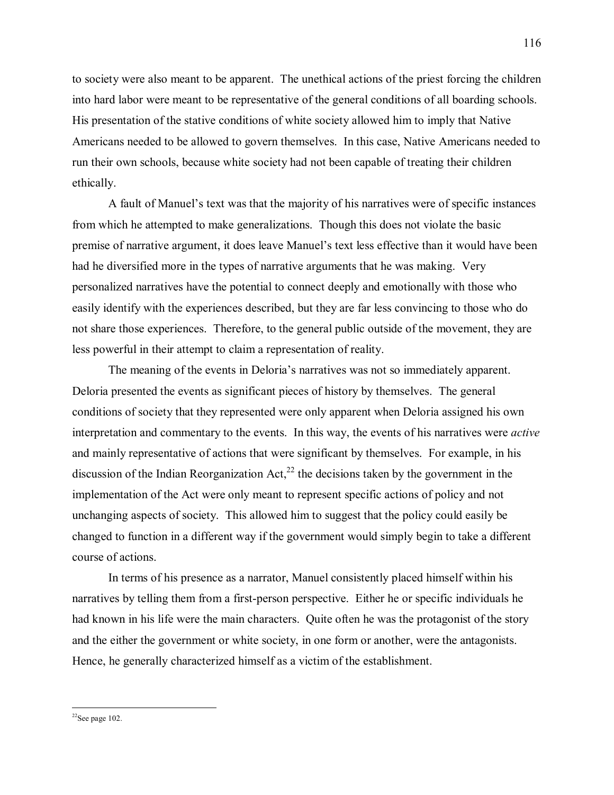to society were also meant to be apparent. The unethical actions of the priest forcing the children into hard labor were meant to be representative of the general conditions of all boarding schools. His presentation of the stative conditions of white society allowed him to imply that Native Americans needed to be allowed to govern themselves. In this case, Native Americans needed to run their own schools, because white society had not been capable of treating their children ethically.

A fault of Manuel's text was that the majority of his narratives were of specific instances from which he attempted to make generalizations. Though this does not violate the basic premise of narrative argument, it does leave Manuel's text less effective than it would have been had he diversified more in the types of narrative arguments that he was making. Very personalized narratives have the potential to connect deeply and emotionally with those who easily identify with the experiences described, but they are far less convincing to those who do not share those experiences. Therefore, to the general public outside of the movement, they are less powerful in their attempt to claim a representation of reality.

The meaning of the events in Deloria's narratives was not so immediately apparent. Deloria presented the events as significant pieces of history by themselves. The general conditions of society that they represented were only apparent when Deloria assigned his own interpretation and commentary to the events. In this way, the events of his narratives were *active* and mainly representative of actions that were significant by themselves. For example, in his discussion of the Indian Reorganization Act, $^{22}$  the decisions taken by the government in the implementation of the Act were only meant to represent specific actions of policy and not unchanging aspects of society. This allowed him to suggest that the policy could easily be changed to function in a different way if the government would simply begin to take a different course of actions.

In terms of his presence as a narrator, Manuel consistently placed himself within his narratives by telling them from a first-person perspective. Either he or specific individuals he had known in his life were the main characters. Quite often he was the protagonist of the story and the either the government or white society, in one form or another, were the antagonists. Hence, he generally characterized himself as a victim of the establishment.

 $\overline{a}$  $22$ See page 102.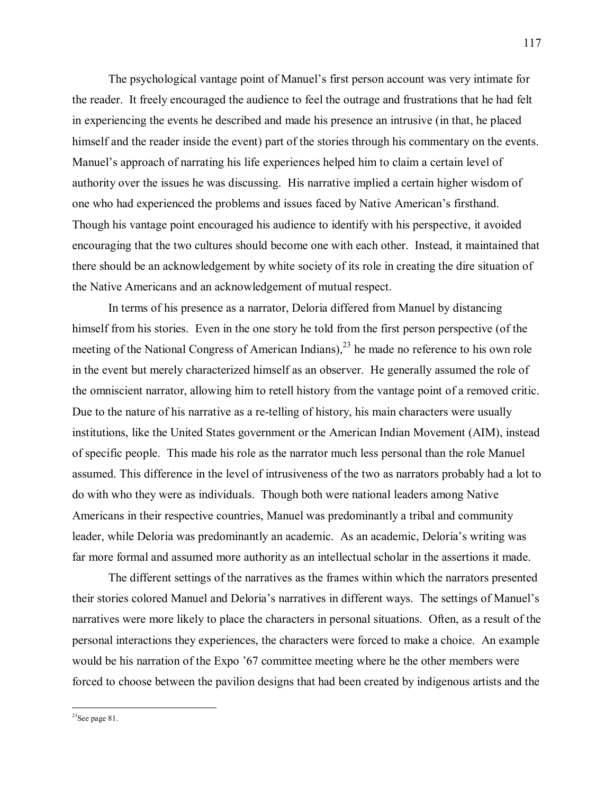The psychological vantage point of Manuel's first person account was very intimate for the reader. It freely encouraged the audience to feel the outrage and frustrations that he had felt in experiencing the events he described and made his presence an intrusive (in that, he placed himself and the reader inside the event) part of the stories through his commentary on the events. Manuel's approach of narrating his life experiences helped him to claim a certain level of authority over the issues he was discussing. His narrative implied a certain higher wisdom of one who had experienced the problems and issues faced by Native American's firsthand. Though his vantage point encouraged his audience to identify with his perspective, it avoided encouraging that the two cultures should become one with each other. Instead, it maintained that there should be an acknowledgement by white society of its role in creating the dire situation of the Native Americans and an acknowledgement of mutual respect.

In terms of his presence as a narrator, Deloria differed from Manuel by distancing himself from his stories. Even in the one story he told from the first person perspective (of the meeting of the National Congress of American Indians),  $^{23}$  he made no reference to his own role in the event but merely characterized himself as an observer. He generally assumed the role of the omniscient narrator, allowing him to retell history from the vantage point of a removed critic. Due to the nature of his narrative as a re-telling of history, his main characters were usually institutions, like the United States government or the American Indian Movement (AIM), instead of specific people. This made his role as the narrator much less personal than the role Manuel assumed. This difference in the level of intrusiveness of the two as narrators probably had a lot to do with who they were as individuals. Though both were national leaders among Native Americans in their respective countries, Manuel was predominantly a tribal and community leader, while Deloria was predominantly an academic. As an academic, Deloria's writing was far more formal and assumed more authority as an intellectual scholar in the assertions it made.

The different settings of the narratives as the frames within which the narrators presented their stories colored Manuel and Deloria's narratives in different ways. The settings of Manuel's narratives were more likely to place the characters in personal situations. Often, as a result of the personal interactions they experiences, the characters were forced to make a choice. An example would be his narration of the Expo '67 committee meeting where he the other members were forced to choose between the pavilion designs that had been created by indigenous artists and the

 $^{23}$ See page 81.

 $\overline{a}$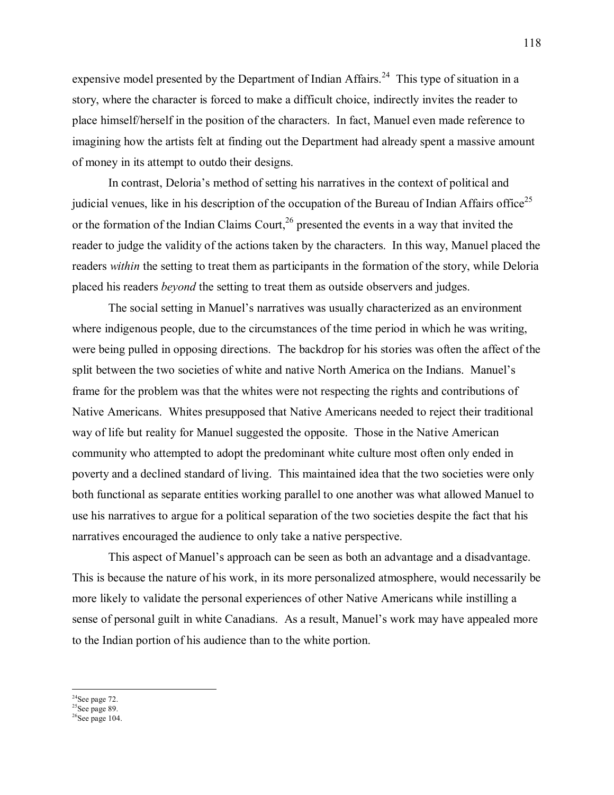expensive model presented by the Department of Indian Affairs.<sup>24</sup> This type of situation in a story, where the character is forced to make a difficult choice, indirectly invites the reader to place himself/herself in the position of the characters. In fact, Manuel even made reference to imagining how the artists felt at finding out the Department had already spent a massive amount of money in its attempt to outdo their designs.

In contrast, Deloria's method of setting his narratives in the context of political and judicial venues, like in his description of the occupation of the Bureau of Indian Affairs office<sup>25</sup> or the formation of the Indian Claims Court,  $26$  presented the events in a way that invited the reader to judge the validity of the actions taken by the characters. In this way, Manuel placed the readers *within* the setting to treat them as participants in the formation of the story, while Deloria placed his readers *beyond* the setting to treat them as outside observers and judges.

The social setting in Manuel's narratives was usually characterized as an environment where indigenous people, due to the circumstances of the time period in which he was writing, were being pulled in opposing directions. The backdrop for his stories was often the affect of the split between the two societies of white and native North America on the Indians. Manuel's frame for the problem was that the whites were not respecting the rights and contributions of Native Americans. Whites presupposed that Native Americans needed to reject their traditional way of life but reality for Manuel suggested the opposite. Those in the Native American community who attempted to adopt the predominant white culture most often only ended in poverty and a declined standard of living. This maintained idea that the two societies were only both functional as separate entities working parallel to one another was what allowed Manuel to use his narratives to argue for a political separation of the two societies despite the fact that his narratives encouraged the audience to only take a native perspective.

This aspect of Manuel's approach can be seen as both an advantage and a disadvantage. This is because the nature of his work, in its more personalized atmosphere, would necessarily be more likely to validate the personal experiences of other Native Americans while instilling a sense of personal guilt in white Canadians. As a result, Manuel's work may have appealed more to the Indian portion of his audience than to the white portion.

 $\overline{a}$  $24$ See page 72.

 $25$ See page 89.

 $26$ See page 104.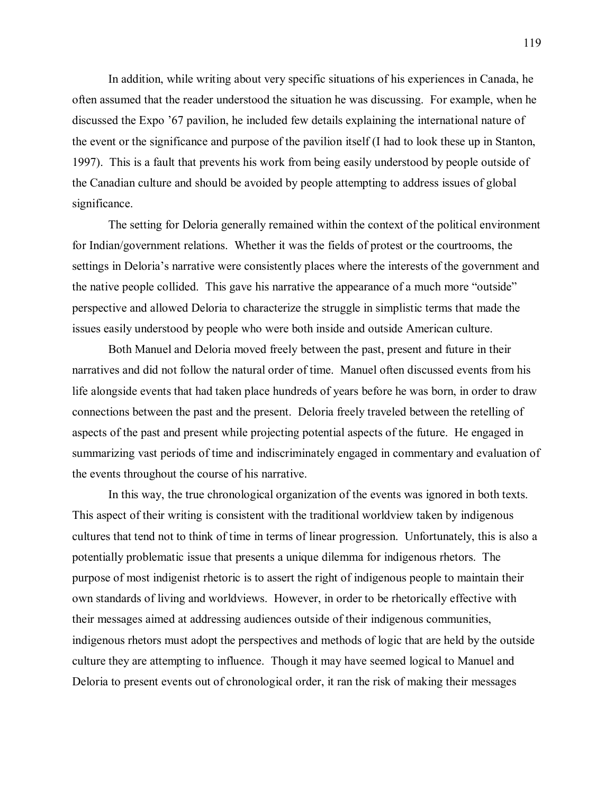In addition, while writing about very specific situations of his experiences in Canada, he often assumed that the reader understood the situation he was discussing. For example, when he discussed the Expo '67 pavilion, he included few details explaining the international nature of the event or the significance and purpose of the pavilion itself (I had to look these up in Stanton, 1997). This is a fault that prevents his work from being easily understood by people outside of the Canadian culture and should be avoided by people attempting to address issues of global significance.

 The setting for Deloria generally remained within the context of the political environment for Indian/government relations. Whether it was the fields of protest or the courtrooms, the settings in Deloria's narrative were consistently places where the interests of the government and the native people collided. This gave his narrative the appearance of a much more "outside" perspective and allowed Deloria to characterize the struggle in simplistic terms that made the issues easily understood by people who were both inside and outside American culture.

Both Manuel and Deloria moved freely between the past, present and future in their narratives and did not follow the natural order of time. Manuel often discussed events from his life alongside events that had taken place hundreds of years before he was born, in order to draw connections between the past and the present. Deloria freely traveled between the retelling of aspects of the past and present while projecting potential aspects of the future. He engaged in summarizing vast periods of time and indiscriminately engaged in commentary and evaluation of the events throughout the course of his narrative.

In this way, the true chronological organization of the events was ignored in both texts. This aspect of their writing is consistent with the traditional worldview taken by indigenous cultures that tend not to think of time in terms of linear progression. Unfortunately, this is also a potentially problematic issue that presents a unique dilemma for indigenous rhetors. The purpose of most indigenist rhetoric is to assert the right of indigenous people to maintain their own standards of living and worldviews. However, in order to be rhetorically effective with their messages aimed at addressing audiences outside of their indigenous communities, indigenous rhetors must adopt the perspectives and methods of logic that are held by the outside culture they are attempting to influence. Though it may have seemed logical to Manuel and Deloria to present events out of chronological order, it ran the risk of making their messages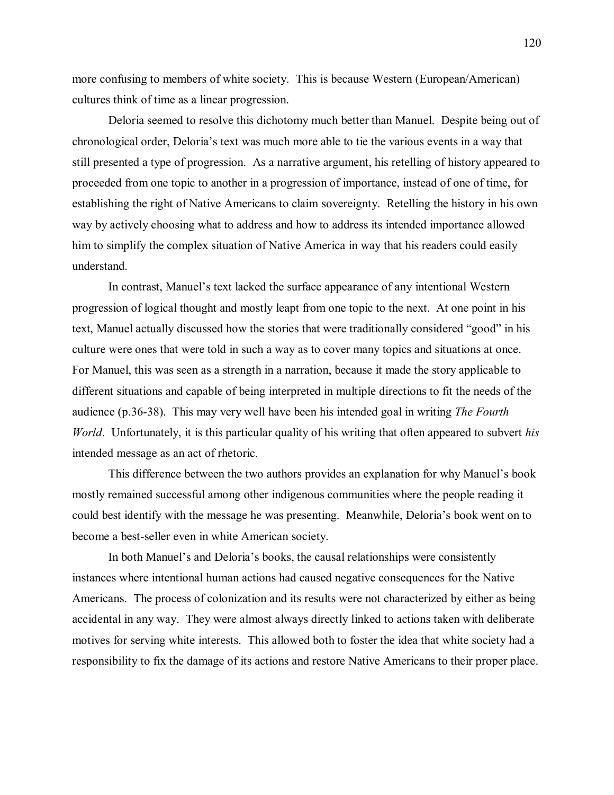more confusing to members of white society. This is because Western (European/American) cultures think of time as a linear progression.

Deloria seemed to resolve this dichotomy much better than Manuel. Despite being out of chronological order, Deloria's text was much more able to tie the various events in a way that still presented a type of progression. As a narrative argument, his retelling of history appeared to proceeded from one topic to another in a progression of importance, instead of one of time, for establishing the right of Native Americans to claim sovereignty. Retelling the history in his own way by actively choosing what to address and how to address its intended importance allowed him to simplify the complex situation of Native America in way that his readers could easily understand.

In contrast, Manuel's text lacked the surface appearance of any intentional Western progression of logical thought and mostly leapt from one topic to the next. At one point in his text, Manuel actually discussed how the stories that were traditionally considered "good" in his culture were ones that were told in such a way as to cover many topics and situations at once. For Manuel, this was seen as a strength in a narration, because it made the story applicable to different situations and capable of being interpreted in multiple directions to fit the needs of the audience (p.36-38). This may very well have been his intended goal in writing *The Fourth World*. Unfortunately, it is this particular quality of his writing that often appeared to subvert *his* intended message as an act of rhetoric.

This difference between the two authors provides an explanation for why Manuel's book mostly remained successful among other indigenous communities where the people reading it could best identify with the message he was presenting. Meanwhile, Deloria's book went on to become a best-seller even in white American society.

In both Manuel's and Deloria's books, the causal relationships were consistently instances where intentional human actions had caused negative consequences for the Native Americans. The process of colonization and its results were not characterized by either as being accidental in any way. They were almost always directly linked to actions taken with deliberate motives for serving white interests. This allowed both to foster the idea that white society had a responsibility to fix the damage of its actions and restore Native Americans to their proper place.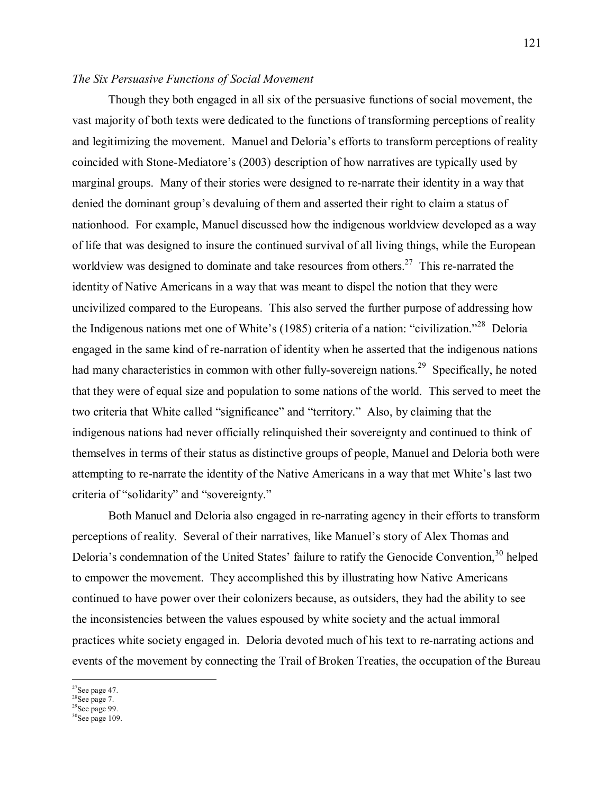### *The Six Persuasive Functions of Social Movement*

Though they both engaged in all six of the persuasive functions of social movement, the vast majority of both texts were dedicated to the functions of transforming perceptions of reality and legitimizing the movement. Manuel and Deloria's efforts to transform perceptions of reality coincided with Stone-Mediatore's (2003) description of how narratives are typically used by marginal groups. Many of their stories were designed to re-narrate their identity in a way that denied the dominant group's devaluing of them and asserted their right to claim a status of nationhood. For example, Manuel discussed how the indigenous worldview developed as a way of life that was designed to insure the continued survival of all living things, while the European worldview was designed to dominate and take resources from others.<sup>27</sup> This re-narrated the identity of Native Americans in a way that was meant to dispel the notion that they were uncivilized compared to the Europeans. This also served the further purpose of addressing how the Indigenous nations met one of White's (1985) criteria of a nation: "civilization."<sup>28</sup> Deloria engaged in the same kind of re-narration of identity when he asserted that the indigenous nations had many characteristics in common with other fully-sovereign nations.<sup>29</sup> Specifically, he noted that they were of equal size and population to some nations of the world. This served to meet the two criteria that White called "significance" and "territory." Also, by claiming that the indigenous nations had never officially relinquished their sovereignty and continued to think of themselves in terms of their status as distinctive groups of people, Manuel and Deloria both were attempting to re-narrate the identity of the Native Americans in a way that met White's last two criteria of "solidarity" and "sovereignty."

Both Manuel and Deloria also engaged in re-narrating agency in their efforts to transform perceptions of reality. Several of their narratives, like Manuel's story of Alex Thomas and Deloria's condemnation of the United States' failure to ratify the Genocide Convention,<sup>30</sup> helped to empower the movement. They accomplished this by illustrating how Native Americans continued to have power over their colonizers because, as outsiders, they had the ability to see the inconsistencies between the values espoused by white society and the actual immoral practices white society engaged in. Deloria devoted much of his text to re-narrating actions and events of the movement by connecting the Trail of Broken Treaties, the occupation of the Bureau

<u>.</u>

 $27$ See page 47.

 $28$ See page 7.

 $29$ See page 99.

 $30$ See page 109.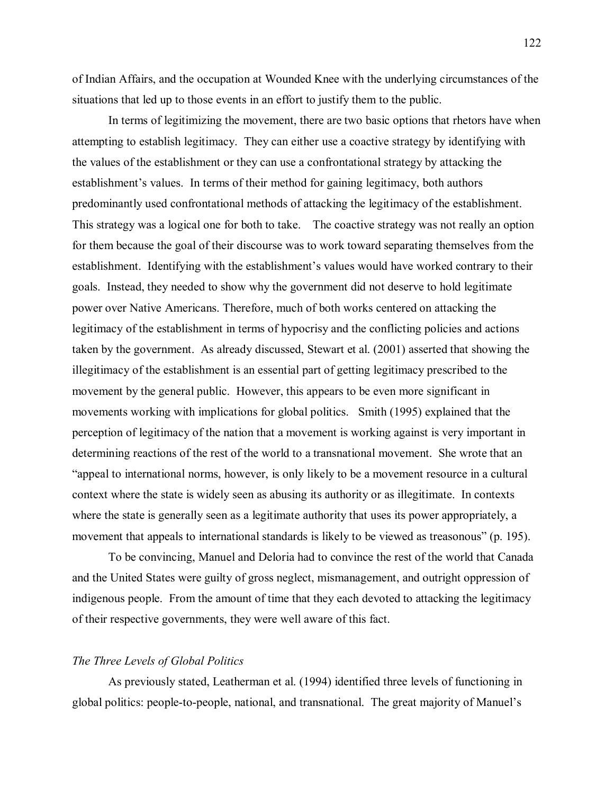of Indian Affairs, and the occupation at Wounded Knee with the underlying circumstances of the situations that led up to those events in an effort to justify them to the public.

In terms of legitimizing the movement, there are two basic options that rhetors have when attempting to establish legitimacy. They can either use a coactive strategy by identifying with the values of the establishment or they can use a confrontational strategy by attacking the establishment's values. In terms of their method for gaining legitimacy, both authors predominantly used confrontational methods of attacking the legitimacy of the establishment. This strategy was a logical one for both to take. The coactive strategy was not really an option for them because the goal of their discourse was to work toward separating themselves from the establishment. Identifying with the establishment's values would have worked contrary to their goals. Instead, they needed to show why the government did not deserve to hold legitimate power over Native Americans. Therefore, much of both works centered on attacking the legitimacy of the establishment in terms of hypocrisy and the conflicting policies and actions taken by the government. As already discussed, Stewart et al. (2001) asserted that showing the illegitimacy of the establishment is an essential part of getting legitimacy prescribed to the movement by the general public. However, this appears to be even more significant in movements working with implications for global politics. Smith (1995) explained that the perception of legitimacy of the nation that a movement is working against is very important in determining reactions of the rest of the world to a transnational movement. She wrote that an <sup>"</sup>appeal to international norms, however, is only likely to be a movement resource in a cultural context where the state is widely seen as abusing its authority or as illegitimate. In contexts where the state is generally seen as a legitimate authority that uses its power appropriately, a movement that appeals to international standards is likely to be viewed as treasonous" (p. 195).

To be convincing, Manuel and Deloria had to convince the rest of the world that Canada and the United States were guilty of gross neglect, mismanagement, and outright oppression of indigenous people. From the amount of time that they each devoted to attacking the legitimacy of their respective governments, they were well aware of this fact.

### *The Three Levels of Global Politics*

As previously stated, Leatherman et al. (1994) identified three levels of functioning in global politics: people-to-people, national, and transnational. The great majority of Manuel's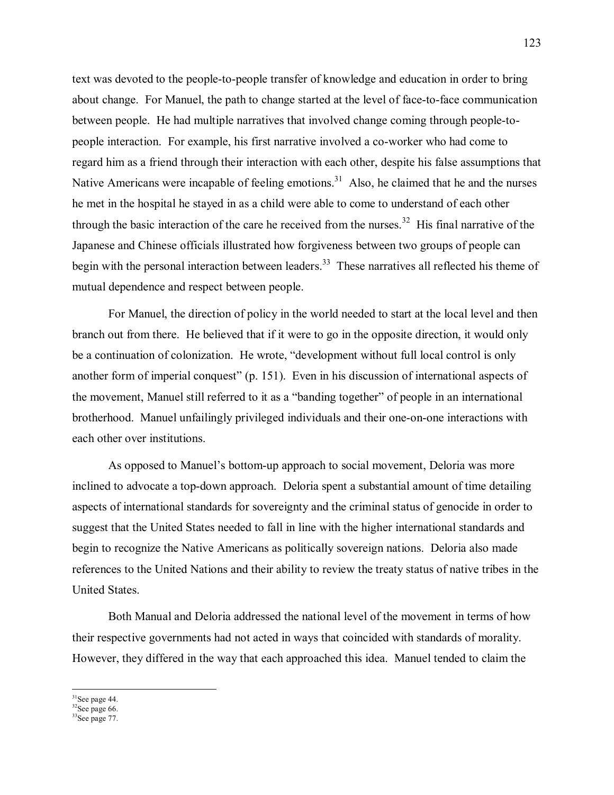text was devoted to the people-to-people transfer of knowledge and education in order to bring about change. For Manuel, the path to change started at the level of face-to-face communication between people. He had multiple narratives that involved change coming through people-topeople interaction. For example, his first narrative involved a co-worker who had come to regard him as a friend through their interaction with each other, despite his false assumptions that Native Americans were incapable of feeling emotions.<sup>31</sup> Also, he claimed that he and the nurses he met in the hospital he stayed in as a child were able to come to understand of each other through the basic interaction of the care he received from the nurses.<sup>32</sup> His final narrative of the Japanese and Chinese officials illustrated how forgiveness between two groups of people can begin with the personal interaction between leaders.<sup>33</sup> These narratives all reflected his theme of mutual dependence and respect between people.

For Manuel, the direction of policy in the world needed to start at the local level and then branch out from there. He believed that if it were to go in the opposite direction, it would only be a continuation of colonization. He wrote, "development without full local control is only another form of imperial conquest"  $(p. 151)$ . Even in his discussion of international aspects of the movement, Manuel still referred to it as a "banding together" of people in an international brotherhood. Manuel unfailingly privileged individuals and their one-on-one interactions with each other over institutions.

As opposed to Manuel's bottom-up approach to social movement, Deloria was more inclined to advocate a top-down approach. Deloria spent a substantial amount of time detailing aspects of international standards for sovereignty and the criminal status of genocide in order to suggest that the United States needed to fall in line with the higher international standards and begin to recognize the Native Americans as politically sovereign nations. Deloria also made references to the United Nations and their ability to review the treaty status of native tribes in the United States.

Both Manual and Deloria addressed the national level of the movement in terms of how their respective governments had not acted in ways that coincided with standards of morality. However, they differed in the way that each approached this idea. Manuel tended to claim the

 $\overline{a}$ <sup>31</sup>See page 44.

 $32$ See page 66.

<sup>&</sup>lt;sup>33</sup>See page 77.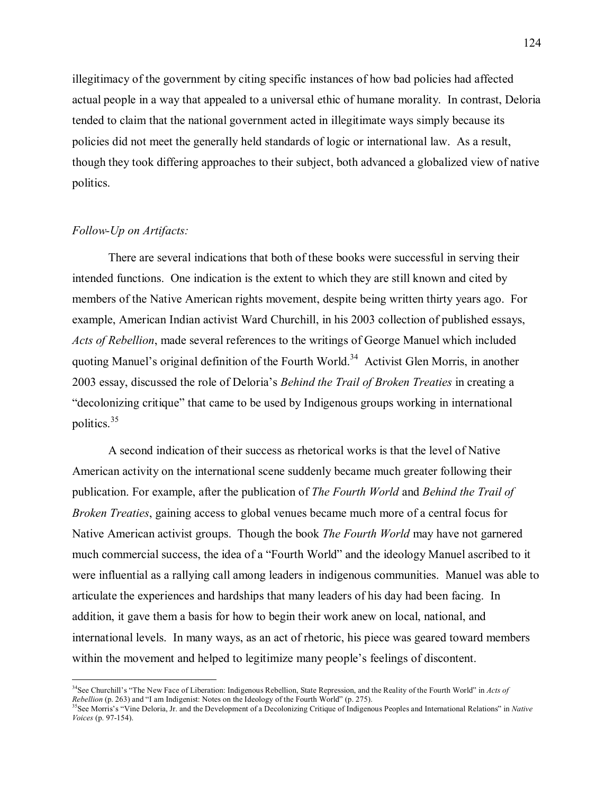illegitimacy of the government by citing specific instances of how bad policies had affected actual people in a way that appealed to a universal ethic of humane morality. In contrast, Deloria tended to claim that the national government acted in illegitimate ways simply because its policies did not meet the generally held standards of logic or international law. As a result, though they took differing approaches to their subject, both advanced a globalized view of native politics.

# *Follow-Up on Artifacts:*

<u>.</u>

There are several indications that both of these books were successful in serving their intended functions. One indication is the extent to which they are still known and cited by members of the Native American rights movement, despite being written thirty years ago. For example, American Indian activist Ward Churchill, in his 2003 collection of published essays, *Acts of Rebellion*, made several references to the writings of George Manuel which included quoting Manuel's original definition of the Fourth World.<sup>34</sup> Activist Glen Morris, in another 2003 essay, discussed the role of Deloriaís *Behind the Trail of Broken Treaties* in creating a "decolonizing critique" that came to be used by Indigenous groups working in international politics.<sup>35</sup>

A second indication of their success as rhetorical works is that the level of Native American activity on the international scene suddenly became much greater following their publication. For example, after the publication of *The Fourth World* and *Behind the Trail of Broken Treaties*, gaining access to global venues became much more of a central focus for Native American activist groups. Though the book *The Fourth World* may have not garnered much commercial success, the idea of a "Fourth World" and the ideology Manuel ascribed to it were influential as a rallying call among leaders in indigenous communities. Manuel was able to articulate the experiences and hardships that many leaders of his day had been facing. In addition, it gave them a basis for how to begin their work anew on local, national, and international levels. In many ways, as an act of rhetoric, his piece was geared toward members within the movement and helped to legitimize many people's feelings of discontent.

<sup>&</sup>lt;sup>34</sup>See Churchill's "The New Face of Liberation: Indigenous Rebellion, State Repression, and the Reality of the Fourth World" in *Acts of* Rebellion (p. 263) and "I am Indigenist: Notes on the Ideology of the Fourth World" (p. 275).<br><sup>35</sup>See Morris's "Vine Deloria, Jr. and the Development of a Decolonizing Critique of Indigenous Peoples and International Relat

*Voices* (p. 97-154).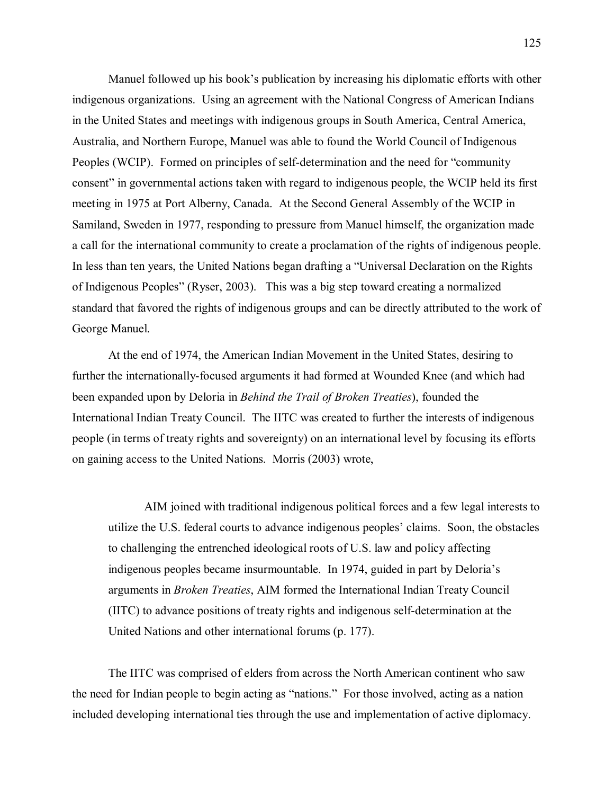Manuel followed up his book's publication by increasing his diplomatic efforts with other indigenous organizations. Using an agreement with the National Congress of American Indians in the United States and meetings with indigenous groups in South America, Central America, Australia, and Northern Europe, Manuel was able to found the World Council of Indigenous Peoples (WCIP). Formed on principles of self-determination and the need for "community" consent" in governmental actions taken with regard to indigenous people, the WCIP held its first meeting in 1975 at Port Alberny, Canada. At the Second General Assembly of the WCIP in Samiland, Sweden in 1977, responding to pressure from Manuel himself, the organization made a call for the international community to create a proclamation of the rights of indigenous people. In less than ten years, the United Nations began drafting a "Universal Declaration on the Rights" of Indigenous Peoplesî (Ryser, 2003). This was a big step toward creating a normalized standard that favored the rights of indigenous groups and can be directly attributed to the work of George Manuel.

At the end of 1974, the American Indian Movement in the United States, desiring to further the internationally-focused arguments it had formed at Wounded Knee (and which had been expanded upon by Deloria in *Behind the Trail of Broken Treaties*), founded the International Indian Treaty Council. The IITC was created to further the interests of indigenous people (in terms of treaty rights and sovereignty) on an international level by focusing its efforts on gaining access to the United Nations. Morris (2003) wrote,

AIM joined with traditional indigenous political forces and a few legal interests to utilize the U.S. federal courts to advance indigenous peoples' claims. Soon, the obstacles to challenging the entrenched ideological roots of U.S. law and policy affecting indigenous peoples became insurmountable. In 1974, guided in part by Deloria's arguments in *Broken Treaties*, AIM formed the International Indian Treaty Council (IITC) to advance positions of treaty rights and indigenous self-determination at the United Nations and other international forums (p. 177).

The IITC was comprised of elders from across the North American continent who saw the need for Indian people to begin acting as "nations." For those involved, acting as a nation included developing international ties through the use and implementation of active diplomacy.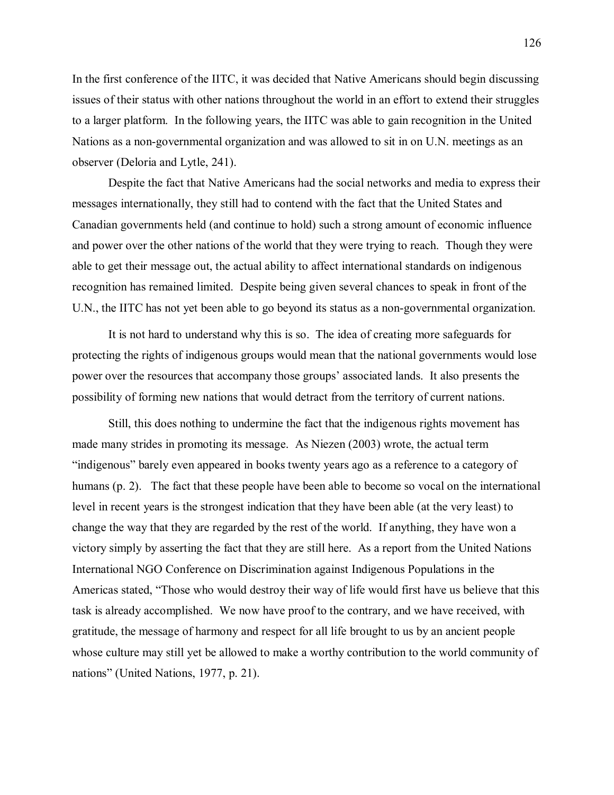In the first conference of the IITC, it was decided that Native Americans should begin discussing issues of their status with other nations throughout the world in an effort to extend their struggles to a larger platform. In the following years, the IITC was able to gain recognition in the United Nations as a non-governmental organization and was allowed to sit in on U.N. meetings as an observer (Deloria and Lytle, 241).

Despite the fact that Native Americans had the social networks and media to express their messages internationally, they still had to contend with the fact that the United States and Canadian governments held (and continue to hold) such a strong amount of economic influence and power over the other nations of the world that they were trying to reach. Though they were able to get their message out, the actual ability to affect international standards on indigenous recognition has remained limited. Despite being given several chances to speak in front of the U.N., the IITC has not yet been able to go beyond its status as a non-governmental organization.

It is not hard to understand why this is so. The idea of creating more safeguards for protecting the rights of indigenous groups would mean that the national governments would lose power over the resources that accompany those groupsí associated lands. It also presents the possibility of forming new nations that would detract from the territory of current nations.

 Still, this does nothing to undermine the fact that the indigenous rights movement has made many strides in promoting its message. As Niezen (2003) wrote, the actual term "indigenous" barely even appeared in books twenty years ago as a reference to a category of humans (p. 2). The fact that these people have been able to become so vocal on the international level in recent years is the strongest indication that they have been able (at the very least) to change the way that they are regarded by the rest of the world. If anything, they have won a victory simply by asserting the fact that they are still here. As a report from the United Nations International NGO Conference on Discrimination against Indigenous Populations in the Americas stated, "Those who would destroy their way of life would first have us believe that this task is already accomplished. We now have proof to the contrary, and we have received, with gratitude, the message of harmony and respect for all life brought to us by an ancient people whose culture may still yet be allowed to make a worthy contribution to the world community of nations" (United Nations, 1977, p. 21).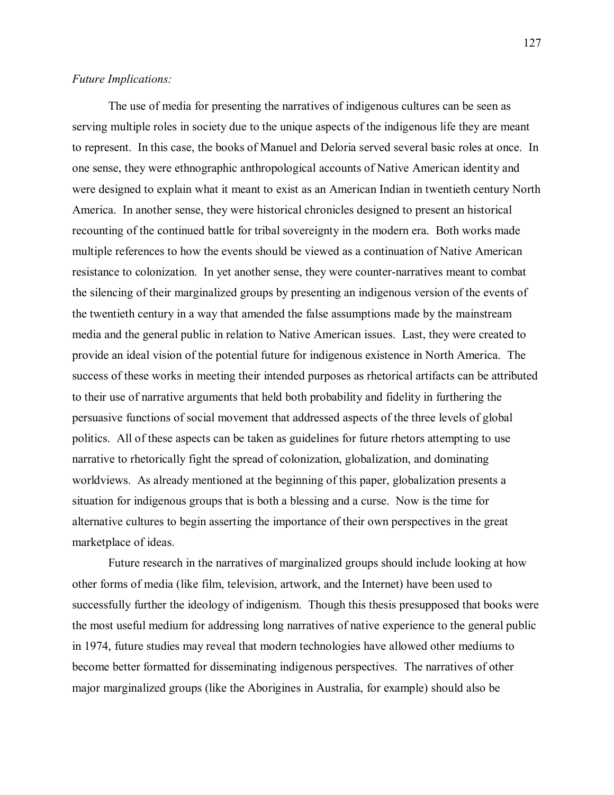### *Future Implications:*

The use of media for presenting the narratives of indigenous cultures can be seen as serving multiple roles in society due to the unique aspects of the indigenous life they are meant to represent. In this case, the books of Manuel and Deloria served several basic roles at once. In one sense, they were ethnographic anthropological accounts of Native American identity and were designed to explain what it meant to exist as an American Indian in twentieth century North America. In another sense, they were historical chronicles designed to present an historical recounting of the continued battle for tribal sovereignty in the modern era. Both works made multiple references to how the events should be viewed as a continuation of Native American resistance to colonization. In yet another sense, they were counter-narratives meant to combat the silencing of their marginalized groups by presenting an indigenous version of the events of the twentieth century in a way that amended the false assumptions made by the mainstream media and the general public in relation to Native American issues. Last, they were created to provide an ideal vision of the potential future for indigenous existence in North America. The success of these works in meeting their intended purposes as rhetorical artifacts can be attributed to their use of narrative arguments that held both probability and fidelity in furthering the persuasive functions of social movement that addressed aspects of the three levels of global politics. All of these aspects can be taken as guidelines for future rhetors attempting to use narrative to rhetorically fight the spread of colonization, globalization, and dominating worldviews. As already mentioned at the beginning of this paper, globalization presents a situation for indigenous groups that is both a blessing and a curse. Now is the time for alternative cultures to begin asserting the importance of their own perspectives in the great marketplace of ideas.

Future research in the narratives of marginalized groups should include looking at how other forms of media (like film, television, artwork, and the Internet) have been used to successfully further the ideology of indigenism. Though this thesis presupposed that books were the most useful medium for addressing long narratives of native experience to the general public in 1974, future studies may reveal that modern technologies have allowed other mediums to become better formatted for disseminating indigenous perspectives. The narratives of other major marginalized groups (like the Aborigines in Australia, for example) should also be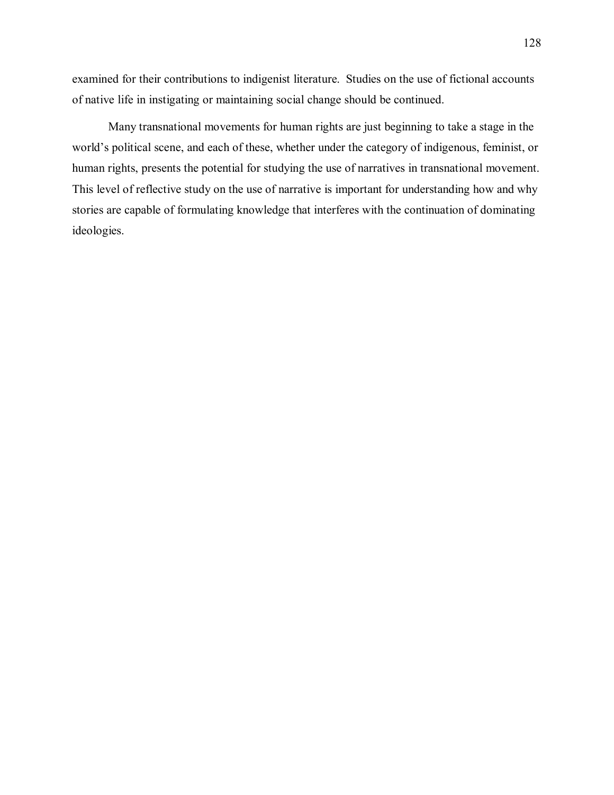examined for their contributions to indigenist literature. Studies on the use of fictional accounts of native life in instigating or maintaining social change should be continued.

Many transnational movements for human rights are just beginning to take a stage in the world's political scene, and each of these, whether under the category of indigenous, feminist, or human rights, presents the potential for studying the use of narratives in transnational movement. This level of reflective study on the use of narrative is important for understanding how and why stories are capable of formulating knowledge that interferes with the continuation of dominating ideologies.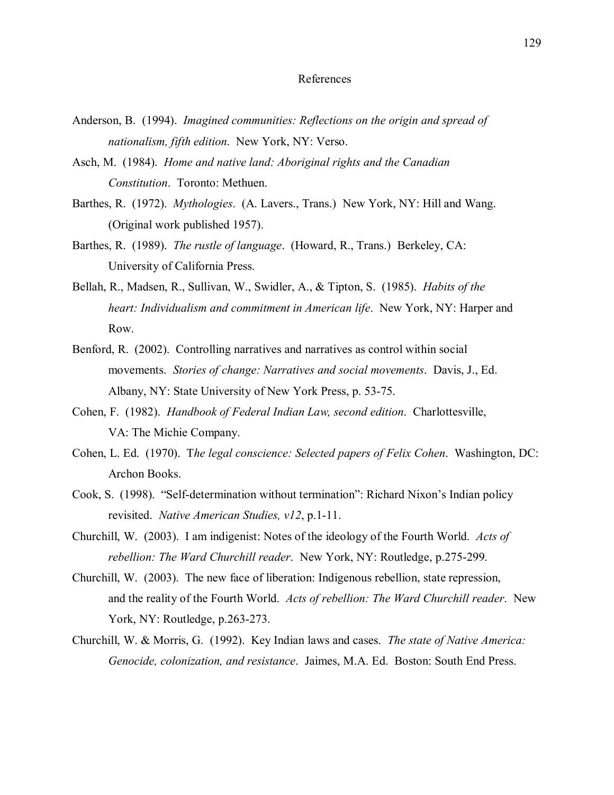#### References

- Anderson, B. (1994). *Imagined communities: Reflections on the origin and spread of nationalism, fifth edition*. New York, NY: Verso.
- Asch, M. (1984). *Home and native land: Aboriginal rights and the Canadian Constitution*. Toronto: Methuen.
- Barthes, R. (1972). *Mythologies*. (A. Lavers., Trans.) New York, NY: Hill and Wang. (Original work published 1957).
- Barthes, R. (1989). *The rustle of language*. (Howard, R., Trans.) Berkeley, CA: University of California Press.
- Bellah, R., Madsen, R., Sullivan, W., Swidler, A., & Tipton, S. (1985). *Habits of the heart: Individualism and commitment in American life*. New York, NY: Harper and Row.
- Benford, R. (2002). Controlling narratives and narratives as control within social movements. *Stories of change: Narratives and social movements*. Davis, J., Ed. Albany, NY: State University of New York Press, p. 53-75.
- Cohen, F. (1982). *Handbook of Federal Indian Law, second edition*. Charlottesville, VA: The Michie Company.
- Cohen, L. Ed. (1970). T*he legal conscience: Selected papers of Felix Cohen*. Washington, DC: Archon Books.
- Cook, S. (1998). "Self-determination without termination": Richard Nixon's Indian policy revisited. *Native American Studies, v12*, p.1-11.
- Churchill, W. (2003). I am indigenist: Notes of the ideology of the Fourth World. *Acts of rebellion: The Ward Churchill reader*. New York, NY: Routledge, p.275-299.
- Churchill, W. (2003). The new face of liberation: Indigenous rebellion, state repression, and the reality of the Fourth World. *Acts of rebellion: The Ward Churchill reader*. New York, NY: Routledge, p.263-273.
- Churchill, W. & Morris, G. (1992). Key Indian laws and cases. *The state of Native America: Genocide, colonization, and resistance*. Jaimes, M.A. Ed. Boston: South End Press.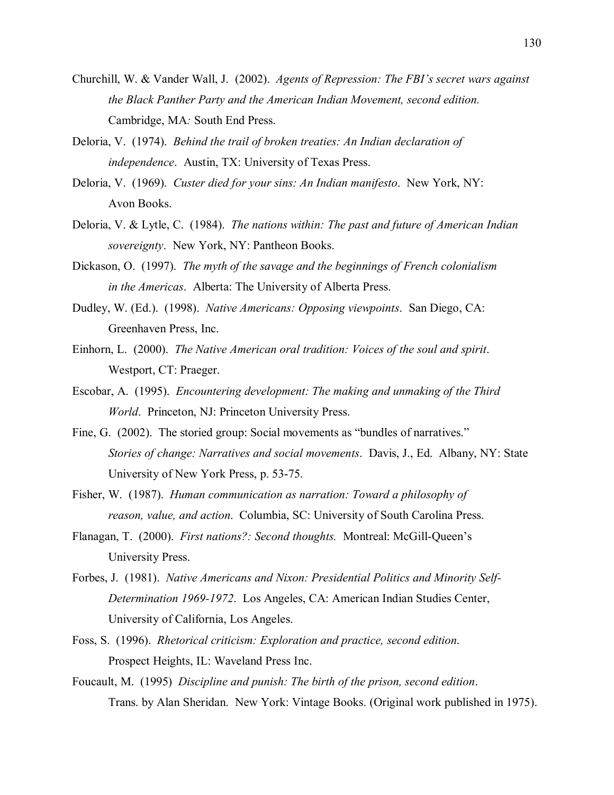- Churchill, W. & Vander Wall, J. (2002). *Agents of Repression: The FBI's secret wars against the Black Panther Party and the American Indian Movement, second edition.*  Cambridge, MA*:* South End Press.
- Deloria, V. (1974). *Behind the trail of broken treaties: An Indian declaration of independence*. Austin, TX: University of Texas Press.
- Deloria, V. (1969). *Custer died for your sins: An Indian manifesto*. New York, NY: Avon Books.
- Deloria, V. & Lytle, C. (1984). *The nations within: The past and future of American Indian sovereignty*. New York, NY: Pantheon Books.
- Dickason, O. (1997). *The myth of the savage and the beginnings of French colonialism in the Americas*. Alberta: The University of Alberta Press.
- Dudley, W. (Ed.). (1998). *Native Americans: Opposing viewpoints*. San Diego, CA: Greenhaven Press, Inc.
- Einhorn, L. (2000). *The Native American oral tradition: Voices of the soul and spirit*. Westport, CT: Praeger.
- Escobar, A. (1995). *Encountering development: The making and unmaking of the Third World*. Princeton, NJ: Princeton University Press.
- Fine, G. (2002). The storied group: Social movements as "bundles of narratives." *Stories of change: Narratives and social movements*. Davis, J., Ed. Albany, NY: State University of New York Press, p. 53-75.
- Fisher, W. (1987). *Human communication as narration: Toward a philosophy of reason, value, and action*. Columbia, SC: University of South Carolina Press.
- Flanagan, T. (2000). *First nations?: Second thoughts.* Montreal: McGill-Queen's University Press.
- Forbes, J. (1981). *Native Americans and Nixon: Presidential Politics and Minority Self-Determination 1969-1972*. Los Angeles, CA: American Indian Studies Center, University of California, Los Angeles.
- Foss, S. (1996). *Rhetorical criticism: Exploration and practice, second edition*. Prospect Heights, IL: Waveland Press Inc.
- Foucault, M. (1995) *Discipline and punish: The birth of the prison, second edition*. Trans. by Alan Sheridan. New York: Vintage Books. (Original work published in 1975).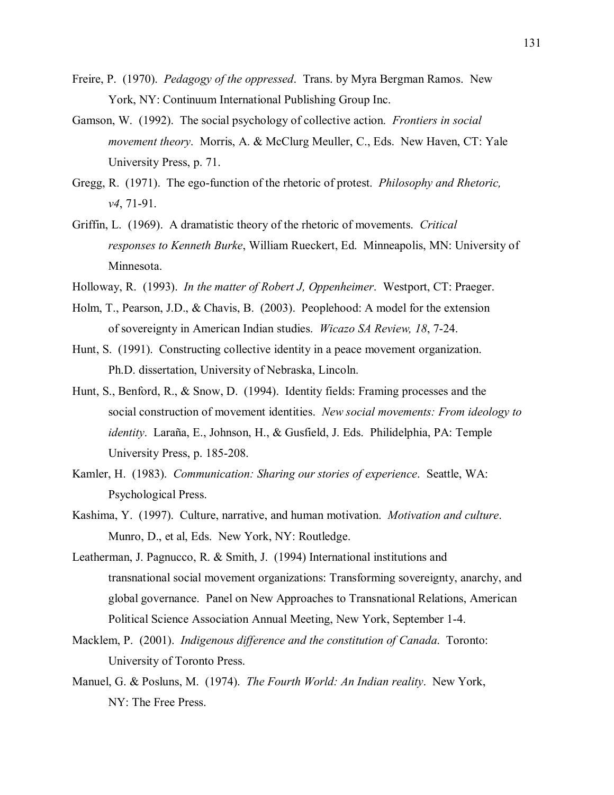- Freire, P. (1970). *Pedagogy of the oppressed*. Trans. by Myra Bergman Ramos. New York, NY: Continuum International Publishing Group Inc.
- Gamson, W. (1992). The social psychology of collective action. *Frontiers in social movement theory*. Morris, A. & McClurg Meuller, C., Eds. New Haven, CT: Yale University Press, p. 71.
- Gregg, R. (1971). The ego-function of the rhetoric of protest. *Philosophy and Rhetoric, v4*, 71-91.
- Griffin, L. (1969). A dramatistic theory of the rhetoric of movements. *Critical responses to Kenneth Burke*, William Rueckert, Ed. Minneapolis, MN: University of Minnesota.
- Holloway, R. (1993). *In the matter of Robert J, Oppenheimer*. Westport, CT: Praeger.
- Holm, T., Pearson, J.D., & Chavis, B. (2003). Peoplehood: A model for the extension of sovereignty in American Indian studies. *Wicazo SA Review, 18*, 7-24.
- Hunt, S. (1991). Constructing collective identity in a peace movement organization. Ph.D. dissertation, University of Nebraska, Lincoln.
- Hunt, S., Benford, R., & Snow, D. (1994). Identity fields: Framing processes and the social construction of movement identities. *New social movements: From ideology to identity*. Laraña, E., Johnson, H., & Gusfield, J. Eds. Philidelphia, PA: Temple University Press, p. 185-208.
- Kamler, H. (1983). *Communication: Sharing our stories of experience*. Seattle, WA: Psychological Press.
- Kashima, Y. (1997). Culture, narrative, and human motivation. *Motivation and culture*. Munro, D., et al, Eds. New York, NY: Routledge.
- Leatherman, J. Pagnucco, R. & Smith, J. (1994) International institutions and transnational social movement organizations: Transforming sovereignty, anarchy, and global governance. Panel on New Approaches to Transnational Relations, American Political Science Association Annual Meeting, New York, September 1-4.
- Macklem, P. (2001). *Indigenous difference and the constitution of Canada*. Toronto: University of Toronto Press.
- Manuel, G. & Posluns, M. (1974). *The Fourth World: An Indian reality*. New York, NY: The Free Press.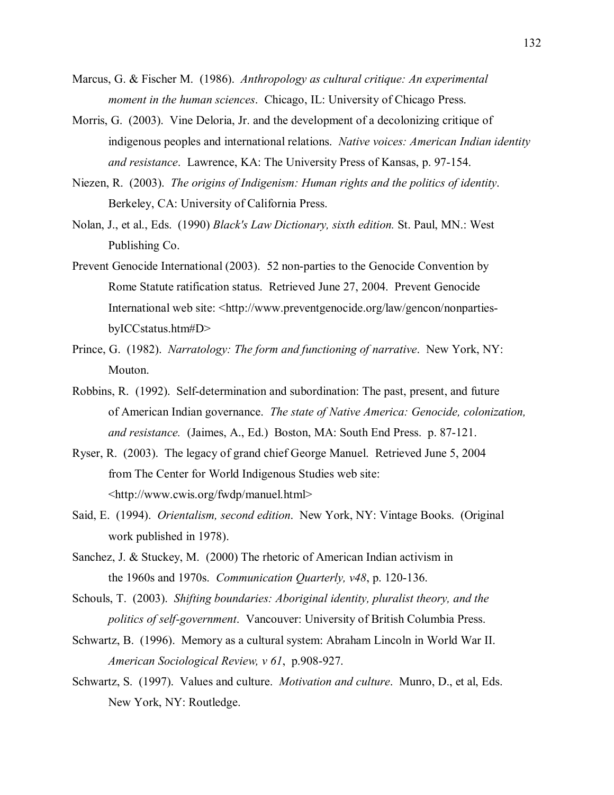- Marcus, G. & Fischer M. (1986). *Anthropology as cultural critique: An experimental moment in the human sciences*. Chicago, IL: University of Chicago Press.
- Morris, G. (2003). Vine Deloria, Jr. and the development of a decolonizing critique of indigenous peoples and international relations. *Native voices: American Indian identity and resistance*. Lawrence, KA: The University Press of Kansas, p. 97-154.
- Niezen, R. (2003). *The origins of Indigenism: Human rights and the politics of identity*. Berkeley, CA: University of California Press.
- Nolan, J., et al., Eds. (1990) *Black's Law Dictionary, sixth edition.* St. Paul, MN.: West Publishing Co.
- Prevent Genocide International (2003). 52 non-parties to the Genocide Convention by Rome Statute ratification status. Retrieved June 27, 2004. Prevent Genocide International web site: <http://www.preventgenocide.org/law/gencon/nonpartiesbyICCstatus.htm#D>
- Prince, G. (1982). *Narratology: The form and functioning of narrative*. New York, NY: Mouton.
- Robbins, R. (1992). Self-determination and subordination: The past, present, and future of American Indian governance. *The state of Native America: Genocide, colonization, and resistance.* (Jaimes, A., Ed.) Boston, MA: South End Press. p. 87-121.
- Ryser, R. (2003). The legacy of grand chief George Manuel. Retrieved June 5, 2004 from The Center for World Indigenous Studies web site: <http://www.cwis.org/fwdp/manuel.html>
- Said, E. (1994). *Orientalism, second edition*. New York, NY: Vintage Books. (Original work published in 1978).
- Sanchez, J. & Stuckey, M. (2000) The rhetoric of American Indian activism in the 1960s and 1970s. *Communication Quarterly, v48*, p. 120-136.
- Schouls, T. (2003). *Shifting boundaries: Aboriginal identity, pluralist theory, and the politics of self-government*. Vancouver: University of British Columbia Press.
- Schwartz, B. (1996). Memory as a cultural system: Abraham Lincoln in World War II. *American Sociological Review, v 61*, p.908-927.
- Schwartz, S. (1997). Values and culture. *Motivation and culture*. Munro, D., et al, Eds. New York, NY: Routledge.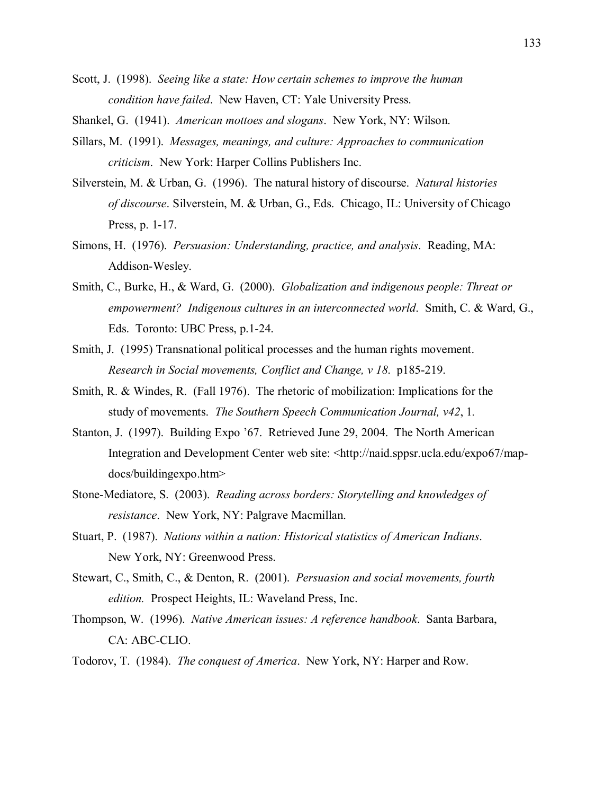- Scott, J. (1998). *Seeing like a state: How certain schemes to improve the human condition have failed*. New Haven, CT: Yale University Press.
- Shankel, G. (1941). *American mottoes and slogans*. New York, NY: Wilson.
- Sillars, M. (1991). *Messages, meanings, and culture: Approaches to communication criticism*. New York: Harper Collins Publishers Inc.
- Silverstein, M. & Urban, G. (1996). The natural history of discourse. *Natural histories of discourse*. Silverstein, M. & Urban, G., Eds. Chicago, IL: University of Chicago Press, p. 1-17.
- Simons, H. (1976). *Persuasion: Understanding, practice, and analysis*. Reading, MA: Addison-Wesley.
- Smith, C., Burke, H., & Ward, G. (2000). *Globalization and indigenous people: Threat or empowerment? Indigenous cultures in an interconnected world*. Smith, C. & Ward, G., Eds. Toronto: UBC Press, p.1-24.
- Smith, J. (1995) Transnational political processes and the human rights movement. *Research in Social movements, Conflict and Change, v 18*. p185-219.
- Smith, R. & Windes, R. (Fall 1976). The rhetoric of mobilization: Implications for the study of movements. *The Southern Speech Communication Journal, v42*, 1*.*
- Stanton, J. (1997). Building Expo '67. Retrieved June 29, 2004. The North American Integration and Development Center web site: <http://naid.sppsr.ucla.edu/expo67/mapdocs/buildingexpo.htm>
- Stone-Mediatore, S. (2003). *Reading across borders: Storytelling and knowledges of resistance*. New York, NY: Palgrave Macmillan.
- Stuart, P. (1987). *Nations within a nation: Historical statistics of American Indians*. New York, NY: Greenwood Press.
- Stewart, C., Smith, C., & Denton, R. (2001). *Persuasion and social movements, fourth edition.* Prospect Heights, IL: Waveland Press, Inc.
- Thompson, W. (1996). *Native American issues: A reference handbook*. Santa Barbara, CA: ABC-CLIO.
- Todorov, T. (1984). *The conquest of America*. New York, NY: Harper and Row.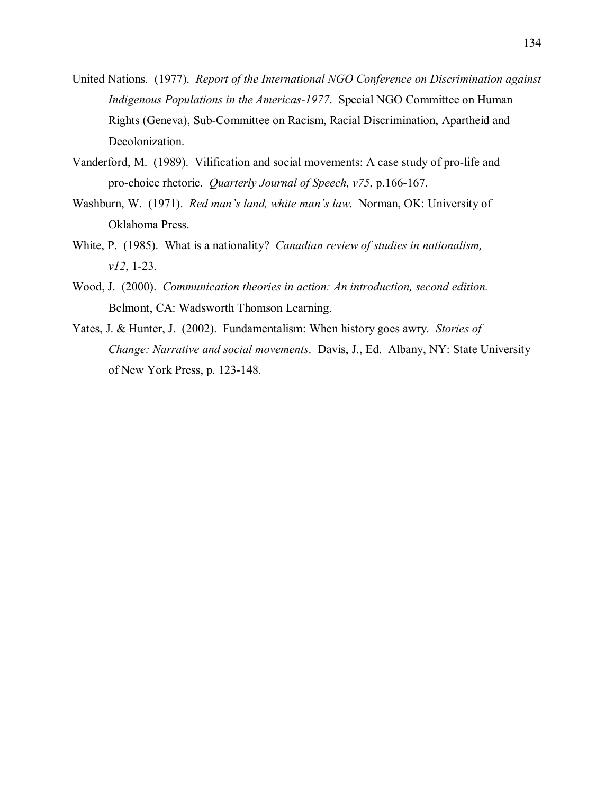- United Nations. (1977). *Report of the International NGO Conference on Discrimination against Indigenous Populations in the Americas-1977*. Special NGO Committee on Human Rights (Geneva), Sub-Committee on Racism, Racial Discrimination, Apartheid and Decolonization.
- Vanderford, M. (1989). Vilification and social movements: A case study of pro-life and pro-choice rhetoric. *Quarterly Journal of Speech, v75*, p.166-167.
- Washburn, W. (1971). *Red manís land, white manís law*. Norman, OK: University of Oklahoma Press.
- White, P. (1985). What is a nationality? *Canadian review of studies in nationalism, v12*, 1-23.
- Wood, J. (2000). *Communication theories in action: An introduction, second edition.* Belmont, CA: Wadsworth Thomson Learning.
- Yates, J. & Hunter, J. (2002). Fundamentalism: When history goes awry. *Stories of Change: Narrative and social movements*. Davis, J., Ed. Albany, NY: State University of New York Press, p. 123-148.